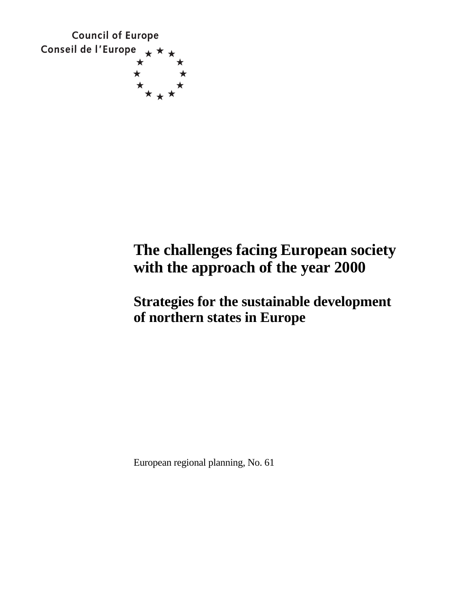

# **The challenges facing European society with the approach of the year 2000**

## **Strategies for the sustainable development of northern states in Europe**

European regional planning, No. 61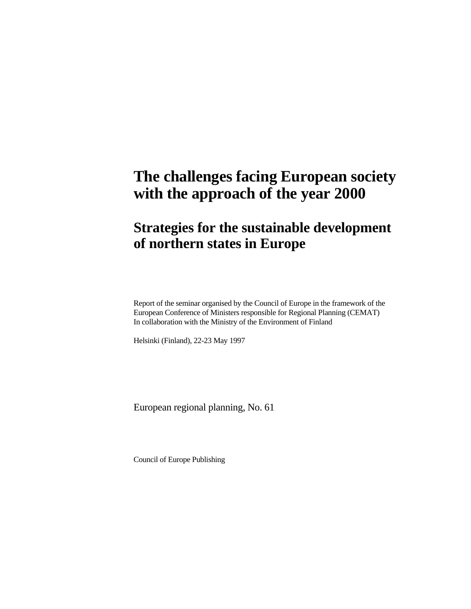# **The challenges facing European society with the approach of the year 2000**

## **Strategies for the sustainable development of northern states in Europe**

Report of the seminar organised by the Council of Europe in the framework of the European Conference of Ministers responsible for Regional Planning (CEMAT) In collaboration with the Ministry of the Environment of Finland

Helsinki (Finland), 22-23 May 1997

European regional planning, No. 61

Council of Europe Publishing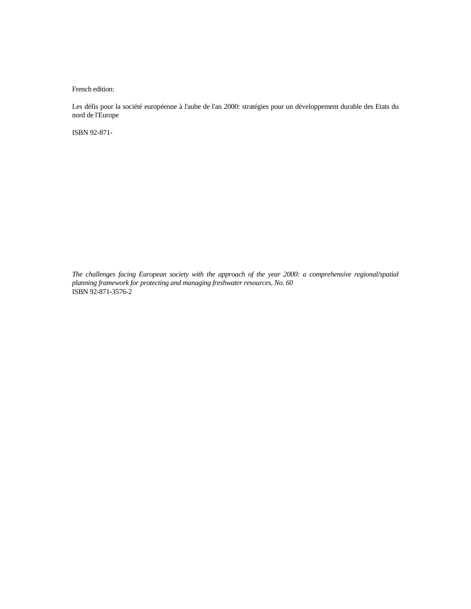French edition:

Les défis pour la société européenne à l'aube de l'an 2000: stratégies pour un développement durable des Etats du nord de l'Europe

ISBN 92-871-

*The challenges facing European society with the approach of the year 2000: a comprehensive regional/spatial planning framework for protecting and managing freshwater resources, No. 60*  ISBN 92-871-3576-2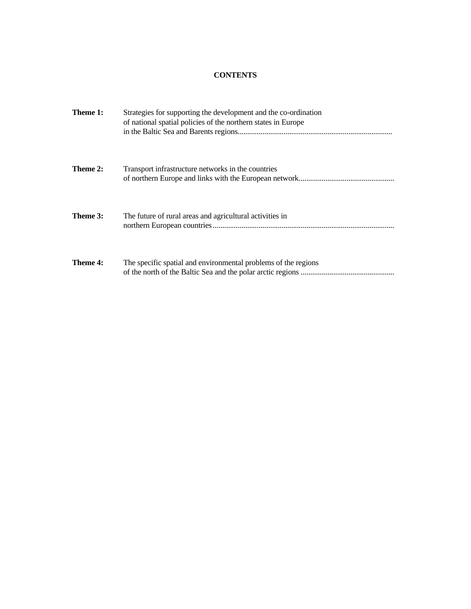## **CONTENTS**

| Theme 1: | Strategies for supporting the development and the co-ordination<br>of national spatial policies of the northern states in Europe |
|----------|----------------------------------------------------------------------------------------------------------------------------------|
| Theme 2: | Transport infrastructure networks in the countries                                                                               |
| Theme 3: | The future of rural areas and agricultural activities in                                                                         |
| Theme 4: | The specific spatial and environmental problems of the regions                                                                   |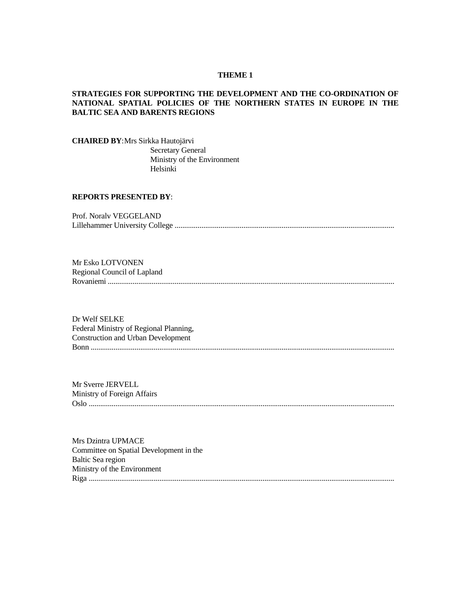#### **THEME 1**

## **STRATEGIES FOR SUPPORTING THE DEVELOPMENT AND THE CO-ORDINATION OF NATIONAL SPATIAL POLICIES OF THE NORTHERN STATES IN EUROPE IN THE BALTIC SEA AND BARENTS REGIONS**

**CHAIRED BY**:Mrs Sirkka Hautojärvi Secretary General Ministry of the Environment Helsinki

## **REPORTS PRESENTED BY**:

| Prof. Noraly VEGGELAND |
|------------------------|
|                        |

Mr Esko LOTVONEN Regional Council of Lapland Rovaniemi ......................................................................................................................................................

Dr Welf SELKE Federal Ministry of Regional Planning, Construction and Urban Development Bonn ...............................................................................................................................................................

Mr Sverre JERVELL Ministry of Foreign Affairs Oslo ................................................................................................................................................................

Mrs Dzintra UPMACE Committee on Spatial Development in the Baltic Sea region Ministry of the Environment Riga ................................................................................................................................................................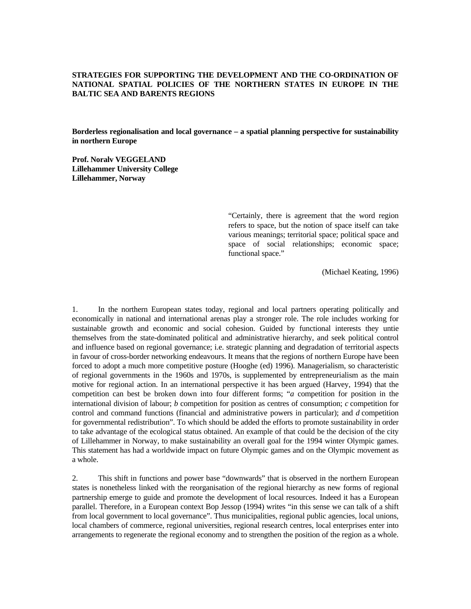## **STRATEGIES FOR SUPPORTING THE DEVELOPMENT AND THE CO-ORDINATION OF NATIONAL SPATIAL POLICIES OF THE NORTHERN STATES IN EUROPE IN THE BALTIC SEA AND BARENTS REGIONS**

**Borderless regionalisation and local governance – a spatial planning perspective for sustainability in northern Europe** 

**Prof. Noralv VEGGELAND Lillehammer University College Lillehammer, Norway** 

> "Certainly, there is agreement that the word region refers to space, but the notion of space itself can take various meanings; territorial space; political space and space of social relationships; economic space; functional space."

> > (Michael Keating, 1996)

1. In the northern European states today, regional and local partners operating politically and economically in national and international arenas play a stronger role. The role includes working for sustainable growth and economic and social cohesion. Guided by functional interests they untie themselves from the state-dominated political and administrative hierarchy, and seek political control and influence based on regional governance; i.e. strategic planning and degradation of territorial aspects in favour of cross-border networking endeavours. It means that the regions of northern Europe have been forced to adopt a much more competitive posture (Hooghe (ed) 1996). Managerialism, so characteristic of regional governments in the 1960s and 1970s, is supplemented by entrepreneurialism as the main motive for regional action. In an international perspective it has been argued (Harvey, 1994) that the competition can best be broken down into four different forms; "*a* competition for position in the international division of labour; *b* competition for position as centres of consumption; *c* competition for control and command functions (financial and administrative powers in particular); and *d* competition for governmental redistribution". To which should be added the efforts to promote sustainability in order to take advantage of the ecological status obtained. An example of that could be the decision of the city of Lillehammer in Norway, to make sustainability an overall goal for the 1994 winter Olympic games. This statement has had a worldwide impact on future Olympic games and on the Olympic movement as a whole.

2. This shift in functions and power base "downwards" that is observed in the northern European states is nonetheless linked with the reorganisation of the regional hierarchy as new forms of regional partnership emerge to guide and promote the development of local resources. Indeed it has a European parallel. Therefore, in a European context Bop Jessop (1994) writes "in this sense we can talk of a shift from local government to local governance". Thus municipalities, regional public agencies, local unions, local chambers of commerce, regional universities, regional research centres, local enterprises enter into arrangements to regenerate the regional economy and to strengthen the position of the region as a whole.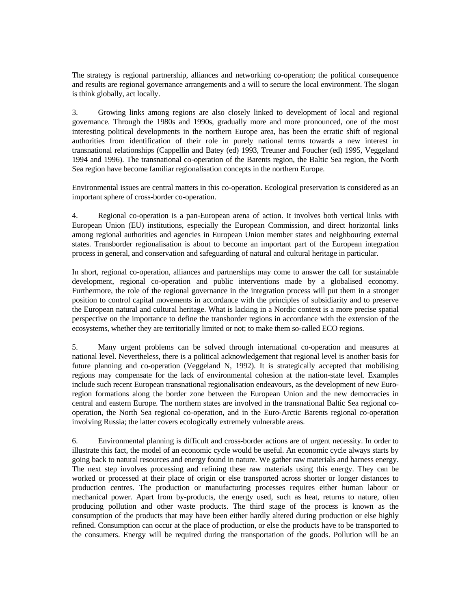The strategy is regional partnership, alliances and networking co-operation; the political consequence and results are regional governance arrangements and a will to secure the local environment. The slogan is think globally, act locally.

3. Growing links among regions are also closely linked to development of local and regional governance. Through the 1980s and 1990s, gradually more and more pronounced, one of the most interesting political developments in the northern Europe area, has been the erratic shift of regional authorities from identification of their role in purely national terms towards a new interest in transnational relationships (Cappellin and Batey (ed) 1993, Treuner and Foucher (ed) 1995, Veggeland 1994 and 1996). The transnational co-operation of the Barents region, the Baltic Sea region, the North Sea region have become familiar regionalisation concepts in the northern Europe.

Environmental issues are central matters in this co-operation. Ecological preservation is considered as an important sphere of cross-border co-operation.

4. Regional co-operation is a pan-European arena of action. It involves both vertical links with European Union (EU) institutions, especially the European Commission, and direct horizontal links among regional authorities and agencies in European Union member states and neighbouring external states. Transborder regionalisation is about to become an important part of the European integration process in general, and conservation and safeguarding of natural and cultural heritage in particular.

In short, regional co-operation, alliances and partnerships may come to answer the call for sustainable development, regional co-operation and public interventions made by a globalised economy. Furthermore, the role of the regional governance in the integration process will put them in a stronger position to control capital movements in accordance with the principles of subsidiarity and to preserve the European natural and cultural heritage. What is lacking in a Nordic context is a more precise spatial perspective on the importance to define the transborder regions in accordance with the extension of the ecosystems, whether they are territorially limited or not; to make them so-called ECO regions.

5. Many urgent problems can be solved through international co-operation and measures at national level. Nevertheless, there is a political acknowledgement that regional level is another basis for future planning and co-operation (Veggeland N, 1992). It is strategically accepted that mobilising regions may compensate for the lack of environmental cohesion at the nation-state level. Examples include such recent European transnational regionalisation endeavours, as the development of new Euroregion formations along the border zone between the European Union and the new democracies in central and eastern Europe. The northern states are involved in the transnational Baltic Sea regional cooperation, the North Sea regional co-operation, and in the Euro-Arctic Barents regional co-operation involving Russia; the latter covers ecologically extremely vulnerable areas.

6. Environmental planning is difficult and cross-border actions are of urgent necessity. In order to illustrate this fact, the model of an economic cycle would be useful. An economic cycle always starts by going back to natural resources and energy found in nature. We gather raw materials and harness energy. The next step involves processing and refining these raw materials using this energy. They can be worked or processed at their place of origin or else transported across shorter or longer distances to production centres. The production or manufacturing processes requires either human labour or mechanical power. Apart from by-products, the energy used, such as heat, returns to nature, often producing pollution and other waste products. The third stage of the process is known as the consumption of the products that may have been either hardly altered during production or else highly refined. Consumption can occur at the place of production, or else the products have to be transported to the consumers. Energy will be required during the transportation of the goods. Pollution will be an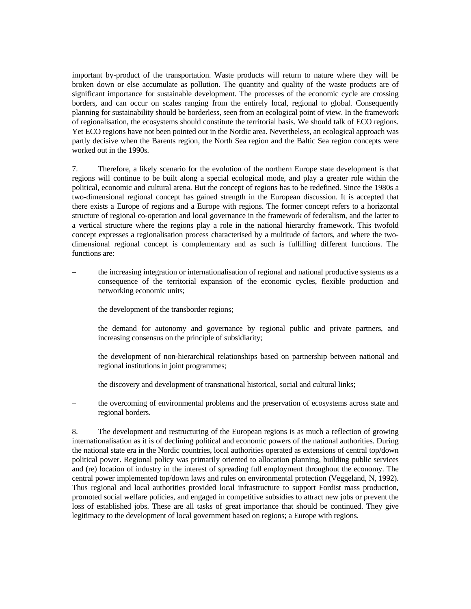important by-product of the transportation. Waste products will return to nature where they will be broken down or else accumulate as pollution. The quantity and quality of the waste products are of significant importance for sustainable development. The processes of the economic cycle are crossing borders, and can occur on scales ranging from the entirely local, regional to global. Consequently planning for sustainability should be borderless, seen from an ecological point of view. In the framework of regionalisation, the ecosystems should constitute the territorial basis. We should talk of ECO regions. Yet ECO regions have not been pointed out in the Nordic area. Nevertheless, an ecological approach was partly decisive when the Barents region, the North Sea region and the Baltic Sea region concepts were worked out in the 1990s.

7. Therefore, a likely scenario for the evolution of the northern Europe state development is that regions will continue to be built along a special ecological mode, and play a greater role within the political, economic and cultural arena. But the concept of regions has to be redefined. Since the 1980s a two-dimensional regional concept has gained strength in the European discussion. It is accepted that there exists a Europe of regions and a Europe with regions. The former concept refers to a horizontal structure of regional co-operation and local governance in the framework of federalism, and the latter to a vertical structure where the regions play a role in the national hierarchy framework. This twofold concept expresses a regionalisation process characterised by a multitude of factors, and where the twodimensional regional concept is complementary and as such is fulfilling different functions. The functions are:

- the increasing integration or internationalisation of regional and national productive systems as a consequence of the territorial expansion of the economic cycles, flexible production and networking economic units;
- the development of the transborder regions;
- the demand for autonomy and governance by regional public and private partners, and increasing consensus on the principle of subsidiarity;
- the development of non-hierarchical relationships based on partnership between national and regional institutions in joint programmes;
- the discovery and development of transnational historical, social and cultural links;
- the overcoming of environmental problems and the preservation of ecosystems across state and regional borders.

8. The development and restructuring of the European regions is as much a reflection of growing internationalisation as it is of declining political and economic powers of the national authorities. During the national state era in the Nordic countries, local authorities operated as extensions of central top/down political power. Regional policy was primarily oriented to allocation planning, building public services and (re) location of industry in the interest of spreading full employment throughout the economy. The central power implemented top/down laws and rules on environmental protection (Veggeland, N, 1992). Thus regional and local authorities provided local infrastructure to support Fordist mass production, promoted social welfare policies, and engaged in competitive subsidies to attract new jobs or prevent the loss of established jobs. These are all tasks of great importance that should be continued. They give legitimacy to the development of local government based on regions; a Europe with regions.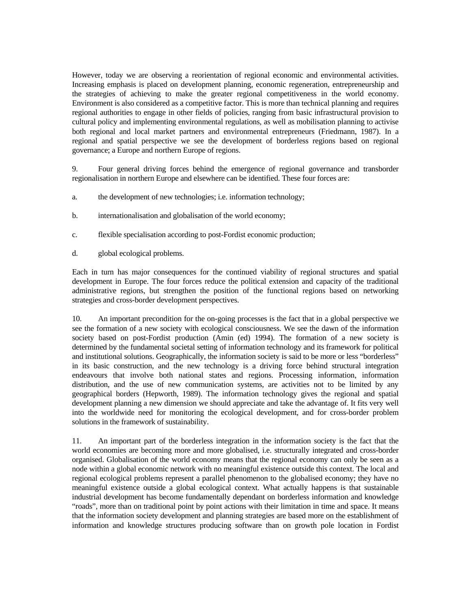However, today we are observing a reorientation of regional economic and environmental activities. Increasing emphasis is placed on development planning, economic regeneration, entrepreneurship and the strategies of achieving to make the greater regional competitiveness in the world economy. Environment is also considered as a competitive factor. This is more than technical planning and requires regional authorities to engage in other fields of policies, ranging from basic infrastructural provision to cultural policy and implementing environmental regulations, as well as mobilisation planning to activise both regional and local market partners and environmental entrepreneurs (Friedmann, 1987). In a regional and spatial perspective we see the development of borderless regions based on regional governance; a Europe and northern Europe of regions.

9. Four general driving forces behind the emergence of regional governance and transborder regionalisation in northern Europe and elsewhere can be identified. These four forces are:

- a. the development of new technologies; i.e. information technology;
- b. internationalisation and globalisation of the world economy;
- c. flexible specialisation according to post-Fordist economic production;
- d. global ecological problems.

Each in turn has major consequences for the continued viability of regional structures and spatial development in Europe. The four forces reduce the political extension and capacity of the traditional administrative regions, but strengthen the position of the functional regions based on networking strategies and cross-border development perspectives.

10. An important precondition for the on-going processes is the fact that in a global perspective we see the formation of a new society with ecological consciousness. We see the dawn of the information society based on post-Fordist production (Amin (ed) 1994). The formation of a new society is determined by the fundamental societal setting of information technology and its framework for political and institutional solutions. Geographically, the information society is said to be more or less "borderless" in its basic construction, and the new technology is a driving force behind structural integration endeavours that involve both national states and regions. Processing information, information distribution, and the use of new communication systems, are activities not to be limited by any geographical borders (Hepworth, 1989). The information technology gives the regional and spatial development planning a new dimension we should appreciate and take the advantage of. It fits very well into the worldwide need for monitoring the ecological development, and for cross-border problem solutions in the framework of sustainability.

11. An important part of the borderless integration in the information society is the fact that the world economies are becoming more and more globalised, i.e. structurally integrated and cross-border organised. Globalisation of the world economy means that the regional economy can only be seen as a node within a global economic network with no meaningful existence outside this context. The local and regional ecological problems represent a parallel phenomenon to the globalised economy; they have no meaningful existence outside a global ecological context. What actually happens is that sustainable industrial development has become fundamentally dependant on borderless information and knowledge "roads", more than on traditional point by point actions with their limitation in time and space. It means that the information society development and planning strategies are based more on the establishment of information and knowledge structures producing software than on growth pole location in Fordist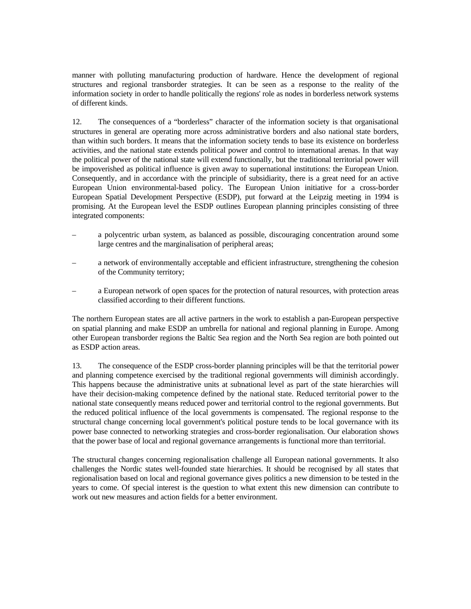manner with polluting manufacturing production of hardware. Hence the development of regional structures and regional transborder strategies. It can be seen as a response to the reality of the information society in order to handle politically the regions' role as nodes in borderless network systems of different kinds.

12. The consequences of a "borderless" character of the information society is that organisational structures in general are operating more across administrative borders and also national state borders, than within such borders. It means that the information society tends to base its existence on borderless activities, and the national state extends political power and control to international arenas. In that way the political power of the national state will extend functionally, but the traditional territorial power will be impoverished as political influence is given away to supernational institutions: the European Union. Consequently, and in accordance with the principle of subsidiarity, there is a great need for an active European Union environmental-based policy. The European Union initiative for a cross-border European Spatial Development Perspective (ESDP), put forward at the Leipzig meeting in 1994 is promising. At the European level the ESDP outlines European planning principles consisting of three integrated components:

- a polycentric urban system, as balanced as possible, discouraging concentration around some large centres and the marginalisation of peripheral areas;
- a network of environmentally acceptable and efficient infrastructure, strengthening the cohesion of the Community territory;
- a European network of open spaces for the protection of natural resources, with protection areas classified according to their different functions.

The northern European states are all active partners in the work to establish a pan-European perspective on spatial planning and make ESDP an umbrella for national and regional planning in Europe. Among other European transborder regions the Baltic Sea region and the North Sea region are both pointed out as ESDP action areas.

13. The consequence of the ESDP cross-border planning principles will be that the territorial power and planning competence exercised by the traditional regional governments will diminish accordingly. This happens because the administrative units at subnational level as part of the state hierarchies will have their decision-making competence defined by the national state. Reduced territorial power to the national state consequently means reduced power and territorial control to the regional governments. But the reduced political influence of the local governments is compensated. The regional response to the structural change concerning local government's political posture tends to be local governance with its power base connected to networking strategies and cross-border regionalisation. Our elaboration shows that the power base of local and regional governance arrangements is functional more than territorial.

The structural changes concerning regionalisation challenge all European national governments. It also challenges the Nordic states well-founded state hierarchies. It should be recognised by all states that regionalisation based on local and regional governance gives politics a new dimension to be tested in the years to come. Of special interest is the question to what extent this new dimension can contribute to work out new measures and action fields for a better environment.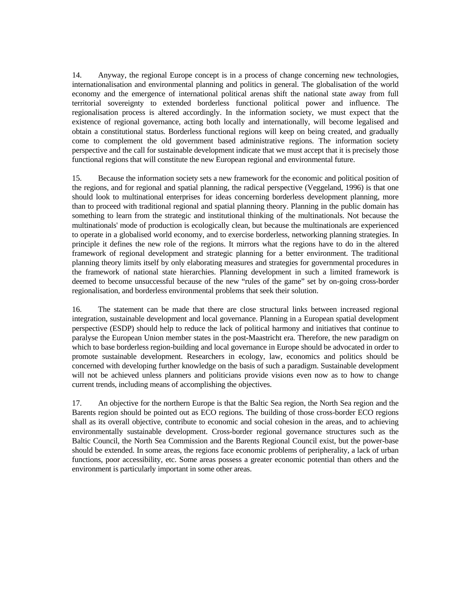14. Anyway, the regional Europe concept is in a process of change concerning new technologies, internationalisation and environmental planning and politics in general. The globalisation of the world economy and the emergence of international political arenas shift the national state away from full territorial sovereignty to extended borderless functional political power and influence. The regionalisation process is altered accordingly. In the information society, we must expect that the existence of regional governance, acting both locally and internationally, will become legalised and obtain a constitutional status. Borderless functional regions will keep on being created, and gradually come to complement the old government based administrative regions. The information society perspective and the call for sustainable development indicate that we must accept that it is precisely those functional regions that will constitute the new European regional and environmental future.

15. Because the information society sets a new framework for the economic and political position of the regions, and for regional and spatial planning, the radical perspective (Veggeland, 1996) is that one should look to multinational enterprises for ideas concerning borderless development planning, more than to proceed with traditional regional and spatial planning theory. Planning in the public domain has something to learn from the strategic and institutional thinking of the multinationals. Not because the multinationals' mode of production is ecologically clean, but because the multinationals are experienced to operate in a globalised world economy, and to exercise borderless, networking planning strategies. In principle it defines the new role of the regions. It mirrors what the regions have to do in the altered framework of regional development and strategic planning for a better environment. The traditional planning theory limits itself by only elaborating measures and strategies for governmental procedures in the framework of national state hierarchies. Planning development in such a limited framework is deemed to become unsuccessful because of the new "rules of the game" set by on-going cross-border regionalisation, and borderless environmental problems that seek their solution.

16. The statement can be made that there are close structural links between increased regional integration, sustainable development and local governance. Planning in a European spatial development perspective (ESDP) should help to reduce the lack of political harmony and initiatives that continue to paralyse the European Union member states in the post-Maastricht era. Therefore, the new paradigm on which to base borderless region-building and local governance in Europe should be advocated in order to promote sustainable development. Researchers in ecology, law, economics and politics should be concerned with developing further knowledge on the basis of such a paradigm. Sustainable development will not be achieved unless planners and politicians provide visions even now as to how to change current trends, including means of accomplishing the objectives.

17. An objective for the northern Europe is that the Baltic Sea region, the North Sea region and the Barents region should be pointed out as ECO regions. The building of those cross-border ECO regions shall as its overall objective, contribute to economic and social cohesion in the areas, and to achieving environmentally sustainable development. Cross-border regional governance structures such as the Baltic Council, the North Sea Commission and the Barents Regional Council exist, but the power-base should be extended. In some areas, the regions face economic problems of peripherality, a lack of urban functions, poor accessibility, etc. Some areas possess a greater economic potential than others and the environment is particularly important in some other areas.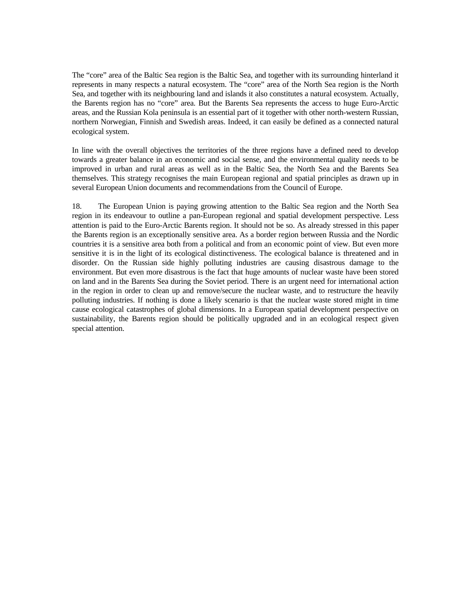The "core" area of the Baltic Sea region is the Baltic Sea, and together with its surrounding hinterland it represents in many respects a natural ecosystem. The "core" area of the North Sea region is the North Sea, and together with its neighbouring land and islands it also constitutes a natural ecosystem. Actually, the Barents region has no "core" area. But the Barents Sea represents the access to huge Euro-Arctic areas, and the Russian Kola peninsula is an essential part of it together with other north-western Russian, northern Norwegian, Finnish and Swedish areas. Indeed, it can easily be defined as a connected natural ecological system.

In line with the overall objectives the territories of the three regions have a defined need to develop towards a greater balance in an economic and social sense, and the environmental quality needs to be improved in urban and rural areas as well as in the Baltic Sea, the North Sea and the Barents Sea themselves. This strategy recognises the main European regional and spatial principles as drawn up in several European Union documents and recommendations from the Council of Europe.

18. The European Union is paying growing attention to the Baltic Sea region and the North Sea region in its endeavour to outline a pan-European regional and spatial development perspective. Less attention is paid to the Euro-Arctic Barents region. It should not be so. As already stressed in this paper the Barents region is an exceptionally sensitive area. As a border region between Russia and the Nordic countries it is a sensitive area both from a political and from an economic point of view. But even more sensitive it is in the light of its ecological distinctiveness. The ecological balance is threatened and in disorder. On the Russian side highly polluting industries are causing disastrous damage to the environment. But even more disastrous is the fact that huge amounts of nuclear waste have been stored on land and in the Barents Sea during the Soviet period. There is an urgent need for international action in the region in order to clean up and remove/secure the nuclear waste, and to restructure the heavily polluting industries. If nothing is done a likely scenario is that the nuclear waste stored might in time cause ecological catastrophes of global dimensions. In a European spatial development perspective on sustainability, the Barents region should be politically upgraded and in an ecological respect given special attention.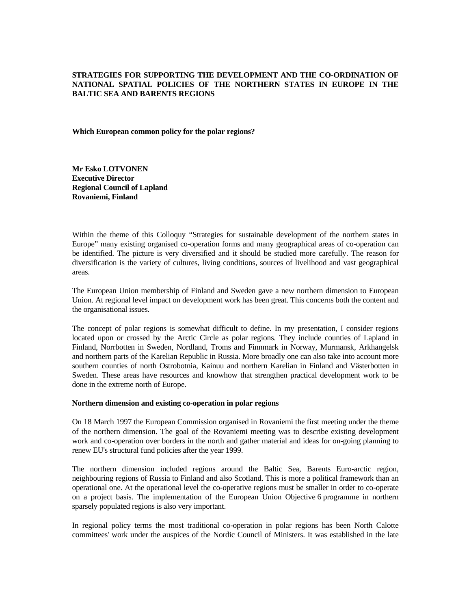## **STRATEGIES FOR SUPPORTING THE DEVELOPMENT AND THE CO-ORDINATION OF NATIONAL SPATIAL POLICIES OF THE NORTHERN STATES IN EUROPE IN THE BALTIC SEA AND BARENTS REGIONS**

**Which European common policy for the polar regions?** 

**Mr Esko LOTVONEN Executive Director Regional Council of Lapland Rovaniemi, Finland** 

Within the theme of this Colloquy "Strategies for sustainable development of the northern states in Europe" many existing organised co-operation forms and many geographical areas of co-operation can be identified. The picture is very diversified and it should be studied more carefully. The reason for diversification is the variety of cultures, living conditions, sources of livelihood and vast geographical areas.

The European Union membership of Finland and Sweden gave a new northern dimension to European Union. At regional level impact on development work has been great. This concerns both the content and the organisational issues.

The concept of polar regions is somewhat difficult to define. In my presentation, I consider regions located upon or crossed by the Arctic Circle as polar regions. They include counties of Lapland in Finland, Norrbotten in Sweden, Nordland, Troms and Finnmark in Norway, Murmansk, Arkhangelsk and northern parts of the Karelian Republic in Russia. More broadly one can also take into account more southern counties of north Ostrobotnia, Kainuu and northern Karelian in Finland and Västerbotten in Sweden. These areas have resources and knowhow that strengthen practical development work to be done in the extreme north of Europe.

#### **Northern dimension and existing co-operation in polar regions**

On 18 March 1997 the European Commission organised in Rovaniemi the first meeting under the theme of the northern dimension. The goal of the Rovaniemi meeting was to describe existing development work and co-operation over borders in the north and gather material and ideas for on-going planning to renew EU's structural fund policies after the year 1999.

The northern dimension included regions around the Baltic Sea, Barents Euro-arctic region, neighbouring regions of Russia to Finland and also Scotland. This is more a political framework than an operational one. At the operational level the co-operative regions must be smaller in order to co-operate on a project basis. The implementation of the European Union Objective 6 programme in northern sparsely populated regions is also very important.

In regional policy terms the most traditional co-operation in polar regions has been North Calotte committees' work under the auspices of the Nordic Council of Ministers. It was established in the late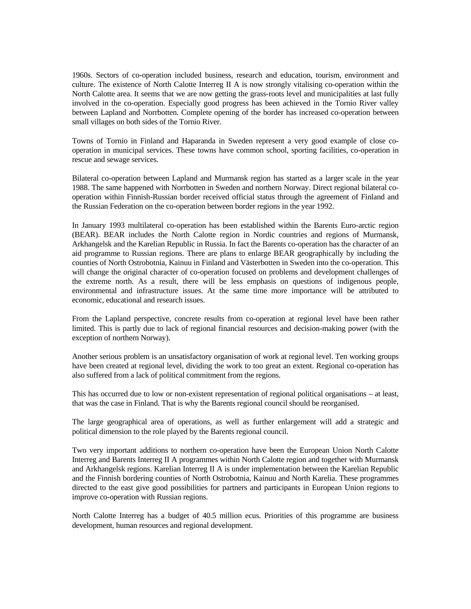1960s. Sectors of co-operation included business, research and education, tourism, environment and culture. The existence of North Calotte Interreg II A is now strongly vitalising co-operation within the North Calotte area. It seems that we are now getting the grass-roots level and municipalities at last fully involved in the co-operation. Especially good progress has been achieved in the Tornio River valley between Lapland and Norrbotten. Complete opening of the border has increased co-operation between small villages on both sides of the Tornio River.

Towns of Tornio in Finland and Haparanda in Sweden represent a very good example of close cooperation in municipal services. These towns have common school, sporting facilities, co-operation in rescue and sewage services.

Bilateral co-operation between Lapland and Murmansk region has started as a larger scale in the year 1988. The same happened with Norrbotten in Sweden and northern Norway. Direct regional bilateral cooperation within Finnish-Russian border received official status through the agreement of Finland and the Russian Federation on the co-operation between border regions in the year 1992.

In January 1993 multilateral co-operation has been established within the Barents Euro-arctic region (BEAR). BEAR includes the North Calotte region in Nordic countries and regions of Murmansk, Arkhangelsk and the Karelian Republic in Russia. In fact the Barents co-operation has the character of an aid programme to Russian regions. There are plans to enlarge BEAR geographically by including the counties of North Ostrobotnia, Kainuu in Finland and Västerbotten in Sweden into the co-operation. This will change the original character of co-operation focused on problems and development challenges of the extreme north. As a result, there will be less emphasis on questions of indigenous people, environmental and infrastructure issues. At the same time more importance will be attributed to economic, educational and research issues.

From the Lapland perspective, concrete results from co-operation at regional level have been rather limited. This is partly due to lack of regional financial resources and decision-making power (with the exception of northern Norway).

Another serious problem is an unsatisfactory organisation of work at regional level. Ten working groups have been created at regional level, dividing the work to too great an extent. Regional co-operation has also suffered from a lack of political commitment from the regions.

This has occurred due to low or non-existent representation of regional political organisations – at least, that was the case in Finland. That is why the Barents regional council should be reorganised.

The large geographical area of operations, as well as further enlargement will add a strategic and political dimension to the role played by the Barents regional council.

Two very important additions to northern co-operation have been the European Union North Calotte Interreg and Barents Interreg II A programmes within North Calotte region and together with Murmansk and Arkhangelsk regions. Karelian Interreg II A is under implementation between the Karelian Republic and the Finnish bordering counties of North Ostrobotnia, Kainuu and North Karelia. These programmes directed to the east give good possibilities for partners and participants in European Union regions to improve co-operation with Russian regions.

North Calotte Interreg has a budget of 40.5 million ecus. Priorities of this programme are business development, human resources and regional development.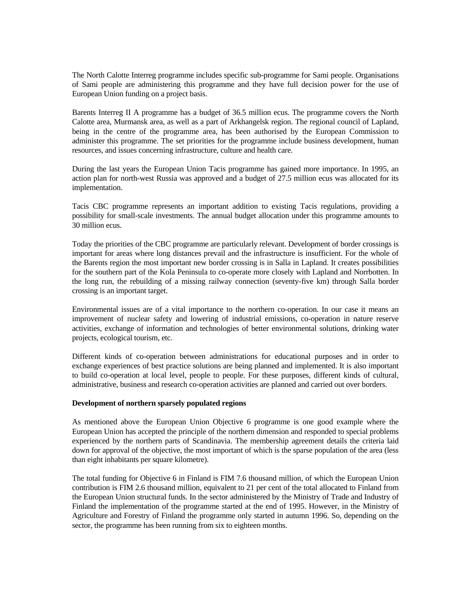The North Calotte Interreg programme includes specific sub-programme for Sami people. Organisations of Sami people are administering this programme and they have full decision power for the use of European Union funding on a project basis.

Barents Interreg II A programme has a budget of 36.5 million ecus. The programme covers the North Calotte area, Murmansk area, as well as a part of Arkhangelsk region. The regional council of Lapland, being in the centre of the programme area, has been authorised by the European Commission to administer this programme. The set priorities for the programme include business development, human resources, and issues concerning infrastructure, culture and health care.

During the last years the European Union Tacis programme has gained more importance. In 1995, an action plan for north-west Russia was approved and a budget of 27.5 million ecus was allocated for its implementation.

Tacis CBC programme represents an important addition to existing Tacis regulations, providing a possibility for small-scale investments. The annual budget allocation under this programme amounts to 30 million ecus.

Today the priorities of the CBC programme are particularly relevant. Development of border crossings is important for areas where long distances prevail and the infrastructure is insufficient. For the whole of the Barents region the most important new border crossing is in Salla in Lapland. It creates possibilities for the southern part of the Kola Peninsula to co-operate more closely with Lapland and Norrbotten. In the long run, the rebuilding of a missing railway connection (seventy-five km) through Salla border crossing is an important target.

Environmental issues are of a vital importance to the northern co-operation. In our case it means an improvement of nuclear safety and lowering of industrial emissions, co-operation in nature reserve activities, exchange of information and technologies of better environmental solutions, drinking water projects, ecological tourism, etc.

Different kinds of co-operation between administrations for educational purposes and in order to exchange experiences of best practice solutions are being planned and implemented. It is also important to build co-operation at local level, people to people. For these purposes, different kinds of cultural, administrative, business and research co-operation activities are planned and carried out over borders.

#### **Development of northern sparsely populated regions**

As mentioned above the European Union Objective 6 programme is one good example where the European Union has accepted the principle of the northern dimension and responded to special problems experienced by the northern parts of Scandinavia. The membership agreement details the criteria laid down for approval of the objective, the most important of which is the sparse population of the area (less than eight inhabitants per square kilometre).

The total funding for Objective 6 in Finland is FIM 7.6 thousand million, of which the European Union contribution is FIM 2.6 thousand million, equivalent to 21 per cent of the total allocated to Finland from the European Union structural funds. In the sector administered by the Ministry of Trade and Industry of Finland the implementation of the programme started at the end of 1995. However, in the Ministry of Agriculture and Forestry of Finland the programme only started in autumn 1996. So, depending on the sector, the programme has been running from six to eighteen months.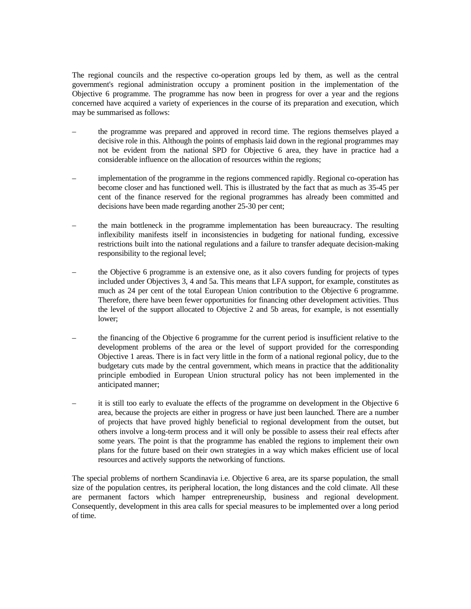The regional councils and the respective co-operation groups led by them, as well as the central government's regional administration occupy a prominent position in the implementation of the Objective 6 programme. The programme has now been in progress for over a year and the regions concerned have acquired a variety of experiences in the course of its preparation and execution, which may be summarised as follows:

- the programme was prepared and approved in record time. The regions themselves played a decisive role in this. Although the points of emphasis laid down in the regional programmes may not be evident from the national SPD for Objective 6 area, they have in practice had a considerable influence on the allocation of resources within the regions;
- implementation of the programme in the regions commenced rapidly. Regional co-operation has become closer and has functioned well. This is illustrated by the fact that as much as 35-45 per cent of the finance reserved for the regional programmes has already been committed and decisions have been made regarding another 25-30 per cent;
- the main bottleneck in the programme implementation has been bureaucracy. The resulting inflexibility manifests itself in inconsistencies in budgeting for national funding, excessive restrictions built into the national regulations and a failure to transfer adequate decision-making responsibility to the regional level;
- the Objective 6 programme is an extensive one, as it also covers funding for projects of types included under Objectives 3, 4 and 5a. This means that LFA support, for example, constitutes as much as 24 per cent of the total European Union contribution to the Objective 6 programme. Therefore, there have been fewer opportunities for financing other development activities. Thus the level of the support allocated to Objective 2 and 5b areas, for example, is not essentially lower;
- the financing of the Objective 6 programme for the current period is insufficient relative to the development problems of the area or the level of support provided for the corresponding Objective 1 areas. There is in fact very little in the form of a national regional policy, due to the budgetary cuts made by the central government, which means in practice that the additionality principle embodied in European Union structural policy has not been implemented in the anticipated manner;
- it is still too early to evaluate the effects of the programme on development in the Objective 6 area, because the projects are either in progress or have just been launched. There are a number of projects that have proved highly beneficial to regional development from the outset, but others involve a long-term process and it will only be possible to assess their real effects after some years. The point is that the programme has enabled the regions to implement their own plans for the future based on their own strategies in a way which makes efficient use of local resources and actively supports the networking of functions.

The special problems of northern Scandinavia i.e. Objective 6 area, are its sparse population, the small size of the population centres, its peripheral location, the long distances and the cold climate. All these are permanent factors which hamper entrepreneurship, business and regional development. Consequently, development in this area calls for special measures to be implemented over a long period of time.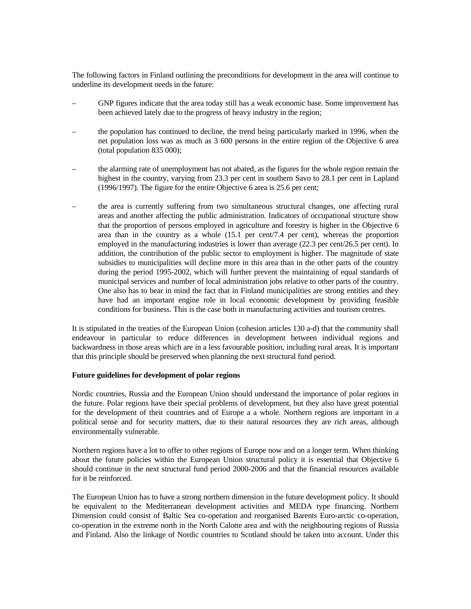The following factors in Finland outlining the preconditions for development in the area will continue to underline its development needs in the future:

- GNP figures indicate that the area today still has a weak economic base. Some improvement has been achieved lately due to the progress of heavy industry in the region;
- the population has continued to decline, the trend being particularly marked in 1996, when the net population loss was as much as 3 600 persons in the entire region of the Objective 6 area (total population 835 000);
- the alarming rate of unemployment has not abated, as the figures for the whole region remain the highest in the country, varying from 23.3 per cent in southern Savo to 28.1 per cent in Lapland (1996/1997). The figure for the entire Objective 6 area is 25.6 per cent;
- the area is currently suffering from two simultaneous structural changes, one affecting rural areas and another affecting the public administration. Indicators of occupational structure show that the proportion of persons employed in agriculture and forestry is higher in the Objective 6 area than in the country as a whole (15.1 per cent/7.4 per cent), whereas the proportion employed in the manufacturing industries is lower than average (22.3 per cent/26.5 per cent). In addition, the contribution of the public sector to employment is higher. The magnitude of state subsidies to municipalities will decline more in this area than in the other parts of the country during the period 1995-2002, which will further prevent the maintaining of equal standards of municipal services and number of local administration jobs relative to other parts of the country. One also has to bear in mind the fact that in Finland municipalities are strong entities and they have had an important engine role in local economic development by providing feasible conditions for business. This is the case both in manufacturing activities and tourism centres.

It is stipulated in the treaties of the European Union (cohesion articles 130 a-d) that the community shall endeavour in particular to reduce differences in development between individual regions and backwardness in those areas which are in a less favourable position, including rural areas. It is important that this principle should be preserved when planning the next structural fund period.

#### **Future guidelines for development of polar regions**

Nordic countries, Russia and the European Union should understand the importance of polar regions in the future. Polar regions have their special problems of development, but they also have great potential for the development of their countries and of Europe a a whole. Northern regions are important in a political sense and for security matters, due to their natural resources they are rich areas, although environmentally vulnerable.

Northern regions have a lot to offer to other regions of Europe now and on a longer term. When thinking about the future policies within the European Union structural policy it is essential that Objective 6 should continue in the next structural fund period 2000-2006 and that the financial resources available for it be reinforced.

The European Union has to have a strong northern dimension in the future development policy. It should be equivalent to the Mediterranean development activities and MEDA type financing. Northern Dimension could consist of Baltic Sea co-operation and reorganised Barents Euro-arctic co-operation, co-operation in the extreme north in the North Calotte area and with the neighbouring regions of Russia and Finland. Also the linkage of Nordic countries to Scotland should be taken into account. Under this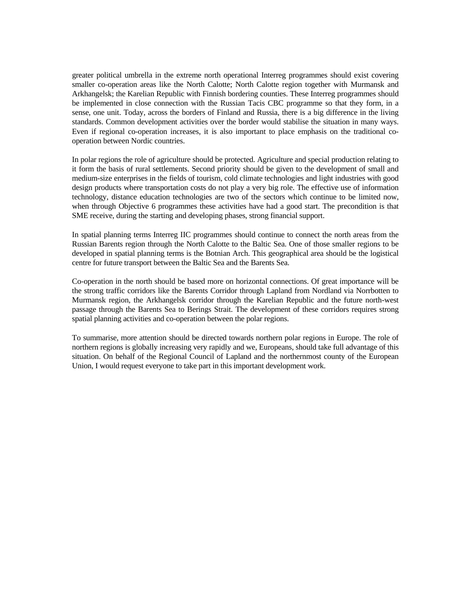greater political umbrella in the extreme north operational Interreg programmes should exist covering smaller co-operation areas like the North Calotte; North Calotte region together with Murmansk and Arkhangelsk; the Karelian Republic with Finnish bordering counties. These Interreg programmes should be implemented in close connection with the Russian Tacis CBC programme so that they form, in a sense, one unit. Today, across the borders of Finland and Russia, there is a big difference in the living standards. Common development activities over the border would stabilise the situation in many ways. Even if regional co-operation increases, it is also important to place emphasis on the traditional cooperation between Nordic countries.

In polar regions the role of agriculture should be protected. Agriculture and special production relating to it form the basis of rural settlements. Second priority should be given to the development of small and medium-size enterprises in the fields of tourism, cold climate technologies and light industries with good design products where transportation costs do not play a very big role. The effective use of information technology, distance education technologies are two of the sectors which continue to be limited now, when through Objective 6 programmes these activities have had a good start. The precondition is that SME receive, during the starting and developing phases, strong financial support.

In spatial planning terms Interreg IIC programmes should continue to connect the north areas from the Russian Barents region through the North Calotte to the Baltic Sea. One of those smaller regions to be developed in spatial planning terms is the Botnian Arch. This geographical area should be the logistical centre for future transport between the Baltic Sea and the Barents Sea.

Co-operation in the north should be based more on horizontal connections. Of great importance will be the strong traffic corridors like the Barents Corridor through Lapland from Nordland via Norrbotten to Murmansk region, the Arkhangelsk corridor through the Karelian Republic and the future north-west passage through the Barents Sea to Berings Strait. The development of these corridors requires strong spatial planning activities and co-operation between the polar regions.

To summarise, more attention should be directed towards northern polar regions in Europe. The role of northern regions is globally increasing very rapidly and we, Europeans, should take full advantage of this situation. On behalf of the Regional Council of Lapland and the northernmost county of the European Union, I would request everyone to take part in this important development work.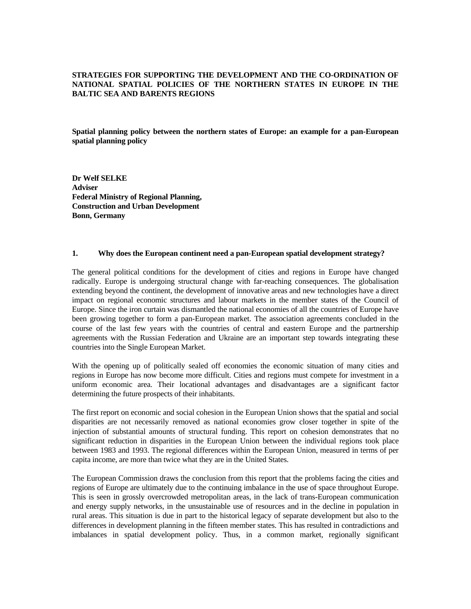## **STRATEGIES FOR SUPPORTING THE DEVELOPMENT AND THE CO-ORDINATION OF NATIONAL SPATIAL POLICIES OF THE NORTHERN STATES IN EUROPE IN THE BALTIC SEA AND BARENTS REGIONS**

**Spatial planning policy between the northern states of Europe: an example for a pan-European spatial planning policy** 

**Dr Welf SELKE Adviser Federal Ministry of Regional Planning, Construction and Urban Development Bonn, Germany** 

#### **1. Why does the European continent need a pan-European spatial development strategy?**

The general political conditions for the development of cities and regions in Europe have changed radically. Europe is undergoing structural change with far-reaching consequences. The globalisation extending beyond the continent, the development of innovative areas and new technologies have a direct impact on regional economic structures and labour markets in the member states of the Council of Europe. Since the iron curtain was dismantled the national economies of all the countries of Europe have been growing together to form a pan-European market. The association agreements concluded in the course of the last few years with the countries of central and eastern Europe and the partnership agreements with the Russian Federation and Ukraine are an important step towards integrating these countries into the Single European Market.

With the opening up of politically sealed off economies the economic situation of many cities and regions in Europe has now become more difficult. Cities and regions must compete for investment in a uniform economic area. Their locational advantages and disadvantages are a significant factor determining the future prospects of their inhabitants.

The first report on economic and social cohesion in the European Union shows that the spatial and social disparities are not necessarily removed as national economies grow closer together in spite of the injection of substantial amounts of structural funding. This report on cohesion demonstrates that no significant reduction in disparities in the European Union between the individual regions took place between 1983 and 1993. The regional differences within the European Union, measured in terms of per capita income, are more than twice what they are in the United States.

The European Commission draws the conclusion from this report that the problems facing the cities and regions of Europe are ultimately due to the continuing imbalance in the use of space throughout Europe. This is seen in grossly overcrowded metropolitan areas, in the lack of trans-European communication and energy supply networks, in the unsustainable use of resources and in the decline in population in rural areas. This situation is due in part to the historical legacy of separate development but also to the differences in development planning in the fifteen member states. This has resulted in contradictions and imbalances in spatial development policy. Thus, in a common market, regionally significant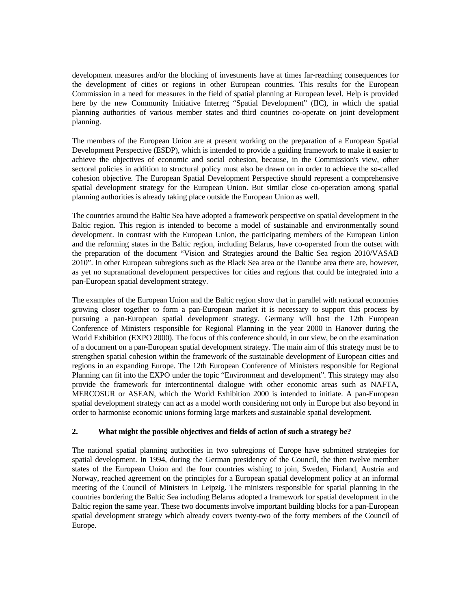development measures and/or the blocking of investments have at times far-reaching consequences for the development of cities or regions in other European countries. This results for the European Commission in a need for measures in the field of spatial planning at European level. Help is provided here by the new Community Initiative Interreg "Spatial Development" (IIC), in which the spatial planning authorities of various member states and third countries co-operate on joint development planning.

The members of the European Union are at present working on the preparation of a European Spatial Development Perspective (ESDP), which is intended to provide a guiding framework to make it easier to achieve the objectives of economic and social cohesion, because, in the Commission's view, other sectoral policies in addition to structural policy must also be drawn on in order to achieve the so-called cohesion objective. The European Spatial Development Perspective should represent a comprehensive spatial development strategy for the European Union. But similar close co-operation among spatial planning authorities is already taking place outside the European Union as well.

The countries around the Baltic Sea have adopted a framework perspective on spatial development in the Baltic region. This region is intended to become a model of sustainable and environmentally sound development. In contrast with the European Union, the participating members of the European Union and the reforming states in the Baltic region, including Belarus, have co-operated from the outset with the preparation of the document "Vision and Strategies around the Baltic Sea region 2010/VASAB 2010". In other European subregions such as the Black Sea area or the Danube area there are, however, as yet no supranational development perspectives for cities and regions that could be integrated into a pan-European spatial development strategy.

The examples of the European Union and the Baltic region show that in parallel with national economies growing closer together to form a pan-European market it is necessary to support this process by pursuing a pan-European spatial development strategy. Germany will host the 12th European Conference of Ministers responsible for Regional Planning in the year 2000 in Hanover during the World Exhibition (EXPO 2000). The focus of this conference should, in our view, be on the examination of a document on a pan-European spatial development strategy. The main aim of this strategy must be to strengthen spatial cohesion within the framework of the sustainable development of European cities and regions in an expanding Europe. The 12th European Conference of Ministers responsible for Regional Planning can fit into the EXPO under the topic "Environment and development". This strategy may also provide the framework for intercontinental dialogue with other economic areas such as NAFTA, MERCOSUR or ASEAN, which the World Exhibition 2000 is intended to initiate. A pan-European spatial development strategy can act as a model worth considering not only in Europe but also beyond in order to harmonise economic unions forming large markets and sustainable spatial development.

## **2. What might the possible objectives and fields of action of such a strategy be?**

The national spatial planning authorities in two subregions of Europe have submitted strategies for spatial development. In 1994, during the German presidency of the Council, the then twelve member states of the European Union and the four countries wishing to join, Sweden, Finland, Austria and Norway, reached agreement on the principles for a European spatial development policy at an informal meeting of the Council of Ministers in Leipzig. The ministers responsible for spatial planning in the countries bordering the Baltic Sea including Belarus adopted a framework for spatial development in the Baltic region the same year. These two documents involve important building blocks for a pan-European spatial development strategy which already covers twenty-two of the forty members of the Council of Europe.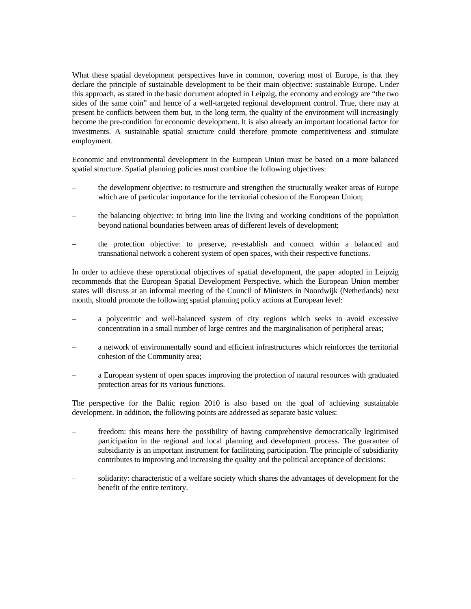What these spatial development perspectives have in common, covering most of Europe, is that they declare the principle of sustainable development to be their main objective: sustainable Europe. Under this approach, as stated in the basic document adopted in Leipzig, the economy and ecology are "the two sides of the same coin" and hence of a well-targeted regional development control. True, there may at present be conflicts between them but, in the long term, the quality of the environment will increasingly become the pre-condition for economic development. It is also already an important locational factor for investments. A sustainable spatial structure could therefore promote competitiveness and stimulate employment.

Economic and environmental development in the European Union must be based on a more balanced spatial structure. Spatial planning policies must combine the following objectives:

- the development objective: to restructure and strengthen the structurally weaker areas of Europe which are of particular importance for the territorial cohesion of the European Union;
- the balancing objective: to bring into line the living and working conditions of the population beyond national boundaries between areas of different levels of development;
- the protection objective: to preserve, re-establish and connect within a balanced and transnational network a coherent system of open spaces, with their respective functions.

In order to achieve these operational objectives of spatial development, the paper adopted in Leipzig recommends that the European Spatial Development Perspective, which the European Union member states will discuss at an informal meeting of the Council of Ministers in Noordwijk (Netherlands) next month, should promote the following spatial planning policy actions at European level:

- a polycentric and well-balanced system of city regions which seeks to avoid excessive concentration in a small number of large centres and the marginalisation of peripheral areas;
- a network of environmentally sound and efficient infrastructures which reinforces the territorial cohesion of the Community area;
- a European system of open spaces improving the protection of natural resources with graduated protection areas for its various functions.

The perspective for the Baltic region 2010 is also based on the goal of achieving sustainable development. In addition, the following points are addressed as separate basic values:

- freedom: this means here the possibility of having comprehensive democratically legitimised participation in the regional and local planning and development process. The guarantee of subsidiarity is an important instrument for facilitating participation. The principle of subsidiarity contributes to improving and increasing the quality and the political acceptance of decisions:
- solidarity: characteristic of a welfare society which shares the advantages of development for the benefit of the entire territory.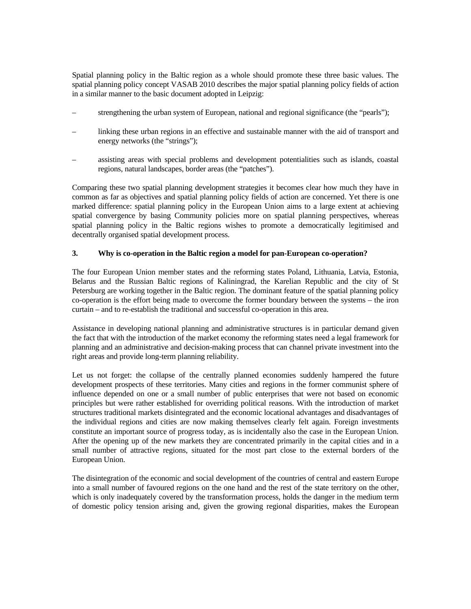Spatial planning policy in the Baltic region as a whole should promote these three basic values. The spatial planning policy concept VASAB 2010 describes the major spatial planning policy fields of action in a similar manner to the basic document adopted in Leipzig:

- strengthening the urban system of European, national and regional significance (the "pearls");
- linking these urban regions in an effective and sustainable manner with the aid of transport and energy networks (the "strings");
- assisting areas with special problems and development potentialities such as islands, coastal regions, natural landscapes, border areas (the "patches").

Comparing these two spatial planning development strategies it becomes clear how much they have in common as far as objectives and spatial planning policy fields of action are concerned. Yet there is one marked difference: spatial planning policy in the European Union aims to a large extent at achieving spatial convergence by basing Community policies more on spatial planning perspectives, whereas spatial planning policy in the Baltic regions wishes to promote a democratically legitimised and decentrally organised spatial development process.

## **3. Why is co-operation in the Baltic region a model for pan-European co-operation?**

The four European Union member states and the reforming states Poland, Lithuania, Latvia, Estonia, Belarus and the Russian Baltic regions of Kaliningrad, the Karelian Republic and the city of St Petersburg are working together in the Baltic region. The dominant feature of the spatial planning policy co-operation is the effort being made to overcome the former boundary between the systems – the iron curtain – and to re-establish the traditional and successful co-operation in this area.

Assistance in developing national planning and administrative structures is in particular demand given the fact that with the introduction of the market economy the reforming states need a legal framework for planning and an administrative and decision-making process that can channel private investment into the right areas and provide long-term planning reliability.

Let us not forget: the collapse of the centrally planned economies suddenly hampered the future development prospects of these territories. Many cities and regions in the former communist sphere of influence depended on one or a small number of public enterprises that were not based on economic principles but were rather established for overriding political reasons. With the introduction of market structures traditional markets disintegrated and the economic locational advantages and disadvantages of the individual regions and cities are now making themselves clearly felt again. Foreign investments constitute an important source of progress today, as is incidentally also the case in the European Union. After the opening up of the new markets they are concentrated primarily in the capital cities and in a small number of attractive regions, situated for the most part close to the external borders of the European Union.

The disintegration of the economic and social development of the countries of central and eastern Europe into a small number of favoured regions on the one hand and the rest of the state territory on the other, which is only inadequately covered by the transformation process, holds the danger in the medium term of domestic policy tension arising and, given the growing regional disparities, makes the European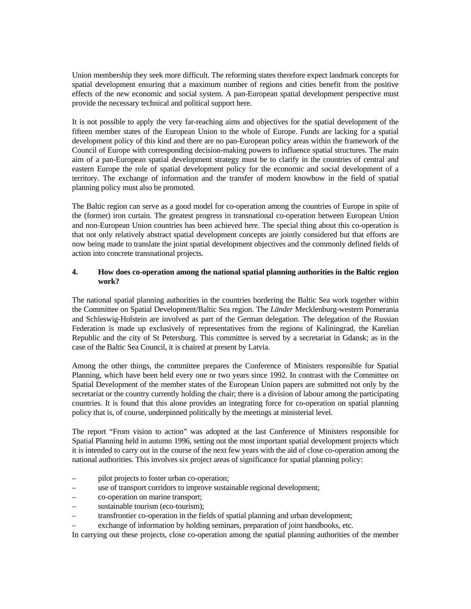Union membership they seek more difficult. The reforming states therefore expect landmark concepts for spatial development ensuring that a maximum number of regions and cities benefit from the positive effects of the new economic and social system. A pan-European spatial development perspective must provide the necessary technical and political support here.

It is not possible to apply the very far-reaching aims and objectives for the spatial development of the fifteen member states of the European Union to the whole of Europe. Funds are lacking for a spatial development policy of this kind and there are no pan-European policy areas within the framework of the Council of Europe with corresponding decision-making powers to influence spatial structures. The main aim of a pan-European spatial development strategy must be to clarify in the countries of central and eastern Europe the role of spatial development policy for the economic and social development of a territory. The exchange of information and the transfer of modern knowhow in the field of spatial planning policy must also be promoted.

The Baltic region can serve as a good model for co-operation among the countries of Europe in spite of the (former) iron curtain. The greatest progress in transnational co-operation between European Union and non-European Union countries has been achieved here. The special thing about this co-operation is that not only relatively abstract spatial development concepts are jointly considered but that efforts are now being made to translate the joint spatial development objectives and the commonly defined fields of action into concrete transnational projects.

## **4. How does co-operation among the national spatial planning authorities in the Baltic region work?**

The national spatial planning authorities in the countries bordering the Baltic Sea work together within the Committee on Spatial Development/Baltic Sea region. The *Länder* Mecklenburg-western Pomerania and Schleswig-Holstein are involved as part of the German delegation. The delegation of the Russian Federation is made up exclusively of representatives from the regions of Kaliningrad, the Karelian Republic and the city of St Petersburg. This committee is served by a secretariat in Gdansk; as in the case of the Baltic Sea Council, it is chaired at present by Latvia.

Among the other things, the committee prepares the Conference of Ministers responsible for Spatial Planning, which have been held every one or two years since 1992. In contrast with the Committee on Spatial Development of the member states of the European Union papers are submitted not only by the secretariat or the country currently holding the chair; there is a division of labour among the participating countries. It is found that this alone provides an integrating force for co-operation on spatial planning policy that is, of course, underpinned politically by the meetings at ministerial level.

The report "From vision to action" was adopted at the last Conference of Ministers responsible for Spatial Planning held in autumn 1996, setting out the most important spatial development projects which it is intended to carry out in the course of the next few years with the aid of close co-operation among the national authorities. This involves six project areas of significance for spatial planning policy:

- pilot projects to foster urban co-operation;
- use of transport corridors to improve sustainable regional development;
- co-operation on marine transport;
- sustainable tourism (eco-tourism);
- transfrontier co-operation in the fields of spatial planning and urban development;
- exchange of information by holding seminars, preparation of joint handbooks, etc.

In carrying out these projects, close co-operation among the spatial planning authorities of the member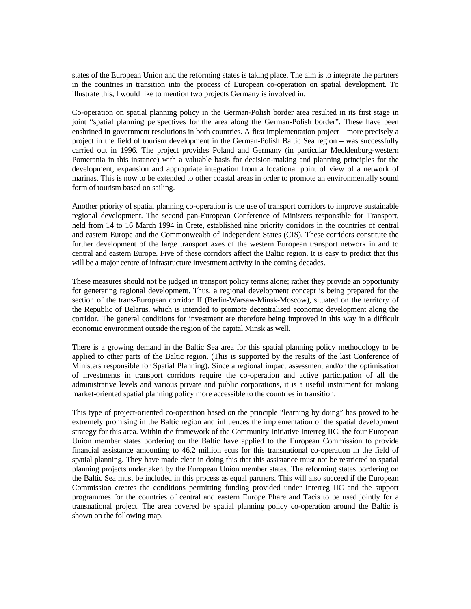states of the European Union and the reforming states is taking place. The aim is to integrate the partners in the countries in transition into the process of European co-operation on spatial development. To illustrate this, I would like to mention two projects Germany is involved in.

Co-operation on spatial planning policy in the German-Polish border area resulted in its first stage in joint "spatial planning perspectives for the area along the German-Polish border". These have been enshrined in government resolutions in both countries. A first implementation project – more precisely a project in the field of tourism development in the German-Polish Baltic Sea region – was successfully carried out in 1996. The project provides Poland and Germany (in particular Mecklenburg-western Pomerania in this instance) with a valuable basis for decision-making and planning principles for the development, expansion and appropriate integration from a locational point of view of a network of marinas. This is now to be extended to other coastal areas in order to promote an environmentally sound form of tourism based on sailing.

Another priority of spatial planning co-operation is the use of transport corridors to improve sustainable regional development. The second pan-European Conference of Ministers responsible for Transport, held from 14 to 16 March 1994 in Crete, established nine priority corridors in the countries of central and eastern Europe and the Commonwealth of Independent States (CIS). These corridors constitute the further development of the large transport axes of the western European transport network in and to central and eastern Europe. Five of these corridors affect the Baltic region. It is easy to predict that this will be a major centre of infrastructure investment activity in the coming decades.

These measures should not be judged in transport policy terms alone; rather they provide an opportunity for generating regional development. Thus, a regional development concept is being prepared for the section of the trans-European corridor II (Berlin-Warsaw-Minsk-Moscow), situated on the territory of the Republic of Belarus, which is intended to promote decentralised economic development along the corridor. The general conditions for investment are therefore being improved in this way in a difficult economic environment outside the region of the capital Minsk as well.

There is a growing demand in the Baltic Sea area for this spatial planning policy methodology to be applied to other parts of the Baltic region. (This is supported by the results of the last Conference of Ministers responsible for Spatial Planning). Since a regional impact assessment and/or the optimisation of investments in transport corridors require the co-operation and active participation of all the administrative levels and various private and public corporations, it is a useful instrument for making market-oriented spatial planning policy more accessible to the countries in transition.

This type of project-oriented co-operation based on the principle "learning by doing" has proved to be extremely promising in the Baltic region and influences the implementation of the spatial development strategy for this area. Within the framework of the Community Initiative Interreg IIC, the four European Union member states bordering on the Baltic have applied to the European Commission to provide financial assistance amounting to 46.2 million ecus for this transnational co-operation in the field of spatial planning. They have made clear in doing this that this assistance must not be restricted to spatial planning projects undertaken by the European Union member states. The reforming states bordering on the Baltic Sea must be included in this process as equal partners. This will also succeed if the European Commission creates the conditions permitting funding provided under Interreg IIC and the support programmes for the countries of central and eastern Europe Phare and Tacis to be used jointly for a transnational project. The area covered by spatial planning policy co-operation around the Baltic is shown on the following map.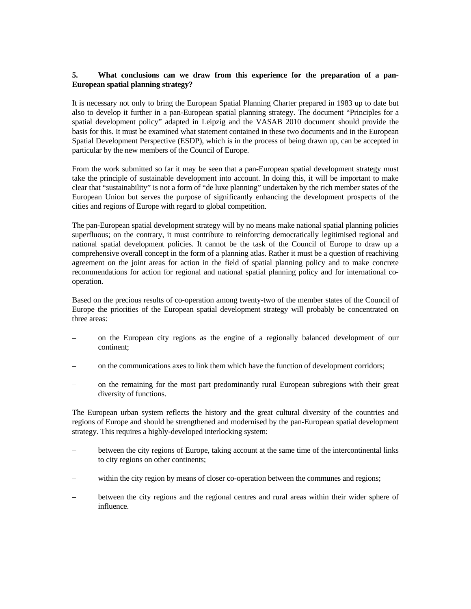## **5. What conclusions can we draw from this experience for the preparation of a pan-European spatial planning strategy?**

It is necessary not only to bring the European Spatial Planning Charter prepared in 1983 up to date but also to develop it further in a pan-European spatial planning strategy. The document "Principles for a spatial development policy" adapted in Leipzig and the VASAB 2010 document should provide the basis for this. It must be examined what statement contained in these two documents and in the European Spatial Development Perspective (ESDP), which is in the process of being drawn up, can be accepted in particular by the new members of the Council of Europe.

From the work submitted so far it may be seen that a pan-European spatial development strategy must take the principle of sustainable development into account. In doing this, it will be important to make clear that "sustainability" is not a form of "de luxe planning" undertaken by the rich member states of the European Union but serves the purpose of significantly enhancing the development prospects of the cities and regions of Europe with regard to global competition.

The pan-European spatial development strategy will by no means make national spatial planning policies superfluous; on the contrary, it must contribute to reinforcing democratically legitimised regional and national spatial development policies. It cannot be the task of the Council of Europe to draw up a comprehensive overall concept in the form of a planning atlas. Rather it must be a question of reachiving agreement on the joint areas for action in the field of spatial planning policy and to make concrete recommendations for action for regional and national spatial planning policy and for international cooperation.

Based on the precious results of co-operation among twenty-two of the member states of the Council of Europe the priorities of the European spatial development strategy will probably be concentrated on three areas:

- on the European city regions as the engine of a regionally balanced development of our continent;
- on the communications axes to link them which have the function of development corridors;
- on the remaining for the most part predominantly rural European subregions with their great diversity of functions.

The European urban system reflects the history and the great cultural diversity of the countries and regions of Europe and should be strengthened and modernised by the pan-European spatial development strategy. This requires a highly-developed interlocking system:

- between the city regions of Europe, taking account at the same time of the intercontinental links to city regions on other continents;
- within the city region by means of closer co-operation between the communes and regions;
- between the city regions and the regional centres and rural areas within their wider sphere of influence.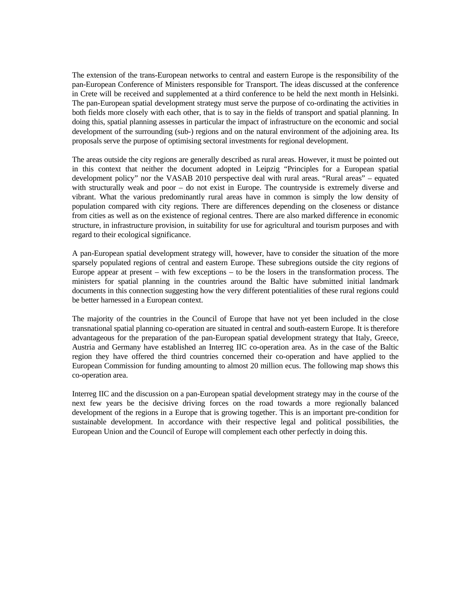The extension of the trans-European networks to central and eastern Europe is the responsibility of the pan-European Conference of Ministers responsible for Transport. The ideas discussed at the conference in Crete will be received and supplemented at a third conference to be held the next month in Helsinki. The pan-European spatial development strategy must serve the purpose of co-ordinating the activities in both fields more closely with each other, that is to say in the fields of transport and spatial planning. In doing this, spatial planning assesses in particular the impact of infrastructure on the economic and social development of the surrounding (sub-) regions and on the natural environment of the adjoining area. Its proposals serve the purpose of optimising sectoral investments for regional development.

The areas outside the city regions are generally described as rural areas. However, it must be pointed out in this context that neither the document adopted in Leipzig "Principles for a European spatial development policy" nor the VASAB 2010 perspective deal with rural areas. "Rural areas" – equated with structurally weak and poor – do not exist in Europe. The countryside is extremely diverse and vibrant. What the various predominantly rural areas have in common is simply the low density of population compared with city regions. There are differences depending on the closeness or distance from cities as well as on the existence of regional centres. There are also marked difference in economic structure, in infrastructure provision, in suitability for use for agricultural and tourism purposes and with regard to their ecological significance.

A pan-European spatial development strategy will, however, have to consider the situation of the more sparsely populated regions of central and eastern Europe. These subregions outside the city regions of Europe appear at present – with few exceptions – to be the losers in the transformation process. The ministers for spatial planning in the countries around the Baltic have submitted initial landmark documents in this connection suggesting how the very different potentialities of these rural regions could be better harnessed in a European context.

The majority of the countries in the Council of Europe that have not yet been included in the close transnational spatial planning co-operation are situated in central and south-eastern Europe. It is therefore advantageous for the preparation of the pan-European spatial development strategy that Italy, Greece, Austria and Germany have established an Interreg IIC co-operation area. As in the case of the Baltic region they have offered the third countries concerned their co-operation and have applied to the European Commission for funding amounting to almost 20 million ecus. The following map shows this co-operation area.

Interreg IIC and the discussion on a pan-European spatial development strategy may in the course of the next few years be the decisive driving forces on the road towards a more regionally balanced development of the regions in a Europe that is growing together. This is an important pre-condition for sustainable development. In accordance with their respective legal and political possibilities, the European Union and the Council of Europe will complement each other perfectly in doing this.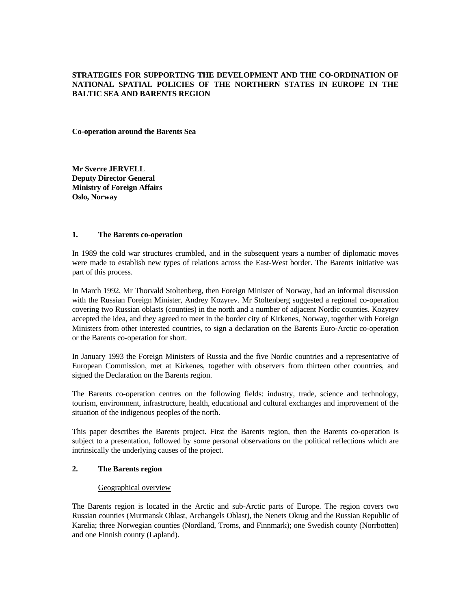## **STRATEGIES FOR SUPPORTING THE DEVELOPMENT AND THE CO-ORDINATION OF NATIONAL SPATIAL POLICIES OF THE NORTHERN STATES IN EUROPE IN THE BALTIC SEA AND BARENTS REGION**

**Co-operation around the Barents Sea** 

**Mr Sverre JERVELL Deputy Director General Ministry of Foreign Affairs Oslo, Norway** 

#### **1. The Barents co-operation**

In 1989 the cold war structures crumbled, and in the subsequent years a number of diplomatic moves were made to establish new types of relations across the East-West border. The Barents initiative was part of this process.

In March 1992, Mr Thorvald Stoltenberg, then Foreign Minister of Norway, had an informal discussion with the Russian Foreign Minister, Andrey Kozyrev. Mr Stoltenberg suggested a regional co-operation covering two Russian oblasts (counties) in the north and a number of adjacent Nordic counties. Kozyrev accepted the idea, and they agreed to meet in the border city of Kirkenes, Norway, together with Foreign Ministers from other interested countries, to sign a declaration on the Barents Euro-Arctic co-operation or the Barents co-operation for short.

In January 1993 the Foreign Ministers of Russia and the five Nordic countries and a representative of European Commission, met at Kirkenes, together with observers from thirteen other countries, and signed the Declaration on the Barents region.

The Barents co-operation centres on the following fields: industry, trade, science and technology, tourism, environment, infrastructure, health, educational and cultural exchanges and improvement of the situation of the indigenous peoples of the north.

This paper describes the Barents project. First the Barents region, then the Barents co-operation is subject to a presentation, followed by some personal observations on the political reflections which are intrinsically the underlying causes of the project.

## **2. The Barents region**

#### Geographical overview

The Barents region is located in the Arctic and sub-Arctic parts of Europe. The region covers two Russian counties (Murmansk Oblast, Archangels Oblast), the Nenets Okrug and the Russian Republic of Karelia; three Norwegian counties (Nordland, Troms, and Finnmark); one Swedish county (Norrbotten) and one Finnish county (Lapland).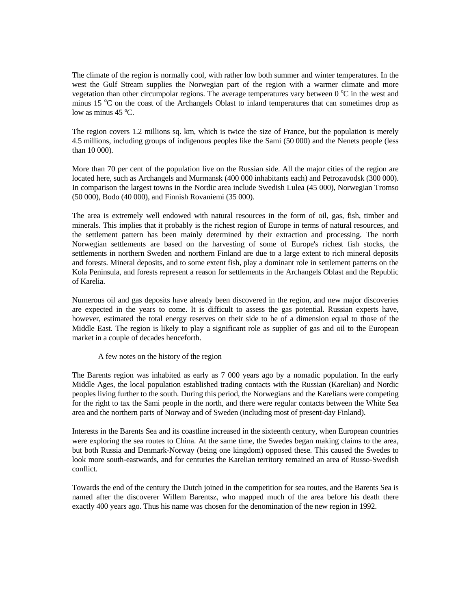The climate of the region is normally cool, with rather low both summer and winter temperatures. In the west the Gulf Stream supplies the Norwegian part of the region with a warmer climate and more vegetation than other circumpolar regions. The average temperatures vary between  $0^{\circ}C$  in the west and minus 15 °C on the coast of the Archangels Oblast to inland temperatures that can sometimes drop as low as minus  $45^{\circ}$ C.

The region covers 1.2 millions sq. km, which is twice the size of France, but the population is merely 4.5 millions, including groups of indigenous peoples like the Sami (50 000) and the Nenets people (less than 10 000).

More than 70 per cent of the population live on the Russian side. All the major cities of the region are located here, such as Archangels and Murmansk (400 000 inhabitants each) and Petrozavodsk (300 000). In comparison the largest towns in the Nordic area include Swedish Lulea (45 000), Norwegian Tromso (50 000), Bodo (40 000), and Finnish Rovaniemi (35 000).

The area is extremely well endowed with natural resources in the form of oil, gas, fish, timber and minerals. This implies that it probably is the richest region of Europe in terms of natural resources, and the settlement pattern has been mainly determined by their extraction and processing. The north Norwegian settlements are based on the harvesting of some of Europe's richest fish stocks, the settlements in northern Sweden and northern Finland are due to a large extent to rich mineral deposits and forests. Mineral deposits, and to some extent fish, play a dominant role in settlement patterns on the Kola Peninsula, and forests represent a reason for settlements in the Archangels Oblast and the Republic of Karelia.

Numerous oil and gas deposits have already been discovered in the region, and new major discoveries are expected in the years to come. It is difficult to assess the gas potential. Russian experts have, however, estimated the total energy reserves on their side to be of a dimension equal to those of the Middle East. The region is likely to play a significant role as supplier of gas and oil to the European market in a couple of decades henceforth.

## A few notes on the history of the region

The Barents region was inhabited as early as 7 000 years ago by a nomadic population. In the early Middle Ages, the local population established trading contacts with the Russian (Karelian) and Nordic peoples living further to the south. During this period, the Norwegians and the Karelians were competing for the right to tax the Sami people in the north, and there were regular contacts between the White Sea area and the northern parts of Norway and of Sweden (including most of present-day Finland).

Interests in the Barents Sea and its coastline increased in the sixteenth century, when European countries were exploring the sea routes to China. At the same time, the Swedes began making claims to the area, but both Russia and Denmark-Norway (being one kingdom) opposed these. This caused the Swedes to look more south-eastwards, and for centuries the Karelian territory remained an area of Russo-Swedish conflict.

Towards the end of the century the Dutch joined in the competition for sea routes, and the Barents Sea is named after the discoverer Willem Barentsz, who mapped much of the area before his death there exactly 400 years ago. Thus his name was chosen for the denomination of the new region in 1992.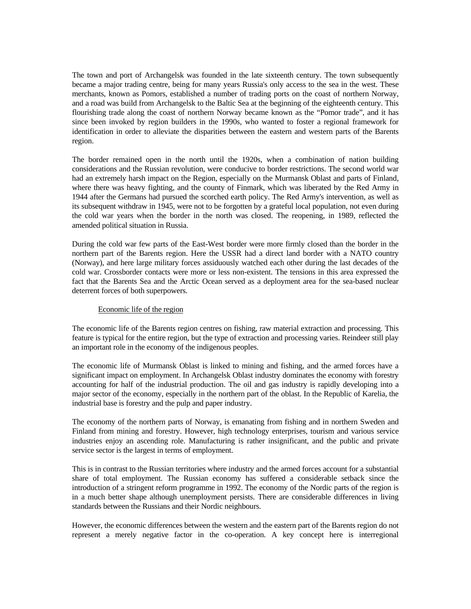The town and port of Archangelsk was founded in the late sixteenth century. The town subsequently became a major trading centre, being for many years Russia's only access to the sea in the west. These merchants, known as Pomors, established a number of trading ports on the coast of northern Norway, and a road was build from Archangelsk to the Baltic Sea at the beginning of the eighteenth century. This flourishing trade along the coast of northern Norway became known as the "Pomor trade", and it has since been invoked by region builders in the 1990s, who wanted to foster a regional framework for identification in order to alleviate the disparities between the eastern and western parts of the Barents region.

The border remained open in the north until the 1920s, when a combination of nation building considerations and the Russian revolution, were conducive to border restrictions. The second world war had an extremely harsh impact on the Region, especially on the Murmansk Oblast and parts of Finland, where there was heavy fighting, and the county of Finmark, which was liberated by the Red Army in 1944 after the Germans had pursued the scorched earth policy. The Red Army's intervention, as well as its subsequent withdraw in 1945, were not to be forgotten by a grateful local population, not even during the cold war years when the border in the north was closed. The reopening, in 1989, reflected the amended political situation in Russia.

During the cold war few parts of the East-West border were more firmly closed than the border in the northern part of the Barents region. Here the USSR had a direct land border with a NATO country (Norway), and here large military forces assiduously watched each other during the last decades of the cold war. Crossborder contacts were more or less non-existent. The tensions in this area expressed the fact that the Barents Sea and the Arctic Ocean served as a deployment area for the sea-based nuclear deterrent forces of both superpowers.

## Economic life of the region

The economic life of the Barents region centres on fishing, raw material extraction and processing. This feature is typical for the entire region, but the type of extraction and processing varies. Reindeer still play an important role in the economy of the indigenous peoples.

The economic life of Murmansk Oblast is linked to mining and fishing, and the armed forces have a significant impact on employment. In Archangelsk Oblast industry dominates the economy with forestry accounting for half of the industrial production. The oil and gas industry is rapidly developing into a major sector of the economy, especially in the northern part of the oblast. In the Republic of Karelia, the industrial base is forestry and the pulp and paper industry.

The economy of the northern parts of Norway, is emanating from fishing and in northern Sweden and Finland from mining and forestry. However, high technology enterprises, tourism and various service industries enjoy an ascending role. Manufacturing is rather insignificant, and the public and private service sector is the largest in terms of employment.

This is in contrast to the Russian territories where industry and the armed forces account for a substantial share of total employment. The Russian economy has suffered a considerable setback since the introduction of a stringent reform programme in 1992. The economy of the Nordic parts of the region is in a much better shape although unemployment persists. There are considerable differences in living standards between the Russians and their Nordic neighbours.

However, the economic differences between the western and the eastern part of the Barents region do not represent a merely negative factor in the co-operation. A key concept here is interregional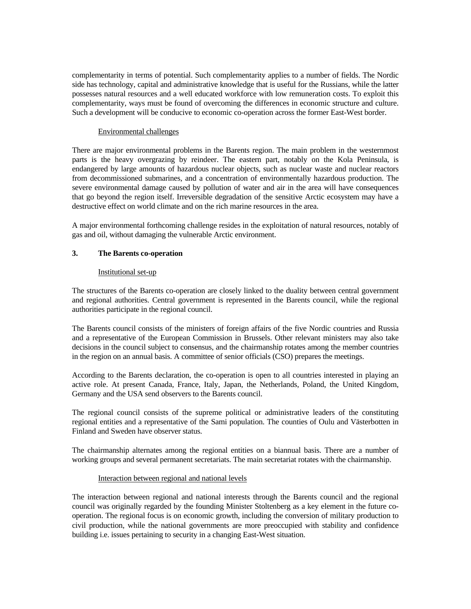complementarity in terms of potential. Such complementarity applies to a number of fields. The Nordic side has technology, capital and administrative knowledge that is useful for the Russians, while the latter possesses natural resources and a well educated workforce with low remuneration costs. To exploit this complementarity, ways must be found of overcoming the differences in economic structure and culture. Such a development will be conducive to economic co-operation across the former East-West border.

## Environmental challenges

There are major environmental problems in the Barents region. The main problem in the westernmost parts is the heavy overgrazing by reindeer. The eastern part, notably on the Kola Peninsula, is endangered by large amounts of hazardous nuclear objects, such as nuclear waste and nuclear reactors from decommissioned submarines, and a concentration of environmentally hazardous production. The severe environmental damage caused by pollution of water and air in the area will have consequences that go beyond the region itself. Irreversible degradation of the sensitive Arctic ecosystem may have a destructive effect on world climate and on the rich marine resources in the area.

A major environmental forthcoming challenge resides in the exploitation of natural resources, notably of gas and oil, without damaging the vulnerable Arctic environment.

#### **3. The Barents co-operation**

#### Institutional set-up

The structures of the Barents co-operation are closely linked to the duality between central government and regional authorities. Central government is represented in the Barents council, while the regional authorities participate in the regional council.

The Barents council consists of the ministers of foreign affairs of the five Nordic countries and Russia and a representative of the European Commission in Brussels. Other relevant ministers may also take decisions in the council subject to consensus, and the chairmanship rotates among the member countries in the region on an annual basis. A committee of senior officials (CSO) prepares the meetings.

According to the Barents declaration, the co-operation is open to all countries interested in playing an active role. At present Canada, France, Italy, Japan, the Netherlands, Poland, the United Kingdom, Germany and the USA send observers to the Barents council.

The regional council consists of the supreme political or administrative leaders of the constituting regional entities and a representative of the Sami population. The counties of Oulu and Västerbotten in Finland and Sweden have observer status.

The chairmanship alternates among the regional entities on a biannual basis. There are a number of working groups and several permanent secretariats. The main secretariat rotates with the chairmanship.

#### Interaction between regional and national levels

The interaction between regional and national interests through the Barents council and the regional council was originally regarded by the founding Minister Stoltenberg as a key element in the future cooperation. The regional focus is on economic growth, including the conversion of military production to civil production, while the national governments are more preoccupied with stability and confidence building i.e. issues pertaining to security in a changing East-West situation.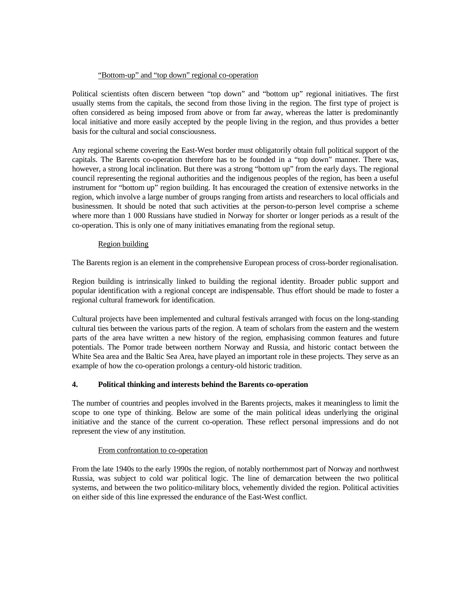## "Bottom-up" and "top down" regional co-operation

Political scientists often discern between "top down" and "bottom up" regional initiatives. The first usually stems from the capitals, the second from those living in the region. The first type of project is often considered as being imposed from above or from far away, whereas the latter is predominantly local initiative and more easily accepted by the people living in the region, and thus provides a better basis for the cultural and social consciousness.

Any regional scheme covering the East-West border must obligatorily obtain full political support of the capitals. The Barents co-operation therefore has to be founded in a "top down" manner. There was, however, a strong local inclination. But there was a strong "bottom up" from the early days. The regional council representing the regional authorities and the indigenous peoples of the region, has been a useful instrument for "bottom up" region building. It has encouraged the creation of extensive networks in the region, which involve a large number of groups ranging from artists and researchers to local officials and businessmen. It should be noted that such activities at the person-to-person level comprise a scheme where more than 1 000 Russians have studied in Norway for shorter or longer periods as a result of the co-operation. This is only one of many initiatives emanating from the regional setup.

## Region building

The Barents region is an element in the comprehensive European process of cross-border regionalisation.

Region building is intrinsically linked to building the regional identity. Broader public support and popular identification with a regional concept are indispensable. Thus effort should be made to foster a regional cultural framework for identification.

Cultural projects have been implemented and cultural festivals arranged with focus on the long-standing cultural ties between the various parts of the region. A team of scholars from the eastern and the western parts of the area have written a new history of the region, emphasising common features and future potentials. The Pomor trade between northern Norway and Russia, and historic contact between the White Sea area and the Baltic Sea Area, have played an important role in these projects. They serve as an example of how the co-operation prolongs a century-old historic tradition.

## **4. Political thinking and interests behind the Barents co-operation**

The number of countries and peoples involved in the Barents projects, makes it meaningless to limit the scope to one type of thinking. Below are some of the main political ideas underlying the original initiative and the stance of the current co-operation. These reflect personal impressions and do not represent the view of any institution.

## From confrontation to co-operation

From the late 1940s to the early 1990s the region, of notably northernmost part of Norway and northwest Russia, was subject to cold war political logic. The line of demarcation between the two political systems, and between the two politico-military blocs, vehemently divided the region. Political activities on either side of this line expressed the endurance of the East-West conflict.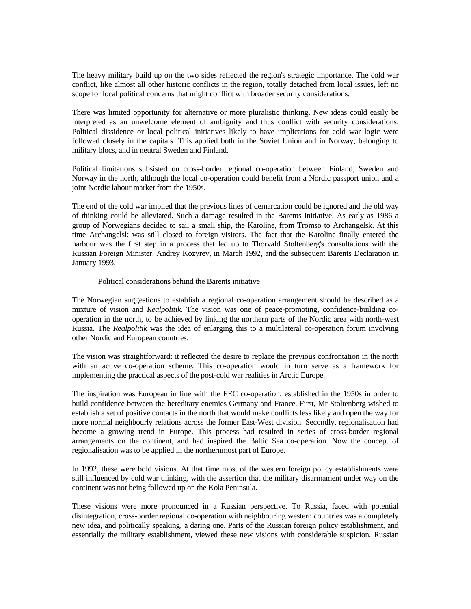The heavy military build up on the two sides reflected the region's strategic importance. The cold war conflict, like almost all other historic conflicts in the region, totally detached from local issues, left no scope for local political concerns that might conflict with broader security considerations.

There was limited opportunity for alternative or more pluralistic thinking. New ideas could easily be interpreted as an unwelcome element of ambiguity and thus conflict with security considerations. Political dissidence or local political initiatives likely to have implications for cold war logic were followed closely in the capitals. This applied both in the Soviet Union and in Norway, belonging to military blocs, and in neutral Sweden and Finland.

Political limitations subsisted on cross-border regional co-operation between Finland, Sweden and Norway in the north, although the local co-operation could benefit from a Nordic passport union and a joint Nordic labour market from the 1950s.

The end of the cold war implied that the previous lines of demarcation could be ignored and the old way of thinking could be alleviated. Such a damage resulted in the Barents initiative. As early as 1986 a group of Norwegians decided to sail a small ship, the Karoline, from Tromso to Archangelsk. At this time Archangelsk was still closed to foreign visitors. The fact that the Karoline finally entered the harbour was the first step in a process that led up to Thorvald Stoltenberg's consultations with the Russian Foreign Minister. Andrey Kozyrev, in March 1992, and the subsequent Barents Declaration in January 1993.

#### Political considerations behind the Barents initiative

The Norwegian suggestions to establish a regional co-operation arrangement should be described as a mixture of vision and *Realpolitik*. The vision was one of peace-promoting, confidence-building cooperation in the north, to be achieved by linking the northern parts of the Nordic area with north-west Russia. The *Realpolitik* was the idea of enlarging this to a multilateral co-operation forum involving other Nordic and European countries.

The vision was straightforward: it reflected the desire to replace the previous confrontation in the north with an active co-operation scheme. This co-operation would in turn serve as a framework for implementing the practical aspects of the post-cold war realities in Arctic Europe.

The inspiration was European in line with the EEC co-operation, established in the 1950s in order to build confidence between the hereditary enemies Germany and France. First, Mr Stoltenberg wished to establish a set of positive contacts in the north that would make conflicts less likely and open the way for more normal neighbourly relations across the former East-West division. Secondly, regionalisation had become a growing trend in Europe. This process had resulted in series of cross-border regional arrangements on the continent, and had inspired the Baltic Sea co-operation. Now the concept of regionalisation was to be applied in the northernmost part of Europe.

In 1992, these were bold visions. At that time most of the western foreign policy establishments were still influenced by cold war thinking, with the assertion that the military disarmament under way on the continent was not being followed up on the Kola Peninsula.

These visions were more pronounced in a Russian perspective. To Russia, faced with potential disintegration, cross-border regional co-operation with neighbouring western countries was a completely new idea, and politically speaking, a daring one. Parts of the Russian foreign policy establishment, and essentially the military establishment, viewed these new visions with considerable suspicion. Russian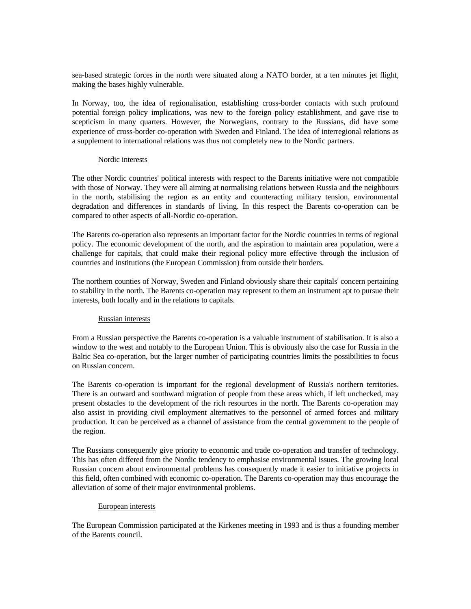sea-based strategic forces in the north were situated along a NATO border, at a ten minutes jet flight, making the bases highly vulnerable.

In Norway, too, the idea of regionalisation, establishing cross-border contacts with such profound potential foreign policy implications, was new to the foreign policy establishment, and gave rise to scepticism in many quarters. However, the Norwegians, contrary to the Russians, did have some experience of cross-border co-operation with Sweden and Finland. The idea of interregional relations as a supplement to international relations was thus not completely new to the Nordic partners.

#### Nordic interests

The other Nordic countries' political interests with respect to the Barents initiative were not compatible with those of Norway. They were all aiming at normalising relations between Russia and the neighbours in the north, stabilising the region as an entity and counteracting military tension, environmental degradation and differences in standards of living. In this respect the Barents co-operation can be compared to other aspects of all-Nordic co-operation.

The Barents co-operation also represents an important factor for the Nordic countries in terms of regional policy. The economic development of the north, and the aspiration to maintain area population, were a challenge for capitals, that could make their regional policy more effective through the inclusion of countries and institutions (the European Commission) from outside their borders.

The northern counties of Norway, Sweden and Finland obviously share their capitals' concern pertaining to stability in the north. The Barents co-operation may represent to them an instrument apt to pursue their interests, both locally and in the relations to capitals.

## Russian interests

From a Russian perspective the Barents co-operation is a valuable instrument of stabilisation. It is also a window to the west and notably to the European Union. This is obviously also the case for Russia in the Baltic Sea co-operation, but the larger number of participating countries limits the possibilities to focus on Russian concern.

The Barents co-operation is important for the regional development of Russia's northern territories. There is an outward and southward migration of people from these areas which, if left unchecked, may present obstacles to the development of the rich resources in the north. The Barents co-operation may also assist in providing civil employment alternatives to the personnel of armed forces and military production. It can be perceived as a channel of assistance from the central government to the people of the region.

The Russians consequently give priority to economic and trade co-operation and transfer of technology. This has often differed from the Nordic tendency to emphasise environmental issues. The growing local Russian concern about environmental problems has consequently made it easier to initiative projects in this field, often combined with economic co-operation. The Barents co-operation may thus encourage the alleviation of some of their major environmental problems.

#### European interests

The European Commission participated at the Kirkenes meeting in 1993 and is thus a founding member of the Barents council.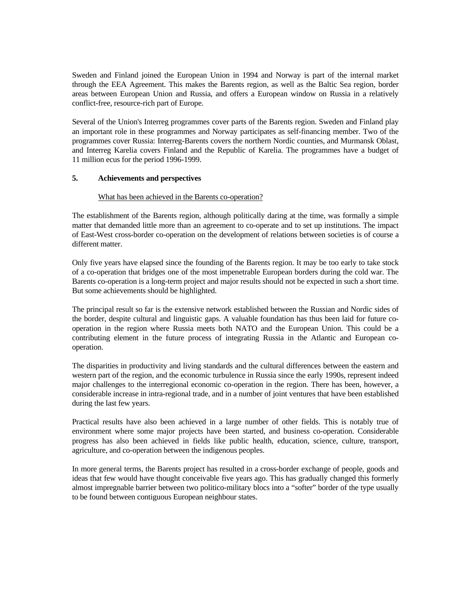Sweden and Finland joined the European Union in 1994 and Norway is part of the internal market through the EEA Agreement. This makes the Barents region, as well as the Baltic Sea region, border areas between European Union and Russia, and offers a European window on Russia in a relatively conflict-free, resource-rich part of Europe.

Several of the Union's Interreg programmes cover parts of the Barents region. Sweden and Finland play an important role in these programmes and Norway participates as self-financing member. Two of the programmes cover Russia: Interreg-Barents covers the northern Nordic counties, and Murmansk Oblast, and Interreg Karelia covers Finland and the Republic of Karelia. The programmes have a budget of 11 million ecus for the period 1996-1999.

## **5. Achievements and perspectives**

## What has been achieved in the Barents co-operation?

The establishment of the Barents region, although politically daring at the time, was formally a simple matter that demanded little more than an agreement to co-operate and to set up institutions. The impact of East-West cross-border co-operation on the development of relations between societies is of course a different matter.

Only five years have elapsed since the founding of the Barents region. It may be too early to take stock of a co-operation that bridges one of the most impenetrable European borders during the cold war. The Barents co-operation is a long-term project and major results should not be expected in such a short time. But some achievements should be highlighted.

The principal result so far is the extensive network established between the Russian and Nordic sides of the border, despite cultural and linguistic gaps. A valuable foundation has thus been laid for future cooperation in the region where Russia meets both NATO and the European Union. This could be a contributing element in the future process of integrating Russia in the Atlantic and European cooperation.

The disparities in productivity and living standards and the cultural differences between the eastern and western part of the region, and the economic turbulence in Russia since the early 1990s, represent indeed major challenges to the interregional economic co-operation in the region. There has been, however, a considerable increase in intra-regional trade, and in a number of joint ventures that have been established during the last few years.

Practical results have also been achieved in a large number of other fields. This is notably true of environment where some major projects have been started, and business co-operation. Considerable progress has also been achieved in fields like public health, education, science, culture, transport, agriculture, and co-operation between the indigenous peoples.

In more general terms, the Barents project has resulted in a cross-border exchange of people, goods and ideas that few would have thought conceivable five years ago. This has gradually changed this formerly almost impregnable barrier between two politico-military blocs into a "softer" border of the type usually to be found between contiguous European neighbour states.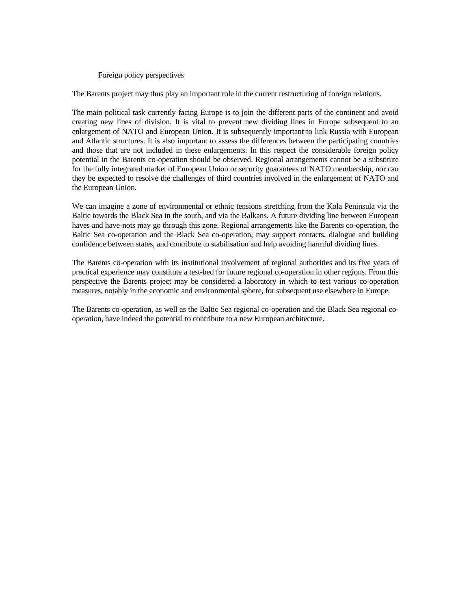#### Foreign policy perspectives

The Barents project may thus play an important role in the current restructuring of foreign relations.

The main political task currently facing Europe is to join the different parts of the continent and avoid creating new lines of division. It is vital to prevent new dividing lines in Europe subsequent to an enlargement of NATO and European Union. It is subsequently important to link Russia with European and Atlantic structures. It is also important to assess the differences between the participating countries and those that are not included in these enlargements. In this respect the considerable foreign policy potential in the Barents co-operation should be observed. Regional arrangements cannot be a substitute for the fully integrated market of European Union or security guarantees of NATO membership, nor can they be expected to resolve the challenges of third countries involved in the enlargement of NATO and the European Union.

We can imagine a zone of environmental or ethnic tensions stretching from the Kola Peninsula via the Baltic towards the Black Sea in the south, and via the Balkans. A future dividing line between European haves and have-nots may go through this zone. Regional arrangements like the Barents co-operation, the Baltic Sea co-operation and the Black Sea co-operation, may support contacts, dialogue and building confidence between states, and contribute to stabilisation and help avoiding harmful dividing lines.

The Barents co-operation with its institutional involvement of regional authorities and its five years of practical experience may constitute a test-bed for future regional co-operation in other regions. From this perspective the Barents project may be considered a laboratory in which to test various co-operation measures, notably in the economic and environmental sphere, for subsequent use elsewhere in Europe.

The Barents co-operation, as well as the Baltic Sea regional co-operation and the Black Sea regional cooperation, have indeed the potential to contribute to a new European architecture.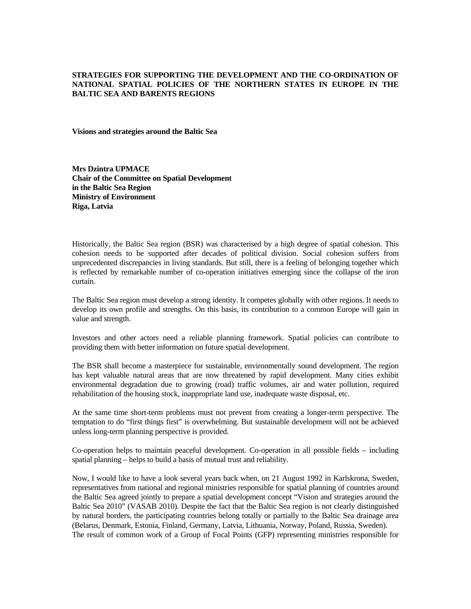## **STRATEGIES FOR SUPPORTING THE DEVELOPMENT AND THE CO-ORDINATION OF NATIONAL SPATIAL POLICIES OF THE NORTHERN STATES IN EUROPE IN THE BALTIC SEA AND BARENTS REGIONS**

**Visions and strategies around the Baltic Sea** 

**Mrs Dzintra UPMACE Chair of the Committee on Spatial Development in the Baltic Sea Region Ministry of Environment Riga, Latvia** 

Historically, the Baltic Sea region (BSR) was characterised by a high degree of spatial cohesion. This cohesion needs to be supported after decades of political division. Social cohesion suffers from unprecedented discrepancies in living standards. But still, there is a feeling of belonging together which is reflected by remarkable number of co-operation initiatives emerging since the collapse of the iron curtain.

The Baltic Sea region must develop a strong identity. It competes globally with other regions. It needs to develop its own profile and strengths. On this basis, its contribution to a common Europe will gain in value and strength.

Investors and other actors need a reliable planning framework. Spatial policies can contribute to providing them with better information on future spatial development.

The BSR shall become a masterpiece for sustainable, environmentally sound development. The region has kept valuable natural areas that are now threatened by rapid development. Many cities exhibit environmental degradation due to growing (road) traffic volumes, air and water pollution, required rehabilitation of the housing stock, inappropriate land use, inadequate waste disposal, etc.

At the same time short-term problems must not prevent from creating a longer-term perspective. The temptation to do "first things first" is overwhelming. But sustainable development will not be achieved unless long-term planning perspective is provided.

Co-operation helps to maintain peaceful development. Co-operation in all possible fields – including spatial planning – helps to build a basis of mutual trust and reliability.

Now, I would like to have a look several years back when, on 21 August 1992 in Karlskrona, Sweden, representatives from national and regional ministries responsible for spatial planning of countries around the Baltic Sea agreed jointly to prepare a spatial development concept "Vision and strategies around the Baltic Sea 2010" (VASAB 2010). Despite the fact that the Baltic Sea region is not clearly distinguished by natural borders, the participating countries belong totally or partially to the Baltic Sea drainage area (Belarus, Denmark, Estonia, Finland, Germany, Latvia, Lithuania, Norway, Poland, Russia, Sweden). The result of common work of a Group of Focal Points (GFP) representing ministries responsible for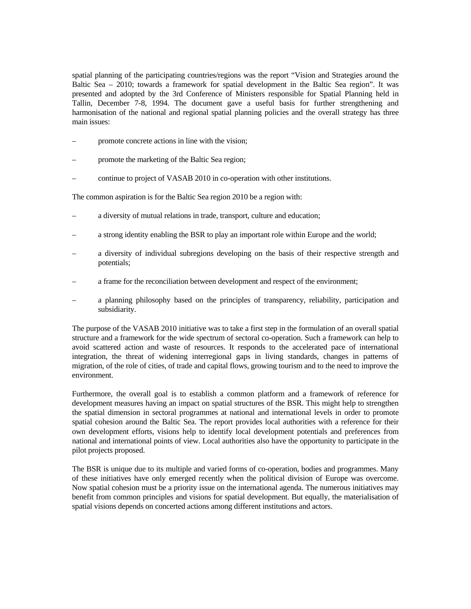spatial planning of the participating countries/regions was the report "Vision and Strategies around the Baltic Sea – 2010; towards a framework for spatial development in the Baltic Sea region". It was presented and adopted by the 3rd Conference of Ministers responsible for Spatial Planning held in Tallin, December 7-8, 1994. The document gave a useful basis for further strengthening and harmonisation of the national and regional spatial planning policies and the overall strategy has three main issues:

- promote concrete actions in line with the vision;
- promote the marketing of the Baltic Sea region;
- continue to project of VASAB 2010 in co-operation with other institutions.

The common aspiration is for the Baltic Sea region 2010 be a region with:

- a diversity of mutual relations in trade, transport, culture and education;
- a strong identity enabling the BSR to play an important role within Europe and the world;
- a diversity of individual subregions developing on the basis of their respective strength and potentials;
- a frame for the reconciliation between development and respect of the environment;
- a planning philosophy based on the principles of transparency, reliability, participation and subsidiarity.

The purpose of the VASAB 2010 initiative was to take a first step in the formulation of an overall spatial structure and a framework for the wide spectrum of sectoral co-operation. Such a framework can help to avoid scattered action and waste of resources. It responds to the accelerated pace of international integration, the threat of widening interregional gaps in living standards, changes in patterns of migration, of the role of cities, of trade and capital flows, growing tourism and to the need to improve the environment.

Furthermore, the overall goal is to establish a common platform and a framework of reference for development measures having an impact on spatial structures of the BSR. This might help to strengthen the spatial dimension in sectoral programmes at national and international levels in order to promote spatial cohesion around the Baltic Sea. The report provides local authorities with a reference for their own development efforts, visions help to identify local development potentials and preferences from national and international points of view. Local authorities also have the opportunity to participate in the pilot projects proposed.

The BSR is unique due to its multiple and varied forms of co-operation, bodies and programmes. Many of these initiatives have only emerged recently when the political division of Europe was overcome. Now spatial cohesion must be a priority issue on the international agenda. The numerous initiatives may benefit from common principles and visions for spatial development. But equally, the materialisation of spatial visions depends on concerted actions among different institutions and actors.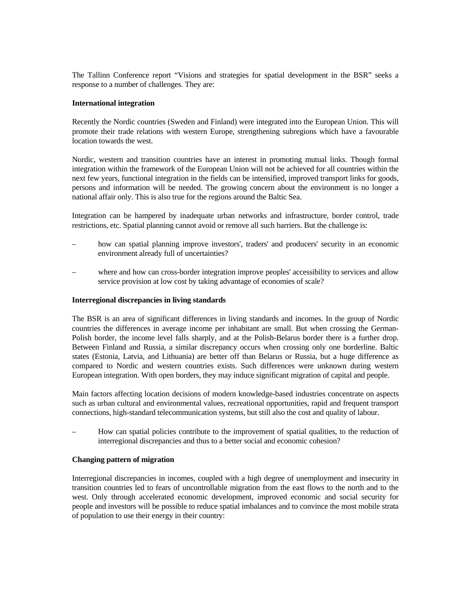The Tallinn Conference report "Visions and strategies for spatial development in the BSR" seeks a response to a number of challenges. They are:

### **International integration**

Recently the Nordic countries (Sweden and Finland) were integrated into the European Union. This will promote their trade relations with western Europe, strengthening subregions which have a favourable location towards the west.

Nordic, western and transition countries have an interest in promoting mutual links. Though formal integration within the framework of the European Union will not be achieved for all countries within the next few years, functional integration in the fields can be intensified, improved transport links for goods, persons and information will be needed. The growing concern about the environment is no longer a national affair only. This is also true for the regions around the Baltic Sea.

Integration can be hampered by inadequate urban networks and infrastructure, border control, trade restrictions, etc. Spatial planning cannot avoid or remove all such barriers. But the challenge is:

- how can spatial planning improve investors', traders' and producers' security in an economic environment already full of uncertainties?
- where and how can cross-border integration improve peoples' accessibility to services and allow service provision at low cost by taking advantage of economies of scale?

### **Interregional discrepancies in living standards**

The BSR is an area of significant differences in living standards and incomes. In the group of Nordic countries the differences in average income per inhabitant are small. But when crossing the German-Polish border, the income level falls sharply, and at the Polish-Belarus border there is a further drop. Between Finland and Russia, a similar discrepancy occurs when crossing only one borderline. Baltic states (Estonia, Latvia, and Lithuania) are better off than Belarus or Russia, but a huge difference as compared to Nordic and western countries exists. Such differences were unknown during western European integration. With open borders, they may induce significant migration of capital and people.

Main factors affecting location decisions of modern knowledge-based industries concentrate on aspects such as urban cultural and environmental values, recreational opportunities, rapid and frequent transport connections, high-standard telecommunication systems, but still also the cost and quality of labour.

– How can spatial policies contribute to the improvement of spatial qualities, to the reduction of interregional discrepancies and thus to a better social and economic cohesion?

#### **Changing pattern of migration**

Interregional discrepancies in incomes, coupled with a high degree of unemployment and insecurity in transition countries led to fears of uncontrollable migration from the east flows to the north and to the west. Only through accelerated economic development, improved economic and social security for people and investors will be possible to reduce spatial imbalances and to convince the most mobile strata of population to use their energy in their country: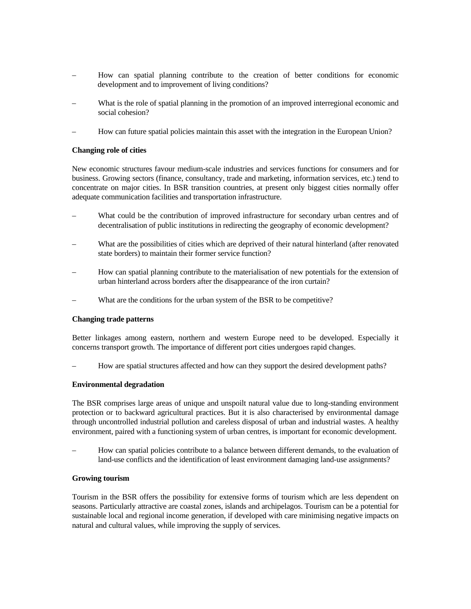- How can spatial planning contribute to the creation of better conditions for economic development and to improvement of living conditions?
- What is the role of spatial planning in the promotion of an improved interregional economic and social cohesion?
- How can future spatial policies maintain this asset with the integration in the European Union?

### **Changing role of cities**

New economic structures favour medium-scale industries and services functions for consumers and for business. Growing sectors (finance, consultancy, trade and marketing, information services, etc.) tend to concentrate on major cities. In BSR transition countries, at present only biggest cities normally offer adequate communication facilities and transportation infrastructure.

- What could be the contribution of improved infrastructure for secondary urban centres and of decentralisation of public institutions in redirecting the geography of economic development?
- What are the possibilities of cities which are deprived of their natural hinterland (after renovated state borders) to maintain their former service function?
- How can spatial planning contribute to the materialisation of new potentials for the extension of urban hinterland across borders after the disappearance of the iron curtain?
- What are the conditions for the urban system of the BSR to be competitive?

#### **Changing trade patterns**

Better linkages among eastern, northern and western Europe need to be developed. Especially it concerns transport growth. The importance of different port cities undergoes rapid changes.

– How are spatial structures affected and how can they support the desired development paths?

### **Environmental degradation**

The BSR comprises large areas of unique and unspoilt natural value due to long-standing environment protection or to backward agricultural practices. But it is also characterised by environmental damage through uncontrolled industrial pollution and careless disposal of urban and industrial wastes. A healthy environment, paired with a functioning system of urban centres, is important for economic development.

– How can spatial policies contribute to a balance between different demands, to the evaluation of land-use conflicts and the identification of least environment damaging land-use assignments?

### **Growing tourism**

Tourism in the BSR offers the possibility for extensive forms of tourism which are less dependent on seasons. Particularly attractive are coastal zones, islands and archipelagos. Tourism can be a potential for sustainable local and regional income generation, if developed with care minimising negative impacts on natural and cultural values, while improving the supply of services.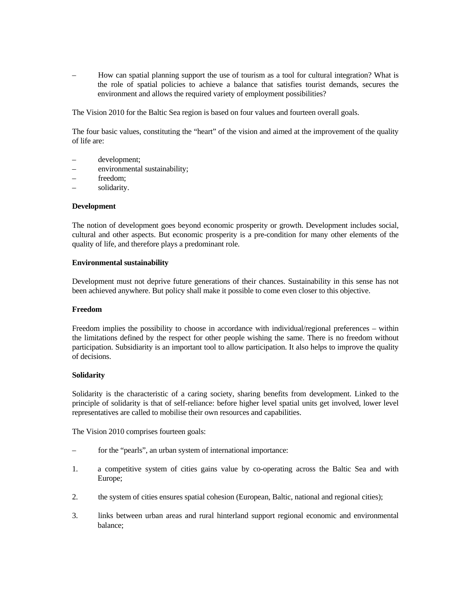– How can spatial planning support the use of tourism as a tool for cultural integration? What is the role of spatial policies to achieve a balance that satisfies tourist demands, secures the environment and allows the required variety of employment possibilities?

The Vision 2010 for the Baltic Sea region is based on four values and fourteen overall goals.

The four basic values, constituting the "heart" of the vision and aimed at the improvement of the quality of life are:

- development;
- environmental sustainability;
- freedom;
- solidarity.

#### **Development**

The notion of development goes beyond economic prosperity or growth. Development includes social, cultural and other aspects. But economic prosperity is a pre-condition for many other elements of the quality of life, and therefore plays a predominant role.

#### **Environmental sustainability**

Development must not deprive future generations of their chances. Sustainability in this sense has not been achieved anywhere. But policy shall make it possible to come even closer to this objective.

#### **Freedom**

Freedom implies the possibility to choose in accordance with individual/regional preferences – within the limitations defined by the respect for other people wishing the same. There is no freedom without participation. Subsidiarity is an important tool to allow participation. It also helps to improve the quality of decisions.

#### **Solidarity**

Solidarity is the characteristic of a caring society, sharing benefits from development. Linked to the principle of solidarity is that of self-reliance: before higher level spatial units get involved, lower level representatives are called to mobilise their own resources and capabilities.

The Vision 2010 comprises fourteen goals:

- for the "pearls", an urban system of international importance:
- 1. a competitive system of cities gains value by co-operating across the Baltic Sea and with Europe;
- 2. the system of cities ensures spatial cohesion (European, Baltic, national and regional cities);
- 3. links between urban areas and rural hinterland support regional economic and environmental balance;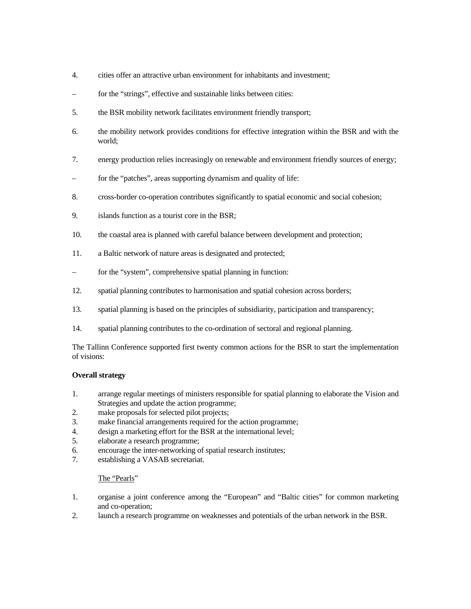- 4. cities offer an attractive urban environment for inhabitants and investment;
- for the "strings", effective and sustainable links between cities:
- 5. the BSR mobility network facilitates environment friendly transport;
- 6. the mobility network provides conditions for effective integration within the BSR and with the world;
- 7. energy production relies increasingly on renewable and environment friendly sources of energy;
- for the "patches", areas supporting dynamism and quality of life:
- 8. cross-border co-operation contributes significantly to spatial economic and social cohesion;
- 9. islands function as a tourist core in the BSR;
- 10. the coastal area is planned with careful balance between development and protection;
- 11. a Baltic network of nature areas is designated and protected;
- for the "system", comprehensive spatial planning in function:
- 12. spatial planning contributes to harmonisation and spatial cohesion across borders;
- 13. spatial planning is based on the principles of subsidiarity, participation and transparency;
- 14. spatial planning contributes to the co-ordination of sectoral and regional planning.

The Tallinn Conference supported first twenty common actions for the BSR to start the implementation of visions:

# **Overall strategy**

- 1. arrange regular meetings of ministers responsible for spatial planning to elaborate the Vision and Strategies and update the action programme;
- 2. make proposals for selected pilot projects;
- 3. make financial arrangements required for the action programme;
- 4. design a marketing effort for the BSR at the international level;
- 5. elaborate a research programme;
- 6. encourage the inter-networking of spatial research institutes;
- 7. establishing a VASAB secretariat.

# The "Pearls"

- 1. organise a joint conference among the "European" and "Baltic cities" for common marketing and co-operation;
- 2. launch a research programme on weaknesses and potentials of the urban network in the BSR.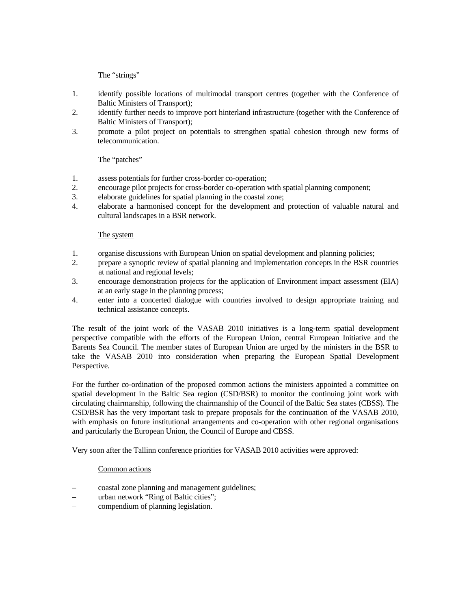# The "strings"

- 1. identify possible locations of multimodal transport centres (together with the Conference of Baltic Ministers of Transport);
- 2. identify further needs to improve port hinterland infrastructure (together with the Conference of Baltic Ministers of Transport);
- 3. promote a pilot project on potentials to strengthen spatial cohesion through new forms of telecommunication.

# The "patches"

- 1. assess potentials for further cross-border co-operation;
- 2. encourage pilot projects for cross-border co-operation with spatial planning component;
- 3. elaborate guidelines for spatial planning in the coastal zone;
- 4. elaborate a harmonised concept for the development and protection of valuable natural and cultural landscapes in a BSR network.

# The system

- 1. organise discussions with European Union on spatial development and planning policies;
- 2. prepare a synoptic review of spatial planning and implementation concepts in the BSR countries at national and regional levels;
- 3. encourage demonstration projects for the application of Environment impact assessment (EIA) at an early stage in the planning process;
- 4. enter into a concerted dialogue with countries involved to design appropriate training and technical assistance concepts.

The result of the joint work of the VASAB 2010 initiatives is a long-term spatial development perspective compatible with the efforts of the European Union, central European Initiative and the Barents Sea Council. The member states of European Union are urged by the ministers in the BSR to take the VASAB 2010 into consideration when preparing the European Spatial Development Perspective.

For the further co-ordination of the proposed common actions the ministers appointed a committee on spatial development in the Baltic Sea region (CSD/BSR) to monitor the continuing joint work with circulating chairmanship, following the chairmanship of the Council of the Baltic Sea states (CBSS). The CSD/BSR has the very important task to prepare proposals for the continuation of the VASAB 2010, with emphasis on future institutional arrangements and co-operation with other regional organisations and particularly the European Union, the Council of Europe and CBSS.

Very soon after the Tallinn conference priorities for VASAB 2010 activities were approved:

# Common actions

- coastal zone planning and management guidelines;
- urban network "Ring of Baltic cities";
- compendium of planning legislation.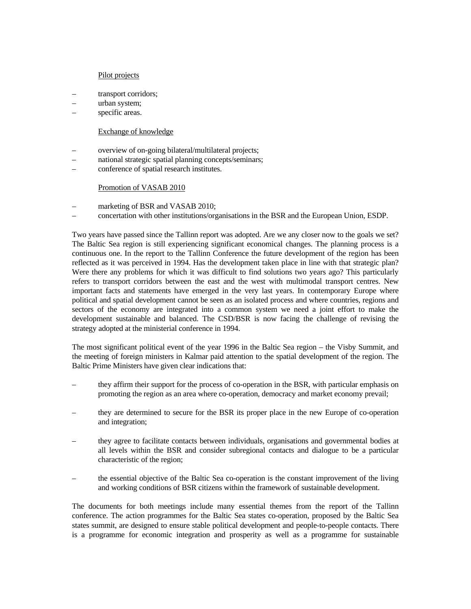### Pilot projects

- transport corridors;
- urban system;
- specific areas.

### Exchange of knowledge

- overview of on-going bilateral/multilateral projects;
- national strategic spatial planning concepts/seminars;
- conference of spatial research institutes.

### Promotion of VASAB 2010

- marketing of BSR and VASAB 2010;
- concertation with other institutions/organisations in the BSR and the European Union, ESDP.

Two years have passed since the Tallinn report was adopted. Are we any closer now to the goals we set? The Baltic Sea region is still experiencing significant economical changes. The planning process is a continuous one. In the report to the Tallinn Conference the future development of the region has been reflected as it was perceived in 1994. Has the development taken place in line with that strategic plan? Were there any problems for which it was difficult to find solutions two years ago? This particularly refers to transport corridors between the east and the west with multimodal transport centres. New important facts and statements have emerged in the very last years. In contemporary Europe where political and spatial development cannot be seen as an isolated process and where countries, regions and sectors of the economy are integrated into a common system we need a joint effort to make the development sustainable and balanced. The CSD/BSR is now facing the challenge of revising the strategy adopted at the ministerial conference in 1994.

The most significant political event of the year 1996 in the Baltic Sea region – the Visby Summit, and the meeting of foreign ministers in Kalmar paid attention to the spatial development of the region. The Baltic Prime Ministers have given clear indications that:

- they affirm their support for the process of co-operation in the BSR, with particular emphasis on promoting the region as an area where co-operation, democracy and market economy prevail;
- they are determined to secure for the BSR its proper place in the new Europe of co-operation and integration;
- they agree to facilitate contacts between individuals, organisations and governmental bodies at all levels within the BSR and consider subregional contacts and dialogue to be a particular characteristic of the region;
- the essential objective of the Baltic Sea co-operation is the constant improvement of the living and working conditions of BSR citizens within the framework of sustainable development.

The documents for both meetings include many essential themes from the report of the Tallinn conference. The action programmes for the Baltic Sea states co-operation, proposed by the Baltic Sea states summit, are designed to ensure stable political development and people-to-people contacts. There is a programme for economic integration and prosperity as well as a programme for sustainable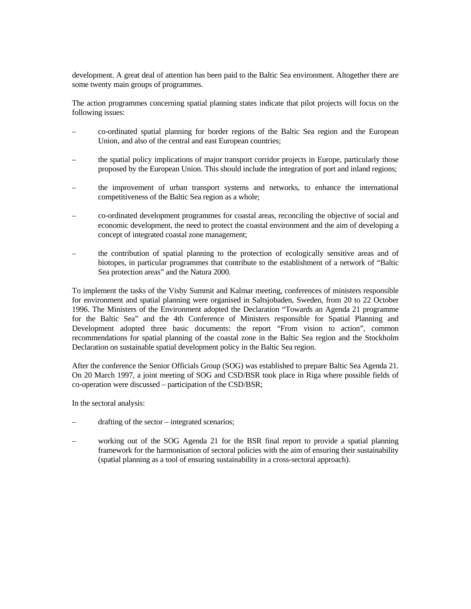development. A great deal of attention has been paid to the Baltic Sea environment. Altogether there are some twenty main groups of programmes.

The action programmes concerning spatial planning states indicate that pilot projects will focus on the following issues:

- co-ordinated spatial planning for border regions of the Baltic Sea region and the European Union, and also of the central and east European countries;
- the spatial policy implications of major transport corridor projects in Europe, particularly those proposed by the European Union. This should include the integration of port and inland regions;
- the improvement of urban transport systems and networks, to enhance the international competitiveness of the Baltic Sea region as a whole;
- co-ordinated development programmes for coastal areas, reconciling the objective of social and economic development, the need to protect the coastal environment and the aim of developing a concept of integrated coastal zone management;
- the contribution of spatial planning to the protection of ecologically sensitive areas and of biotopes, in particular programmes that contribute to the establishment of a network of "Baltic Sea protection areas" and the Natura 2000.

To implement the tasks of the Visby Summit and Kalmar meeting, conferences of ministers responsible for environment and spatial planning were organised in Saltsjobaden, Sweden, from 20 to 22 October 1996. The Ministers of the Environment adopted the Declaration "Towards an Agenda 21 programme for the Baltic Sea" and the 4th Conference of Ministers responsible for Spatial Planning and Development adopted three basic documents: the report "From vision to action", common recommendations for spatial planning of the coastal zone in the Baltic Sea region and the Stockholm Declaration on sustainable spatial development policy in the Baltic Sea region.

After the conference the Senior Officials Group (SOG) was established to prepare Baltic Sea Agenda 21. On 20 March 1997, a joint meeting of SOG and CSD/BSR took place in Riga where possible fields of co-operation were discussed – participation of the CSD/BSR;

In the sectoral analysis:

- drafting of the sector integrated scenarios;
- working out of the SOG Agenda 21 for the BSR final report to provide a spatial planning framework for the harmonisation of sectoral policies with the aim of ensuring their sustainability (spatial planning as a tool of ensuring sustainability in a cross-sectoral approach).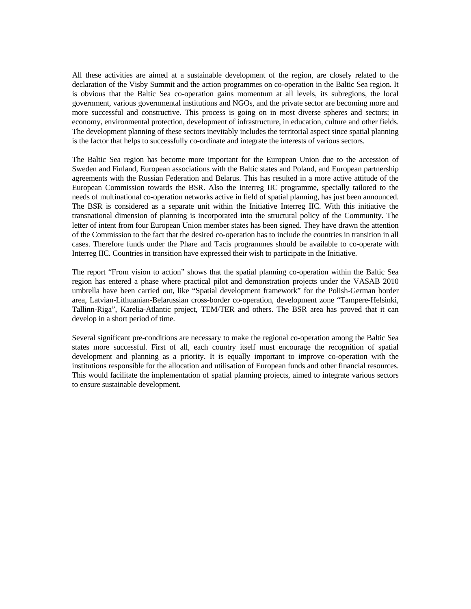All these activities are aimed at a sustainable development of the region, are closely related to the declaration of the Visby Summit and the action programmes on co-operation in the Baltic Sea region. It is obvious that the Baltic Sea co-operation gains momentum at all levels, its subregions, the local government, various governmental institutions and NGOs, and the private sector are becoming more and more successful and constructive. This process is going on in most diverse spheres and sectors; in economy, environmental protection, development of infrastructure, in education, culture and other fields. The development planning of these sectors inevitably includes the territorial aspect since spatial planning is the factor that helps to successfully co-ordinate and integrate the interests of various sectors.

The Baltic Sea region has become more important for the European Union due to the accession of Sweden and Finland, European associations with the Baltic states and Poland, and European partnership agreements with the Russian Federation and Belarus. This has resulted in a more active attitude of the European Commission towards the BSR. Also the Interreg IIC programme, specially tailored to the needs of multinational co-operation networks active in field of spatial planning, has just been announced. The BSR is considered as a separate unit within the Initiative Interreg IIC. With this initiative the transnational dimension of planning is incorporated into the structural policy of the Community. The letter of intent from four European Union member states has been signed. They have drawn the attention of the Commission to the fact that the desired co-operation has to include the countries in transition in all cases. Therefore funds under the Phare and Tacis programmes should be available to co-operate with Interreg IIC. Countries in transition have expressed their wish to participate in the Initiative.

The report "From vision to action" shows that the spatial planning co-operation within the Baltic Sea region has entered a phase where practical pilot and demonstration projects under the VASAB 2010 umbrella have been carried out, like "Spatial development framework" for the Polish-German border area, Latvian-Lithuanian-Belarussian cross-border co-operation, development zone "Tampere-Helsinki, Tallinn-Riga", Karelia-Atlantic project, TEM/TER and others. The BSR area has proved that it can develop in a short period of time.

Several significant pre-conditions are necessary to make the regional co-operation among the Baltic Sea states more successful. First of all, each country itself must encourage the recognition of spatial development and planning as a priority. It is equally important to improve co-operation with the institutions responsible for the allocation and utilisation of European funds and other financial resources. This would facilitate the implementation of spatial planning projects, aimed to integrate various sectors to ensure sustainable development.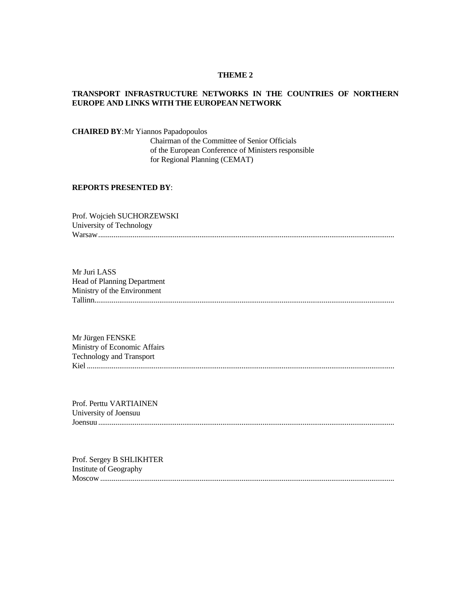#### **THEME 2**

# **TRANSPORT INFRASTRUCTURE NETWORKS IN THE COUNTRIES OF NORTHERN EUROPE AND LINKS WITH THE EUROPEAN NETWORK**

**CHAIRED BY**:Mr Yiannos Papadopoulos

 Chairman of the Committee of Senior Officials of the European Conference of Ministers responsible for Regional Planning (CEMAT)

# **REPORTS PRESENTED BY**:

Prof. Wojcieh SUCHORZEWSKI University of Technology Warsaw...........................................................................................................................................................

Mr Juri LASS Head of Planning Department Ministry of the Environment Tallinn.............................................................................................................................................................

Mr Jürgen FENSKE Ministry of Economic Affairs Technology and Transport Kiel .................................................................................................................................................................

Prof. Perttu VARTIAINEN University of Joensuu Joensuu ...........................................................................................................................................................

Prof. Sergey B SHLIKHTER Institute of Geography Moscow ..........................................................................................................................................................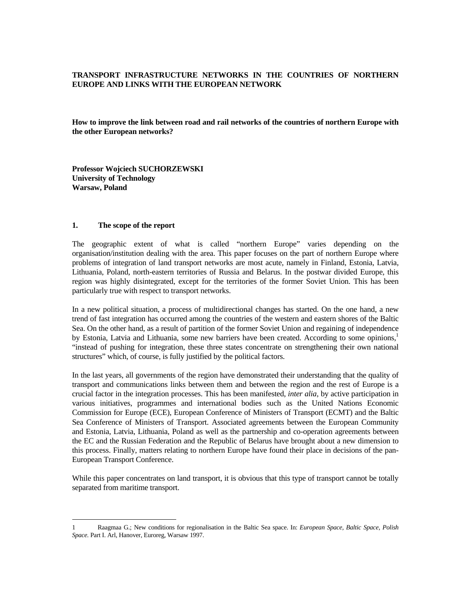# **TRANSPORT INFRASTRUCTURE NETWORKS IN THE COUNTRIES OF NORTHERN EUROPE AND LINKS WITH THE EUROPEAN NETWORK**

**How to improve the link between road and rail networks of the countries of northern Europe with the other European networks?** 

**Professor Wojciech SUCHORZEWSKI University of Technology Warsaw, Poland** 

#### **1. The scope of the report**

The geographic extent of what is called "northern Europe" varies depending on the organisation/institution dealing with the area. This paper focuses on the part of northern Europe where problems of integration of land transport networks are most acute, namely in Finland, Estonia, Latvia, Lithuania, Poland, north-eastern territories of Russia and Belarus. In the postwar divided Europe, this region was highly disintegrated, except for the territories of the former Soviet Union. This has been particularly true with respect to transport networks.

In a new political situation, a process of multidirectional changes has started. On the one hand, a new trend of fast integration has occurred among the countries of the western and eastern shores of the Baltic Sea. On the other hand, as a result of partition of the former Soviet Union and regaining of independence by Estonia, Latvia and Lithuania, some new barriers have been created. According to some opinions,<sup>1</sup> "instead of pushing for integration, these three states concentrate on strengthening their own national structures" which, of course, is fully justified by the political factors.

In the last years, all governments of the region have demonstrated their understanding that the quality of transport and communications links between them and between the region and the rest of Europe is a crucial factor in the integration processes. This has been manifested, *inter alia*, by active participation in various initiatives, programmes and international bodies such as the United Nations Economic Commission for Europe (ECE), European Conference of Ministers of Transport (ECMT) and the Baltic Sea Conference of Ministers of Transport. Associated agreements between the European Community and Estonia, Latvia, Lithuania, Poland as well as the partnership and co-operation agreements between the EC and the Russian Federation and the Republic of Belarus have brought about a new dimension to this process. Finally, matters relating to northern Europe have found their place in decisions of the pan-European Transport Conference.

While this paper concentrates on land transport, it is obvious that this type of transport cannot be totally separated from maritime transport.

<sup>1</sup> Raagmaa G.; New conditions for regionalisation in the Baltic Sea space. In: *European Space, Baltic Space, Polish Space.* Part I. Arl, Hanover, Euroreg, Warsaw 1997.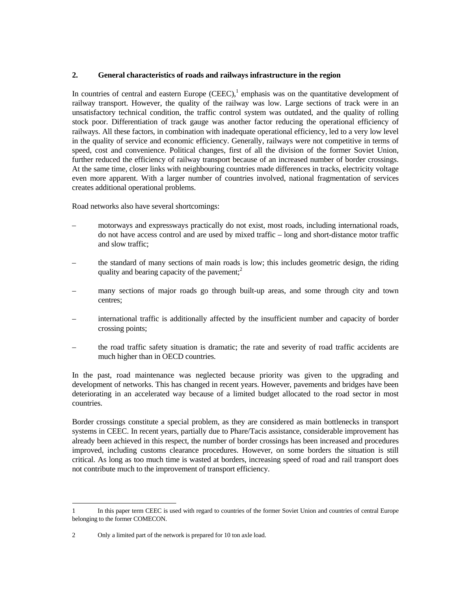### **2. General characteristics of roads and railways infrastructure in the region**

In countries of central and eastern Europe  $(CEEC)$ , emphasis was on the quantitative development of railway transport. However, the quality of the railway was low. Large sections of track were in an unsatisfactory technical condition, the traffic control system was outdated, and the quality of rolling stock poor. Differentiation of track gauge was another factor reducing the operational efficiency of railways. All these factors, in combination with inadequate operational efficiency, led to a very low level in the quality of service and economic efficiency. Generally, railways were not competitive in terms of speed, cost and convenience. Political changes, first of all the division of the former Soviet Union, further reduced the efficiency of railway transport because of an increased number of border crossings. At the same time, closer links with neighbouring countries made differences in tracks, electricity voltage even more apparent. With a larger number of countries involved, national fragmentation of services creates additional operational problems.

Road networks also have several shortcomings:

- motorways and expressways practically do not exist, most roads, including international roads, do not have access control and are used by mixed traffic – long and short-distance motor traffic and slow traffic;
- the standard of many sections of main roads is low; this includes geometric design, the riding quality and bearing capacity of the pavement; $\frac{2}{3}$
- many sections of major roads go through built-up areas, and some through city and town centres;
- international traffic is additionally affected by the insufficient number and capacity of border crossing points;
- the road traffic safety situation is dramatic; the rate and severity of road traffic accidents are much higher than in OECD countries.

In the past, road maintenance was neglected because priority was given to the upgrading and development of networks. This has changed in recent years. However, pavements and bridges have been deteriorating in an accelerated way because of a limited budget allocated to the road sector in most countries.

Border crossings constitute a special problem, as they are considered as main bottlenecks in transport systems in CEEC. In recent years, partially due to Phare/Tacis assistance, considerable improvement has already been achieved in this respect, the number of border crossings has been increased and procedures improved, including customs clearance procedures. However, on some borders the situation is still critical. As long as too much time is wasted at borders, increasing speed of road and rail transport does not contribute much to the improvement of transport efficiency.

<sup>1</sup> In this paper term CEEC is used with regard to countries of the former Soviet Union and countries of central Europe belonging to the former COMECON.

<sup>2</sup> Only a limited part of the network is prepared for 10 ton axle load.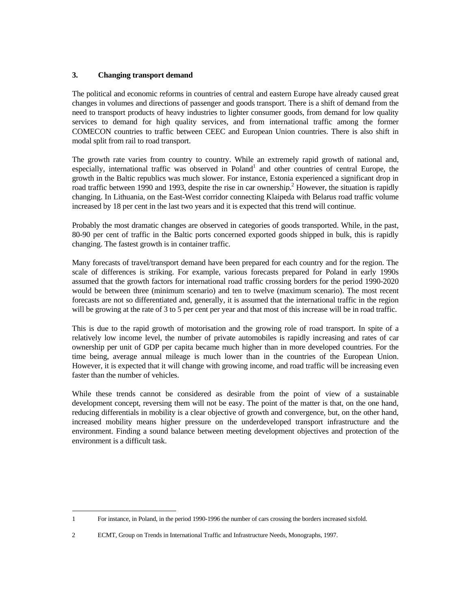# **3. Changing transport demand**

The political and economic reforms in countries of central and eastern Europe have already caused great changes in volumes and directions of passenger and goods transport. There is a shift of demand from the need to transport products of heavy industries to lighter consumer goods, from demand for low quality services to demand for high quality services, and from international traffic among the former COMECON countries to traffic between CEEC and European Union countries. There is also shift in modal split from rail to road transport.

The growth rate varies from country to country. While an extremely rapid growth of national and, especially, international traffic was observed in Poland<sup>1</sup> and other countries of central Europe, the growth in the Baltic republics was much slower. For instance, Estonia experienced a significant drop in road traffic between 1990 and 1993, despite the rise in car ownership.<sup>2</sup> However, the situation is rapidly changing. In Lithuania, on the East-West corridor connecting Klaipeda with Belarus road traffic volume increased by 18 per cent in the last two years and it is expected that this trend will continue.

Probably the most dramatic changes are observed in categories of goods transported. While, in the past, 80-90 per cent of traffic in the Baltic ports concerned exported goods shipped in bulk, this is rapidly changing. The fastest growth is in container traffic.

Many forecasts of travel/transport demand have been prepared for each country and for the region. The scale of differences is striking. For example, various forecasts prepared for Poland in early 1990s assumed that the growth factors for international road traffic crossing borders for the period 1990-2020 would be between three (minimum scenario) and ten to twelve (maximum scenario). The most recent forecasts are not so differentiated and, generally, it is assumed that the international traffic in the region will be growing at the rate of 3 to 5 per cent per year and that most of this increase will be in road traffic.

This is due to the rapid growth of motorisation and the growing role of road transport. In spite of a relatively low income level, the number of private automobiles is rapidly increasing and rates of car ownership per unit of GDP per capita became much higher than in more developed countries. For the time being, average annual mileage is much lower than in the countries of the European Union. However, it is expected that it will change with growing income, and road traffic will be increasing even faster than the number of vehicles.

While these trends cannot be considered as desirable from the point of view of a sustainable development concept, reversing them will not be easy. The point of the matter is that, on the one hand, reducing differentials in mobility is a clear objective of growth and convergence, but, on the other hand, increased mobility means higher pressure on the underdeveloped transport infrastructure and the environment. Finding a sound balance between meeting development objectives and protection of the environment is a difficult task.

 1 For instance, in Poland, in the period 1990-1996 the number of cars crossing the borders increased sixfold.

<sup>2</sup> ECMT, Group on Trends in International Traffic and Infrastructure Needs, Monographs, 1997.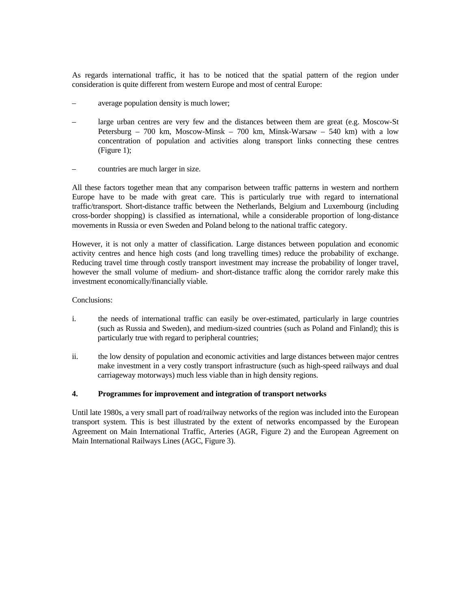As regards international traffic, it has to be noticed that the spatial pattern of the region under consideration is quite different from western Europe and most of central Europe:

- average population density is much lower;
- large urban centres are very few and the distances between them are great (e.g. Moscow-St Petersburg – 700 km, Moscow-Minsk – 700 km, Minsk-Warsaw – 540 km) with a low concentration of population and activities along transport links connecting these centres (Figure 1);
- countries are much larger in size.

All these factors together mean that any comparison between traffic patterns in western and northern Europe have to be made with great care. This is particularly true with regard to international traffic/transport. Short-distance traffic between the Netherlands, Belgium and Luxembourg (including cross-border shopping) is classified as international, while a considerable proportion of long-distance movements in Russia or even Sweden and Poland belong to the national traffic category.

However, it is not only a matter of classification. Large distances between population and economic activity centres and hence high costs (and long travelling times) reduce the probability of exchange. Reducing travel time through costly transport investment may increase the probability of longer travel, however the small volume of medium- and short-distance traffic along the corridor rarely make this investment economically/financially viable.

### Conclusions:

- i. the needs of international traffic can easily be over-estimated, particularly in large countries (such as Russia and Sweden), and medium-sized countries (such as Poland and Finland); this is particularly true with regard to peripheral countries;
- ii. the low density of population and economic activities and large distances between major centres make investment in a very costly transport infrastructure (such as high-speed railways and dual carriageway motorways) much less viable than in high density regions.

# **4. Programmes for improvement and integration of transport networks**

Until late 1980s, a very small part of road/railway networks of the region was included into the European transport system. This is best illustrated by the extent of networks encompassed by the European Agreement on Main International Traffic, Arteries (AGR, Figure 2) and the European Agreement on Main International Railways Lines (AGC, Figure 3).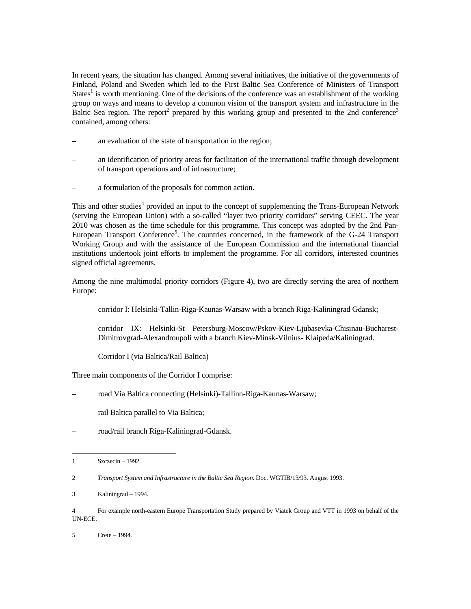In recent years, the situation has changed. Among several initiatives, the initiative of the governments of Finland, Poland and Sweden which led to the First Baltic Sea Conference of Ministers of Transport States<sup>1</sup> is worth mentioning. One of the decisions of the conference was an establishment of the working group on ways and means to develop a common vision of the transport system and infrastructure in the Baltic Sea region. The report<sup>2</sup> prepared by this working group and presented to the 2nd conference<sup>3</sup> contained, among others:

- an evaluation of the state of transportation in the region;
- an identification of priority areas for facilitation of the international traffic through development of transport operations and of infrastructure;
- a formulation of the proposals for common action.

This and other studies<sup>4</sup> provided an input to the concept of supplementing the Trans-European Network (serving the European Union) with a so-called "layer two priority corridors" serving CEEC. The year 2010 was chosen as the time schedule for this programme. This concept was adopted by the 2nd Pan-European Transport Conference<sup>5</sup>. The countries concerned, in the framework of the G-24 Transport Working Group and with the assistance of the European Commission and the international financial institutions undertook joint efforts to implement the programme. For all corridors, interested countries signed official agreements.

Among the nine multimodal priority corridors (Figure 4), two are directly serving the area of northern Europe:

- corridor I: Helsinki-Tallin-Riga-Kaunas-Warsaw with a branch Riga-Kaliningrad Gdansk;
- corridor IX: Helsinki-St Petersburg-Moscow/Pskov-Kiev-Ljubasevka-Chisinau-Bucharest-Dimitrovgrad-Alexandroupoli with a branch Kiev-Minsk-Vilnius- Klaipeda/Kaliningrad.
	- Corridor I (via Baltica/Rail Baltica)

Three main components of the Corridor I comprise:

- road Via Baltica connecting (Helsinki)-Tallinn-Riga-Kaunas-Warsaw;
- rail Baltica parallel to Via Baltica;
- road/rail branch Riga-Kaliningrad-Gdansk.

 1 Szczecin – 1992.

<sup>2</sup> *Transport System and Infrastructure in the Baltic Sea Region*. Doc. WGTIB/13/93. August 1993.

<sup>3</sup> Kaliningrad – 1994.

<sup>4</sup> For example north-eastern Europe Transportation Study prepared by Viatek Group and VTT in 1993 on behalf of the UN-ECE.

<sup>5</sup> Crete – 1994.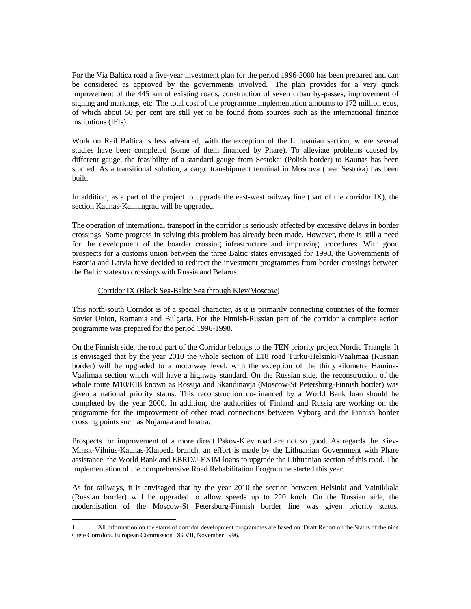For the Via Baltica road a five-year investment plan for the period 1996-2000 has been prepared and can be considered as approved by the governments involved.<sup>1</sup> The plan provides for a very quick improvement of the 445 km of existing roads, construction of seven urban by-passes, improvement of signing and markings, etc. The total cost of the programme implementation amounts to 172 million ecus, of which about 50 per cent are still yet to be found from sources such as the international finance institutions (IFIs).

Work on Rail Baltica is less advanced, with the exception of the Lithuanian section, where several studies have been completed (some of them financed by Phare). To alleviate problems caused by different gauge, the feasibility of a standard gauge from Sestokai (Polish border) to Kaunas has been studied. As a transitional solution, a cargo transhipment terminal in Moscova (near Sestoka) has been built.

In addition, as a part of the project to upgrade the east-west railway line (part of the corridor IX), the section Kaunas-Kaliningrad will be upgraded.

The operation of international transport in the corridor is seriously affected by excessive delays in border crossings. Some progress in solving this problem has already been made. However, there is still a need for the development of the boarder crossing infrastructure and improving procedures. With good prospects for a customs union between the three Baltic states envisaged for 1998, the Governments of Estonia and Latvia have decided to redirect the investment programmes from border crossings between the Baltic states to crossings with Russia and Belarus.

# Corridor IX (Black Sea-Baltic Sea through Kiev/Moscow)

This north-south Corridor is of a special character, as it is primarily connecting countries of the former Soviet Union, Romania and Bulgaria. For the Finnish-Russian part of the corridor a complete action programme was prepared for the period 1996-1998.

On the Finnish side, the road part of the Corridor belongs to the TEN priority project Nordic Triangle. It is envisaged that by the year 2010 the whole section of E18 road Turku-Helsinki-Vaalimaa (Russian border) will be upgraded to a motorway level, with the exception of the thirty kilometre Hamina-Vaalimaa section which will have a highway standard. On the Russian side, the reconstruction of the whole route M10/E18 known as Rossija and Skandinavja (Moscow-St Petersburg-Finnish border) was given a national priority status. This reconstruction co-financed by a World Bank loan should be completed by the year 2000. In addition, the authorities of Finland and Russia are working on the programme for the improvement of other road connections between Vyborg and the Finnish border crossing points such as Nujamaa and Imatra.

Prospects for improvement of a more direct Pskov-Kiev road are not so good. As regards the Kiev-Minsk-Vilnius-Kaunas-Klaipeda branch, an effort is made by the Lithuanian Government with Phare assistance, the World Bank and EBRD/J-EXIM loans to upgrade the Lithuanian section of this road. The implementation of the comprehensive Road Rehabilitation Programme started this year.

As for railways, it is envisaged that by the year 2010 the section between Helsinki and Vainikkala (Russian border) will be upgraded to allow speeds up to 220 km/h. On the Russian side, the modernisation of the Moscow-St Petersburg-Finnish border line was given priority status.

<sup>1</sup> All information on the status of corridor development programmes are based on: Draft Report on the Status of the nine Crete Corridors. European Commission DG VII, November 1996.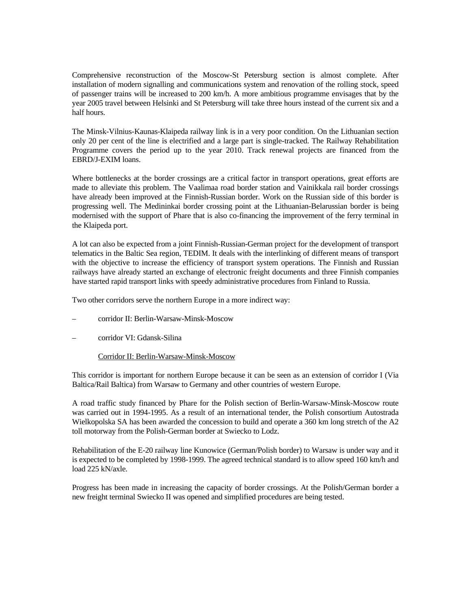Comprehensive reconstruction of the Moscow-St Petersburg section is almost complete. After installation of modern signalling and communications system and renovation of the rolling stock, speed of passenger trains will be increased to 200 km/h. A more ambitious programme envisages that by the year 2005 travel between Helsinki and St Petersburg will take three hours instead of the current six and a half hours.

The Minsk-Vilnius-Kaunas-Klaipeda railway link is in a very poor condition. On the Lithuanian section only 20 per cent of the line is electrified and a large part is single-tracked. The Railway Rehabilitation Programme covers the period up to the year 2010. Track renewal projects are financed from the EBRD/J-EXIM loans.

Where bottlenecks at the border crossings are a critical factor in transport operations, great efforts are made to alleviate this problem. The Vaalimaa road border station and Vainikkala rail border crossings have already been improved at the Finnish-Russian border. Work on the Russian side of this border is progressing well. The Medininkai border crossing point at the Lithuanian-Belarussian border is being modernised with the support of Phare that is also co-financing the improvement of the ferry terminal in the Klaipeda port.

A lot can also be expected from a joint Finnish-Russian-German project for the development of transport telematics in the Baltic Sea region, TEDIM. It deals with the interlinking of different means of transport with the objective to increase the efficiency of transport system operations. The Finnish and Russian railways have already started an exchange of electronic freight documents and three Finnish companies have started rapid transport links with speedy administrative procedures from Finland to Russia.

Two other corridors serve the northern Europe in a more indirect way:

- corridor II: Berlin-Warsaw-Minsk-Moscow
- corridor VI: Gdansk-Silina

# Corridor II: Berlin-Warsaw-Minsk-Moscow

This corridor is important for northern Europe because it can be seen as an extension of corridor I (Via Baltica/Rail Baltica) from Warsaw to Germany and other countries of western Europe.

A road traffic study financed by Phare for the Polish section of Berlin-Warsaw-Minsk-Moscow route was carried out in 1994-1995. As a result of an international tender, the Polish consortium Autostrada Wielkopolska SA has been awarded the concession to build and operate a 360 km long stretch of the A2 toll motorway from the Polish-German border at Swiecko to Lodz.

Rehabilitation of the E-20 railway line Kunowice (German/Polish border) to Warsaw is under way and it is expected to be completed by 1998-1999. The agreed technical standard is to allow speed 160 km/h and load 225 kN/axle.

Progress has been made in increasing the capacity of border crossings. At the Polish/German border a new freight terminal Swiecko II was opened and simplified procedures are being tested.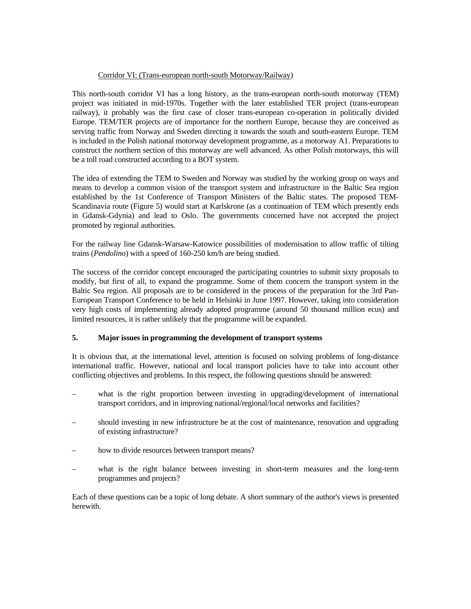# Corridor VI: (Trans-european north-south Motorway/Railway)

This north-south corridor VI has a long history, as the trans-european north-south motorway (TEM) project was initiated in mid-1970s. Together with the later established TER project (trans-european railway), it probably was the first case of closer trans-european co-operation in politically divided Europe. TEM/TER projects are of importance for the northern Europe, because they are conceived as serving traffic from Norway and Sweden directing it towards the south and south-eastern Europe. TEM is included in the Polish national motorway development programme, as a motorway A1. Preparations to construct the northern section of this motorway are well advanced. As other Polish motorways, this will be a toll road constructed according to a BOT system.

The idea of extending the TEM to Sweden and Norway was studied by the working group on ways and means to develop a common vision of the transport system and infrastructure in the Baltic Sea region established by the 1st Conference of Transport Ministers of the Baltic states. The proposed TEM-Scandinavia route (Figure 5) would start at Karlskrone (as a continuation of TEM which presently ends in Gdansk-Gdynia) and lead to Oslo. The governments concerned have not accepted the project promoted by regional authorities.

For the railway line Gdansk-Warsaw-Katowice possibilities of modernisation to allow traffic of tilting trains (*Pendolino*) with a speed of 160-250 km/h are being studied.

The success of the corridor concept encouraged the participating countries to submit sixty proposals to modify, but first of all, to expand the programme. Some of them concern the transport system in the Baltic Sea region. All proposals are to be considered in the process of the preparation for the 3rd Pan-European Transport Conference to be held in Helsinki in June 1997. However, taking into consideration very high costs of implementing already adopted programme (around 50 thousand million ecus) and limited resources, it is rather unlikely that the programme will be expanded.

# **5. Major issues in programming the development of transport systems**

It is obvious that, at the international level, attention is focused on solving problems of long-distance international traffic. However, national and local transport policies have to take into account other conflicting objectives and problems. In this respect, the following questions should be answered:

- what is the right proportion between investing in upgrading/development of international transport corridors, and in improving national/regional/local networks and facilities?
- should investing in new infrastructure be at the cost of maintenance, renovation and upgrading of existing infrastructure?
- how to divide resources between transport means?
- what is the right balance between investing in short-term measures and the long-term programmes and projects?

Each of these questions can be a topic of long debate. A short summary of the author's views is presented herewith.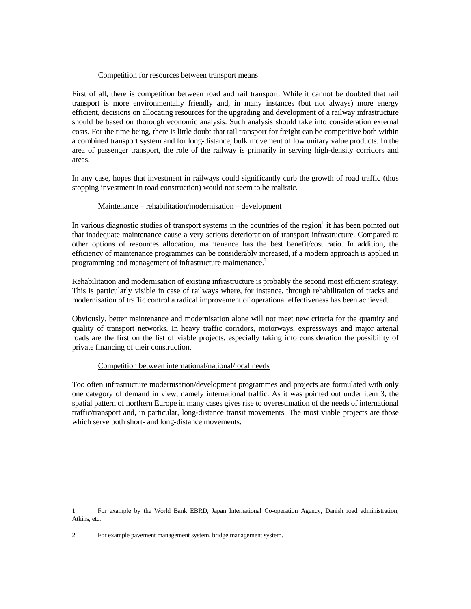# Competition for resources between transport means

First of all, there is competition between road and rail transport. While it cannot be doubted that rail transport is more environmentally friendly and, in many instances (but not always) more energy efficient, decisions on allocating resources for the upgrading and development of a railway infrastructure should be based on thorough economic analysis. Such analysis should take into consideration external costs. For the time being, there is little doubt that rail transport for freight can be competitive both within a combined transport system and for long-distance, bulk movement of low unitary value products. In the area of passenger transport, the role of the railway is primarily in serving high-density corridors and areas.

In any case, hopes that investment in railways could significantly curb the growth of road traffic (thus stopping investment in road construction) would not seem to be realistic.

### Maintenance – rehabilitation/modernisation – development

In various diagnostic studies of transport systems in the countries of the region<sup>1</sup> it has been pointed out that inadequate maintenance cause a very serious deterioration of transport infrastructure. Compared to other options of resources allocation, maintenance has the best benefit/cost ratio. In addition, the efficiency of maintenance programmes can be considerably increased, if a modern approach is applied in programming and management of infrastructure maintenance.<sup>2</sup>

Rehabilitation and modernisation of existing infrastructure is probably the second most efficient strategy. This is particularly visible in case of railways where, for instance, through rehabilitation of tracks and modernisation of traffic control a radical improvement of operational effectiveness has been achieved.

Obviously, better maintenance and modernisation alone will not meet new criteria for the quantity and quality of transport networks. In heavy traffic corridors, motorways, expressways and major arterial roads are the first on the list of viable projects, especially taking into consideration the possibility of private financing of their construction.

# Competition between international/national/local needs

Too often infrastructure modernisation/development programmes and projects are formulated with only one category of demand in view, namely international traffic. As it was pointed out under item 3, the spatial pattern of northern Europe in many cases gives rise to overestimation of the needs of international traffic/transport and, in particular, long-distance transit movements. The most viable projects are those which serve both short- and long-distance movements.

<sup>1</sup> For example by the World Bank EBRD, Japan International Co-operation Agency, Danish road administration, Atkins, etc.

<sup>2</sup> For example pavement management system, bridge management system.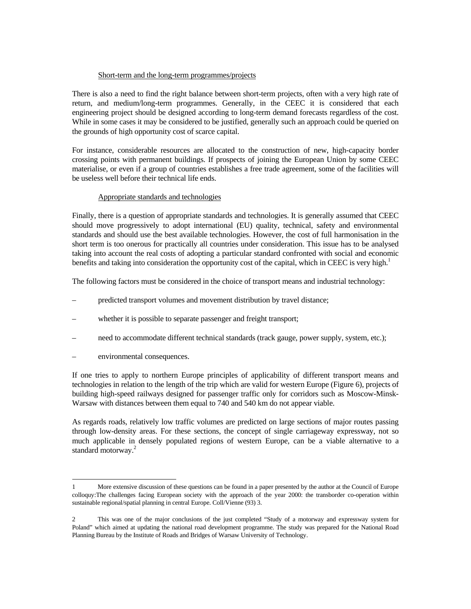# Short-term and the long-term programmes/projects

There is also a need to find the right balance between short-term projects, often with a very high rate of return, and medium/long-term programmes. Generally, in the CEEC it is considered that each engineering project should be designed according to long-term demand forecasts regardless of the cost. While in some cases it may be considered to be justified, generally such an approach could be queried on the grounds of high opportunity cost of scarce capital.

For instance, considerable resources are allocated to the construction of new, high-capacity border crossing points with permanent buildings. If prospects of joining the European Union by some CEEC materialise, or even if a group of countries establishes a free trade agreement, some of the facilities will be useless well before their technical life ends.

# Appropriate standards and technologies

Finally, there is a question of appropriate standards and technologies. It is generally assumed that CEEC should move progressively to adopt international (EU) quality, technical, safety and environmental standards and should use the best available technologies. However, the cost of full harmonisation in the short term is too onerous for practically all countries under consideration. This issue has to be analysed taking into account the real costs of adopting a particular standard confronted with social and economic benefits and taking into consideration the opportunity cost of the capital, which in CEEC is very high.<sup>1</sup>

The following factors must be considered in the choice of transport means and industrial technology:

- predicted transport volumes and movement distribution by travel distance;
- whether it is possible to separate passenger and freight transport;
- need to accommodate different technical standards (track gauge, power supply, system, etc.);
- environmental consequences.

If one tries to apply to northern Europe principles of applicability of different transport means and technologies in relation to the length of the trip which are valid for western Europe (Figure 6), projects of building high-speed railways designed for passenger traffic only for corridors such as Moscow-Minsk-Warsaw with distances between them equal to 740 and 540 km do not appear viable.

As regards roads, relatively low traffic volumes are predicted on large sections of major routes passing through low-density areas. For these sections, the concept of single carriageway expressway, not so much applicable in densely populated regions of western Europe, can be a viable alternative to a standard motorway.<sup>2</sup>

<sup>1</sup> More extensive discussion of these questions can be found in a paper presented by the author at the Council of Europe colloquy:The challenges facing European society with the approach of the year 2000: the transborder co-operation within sustainable regional/spatial planning in central Europe. Coll/Vienne (93) 3.

<sup>2</sup> This was one of the major conclusions of the just completed "Study of a motorway and expressway system for Poland" which aimed at updating the national road development programme. The study was prepared for the National Road Planning Bureau by the Institute of Roads and Bridges of Warsaw University of Technology.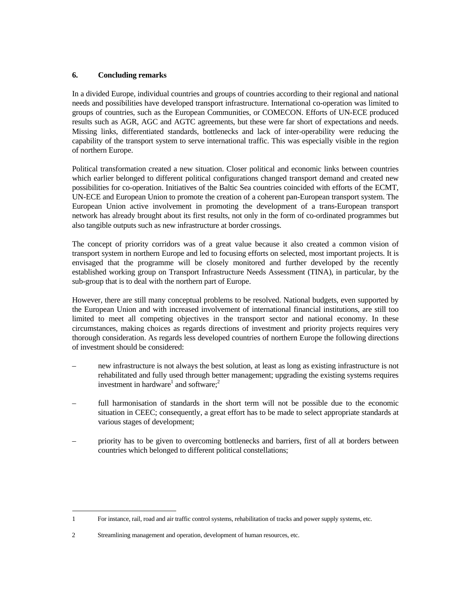# **6. Concluding remarks**

In a divided Europe, individual countries and groups of countries according to their regional and national needs and possibilities have developed transport infrastructure. International co-operation was limited to groups of countries, such as the European Communities, or COMECON. Efforts of UN-ECE produced results such as AGR, AGC and AGTC agreements, but these were far short of expectations and needs. Missing links, differentiated standards, bottlenecks and lack of inter-operability were reducing the capability of the transport system to serve international traffic. This was especially visible in the region of northern Europe.

Political transformation created a new situation. Closer political and economic links between countries which earlier belonged to different political configurations changed transport demand and created new possibilities for co-operation. Initiatives of the Baltic Sea countries coincided with efforts of the ECMT, UN-ECE and European Union to promote the creation of a coherent pan-European transport system. The European Union active involvement in promoting the development of a trans-European transport network has already brought about its first results, not only in the form of co-ordinated programmes but also tangible outputs such as new infrastructure at border crossings.

The concept of priority corridors was of a great value because it also created a common vision of transport system in northern Europe and led to focusing efforts on selected, most important projects. It is envisaged that the programme will be closely monitored and further developed by the recently established working group on Transport Infrastructure Needs Assessment (TINA), in particular, by the sub-group that is to deal with the northern part of Europe.

However, there are still many conceptual problems to be resolved. National budgets, even supported by the European Union and with increased involvement of international financial institutions, are still too limited to meet all competing objectives in the transport sector and national economy. In these circumstances, making choices as regards directions of investment and priority projects requires very thorough consideration. As regards less developed countries of northern Europe the following directions of investment should be considered:

- new infrastructure is not always the best solution, at least as long as existing infrastructure is not rehabilitated and fully used through better management; upgrading the existing systems requires investment in hardware<sup>1</sup> and software;<sup>2</sup>
- full harmonisation of standards in the short term will not be possible due to the economic situation in CEEC; consequently, a great effort has to be made to select appropriate standards at various stages of development;
- priority has to be given to overcoming bottlenecks and barriers, first of all at borders between countries which belonged to different political constellations;

 1 For instance, rail, road and air traffic control systems, rehabilitation of tracks and power supply systems, etc.

<sup>2</sup> Streamlining management and operation, development of human resources, etc.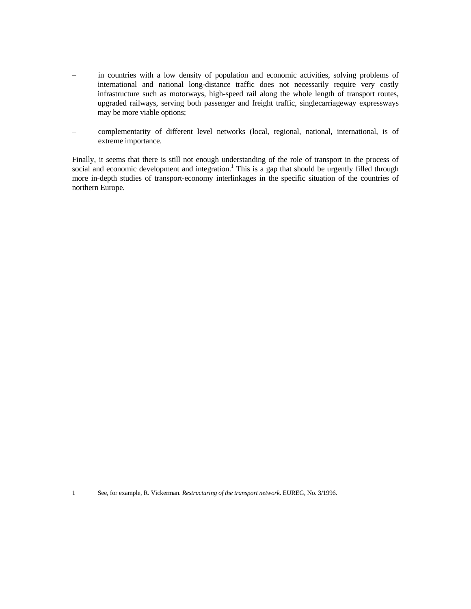- in countries with a low density of population and economic activities, solving problems of international and national long-distance traffic does not necessarily require very costly infrastructure such as motorways, high-speed rail along the whole length of transport routes, upgraded railways, serving both passenger and freight traffic, singlecarriageway expressways may be more viable options;
- complementarity of different level networks (local, regional, national, international, is of extreme importance.

Finally, it seems that there is still not enough understanding of the role of transport in the process of social and economic development and integration.<sup>1</sup> This is a gap that should be urgently filled through more in-depth studies of transport-economy interlinkages in the specific situation of the countries of northern Europe.

<sup>1</sup> See, for example, R. Vickerman. *Restructuring of the transport network*. EUREG, No. 3/1996.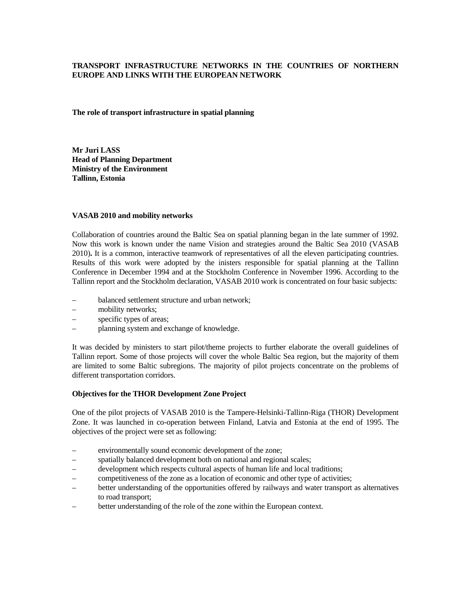# **TRANSPORT INFRASTRUCTURE NETWORKS IN THE COUNTRIES OF NORTHERN EUROPE AND LINKS WITH THE EUROPEAN NETWORK**

**The role of transport infrastructure in spatial planning** 

**Mr Juri LASS Head of Planning Department Ministry of the Environment Tallinn, Estonia** 

## **VASAB 2010 and mobility networks**

Collaboration of countries around the Baltic Sea on spatial planning began in the late summer of 1992. Now this work is known under the name Vision and strategies around the Baltic Sea 2010 (VASAB 2010)**.** It is a common, interactive teamwork of representatives of all the eleven participating countries. Results of this work were adopted by the inisters responsible for spatial planning at the Tallinn Conference in December 1994 and at the Stockholm Conference in November 1996. According to the Tallinn report and the Stockholm declaration, VASAB 2010 work is concentrated on four basic subjects:

- balanced settlement structure and urban network;
- mobility networks;
- specific types of areas;
- planning system and exchange of knowledge.

It was decided by ministers to start pilot/theme projects to further elaborate the overall guidelines of Tallinn report. Some of those projects will cover the whole Baltic Sea region, but the majority of them are limited to some Baltic subregions. The majority of pilot projects concentrate on the problems of different transportation corridors.

# **Objectives for the THOR Development Zone Project**

One of the pilot projects of VASAB 2010 is the Tampere-Helsinki-Tallinn-Riga (THOR) Development Zone. It was launched in co-operation between Finland, Latvia and Estonia at the end of 1995. The objectives of the project were set as following:

- environmentally sound economic development of the zone;
- spatially balanced development both on national and regional scales;
- development which respects cultural aspects of human life and local traditions;
- competitiveness of the zone as a location of economic and other type of activities;
- better understanding of the opportunities offered by railways and water transport as alternatives to road transport;
- better understanding of the role of the zone within the European context.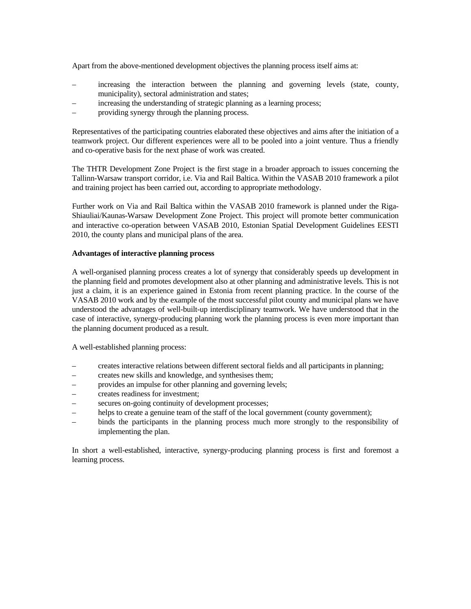Apart from the above-mentioned development objectives the planning process itself aims at:

- increasing the interaction between the planning and governing levels (state, county, municipality), sectoral administration and states;
- increasing the understanding of strategic planning as a learning process;
- providing synergy through the planning process.

Representatives of the participating countries elaborated these objectives and aims after the initiation of a teamwork project. Our different experiences were all to be pooled into a joint venture. Thus a friendly and co-operative basis for the next phase of work was created.

The THTR Development Zone Project is the first stage in a broader approach to issues concerning the Tallinn-Warsaw transport corridor, i.e. Via and Rail Baltica. Within the VASAB 2010 framework a pilot and training project has been carried out, according to appropriate methodology.

Further work on Via and Rail Baltica within the VASAB 2010 framework is planned under the Riga-Shiauliai/Kaunas-Warsaw Development Zone Project. This project will promote better communication and interactive co-operation between VASAB 2010, Estonian Spatial Development Guidelines EESTI 2010, the county plans and municipal plans of the area.

# **Advantages of interactive planning process**

A well-organised planning process creates a lot of synergy that considerably speeds up development in the planning field and promotes development also at other planning and administrative levels. This is not just a claim, it is an experience gained in Estonia from recent planning practice. In the course of the VASAB 2010 work and by the example of the most successful pilot county and municipal plans we have understood the advantages of well-built-up interdisciplinary teamwork. We have understood that in the case of interactive, synergy-producing planning work the planning process is even more important than the planning document produced as a result.

A well-established planning process:

- creates interactive relations between different sectoral fields and all participants in planning;
- creates new skills and knowledge, and synthesises them;
- provides an impulse for other planning and governing levels;
- creates readiness for investment;
- secures on-going continuity of development processes;
- helps to create a genuine team of the staff of the local government (county government);
- binds the participants in the planning process much more strongly to the responsibility of implementing the plan.

In short a well-established, interactive, synergy-producing planning process is first and foremost a learning process.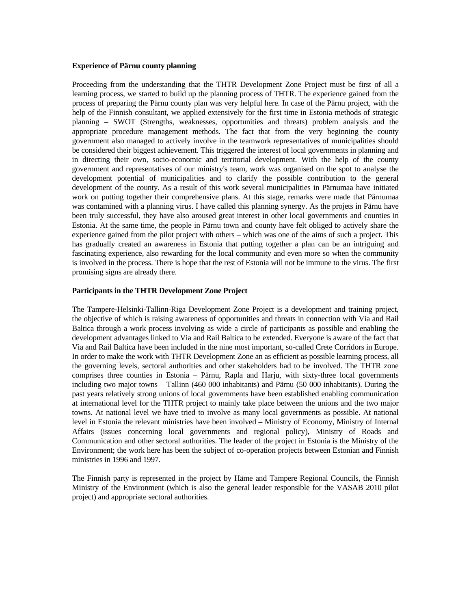#### **Experience of Pärnu county planning**

Proceeding from the understanding that the THTR Development Zone Project must be first of all a learning process, we started to build up the planning process of THTR. The experience gained from the process of preparing the Pärnu county plan was very helpful here. In case of the Pärnu project, with the help of the Finnish consultant, we applied extensively for the first time in Estonia methods of strategic planning – SWOT (Strengths, weaknesses, opportunities and threats) problem analysis and the appropriate procedure management methods. The fact that from the very beginning the county government also managed to actively involve in the teamwork representatives of municipalities should be considered their biggest achievement. This triggered the interest of local governments in planning and in directing their own, socio-economic and territorial development. With the help of the county government and representatives of our ministry's team, work was organised on the spot to analyse the development potential of municipalities and to clarify the possible contribution to the general development of the county. As a result of this work several municipalities in Pärnumaa have initiated work on putting together their comprehensive plans. At this stage, remarks were made that Pärnumaa was contamined with a planning virus. I have called this planning synergy. As the projets in Pärnu have been truly successful, they have also aroused great interest in other local governments and counties in Estonia. At the same time, the people in Pärnu town and county have felt obliged to actively share the experience gained from the pilot project with others – which was one of the aims of such a project. This has gradually created an awareness in Estonia that putting together a plan can be an intriguing and fascinating experience, also rewarding for the local community and even more so when the community is involved in the process. There is hope that the rest of Estonia will not be immune to the virus. The first promising signs are already there.

### **Participants in the THTR Development Zone Project**

The Tampere-Helsinki-Tallinn-Riga Development Zone Project is a development and training project, the objective of which is raising awareness of opportunities and threats in connection with Via and Rail Baltica through a work process involving as wide a circle of participants as possible and enabling the development advantages linked to Via and Rail Baltica to be extended. Everyone is aware of the fact that Via and Rail Baltica have been included in the nine most important, so-called Crete Corridors in Europe. In order to make the work with THTR Development Zone an as efficient as possible learning process, all the governing levels, sectoral authorities and other stakeholders had to be involved. The THTR zone comprises three counties in Estonia – Pärnu, Rapla and Harju, with sixty-three local governments including two major towns – Tallinn (460 000 inhabitants) and Pärnu (50 000 inhabitants). During the past years relatively strong unions of local governments have been established enabling communication at international level for the THTR project to mainly take place between the unions and the two major towns. At national level we have tried to involve as many local governments as possible. At national level in Estonia the relevant ministries have been involved – Ministry of Economy, Ministry of Internal Affairs (issues concerning local governments and regional policy), Ministry of Roads and Communication and other sectoral authorities. The leader of the project in Estonia is the Ministry of the Environment; the work here has been the subject of co-operation projects between Estonian and Finnish ministries in 1996 and 1997.

The Finnish party is represented in the project by Häme and Tampere Regional Councils, the Finnish Ministry of the Environment (which is also the general leader responsible for the VASAB 2010 pilot project) and appropriate sectoral authorities.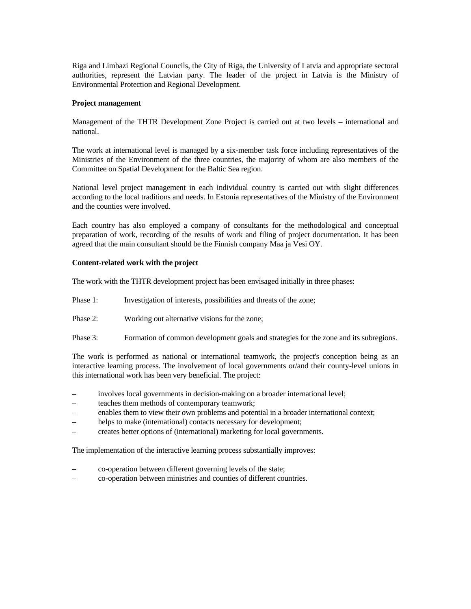Riga and Limbazi Regional Councils, the City of Riga, the University of Latvia and appropriate sectoral authorities, represent the Latvian party. The leader of the project in Latvia is the Ministry of Environmental Protection and Regional Development.

### **Project management**

Management of the THTR Development Zone Project is carried out at two levels – international and national.

The work at international level is managed by a six-member task force including representatives of the Ministries of the Environment of the three countries, the majority of whom are also members of the Committee on Spatial Development for the Baltic Sea region.

National level project management in each individual country is carried out with slight differences according to the local traditions and needs. In Estonia representatives of the Ministry of the Environment and the counties were involved.

Each country has also employed a company of consultants for the methodological and conceptual preparation of work, recording of the results of work and filing of project documentation. It has been agreed that the main consultant should be the Finnish company Maa ja Vesi OY.

### **Content-related work with the project**

The work with the THTR development project has been envisaged initially in three phases:

- Phase 1: Investigation of interests, possibilities and threats of the zone;
- Phase 2: Working out alternative visions for the zone;
- Phase 3: Formation of common development goals and strategies for the zone and its subregions.

The work is performed as national or international teamwork, the project's conception being as an interactive learning process. The involvement of local governments or/and their county-level unions in this international work has been very beneficial. The project:

- involves local governments in decision-making on a broader international level;
- teaches them methods of contemporary teamwork;
- enables them to view their own problems and potential in a broader international context;
- helps to make (international) contacts necessary for development;
- creates better options of (international) marketing for local governments.

The implementation of the interactive learning process substantially improves:

- co-operation between different governing levels of the state;
- co-operation between ministries and counties of different countries.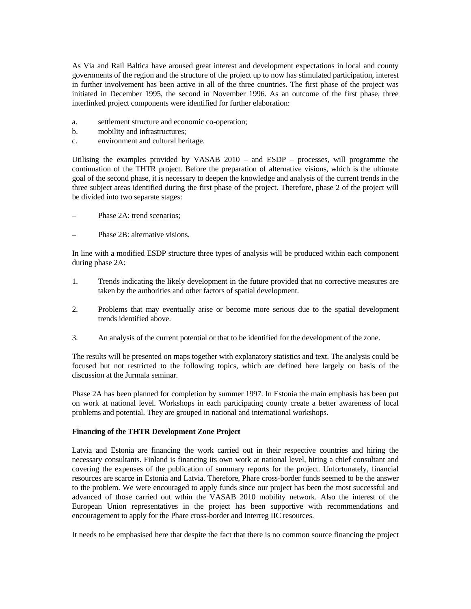As Via and Rail Baltica have aroused great interest and development expectations in local and county governments of the region and the structure of the project up to now has stimulated participation, interest in further involvement has been active in all of the three countries. The first phase of the project was initiated in December 1995, the second in November 1996. As an outcome of the first phase, three interlinked project components were identified for further elaboration:

- a. settlement structure and economic co-operation;
- b. mobility and infrastructures;
- c. environment and cultural heritage.

Utilising the examples provided by VASAB 2010 – and ESDP – processes, will programme the continuation of the THTR project. Before the preparation of alternative visions, which is the ultimate goal of the second phase, it is necessary to deepen the knowledge and analysis of the current trends in the three subject areas identified during the first phase of the project. Therefore, phase 2 of the project will be divided into two separate stages:

- Phase 2A: trend scenarios;
- Phase 2B: alternative visions.

In line with a modified ESDP structure three types of analysis will be produced within each component during phase 2A:

- 1. Trends indicating the likely development in the future provided that no corrective measures are taken by the authorities and other factors of spatial development.
- 2. Problems that may eventually arise or become more serious due to the spatial development trends identified above.
- 3. An analysis of the current potential or that to be identified for the development of the zone.

The results will be presented on maps together with explanatory statistics and text. The analysis could be focused but not restricted to the following topics, which are defined here largely on basis of the discussion at the Jurmala seminar.

Phase 2A has been planned for completion by summer 1997. In Estonia the main emphasis has been put on work at national level. Workshops in each participating county create a better awareness of local problems and potential. They are grouped in national and international workshops.

# **Financing of the THTR Development Zone Project**

Latvia and Estonia are financing the work carried out in their respective countries and hiring the necessary consultants. Finland is financing its own work at national level, hiring a chief consultant and covering the expenses of the publication of summary reports for the project. Unfortunately, financial resources are scarce in Estonia and Latvia. Therefore, Phare cross-border funds seemed to be the answer to the problem. We were encouraged to apply funds since our project has been the most successful and advanced of those carried out wthin the VASAB 2010 mobility network. Also the interest of the European Union representatives in the project has been supportive with recommendations and encouragement to apply for the Phare cross-border and Interreg IIC resources.

It needs to be emphasised here that despite the fact that there is no common source financing the project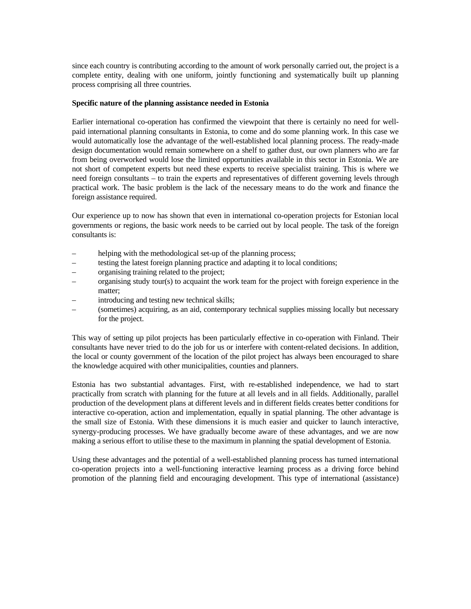since each country is contributing according to the amount of work personally carried out, the project is a complete entity, dealing with one uniform, jointly functioning and systematically built up planning process comprising all three countries.

### **Specific nature of the planning assistance needed in Estonia**

Earlier international co-operation has confirmed the viewpoint that there is certainly no need for wellpaid international planning consultants in Estonia, to come and do some planning work. In this case we would automatically lose the advantage of the well-established local planning process. The ready-made design documentation would remain somewhere on a shelf to gather dust, our own planners who are far from being overworked would lose the limited opportunities available in this sector in Estonia. We are not short of competent experts but need these experts to receive specialist training. This is where we need foreign consultants – to train the experts and representatives of different governing levels through practical work. The basic problem is the lack of the necessary means to do the work and finance the foreign assistance required.

Our experience up to now has shown that even in international co-operation projects for Estonian local governments or regions, the basic work needs to be carried out by local people. The task of the foreign consultants is:

- helping with the methodological set-up of the planning process;
- testing the latest foreign planning practice and adapting it to local conditions;
- organising training related to the project;
- organising study tour(s) to acquaint the work team for the project with foreign experience in the matter;
- introducing and testing new technical skills;
- (sometimes) acquiring, as an aid, contemporary technical supplies missing locally but necessary for the project.

This way of setting up pilot projects has been particularly effective in co-operation with Finland. Their consultants have never tried to do the job for us or interfere with content-related decisions. In addition, the local or county government of the location of the pilot project has always been encouraged to share the knowledge acquired with other municipalities, counties and planners.

Estonia has two substantial advantages. First, with re-established independence, we had to start practically from scratch with planning for the future at all levels and in all fields. Additionally, parallel production of the development plans at different levels and in different fields creates better conditions for interactive co-operation, action and implementation, equally in spatial planning. The other advantage is the small size of Estonia. With these dimensions it is much easier and quicker to launch interactive, synergy-producing processes. We have gradually become aware of these advantages, and we are now making a serious effort to utilise these to the maximum in planning the spatial development of Estonia.

Using these advantages and the potential of a well-established planning process has turned international co-operation projects into a well-functioning interactive learning process as a driving force behind promotion of the planning field and encouraging development. This type of international (assistance)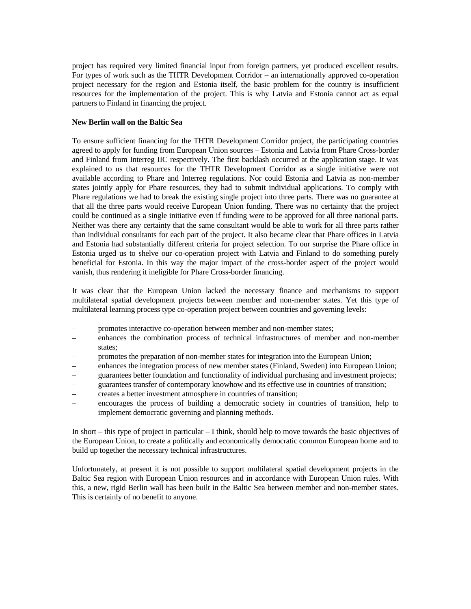project has required very limited financial input from foreign partners, yet produced excellent results. For types of work such as the THTR Development Corridor – an internationally approved co-operation project necessary for the region and Estonia itself, the basic problem for the country is insufficient resources for the implementation of the project. This is why Latvia and Estonia cannot act as equal partners to Finland in financing the project.

## **New Berlin wall on the Baltic Sea**

To ensure sufficient financing for the THTR Development Corridor project, the participating countries agreed to apply for funding from European Union sources – Estonia and Latvia from Phare Cross-border and Finland from Interreg IIC respectively. The first backlash occurred at the application stage. It was explained to us that resources for the THTR Development Corridor as a single initiative were not available according to Phare and Interreg regulations. Nor could Estonia and Latvia as non-member states jointly apply for Phare resources, they had to submit individual applications. To comply with Phare regulations we had to break the existing single project into three parts. There was no guarantee at that all the three parts would receive European Union funding. There was no certainty that the project could be continued as a single initiative even if funding were to be approved for all three national parts. Neither was there any certainty that the same consultant would be able to work for all three parts rather than individual consultants for each part of the project. It also became clear that Phare offices in Latvia and Estonia had substantially different criteria for project selection. To our surprise the Phare office in Estonia urged us to shelve our co-operation project with Latvia and Finland to do something purely beneficial for Estonia. In this way the major impact of the cross-border aspect of the project would vanish, thus rendering it ineligible for Phare Cross-border financing.

It was clear that the European Union lacked the necessary finance and mechanisms to support multilateral spatial development projects between member and non-member states. Yet this type of multilateral learning process type co-operation project between countries and governing levels:

- promotes interactive co-operation between member and non-member states;
- enhances the combination process of technical infrastructures of member and non-member states;
- promotes the preparation of non-member states for integration into the European Union;
- enhances the integration process of new member states (Finland, Sweden) into European Union;
- guarantees better foundation and functionality of individual purchasing and investment projects;
- guarantees transfer of contemporary knowhow and its effective use in countries of transition;
- creates a better investment atmosphere in countries of transition;
- encourages the process of building a democratic society in countries of transition, help to implement democratic governing and planning methods.

In short – this type of project in particular – I think, should help to move towards the basic objectives of the European Union, to create a politically and economically democratic common European home and to build up together the necessary technical infrastructures.

Unfortunately, at present it is not possible to support multilateral spatial development projects in the Baltic Sea region with European Union resources and in accordance with European Union rules. With this, a new, rigid Berlin wall has been built in the Baltic Sea between member and non-member states. This is certainly of no benefit to anyone.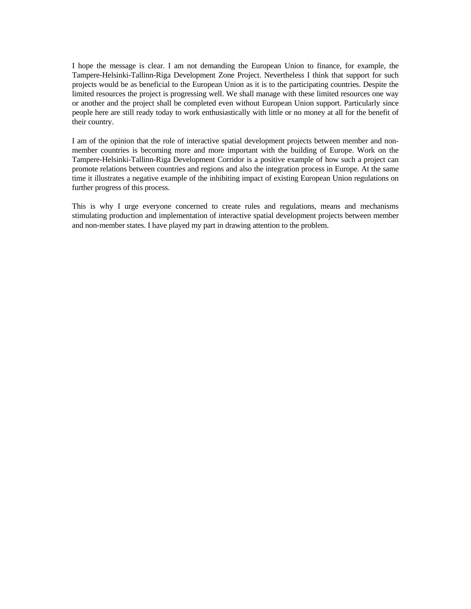I hope the message is clear. I am not demanding the European Union to finance, for example, the Tampere-Helsinki-Tallinn-Riga Development Zone Project. Nevertheless I think that support for such projects would be as beneficial to the European Union as it is to the participating countries. Despite the limited resources the project is progressing well. We shall manage with these limited resources one way or another and the project shall be completed even without European Union support. Particularly since people here are still ready today to work enthusiastically with little or no money at all for the benefit of their country.

I am of the opinion that the role of interactive spatial development projects between member and nonmember countries is becoming more and more important with the building of Europe. Work on the Tampere-Helsinki-Tallinn-Riga Development Corridor is a positive example of how such a project can promote relations between countries and regions and also the integration process in Europe. At the same time it illustrates a negative example of the inhibiting impact of existing European Union regulations on further progress of this process.

This is why I urge everyone concerned to create rules and regulations, means and mechanisms stimulating production and implementation of interactive spatial development projects between member and non-member states. I have played my part in drawing attention to the problem.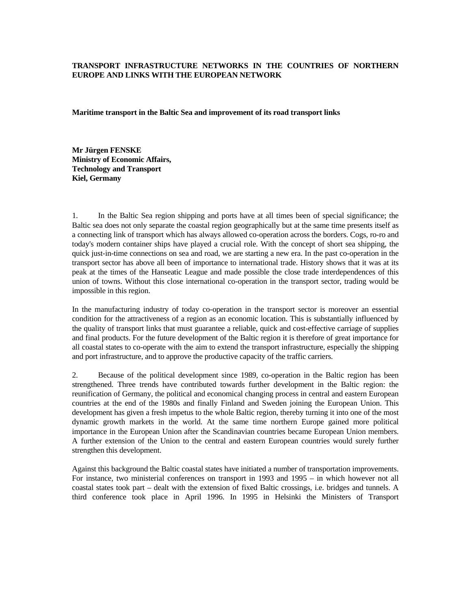# **TRANSPORT INFRASTRUCTURE NETWORKS IN THE COUNTRIES OF NORTHERN EUROPE AND LINKS WITH THE EUROPEAN NETWORK**

**Maritime transport in the Baltic Sea and improvement of its road transport links** 

**Mr Jürgen FENSKE Ministry of Economic Affairs, Technology and Transport Kiel, Germany** 

1. In the Baltic Sea region shipping and ports have at all times been of special significance; the Baltic sea does not only separate the coastal region geographically but at the same time presents itself as a connecting link of transport which has always allowed co-operation across the borders. Cogs, ro-ro and today's modern container ships have played a crucial role. With the concept of short sea shipping, the quick just-in-time connections on sea and road, we are starting a new era. In the past co-operation in the transport sector has above all been of importance to international trade. History shows that it was at its peak at the times of the Hanseatic League and made possible the close trade interdependences of this union of towns. Without this close international co-operation in the transport sector, trading would be impossible in this region.

In the manufacturing industry of today co-operation in the transport sector is moreover an essential condition for the attractiveness of a region as an economic location. This is substantially influenced by the quality of transport links that must guarantee a reliable, quick and cost-effective carriage of supplies and final products. For the future development of the Baltic region it is therefore of great importance for all coastal states to co-operate with the aim to extend the transport infrastructure, especially the shipping and port infrastructure, and to approve the productive capacity of the traffic carriers.

2. Because of the political development since 1989, co-operation in the Baltic region has been strengthened. Three trends have contributed towards further development in the Baltic region: the reunification of Germany, the political and economical changing process in central and eastern European countries at the end of the 1980s and finally Finland and Sweden joining the European Union. This development has given a fresh impetus to the whole Baltic region, thereby turning it into one of the most dynamic growth markets in the world. At the same time northern Europe gained more political importance in the European Union after the Scandinavian countries became European Union members. A further extension of the Union to the central and eastern European countries would surely further strengthen this development.

Against this background the Baltic coastal states have initiated a number of transportation improvements. For instance, two ministerial conferences on transport in 1993 and 1995 – in which however not all coastal states took part – dealt with the extension of fixed Baltic crossings, i.e. bridges and tunnels. A third conference took place in April 1996. In 1995 in Helsinki the Ministers of Transport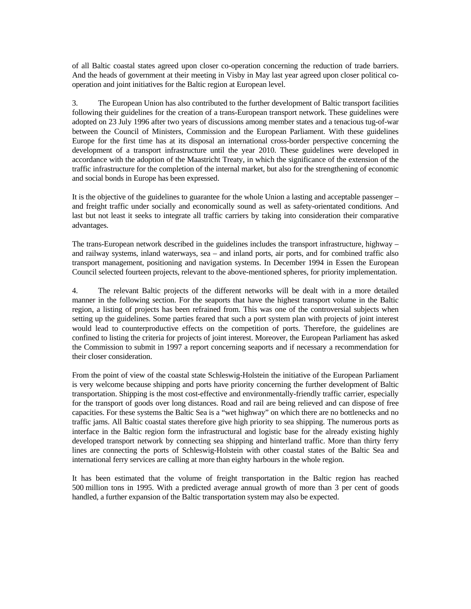of all Baltic coastal states agreed upon closer co-operation concerning the reduction of trade barriers. And the heads of government at their meeting in Visby in May last year agreed upon closer political cooperation and joint initiatives for the Baltic region at European level.

3. The European Union has also contributed to the further development of Baltic transport facilities following their guidelines for the creation of a trans-European transport network. These guidelines were adopted on 23 July 1996 after two years of discussions among member states and a tenacious tug-of-war between the Council of Ministers, Commission and the European Parliament. With these guidelines Europe for the first time has at its disposal an international cross-border perspective concerning the development of a transport infrastructure until the year 2010. These guidelines were developed in accordance with the adoption of the Maastricht Treaty, in which the significance of the extension of the traffic infrastructure for the completion of the internal market, but also for the strengthening of economic and social bonds in Europe has been expressed.

It is the objective of the guidelines to guarantee for the whole Union a lasting and acceptable passenger – and freight traffic under socially and economically sound as well as safety-orientated conditions. And last but not least it seeks to integrate all traffic carriers by taking into consideration their comparative advantages.

The trans-European network described in the guidelines includes the transport infrastructure, highway – and railway systems, inland waterways, sea – and inland ports, air ports, and for combined traffic also transport management, positioning and navigation systems. In December 1994 in Essen the European Council selected fourteen projects, relevant to the above-mentioned spheres, for priority implementation.

4. The relevant Baltic projects of the different networks will be dealt with in a more detailed manner in the following section. For the seaports that have the highest transport volume in the Baltic region, a listing of projects has been refrained from. This was one of the controversial subjects when setting up the guidelines. Some parties feared that such a port system plan with projects of joint interest would lead to counterproductive effects on the competition of ports. Therefore, the guidelines are confined to listing the criteria for projects of joint interest. Moreover, the European Parliament has asked the Commission to submit in 1997 a report concerning seaports and if necessary a recommendation for their closer consideration.

From the point of view of the coastal state Schleswig-Holstein the initiative of the European Parliament is very welcome because shipping and ports have priority concerning the further development of Baltic transportation. Shipping is the most cost-effective and environmentally-friendly traffic carrier, especially for the transport of goods over long distances. Road and rail are being relieved and can dispose of free capacities. For these systems the Baltic Sea is a "wet highway" on which there are no bottlenecks and no traffic jams. All Baltic coastal states therefore give high priority to sea shipping. The numerous ports as interface in the Baltic region form the infrastructural and logistic base for the already existing highly developed transport network by connecting sea shipping and hinterland traffic. More than thirty ferry lines are connecting the ports of Schleswig-Holstein with other coastal states of the Baltic Sea and international ferry services are calling at more than eighty harbours in the whole region.

It has been estimated that the volume of freight transportation in the Baltic region has reached 500 million tons in 1995. With a predicted average annual growth of more than 3 per cent of goods handled, a further expansion of the Baltic transportation system may also be expected.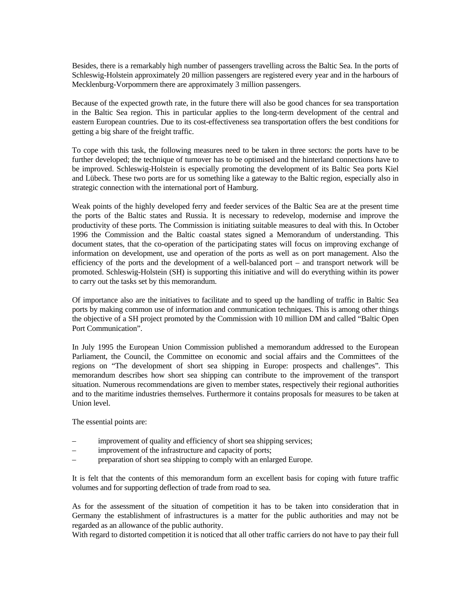Besides, there is a remarkably high number of passengers travelling across the Baltic Sea. In the ports of Schleswig-Holstein approximately 20 million passengers are registered every year and in the harbours of Mecklenburg-Vorpommern there are approximately 3 million passengers.

Because of the expected growth rate, in the future there will also be good chances for sea transportation in the Baltic Sea region. This in particular applies to the long-term development of the central and eastern European countries. Due to its cost-effectiveness sea transportation offers the best conditions for getting a big share of the freight traffic.

To cope with this task, the following measures need to be taken in three sectors: the ports have to be further developed; the technique of turnover has to be optimised and the hinterland connections have to be improved. Schleswig-Holstein is especially promoting the development of its Baltic Sea ports Kiel and Lübeck. These two ports are for us something like a gateway to the Baltic region, especially also in strategic connection with the international port of Hamburg.

Weak points of the highly developed ferry and feeder services of the Baltic Sea are at the present time the ports of the Baltic states and Russia. It is necessary to redevelop, modernise and improve the productivity of these ports. The Commission is initiating suitable measures to deal with this. In October 1996 the Commission and the Baltic coastal states signed a Memorandum of understanding. This document states, that the co-operation of the participating states will focus on improving exchange of information on development, use and operation of the ports as well as on port management. Also the efficiency of the ports and the development of a well-balanced port – and transport network will be promoted. Schleswig-Holstein (SH) is supporting this initiative and will do everything within its power to carry out the tasks set by this memorandum.

Of importance also are the initiatives to facilitate and to speed up the handling of traffic in Baltic Sea ports by making common use of information and communication techniques. This is among other things the objective of a SH project promoted by the Commission with 10 million DM and called "Baltic Open Port Communication".

In July 1995 the European Union Commission published a memorandum addressed to the European Parliament, the Council, the Committee on economic and social affairs and the Committees of the regions on "The development of short sea shipping in Europe: prospects and challenges". This memorandum describes how short sea shipping can contribute to the improvement of the transport situation. Numerous recommendations are given to member states, respectively their regional authorities and to the maritime industries themselves. Furthermore it contains proposals for measures to be taken at Union level.

The essential points are:

- improvement of quality and efficiency of short sea shipping services;
- improvement of the infrastructure and capacity of ports;
- preparation of short sea shipping to comply with an enlarged Europe.

It is felt that the contents of this memorandum form an excellent basis for coping with future traffic volumes and for supporting deflection of trade from road to sea.

As for the assessment of the situation of competition it has to be taken into consideration that in Germany the establishment of infrastructures is a matter for the public authorities and may not be regarded as an allowance of the public authority.

With regard to distorted competition it is noticed that all other traffic carriers do not have to pay their full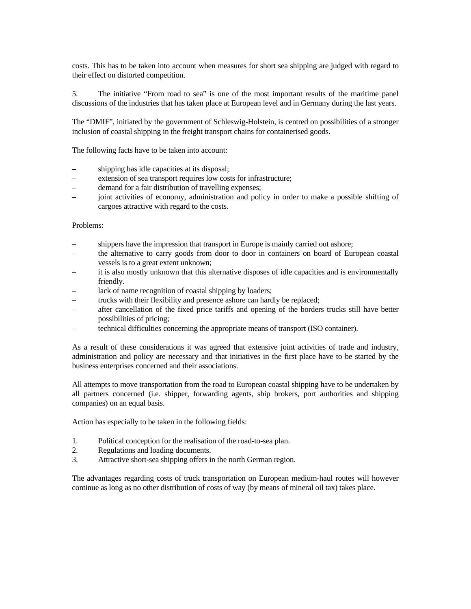costs. This has to be taken into account when measures for short sea shipping are judged with regard to their effect on distorted competition.

5. The initiative "From road to sea" is one of the most important results of the maritime panel discussions of the industries that has taken place at European level and in Germany during the last years.

The "DMIF", initiated by the government of Schleswig-Holstein, is centred on possibilities of a stronger inclusion of coastal shipping in the freight transport chains for containerised goods.

The following facts have to be taken into account:

- shipping has idle capacities at its disposal;
- extension of sea transport requires low costs for infrastructure;
- demand for a fair distribution of travelling expenses;
- joint activities of economy, administration and policy in order to make a possible shifting of cargoes attractive with regard to the costs.

#### Problems:

- shippers have the impression that transport in Europe is mainly carried out ashore;
- the alternative to carry goods from door to door in containers on board of European coastal vessels is to a great extent unknown;
- it is also mostly unknown that this alternative disposes of idle capacities and is environmentally friendly.
- lack of name recognition of coastal shipping by loaders;
- trucks with their flexibility and presence ashore can hardly be replaced;
- after cancellation of the fixed price tariffs and opening of the borders trucks still have better possibilities of pricing;
- technical difficulties concerning the appropriate means of transport (ISO container).

As a result of these considerations it was agreed that extensive joint activities of trade and industry, administration and policy are necessary and that initiatives in the first place have to be started by the business enterprises concerned and their associations.

All attempts to move transportation from the road to European coastal shipping have to be undertaken by all partners concerned (i.e. shipper, forwarding agents, ship brokers, port authorities and shipping companies) on an equal basis.

Action has especially to be taken in the following fields:

- 1. Political conception for the realisation of the road-to-sea plan.
- 2. Regulations and loading documents.
- 3. Attractive short-sea shipping offers in the north German region.

The advantages regarding costs of truck transportation on European medium-haul routes will however continue as long as no other distribution of costs of way (by means of mineral oil tax) takes place.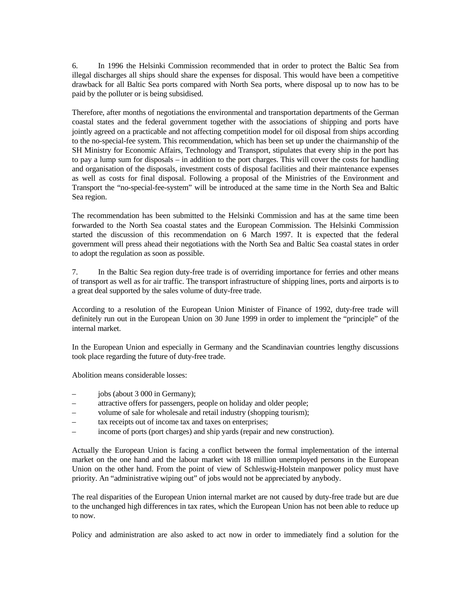6. In 1996 the Helsinki Commission recommended that in order to protect the Baltic Sea from illegal discharges all ships should share the expenses for disposal. This would have been a competitive drawback for all Baltic Sea ports compared with North Sea ports, where disposal up to now has to be paid by the polluter or is being subsidised.

Therefore, after months of negotiations the environmental and transportation departments of the German coastal states and the federal government together with the associations of shipping and ports have jointly agreed on a practicable and not affecting competition model for oil disposal from ships according to the no-special-fee system. This recommendation, which has been set up under the chairmanship of the SH Ministry for Economic Affairs, Technology and Transport, stipulates that every ship in the port has to pay a lump sum for disposals – in addition to the port charges. This will cover the costs for handling and organisation of the disposals, investment costs of disposal facilities and their maintenance expenses as well as costs for final disposal. Following a proposal of the Ministries of the Environment and Transport the "no-special-fee-system" will be introduced at the same time in the North Sea and Baltic Sea region.

The recommendation has been submitted to the Helsinki Commission and has at the same time been forwarded to the North Sea coastal states and the European Commission. The Helsinki Commission started the discussion of this recommendation on 6 March 1997. It is expected that the federal government will press ahead their negotiations with the North Sea and Baltic Sea coastal states in order to adopt the regulation as soon as possible.

7. In the Baltic Sea region duty-free trade is of overriding importance for ferries and other means of transport as well as for air traffic. The transport infrastructure of shipping lines, ports and airports is to a great deal supported by the sales volume of duty-free trade.

According to a resolution of the European Union Minister of Finance of 1992, duty-free trade will definitely run out in the European Union on 30 June 1999 in order to implement the "principle" of the internal market.

In the European Union and especially in Germany and the Scandinavian countries lengthy discussions took place regarding the future of duty-free trade.

Abolition means considerable losses:

- jobs (about 3 000 in Germany);
- attractive offers for passengers, people on holiday and older people;
- volume of sale for wholesale and retail industry (shopping tourism);
- tax receipts out of income tax and taxes on enterprises;
- income of ports (port charges) and ship yards (repair and new construction).

Actually the European Union is facing a conflict between the formal implementation of the internal market on the one hand and the labour market with 18 million unemployed persons in the European Union on the other hand. From the point of view of Schleswig-Holstein manpower policy must have priority. An "administrative wiping out" of jobs would not be appreciated by anybody.

The real disparities of the European Union internal market are not caused by duty-free trade but are due to the unchanged high differences in tax rates, which the European Union has not been able to reduce up to now.

Policy and administration are also asked to act now in order to immediately find a solution for the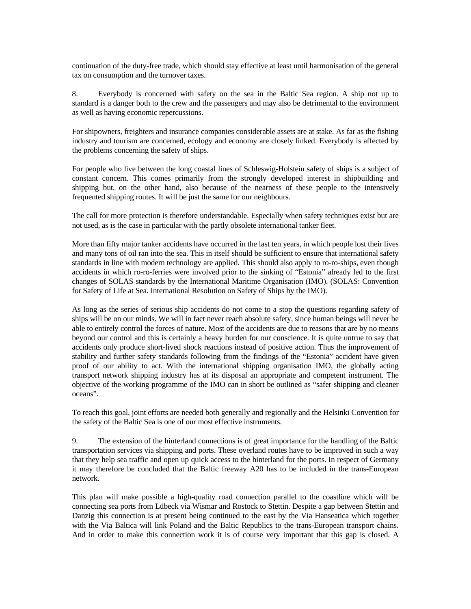continuation of the duty-free trade, which should stay effective at least until harmonisation of the general tax on consumption and the turnover taxes.

8. Everybody is concerned with safety on the sea in the Baltic Sea region. A ship not up to standard is a danger both to the crew and the passengers and may also be detrimental to the environment as well as having economic repercussions.

For shipowners, freighters and insurance companies considerable assets are at stake. As far as the fishing industry and tourism are concerned, ecology and economy are closely linked. Everybody is affected by the problems concerning the safety of ships.

For people who live between the long coastal lines of Schleswig-Holstein safety of ships is a subject of constant concern. This comes primarily from the strongly developed interest in shipbuilding and shipping but, on the other hand, also because of the nearness of these people to the intensively frequented shipping routes. It will be just the same for our neighbours.

The call for more protection is therefore understandable. Especially when safety techniques exist but are not used, as is the case in particular with the partly obsolete international tanker fleet.

More than fifty major tanker accidents have occurred in the last ten years, in which people lost their lives and many tons of oil ran into the sea. This in itself should be sufficient to ensure that international safety standards in line with modern technology are applied. This should also apply to ro-ro-ships, even though accidents in which ro-ro-ferries were involved prior to the sinking of "Estonia" already led to the first changes of SOLAS standards by the International Maritime Organisation (IMO). (SOLAS: Convention for Safety of Life at Sea. International Resolution on Safety of Ships by the IMO).

As long as the series of serious ship accidents do not come to a stop the questions regarding safety of ships will be on our minds. We will in fact never reach absolute safety, since human beings will never be able to entirely control the forces of nature. Most of the accidents are due to reasons that are by no means beyond our control and this is certainly a heavy burden for our conscience. It is quite untrue to say that accidents only produce short-lived shock reactions instead of positive action. Thus the improvement of stability and further safety standards following from the findings of the "Estonia" accident have given proof of our ability to act. With the international shipping organisation IMO, the globally acting transport network shipping industry has at its disposal an appropriate and competent instrument. The objective of the working programme of the IMO can in short be outlined as "safer shipping and cleaner oceans".

To reach this goal, joint efforts are needed both generally and regionally and the Helsinki Convention for the safety of the Baltic Sea is one of our most effective instruments.

9. The extension of the hinterland connections is of great importance for the handling of the Baltic transportation services via shipping and ports. These overland routes have to be improved in such a way that they help sea traffic and open up quick access to the hinterland for the ports. In respect of Germany it may therefore be concluded that the Baltic freeway A20 has to be included in the trans-European network.

This plan will make possible a high-quality road connection parallel to the coastline which will be connecting sea ports from Lübeck via Wismar and Rostock to Stettin. Despite a gap between Stettin and Danzig this connection is at present being continued to the east by the Via Hanseatica which together with the Via Baltica will link Poland and the Baltic Republics to the trans-European transport chains. And in order to make this connection work it is of course very important that this gap is closed. A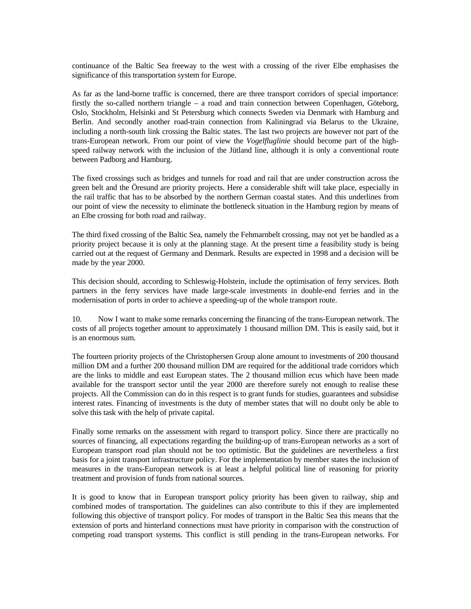continuance of the Baltic Sea freeway to the west with a crossing of the river Elbe emphasises the significance of this transportation system for Europe.

As far as the land-borne traffic is concerned, there are three transport corridors of special importance: firstly the so-called northern triangle – a road and train connection between Copenhagen, Göteborg, Oslo, Stockholm, Helsinki and St Petersburg which connects Sweden via Denmark with Hamburg and Berlin. And secondly another road-train connection from Kaliningrad via Belarus to the Ukraine, including a north-south link crossing the Baltic states. The last two projects are however not part of the trans-European network. From our point of view the *Vogelfluglinie* should become part of the highspeed railway network with the inclusion of the Jütland line, although it is only a conventional route between Padborg and Hamburg.

The fixed crossings such as bridges and tunnels for road and rail that are under construction across the green belt and the Öresund are priority projects. Here a considerable shift will take place, especially in the rail traffic that has to be absorbed by the northern German coastal states. And this underlines from our point of view the necessity to eliminate the bottleneck situation in the Hamburg region by means of an Elbe crossing for both road and railway.

The third fixed crossing of the Baltic Sea, namely the Fehmarnbelt crossing, may not yet be handled as a priority project because it is only at the planning stage. At the present time a feasibility study is being carried out at the request of Germany and Denmark. Results are expected in 1998 and a decision will be made by the year 2000.

This decision should, according to Schleswig-Holstein, include the optimisation of ferry services. Both partners in the ferry services have made large-scale investments in double-end ferries and in the modernisation of ports in order to achieve a speeding-up of the whole transport route.

10. Now I want to make some remarks concerning the financing of the trans-European network. The costs of all projects together amount to approximately 1 thousand million DM. This is easily said, but it is an enormous sum.

The fourteen priority projects of the Christophersen Group alone amount to investments of 200 thousand million DM and a further 200 thousand million DM are required for the additional trade corridors which are the links to middle and east European states. The 2 thousand million ecus which have been made available for the transport sector until the year 2000 are therefore surely not enough to realise these projects. All the Commission can do in this respect is to grant funds for studies, guarantees and subsidise interest rates. Financing of investments is the duty of member states that will no doubt only be able to solve this task with the help of private capital.

Finally some remarks on the assessment with regard to transport policy. Since there are practically no sources of financing, all expectations regarding the building-up of trans-European networks as a sort of European transport road plan should not be too optimistic. But the guidelines are nevertheless a first basis for a joint transport infrastructure policy. For the implementation by member states the inclusion of measures in the trans-European network is at least a helpful political line of reasoning for priority treatment and provision of funds from national sources.

It is good to know that in European transport policy priority has been given to railway, ship and combined modes of transportation. The guidelines can also contribute to this if they are implemented following this objective of transport policy. For modes of transport in the Baltic Sea this means that the extension of ports and hinterland connections must have priority in comparison with the construction of competing road transport systems. This conflict is still pending in the trans-European networks. For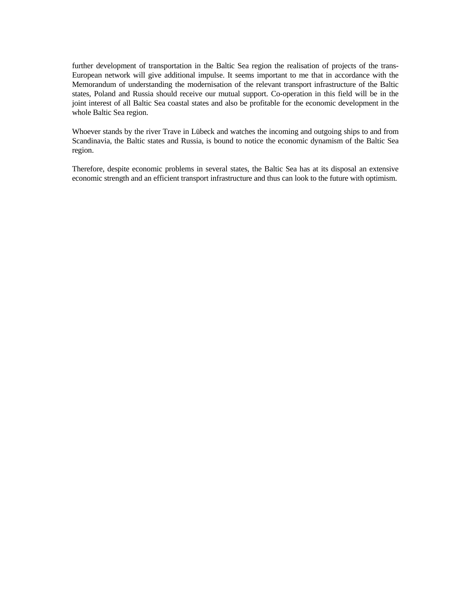further development of transportation in the Baltic Sea region the realisation of projects of the trans-European network will give additional impulse. It seems important to me that in accordance with the Memorandum of understanding the modernisation of the relevant transport infrastructure of the Baltic states, Poland and Russia should receive our mutual support. Co-operation in this field will be in the joint interest of all Baltic Sea coastal states and also be profitable for the economic development in the whole Baltic Sea region.

Whoever stands by the river Trave in Lübeck and watches the incoming and outgoing ships to and from Scandinavia, the Baltic states and Russia, is bound to notice the economic dynamism of the Baltic Sea region.

Therefore, despite economic problems in several states, the Baltic Sea has at its disposal an extensive economic strength and an efficient transport infrastructure and thus can look to the future with optimism.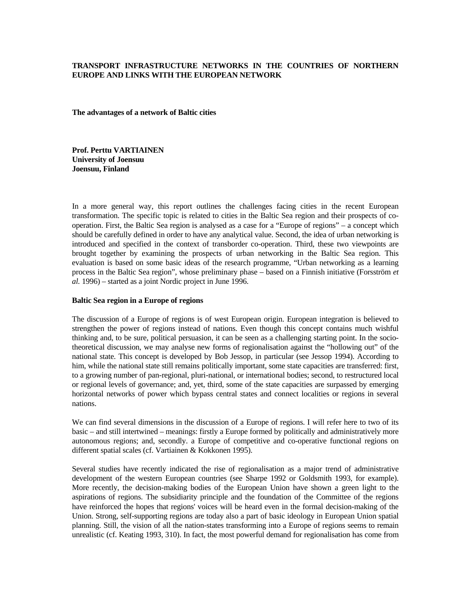# **TRANSPORT INFRASTRUCTURE NETWORKS IN THE COUNTRIES OF NORTHERN EUROPE AND LINKS WITH THE EUROPEAN NETWORK**

**The advantages of a network of Baltic cities** 

**Prof. Perttu VARTIAINEN University of Joensuu Joensuu, Finland**

In a more general way, this report outlines the challenges facing cities in the recent European transformation. The specific topic is related to cities in the Baltic Sea region and their prospects of cooperation. First, the Baltic Sea region is analysed as a case for a "Europe of regions" – a concept which should be carefully defined in order to have any analytical value. Second, the idea of urban networking is introduced and specified in the context of transborder co-operation. Third, these two viewpoints are brought together by examining the prospects of urban networking in the Baltic Sea region. This evaluation is based on some basic ideas of the research programme, "Urban networking as a learning process in the Baltic Sea region", whose preliminary phase – based on a Finnish initiative (Forsström *et al.* 1996) – started as a joint Nordic project in June 1996.

## **Baltic Sea region in a Europe of regions**

The discussion of a Europe of regions is of west European origin. European integration is believed to strengthen the power of regions instead of nations. Even though this concept contains much wishful thinking and, to be sure, political persuasion, it can be seen as a challenging starting point. In the sociotheoretical discussion, we may analyse new forms of regionalisation against the "hollowing out" of the national state. This concept is developed by Bob Jessop, in particular (see Jessop 1994). According to him, while the national state still remains politically important, some state capacities are transferred: first, to a growing number of pan-regional, pluri-national, or international bodies; second, to restructured local or regional levels of governance; and, yet, third, some of the state capacities are surpassed by emerging horizontal networks of power which bypass central states and connect localities or regions in several nations.

We can find several dimensions in the discussion of a Europe of regions. I will refer here to two of its basic – and still intertwined – meanings: firstly a Europe formed by politically and administratively more autonomous regions; and, secondly. a Europe of competitive and co-operative functional regions on different spatial scales (cf. Vartiainen & Kokkonen 1995).

Several studies have recently indicated the rise of regionalisation as a major trend of administrative development of the western European countries (see Sharpe 1992 or Goldsmith 1993, for example). More recently, the decision-making bodies of the European Union have shown a green light to the aspirations of regions. The subsidiarity principle and the foundation of the Committee of the regions have reinforced the hopes that regions' voices will be heard even in the formal decision-making of the Union. Strong, self-supporting regions are today also a part of basic ideology in European Union spatial planning. Still, the vision of all the nation-states transforming into a Europe of regions seems to remain unrealistic (cf. Keating 1993, 310). In fact, the most powerful demand for regionalisation has come from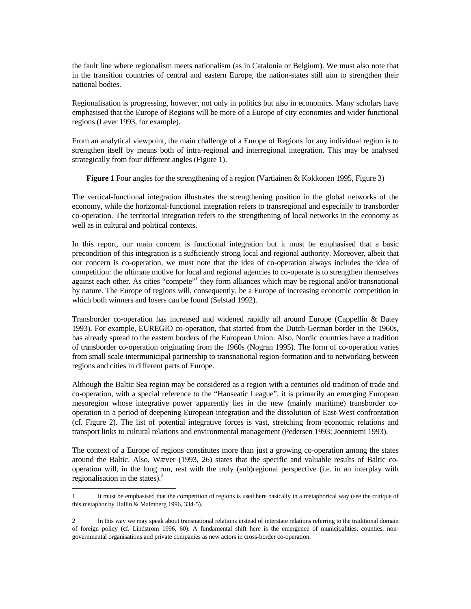the fault line where regionalism meets nationalism (as in Catalonia or Belgium). We must also note that in the transition countries of central and eastern Europe, the nation-states still aim to strengthen their national bodies.

Regionalisation is progressing, however, not only in politics but also in economics. Many scholars have emphasised that the Europe of Regions will be more of a Europe of city economies and wider functional regions (Lever 1993, for example).

From an analytical viewpoint, the main challenge of a Europe of Regions for any individual region is to strengthen itself by means both of intra-regional and interregional integration. This may be analysed strategically from four different angles (Figure 1).

**Figure 1** Four angles for the strengthening of a region (Vartiainen & Kokkonen 1995, Figure 3)

The vertical-functional integration illustrates the strengthening position in the global networks of the economy, while the horizontal-functional integration refers to transregional and especially to transborder co-operation. The territorial integration refers to the strengthening of local networks in the economy as well as in cultural and political contexts.

In this report, our main concern is functional integration but it must be emphasised that a basic precondition of this integration is a sufficiently strong local and regional authority. Moreover, albeit that our concern is co-operation, we must note that the idea of co-operation always includes the idea of competition: the ultimate motive for local and regional agencies to co-operate is to strengthen themselves against each other. As cities "compete"<sup>1</sup> they form alliances which may be regional and/or transnational by nature. The Europe of regions will, consequently, be a Europe of increasing economic competition in which both winners and losers can be found (Selstad 1992).

Transborder co-operation has increased and widened rapidly all around Europe (Cappellin & Batey 1993). For example, EUREGIO co-operation, that started from the Dutch-German border in the 1960s, has already spread to the eastern borders of the European Union. Also, Nordic countries have a tradition of transborder co-operation originating from the 1960s (Nogran 1995). The form of co-operation varies from small scale intermunicipal partnership to transnational region-formation and to networking between regions and cities in different parts of Europe.

Although the Baltic Sea region may be considered as a region with a centuries old tradition of trade and co-operation, with a special reference to the "Hanseatic League", it is primarily an emerging European mesoregion whose integrative power apparently lies in the new (mainly maritime) transborder cooperation in a period of deepening European integration and the dissolution of East-West confrontation (cf. Figure 2). The list of potential integrative forces is vast, stretching from economic relations and transport links to cultural relations and environmental management (Pedersen 1993; Joenniemi 1993).

The context of a Europe of regions constitutes more than just a growing co-operation among the states around the Baltic. Also, Wæver (1993, 26) states that the specific and valuable results of Baltic cooperation will, in the long run, rest with the truly (sub)regional perspective (i.e. in an interplay with regionalisation in the states). $<sup>2</sup>$ </sup>

<sup>1</sup> It must be emphasised that the competition of regions is used here basically in a metaphorical way (see the critique of this metaphor by Hallin & Malmberg 1996, 334-5).

<sup>2</sup> In this way we may speak about transnational relations instead of interstate relations referring to the traditional domain of foreign policy (cf. Lindström 1996, 60). A fundamental shift here is the emergence of municipalities, counties, nongovernmental organisations and private companies as new actors in cross-border co-operation.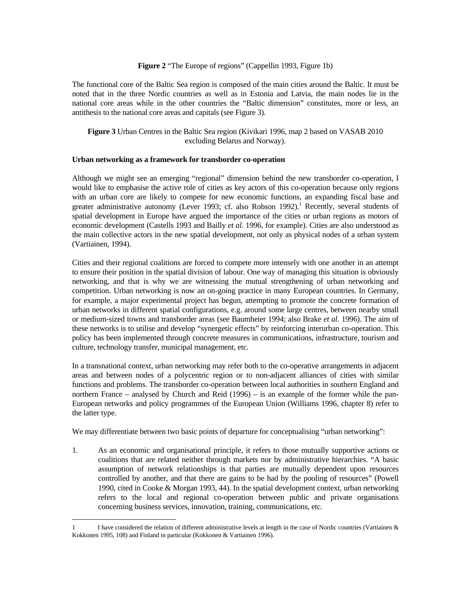### **Figure 2** "The Europe of regions" (Cappellin 1993, Figure 1b)

The functional core of the Baltic Sea region is composed of the main cities around the Baltic. It must be noted that in the three Nordic countries as well as in Estonia and Latvia, the main nodes lie in the national core areas while in the other countries the "Baltic dimension" constitutes, more or less, an antithesis to the national core areas and capitals (see Figure 3).

# **Figure 3** Urban Centres in the Baltic Sea region (Kivikari 1996, map 2 based on VASAB 2010 excluding Belarus and Norway).

#### **Urban networking as a framework for transborder co-operation**

Although we might see an emerging "regional" dimension behind the new transborder co-operation, I would like to emphasise the active role of cities as key actors of this co-operation because only regions with an urban core are likely to compete for new economic functions, an expanding fiscal base and greater administrative autonomy (Lever 1993; cf. also Robson 1992).<sup>1</sup> Recently, several students of spatial development in Europe have argued the importance of the cities or urban regions as motors of economic development (Castells 1993 and Bailly *et al.* 1996, for example). Cities are also understood as the main collective actors in the new spatial development, not only as physical nodes of a urban system (Vartiainen, 1994).

Cities and their regional coalitions are forced to compete more intensely with one another in an attempt to ensure their position in the spatial division of labour. One way of managing this situation is obviously networking, and that is why we are witnessing the mutual strengthening of urban networking and competition. Urban networking is now an on-going practice in many European countries. In Germany, for example, a major experimental project has begun, attempting to promote the concrete formation of urban networks in different spatial configurations, e.g. around some large centres, between nearby small or medium-sized towns and transborder areas (see Baumheier 1994; also Brake *et al.* 1996). The aim of these networks is to utilise and develop "synergetic effects" by reinforcing interurban co-operation. This policy has been implemented through concrete measures in communications, infrastructure, tourism and culture, technology transfer, municipal management, etc.

In a transnational context, urban networking may refer both to the co-operative arrangements in adjacent areas and between nodes of a polycentric region or to non-adjacent alliances of cities with similar functions and problems. The transborder co-operation between local authorities in southern England and northern France – analysed by Church and Reid (1996) – is an example of the former while the pan-European networks and policy programmes of the European Union (Williams 1996, chapter 8) refer to the latter type.

We may differentiate between two basic points of departure for conceptualising "urban networking":

1. As an economic and organisational principle, it refers to those mutually supportive actions or coalitions that are related neither through markets nor by administrative hierarchies. "A basic assumption of network relationships is that parties are mutually dependent upon resources controlled by another, and that there are gains to be had by the pooling of resources" (Powell 1990, cited in Cooke & Morgan 1993, 44). In the spatial development context, urban networking refers to the local and regional co-operation between public and private organisations concerning business services, innovation, training, communications, etc.

<sup>1</sup> I have considered the relation of different administrative levels at length in the case of Nordic countries (Vartiainen & Kokkonen 1995, 108) and Finland in particular (Kokkonen & Vartiainen 1996).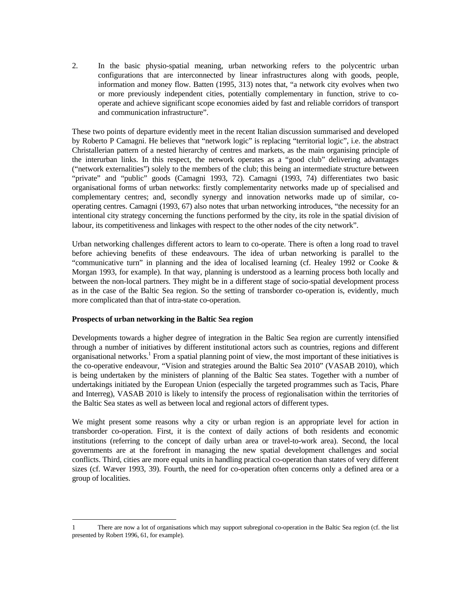2. In the basic physio-spatial meaning, urban networking refers to the polycentric urban configurations that are interconnected by linear infrastructures along with goods, people, information and money flow. Batten (1995, 313) notes that, "a network city evolves when two or more previously independent cities, potentially complementary in function, strive to cooperate and achieve significant scope economies aided by fast and reliable corridors of transport and communication infrastructure".

These two points of departure evidently meet in the recent Italian discussion summarised and developed by Roberto P Camagni. He believes that "network logic" is replacing "territorial logic", i.e. the abstract Christallerian pattern of a nested hierarchy of centres and markets, as the main organising principle of the interurban links. In this respect, the network operates as a "good club" delivering advantages ("network externalities") solely to the members of the club; this being an intermediate structure between "private" and "public" goods (Camagni 1993, 72). Camagni (1993, 74) differentiates two basic organisational forms of urban networks: firstly complementarity networks made up of specialised and complementary centres; and, secondly synergy and innovation networks made up of similar, cooperating centres. Camagni (1993, 67) also notes that urban networking introduces, "the necessity for an intentional city strategy concerning the functions performed by the city, its role in the spatial division of labour, its competitiveness and linkages with respect to the other nodes of the city network".

Urban networking challenges different actors to learn to co-operate. There is often a long road to travel before achieving benefits of these endeavours. The idea of urban networking is parallel to the "communicative turn" in planning and the idea of localised learning (cf. Healey 1992 or Cooke & Morgan 1993, for example). In that way, planning is understood as a learning process both locally and between the non-local partners. They might be in a different stage of socio-spatial development process as in the case of the Baltic Sea region. So the setting of transborder co-operation is, evidently, much more complicated than that of intra-state co-operation.

## **Prospects of urban networking in the Baltic Sea region**

Developments towards a higher degree of integration in the Baltic Sea region are currently intensified through a number of initiatives by different institutional actors such as countries, regions and different organisational networks.<sup>1</sup> From a spatial planning point of view, the most important of these initiatives is the co-operative endeavour, "Vision and strategies around the Baltic Sea 2010" (VASAB 2010), which is being undertaken by the ministers of planning of the Baltic Sea states. Together with a number of undertakings initiated by the European Union (especially the targeted programmes such as Tacis, Phare and Interreg), VASAB 2010 is likely to intensify the process of regionalisation within the territories of the Baltic Sea states as well as between local and regional actors of different types.

We might present some reasons why a city or urban region is an appropriate level for action in transborder co-operation. First, it is the context of daily actions of both residents and economic institutions (referring to the concept of daily urban area or travel-to-work area). Second, the local governments are at the forefront in managing the new spatial development challenges and social conflicts. Third, cities are more equal units in handling practical co-operation than states of very different sizes (cf. Wæver 1993, 39). Fourth, the need for co-operation often concerns only a defined area or a group of localities.

<sup>1</sup> There are now a lot of organisations which may support subregional co-operation in the Baltic Sea region (cf. the list presented by Robert 1996, 61, for example).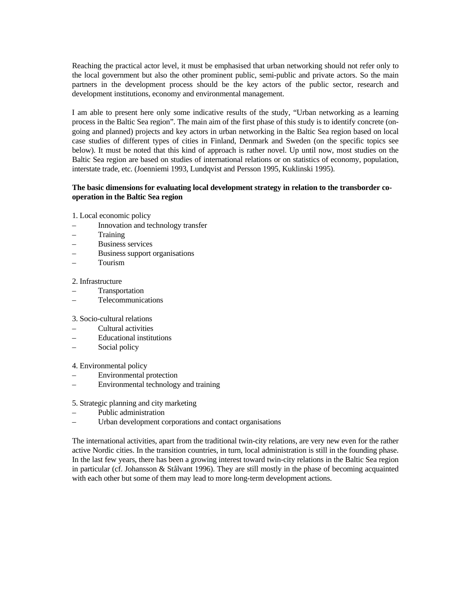Reaching the practical actor level, it must be emphasised that urban networking should not refer only to the local government but also the other prominent public, semi-public and private actors. So the main partners in the development process should be the key actors of the public sector, research and development institutions, economy and environmental management.

I am able to present here only some indicative results of the study, "Urban networking as a learning process in the Baltic Sea region". The main aim of the first phase of this study is to identify concrete (ongoing and planned) projects and key actors in urban networking in the Baltic Sea region based on local case studies of different types of cities in Finland, Denmark and Sweden (on the specific topics see below). It must be noted that this kind of approach is rather novel. Up until now, most studies on the Baltic Sea region are based on studies of international relations or on statistics of economy, population, interstate trade, etc. (Joenniemi 1993, Lundqvist and Persson 1995, Kuklinski 1995).

# **The basic dimensions for evaluating local development strategy in relation to the transborder cooperation in the Baltic Sea region**

1. Local economic policy

- Innovation and technology transfer
- Training
- Business services
- Business support organisations
- Tourism

#### 2. Infrastructure

- **Transportation**
- Telecommunications

#### 3. Socio-cultural relations

- Cultural activities
- Educational institutions
- Social policy

#### 4. Environmental policy

- Environmental protection
- Environmental technology and training

#### 5. Strategic planning and city marketing

- Public administration
- Urban development corporations and contact organisations

The international activities, apart from the traditional twin-city relations, are very new even for the rather active Nordic cities. In the transition countries, in turn, local administration is still in the founding phase. In the last few years, there has been a growing interest toward twin-city relations in the Baltic Sea region in particular (cf. Johansson & Stålvant 1996). They are still mostly in the phase of becoming acquainted with each other but some of them may lead to more long-term development actions.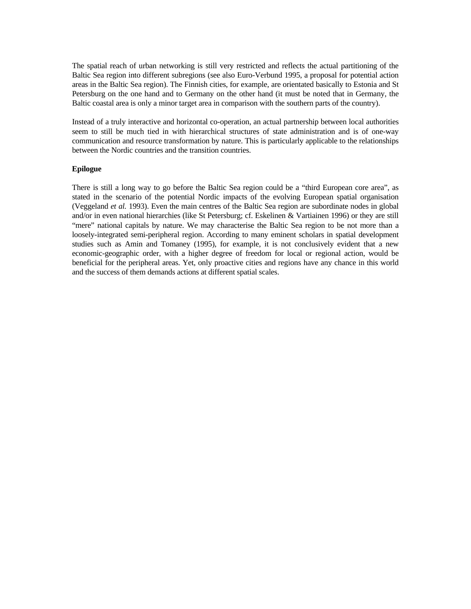The spatial reach of urban networking is still very restricted and reflects the actual partitioning of the Baltic Sea region into different subregions (see also Euro-Verbund 1995, a proposal for potential action areas in the Baltic Sea region). The Finnish cities, for example, are orientated basically to Estonia and St Petersburg on the one hand and to Germany on the other hand (it must be noted that in Germany, the Baltic coastal area is only a minor target area in comparison with the southern parts of the country).

Instead of a truly interactive and horizontal co-operation, an actual partnership between local authorities seem to still be much tied in with hierarchical structures of state administration and is of one-way communication and resource transformation by nature. This is particularly applicable to the relationships between the Nordic countries and the transition countries.

#### **Epilogue**

There is still a long way to go before the Baltic Sea region could be a "third European core area", as stated in the scenario of the potential Nordic impacts of the evolving European spatial organisation (Veggeland *et al.* 1993). Even the main centres of the Baltic Sea region are subordinate nodes in global and/or in even national hierarchies (like St Petersburg; cf. Eskelinen & Vartiainen 1996) or they are still "mere" national capitals by nature. We may characterise the Baltic Sea region to be not more than a loosely-integrated semi-peripheral region. According to many eminent scholars in spatial development studies such as Amin and Tomaney (1995), for example, it is not conclusively evident that a new economic-geographic order, with a higher degree of freedom for local or regional action, would be beneficial for the peripheral areas. Yet, only proactive cities and regions have any chance in this world and the success of them demands actions at different spatial scales.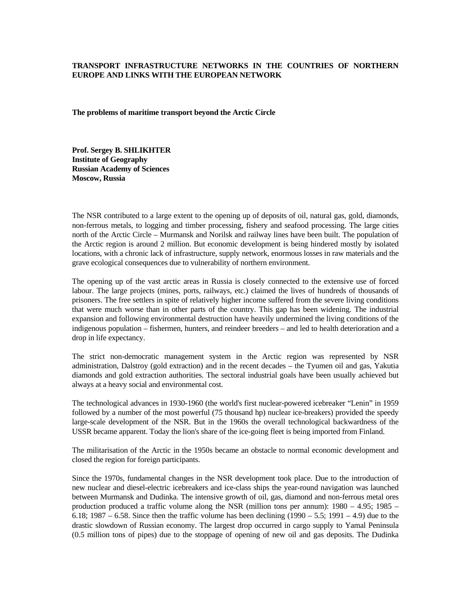# **TRANSPORT INFRASTRUCTURE NETWORKS IN THE COUNTRIES OF NORTHERN EUROPE AND LINKS WITH THE EUROPEAN NETWORK**

**The problems of maritime transport beyond the Arctic Circle** 

**Prof. Sergey B. SHLIKHTER Institute of Geography Russian Academy of Sciences Moscow, Russia**

The NSR contributed to a large extent to the opening up of deposits of oil, natural gas, gold, diamonds, non-ferrous metals, to logging and timber processing, fishery and seafood processing. The large cities north of the Arctic Circle – Murmansk and Norilsk and railway lines have been built. The population of the Arctic region is around 2 million. But economic development is being hindered mostly by isolated locations, with a chronic lack of infrastructure, supply network, enormous losses in raw materials and the grave ecological consequences due to vulnerability of northern environment.

The opening up of the vast arctic areas in Russia is closely connected to the extensive use of forced labour. The large projects (mines, ports, railways, etc.) claimed the lives of hundreds of thousands of prisoners. The free settlers in spite of relatively higher income suffered from the severe living conditions that were much worse than in other parts of the country. This gap has been widening. The industrial expansion and following environmental destruction have heavily undermined the living conditions of the indigenous population – fishermen, hunters, and reindeer breeders – and led to health deterioration and a drop in life expectancy.

The strict non-democratic management system in the Arctic region was represented by NSR administration, Dalstroy (gold extraction) and in the recent decades – the Tyumen oil and gas, Yakutia diamonds and gold extraction authorities. The sectoral industrial goals have been usually achieved but always at a heavy social and environmental cost.

The technological advances in 1930-1960 (the world's first nuclear-powered icebreaker "Lenin" in 1959 followed by a number of the most powerful (75 thousand hp) nuclear ice-breakers) provided the speedy large-scale development of the NSR. But in the 1960s the overall technological backwardness of the USSR became apparent. Today the lion's share of the ice-going fleet is being imported from Finland.

The militarisation of the Arctic in the 1950s became an obstacle to normal economic development and closed the region for foreign participants.

Since the 1970s, fundamental changes in the NSR development took place. Due to the introduction of new nuclear and diesel-electric icebreakers and ice-class ships the year-round navigation was launched between Murmansk and Dudinka. The intensive growth of oil, gas, diamond and non-ferrous metal ores production produced a traffic volume along the NSR (million tons per annum): 1980 – 4.95; 1985 – 6.18; 1987 – 6.58. Since then the traffic volume has been declining  $(1990 - 5.5; 1991 - 4.9)$  due to the drastic slowdown of Russian economy. The largest drop occurred in cargo supply to Yamal Peninsula (0.5 million tons of pipes) due to the stoppage of opening of new oil and gas deposits. The Dudinka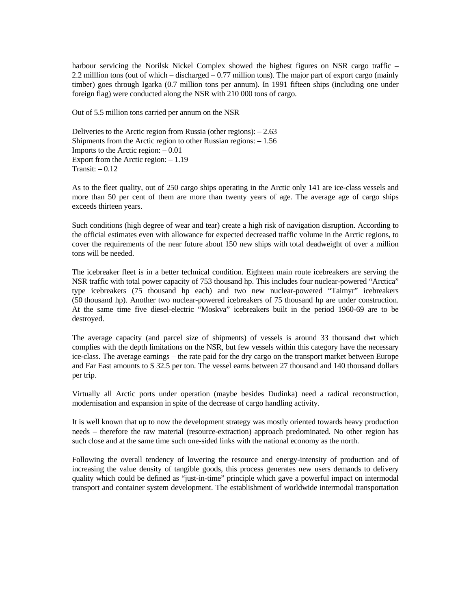harbour servicing the Norilsk Nickel Complex showed the highest figures on NSR cargo traffic – 2.2 milllion tons (out of which – discharged – 0.77 million tons). The major part of export cargo (mainly timber) goes through Igarka (0.7 million tons per annum). In 1991 fifteen ships (including one under foreign flag) were conducted along the NSR with 210 000 tons of cargo.

Out of 5.5 million tons carried per annum on the NSR

Deliveries to the Arctic region from Russia (other regions): – 2.63 Shipments from the Arctic region to other Russian regions: – 1.56 Imports to the Arctic region:  $-0.01$ Export from the Arctic region: – 1.19  $Transit: -0.12$ 

As to the fleet quality, out of 250 cargo ships operating in the Arctic only 141 are ice-class vessels and more than 50 per cent of them are more than twenty years of age. The average age of cargo ships exceeds thirteen years.

Such conditions (high degree of wear and tear) create a high risk of navigation disruption. According to the official estimates even with allowance for expected decreased traffic volume in the Arctic regions, to cover the requirements of the near future about 150 new ships with total deadweight of over a million tons will be needed.

The icebreaker fleet is in a better technical condition. Eighteen main route icebreakers are serving the NSR traffic with total power capacity of 753 thousand hp. This includes four nuclear-powered "Arctica" type icebreakers (75 thousand hp each) and two new nuclear-powered "Taimyr" icebreakers (50 thousand hp). Another two nuclear-powered icebreakers of 75 thousand hp are under construction. At the same time five diesel-electric "Moskva" icebreakers built in the period 1960-69 are to be destroyed.

The average capacity (and parcel size of shipments) of vessels is around 33 thousand dwt which complies with the depth limitations on the NSR, but few vessels within this category have the necessary ice-class. The average earnings – the rate paid for the dry cargo on the transport market between Europe and Far East amounts to \$ 32.5 per ton. The vessel earns between 27 thousand and 140 thousand dollars per trip.

Virtually all Arctic ports under operation (maybe besides Dudinka) need a radical reconstruction, modernisation and expansion in spite of the decrease of cargo handling activity.

It is well known that up to now the development strategy was mostly oriented towards heavy production needs – therefore the raw material (resource-extraction) approach predominated. No other region has such close and at the same time such one-sided links with the national economy as the north.

Following the overall tendency of lowering the resource and energy-intensity of production and of increasing the value density of tangible goods, this process generates new users demands to delivery quality which could be defined as "just-in-time" principle which gave a powerful impact on intermodal transport and container system development. The establishment of worldwide intermodal transportation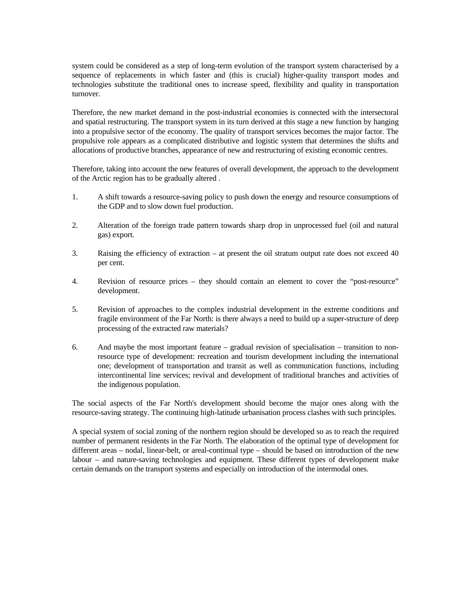system could be considered as a step of long-term evolution of the transport system characterised by a sequence of replacements in which faster and (this is crucial) higher-quality transport modes and technologies substitute the traditional ones to increase speed, flexibility and quality in transportation turnover.

Therefore, the new market demand in the post-industrial economies is connected with the intersectoral and spatial restructuring. The transport system in its turn derived at this stage a new function by hanging into a propulsive sector of the economy. The quality of transport services becomes the major factor. The propulsive role appears as a complicated distributive and logistic system that determines the shifts and allocations of productive branches, appearance of new and restructuring of existing economic centres.

Therefore, taking into account the new features of overall development, the approach to the development of the Arctic region has to be gradually altered .

- 1. A shift towards a resource-saving policy to push down the energy and resource consumptions of the GDP and to slow down fuel production.
- 2. Alteration of the foreign trade pattern towards sharp drop in unprocessed fuel (oil and natural gas) export.
- 3. Raising the efficiency of extraction at present the oil stratum output rate does not exceed 40 per cent.
- 4. Revision of resource prices they should contain an element to cover the "post-resource" development.
- 5. Revision of approaches to the complex industrial development in the extreme conditions and fragile environment of the Far North: is there always a need to build up a super-structure of deep processing of the extracted raw materials?
- 6. And maybe the most important feature gradual revision of specialisation transition to nonresource type of development: recreation and tourism development including the international one; development of transportation and transit as well as communication functions, including intercontinental line services; revival and development of traditional branches and activities of the indigenous population.

The social aspects of the Far North's development should become the major ones along with the resource-saving strategy. The continuing high-latitude urbanisation process clashes with such principles.

A special system of social zoning of the northern region should be developed so as to reach the required number of permanent residents in the Far North. The elaboration of the optimal type of development for different areas – nodal, linear-belt, or areal-continual type – should be based on introduction of the new labour – and nature-saving technologies and equipment. These different types of development make certain demands on the transport systems and especially on introduction of the intermodal ones.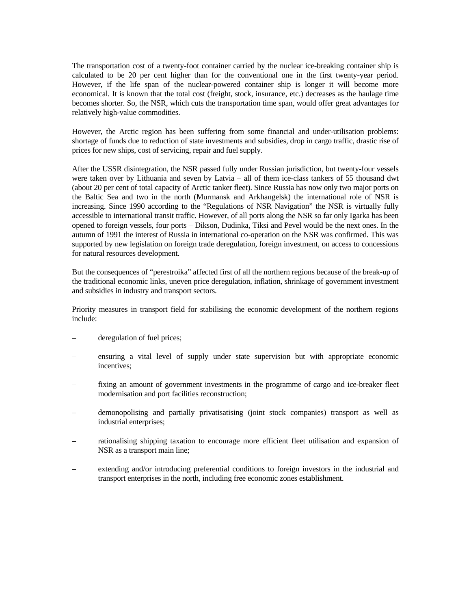The transportation cost of a twenty-foot container carried by the nuclear ice-breaking container ship is calculated to be 20 per cent higher than for the conventional one in the first twenty-year period. However, if the life span of the nuclear-powered container ship is longer it will become more economical. It is known that the total cost (freight, stock, insurance, etc.) decreases as the haulage time becomes shorter. So, the NSR, which cuts the transportation time span, would offer great advantages for relatively high-value commodities.

However, the Arctic region has been suffering from some financial and under-utilisation problems: shortage of funds due to reduction of state investments and subsidies, drop in cargo traffic, drastic rise of prices for new ships, cost of servicing, repair and fuel supply.

After the USSR disintegration, the NSR passed fully under Russian jurisdiction, but twenty-four vessels were taken over by Lithuania and seven by Latvia – all of them ice-class tankers of 55 thousand dwt (about 20 per cent of total capacity of Arctic tanker fleet). Since Russia has now only two major ports on the Baltic Sea and two in the north (Murmansk and Arkhangelsk) the international role of NSR is increasing. Since 1990 according to the "Regulations of NSR Navigation" the NSR is virtually fully accessible to international transit traffic. However, of all ports along the NSR so far only Igarka has been opened to foreign vessels, four ports – Dikson, Dudinka, Tiksi and Pevel would be the next ones. In the autumn of 1991 the interest of Russia in international co-operation on the NSR was confirmed. This was supported by new legislation on foreign trade deregulation, foreign investment, on access to concessions for natural resources development.

But the consequences of "perestroika" affected first of all the northern regions because of the break-up of the traditional economic links, uneven price deregulation, inflation, shrinkage of government investment and subsidies in industry and transport sectors.

Priority measures in transport field for stabilising the economic development of the northern regions include:

- deregulation of fuel prices;
- ensuring a vital level of supply under state supervision but with appropriate economic incentives;
- fixing an amount of government investments in the programme of cargo and ice-breaker fleet modernisation and port facilities reconstruction;
- demonopolising and partially privatisatising (joint stock companies) transport as well as industrial enterprises;
- rationalising shipping taxation to encourage more efficient fleet utilisation and expansion of NSR as a transport main line;
- extending and/or introducing preferential conditions to foreign investors in the industrial and transport enterprises in the north, including free economic zones establishment.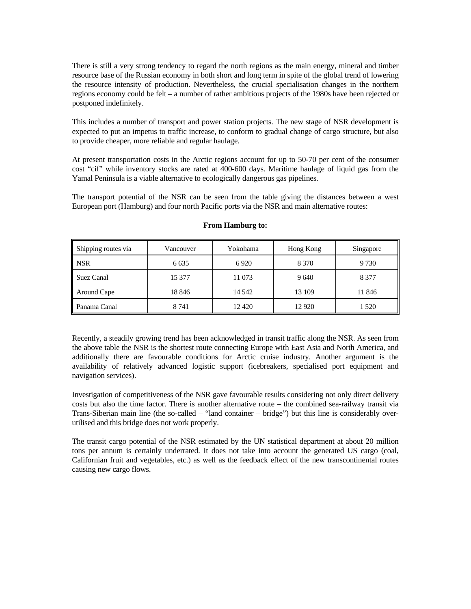There is still a very strong tendency to regard the north regions as the main energy, mineral and timber resource base of the Russian economy in both short and long term in spite of the global trend of lowering the resource intensity of production. Nevertheless, the crucial specialisation changes in the northern regions economy could be felt – a number of rather ambitious projects of the 1980s have been rejected or postponed indefinitely.

This includes a number of transport and power station projects. The new stage of NSR development is expected to put an impetus to traffic increase, to conform to gradual change of cargo structure, but also to provide cheaper, more reliable and regular haulage.

At present transportation costs in the Arctic regions account for up to 50-70 per cent of the consumer cost "cif" while inventory stocks are rated at 400-600 days. Maritime haulage of liquid gas from the Yamal Peninsula is a viable alternative to ecologically dangerous gas pipelines.

The transport potential of the NSR can be seen from the table giving the distances between a west European port (Hamburg) and four north Pacific ports via the NSR and main alternative routes:

| Shipping routes via | Vancouver | Yokohama | Hong Kong | Singapore |
|---------------------|-----------|----------|-----------|-----------|
| <b>NSR</b>          | 6 6 3 5   | 6920     | 8 3 7 0   | 9 7 3 0   |
| Suez Canal          | 15 377    | 11 073   | 9640      | 8 3 7 7   |
| Around Cape         | 18 846    | 14 5 42  | 13 109    | 11 846    |
| Panama Canal        | 8 7 4 1   | 12420    | 12 9 20   | 1 5 2 0   |

#### **From Hamburg to:**

Recently, a steadily growing trend has been acknowledged in transit traffic along the NSR. As seen from the above table the NSR is the shortest route connecting Europe with East Asia and North America, and additionally there are favourable conditions for Arctic cruise industry. Another argument is the availability of relatively advanced logistic support (icebreakers, specialised port equipment and navigation services).

Investigation of competitiveness of the NSR gave favourable results considering not only direct delivery costs but also the time factor. There is another alternative route – the combined sea-railway transit via Trans-Siberian main line (the so-called – "land container – bridge") but this line is considerably overutilised and this bridge does not work properly.

The transit cargo potential of the NSR estimated by the UN statistical department at about 20 million tons per annum is certainly underrated. It does not take into account the generated US cargo (coal, Californian fruit and vegetables, etc.) as well as the feedback effect of the new transcontinental routes causing new cargo flows.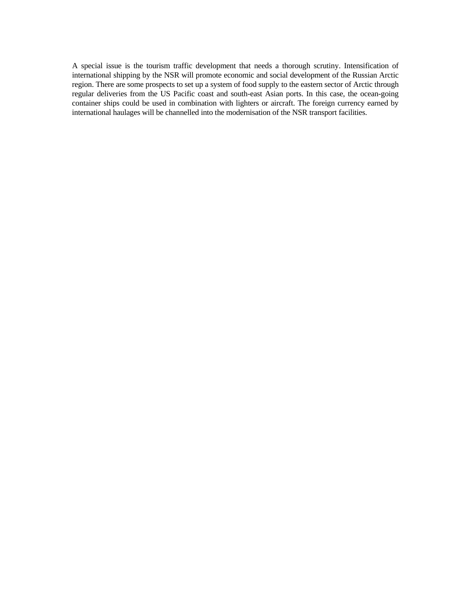A special issue is the tourism traffic development that needs a thorough scrutiny. Intensification of international shipping by the NSR will promote economic and social development of the Russian Arctic region. There are some prospects to set up a system of food supply to the eastern sector of Arctic through regular deliveries from the US Pacific coast and south-east Asian ports. In this case, the ocean-going container ships could be used in combination with lighters or aircraft. The foreign currency earned by international haulages will be channelled into the modernisation of the NSR transport facilities.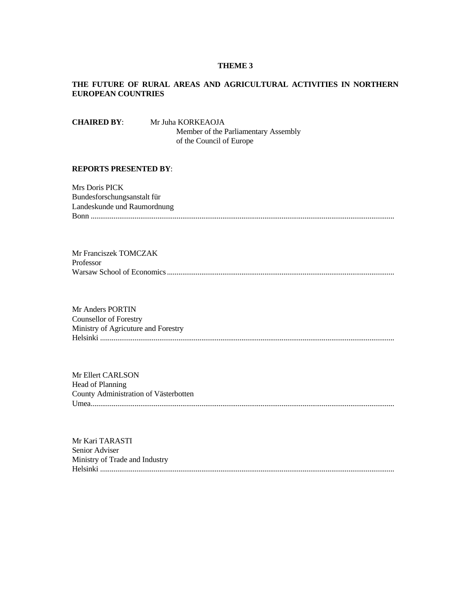#### **THEME 3**

# **THE FUTURE OF RURAL AREAS AND AGRICULTURAL ACTIVITIES IN NORTHERN EUROPEAN COUNTRIES**

**CHAIRED BY**: Mr Juha KORKEAOJA Member of the Parliamentary Assembly of the Council of Europe

## **REPORTS PRESENTED BY**:

Mrs Doris PICK Bundesforschungsanstalt für Landeskunde und Raumordnung Bonn ...............................................................................................................................................................

Mr Franciszek TOMCZAK Professor Warsaw School of Economics .......................................................................................................................

Mr Anders PORTIN Counsellor of Forestry Ministry of Agricuture and Forestry Helsinki ..........................................................................................................................................................

Mr Ellert CARLSON Head of Planning County Administration of Västerbotten Umea...............................................................................................................................................................

Mr Kari TARASTI Senior Adviser Ministry of Trade and Industry Helsinki ..........................................................................................................................................................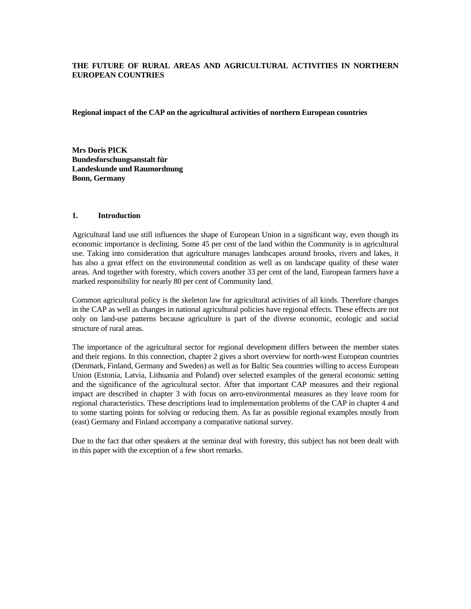# **THE FUTURE OF RURAL AREAS AND AGRICULTURAL ACTIVITIES IN NORTHERN EUROPEAN COUNTRIES**

**Regional impact of the CAP on the agricultural activities of northern European countries** 

**Mrs Doris PICK Bundesforschungsanstalt für Landeskunde und Raumordnung Bonn, Germany**

# **1. Introduction**

Agricultural land use still influences the shape of European Union in a significant way, even though its economic importance is declining. Some 45 per cent of the land within the Community is in agricultural use. Taking into consideration that agriculture manages landscapes around brooks, rivers and lakes, it has also a great effect on the environmental condition as well as on landscape quality of these water areas. And together with forestry, which covers another 33 per cent of the land, European farmers have a marked responsibility for nearly 80 per cent of Community land.

Common agricultural policy is the skeleton law for agricultural activities of all kinds. Therefore changes in the CAP as well as changes in national agricultural policies have regional effects. These effects are not only on land-use patterns because agriculture is part of the diverse economic, ecologic and social structure of rural areas.

The importance of the agricultural sector for regional development differs between the member states and their regions. In this connection, chapter 2 gives a short overview for north-west European countries (Denmark, Finland, Germany and Sweden) as well as for Baltic Sea countries willing to access European Union (Estonia, Latvia, Lithuania and Poland) over selected examples of the general economic setting and the significance of the agricultural sector. After that important CAP measures and their regional impact are described in chapter 3 with focus on aero-environmental measures as they leave room for regional characteristics. These descriptions lead to implementation problems of the CAP in chapter 4 and to some starting points for solving or reducing them. As far as possible regional examples mostly from (east) Germany and Finland accompany a comparative national survey.

Due to the fact that other speakers at the seminar deal with forestry, this subject has not been dealt with in this paper with the exception of a few short remarks.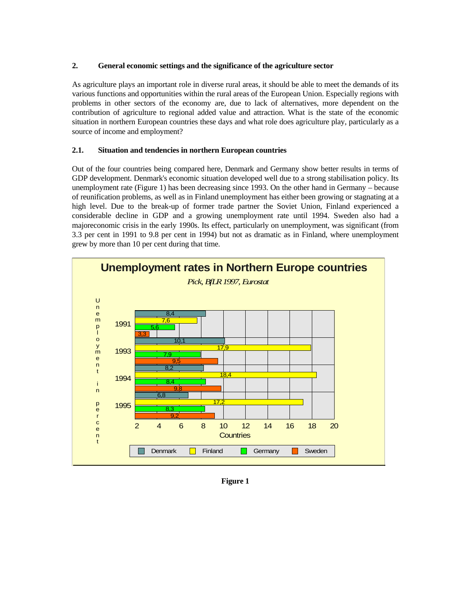# **2. General economic settings and the significance of the agriculture sector**

As agriculture plays an important role in diverse rural areas, it should be able to meet the demands of its various functions and opportunities within the rural areas of the European Union. Especially regions with problems in other sectors of the economy are, due to lack of alternatives, more dependent on the contribution of agriculture to regional added value and attraction. What is the state of the economic situation in northern European countries these days and what role does agriculture play, particularly as a source of income and employment?

# **2.1. Situation and tendencies in northern European countries**

Out of the four countries being compared here, Denmark and Germany show better results in terms of GDP development. Denmark's economic situation developed well due to a strong stabilisation policy. Its unemployment rate (Figure 1) has been decreasing since 1993. On the other hand in Germany – because of reunification problems, as well as in Finland unemployment has either been growing or stagnating at a high level. Due to the break-up of former trade partner the Soviet Union, Finland experienced a considerable decline in GDP and a growing unemployment rate until 1994. Sweden also had a majoreconomic crisis in the early 1990s. Its effect, particularly on unemployment, was significant (from 3.3 per cent in 1991 to 9.8 per cent in 1994) but not as dramatic as in Finland, where unemployment grew by more than 10 per cent during that time.



**Figure 1**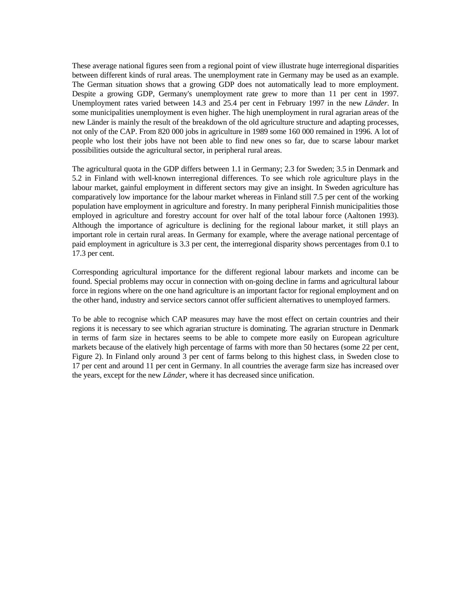These average national figures seen from a regional point of view illustrate huge interregional disparities between different kinds of rural areas. The unemployment rate in Germany may be used as an example. The German situation shows that a growing GDP does not automatically lead to more employment. Despite a growing GDP, Germany's unemployment rate grew to more than 11 per cent in 1997. Unemployment rates varied between 14.3 and 25.4 per cent in February 1997 in the new *Länder*. In some municipalities unemployment is even higher. The high unemployment in rural agrarian areas of the new Länder is mainly the result of the breakdown of the old agriculture structure and adapting processes, not only of the CAP. From 820 000 jobs in agriculture in 1989 some 160 000 remained in 1996. A lot of people who lost their jobs have not been able to find new ones so far, due to scarse labour market possibilities outside the agricultural sector, in peripheral rural areas.

The agricultural quota in the GDP differs between 1.1 in Germany; 2.3 for Sweden; 3.5 in Denmark and 5.2 in Finland with well-known interregional differences. To see which role agriculture plays in the labour market, gainful employment in different sectors may give an insight. In Sweden agriculture has comparatively low importance for the labour market whereas in Finland still 7.5 per cent of the working population have employment in agriculture and forestry. In many peripheral Finnish municipalities those employed in agriculture and forestry account for over half of the total labour force (Aaltonen 1993). Although the importance of agriculture is declining for the regional labour market, it still plays an important role in certain rural areas. In Germany for example, where the average national percentage of paid employment in agriculture is 3.3 per cent, the interregional disparity shows percentages from 0.1 to 17.3 per cent.

Corresponding agricultural importance for the different regional labour markets and income can be found. Special problems may occur in connection with on-going decline in farms and agricultural labour force in regions where on the one hand agriculture is an important factor for regional employment and on the other hand, industry and service sectors cannot offer sufficient alternatives to unemployed farmers.

To be able to recognise which CAP measures may have the most effect on certain countries and their regions it is necessary to see which agrarian structure is dominating. The agrarian structure in Denmark in terms of farm size in hectares seems to be able to compete more easily on European agriculture markets because of the elatively high percentage of farms with more than 50 hectares (some 22 per cent, Figure 2). In Finland only around 3 per cent of farms belong to this highest class, in Sweden close to 17 per cent and around 11 per cent in Germany. In all countries the average farm size has increased over the years, except for the new *Länder*, where it has decreased since unification.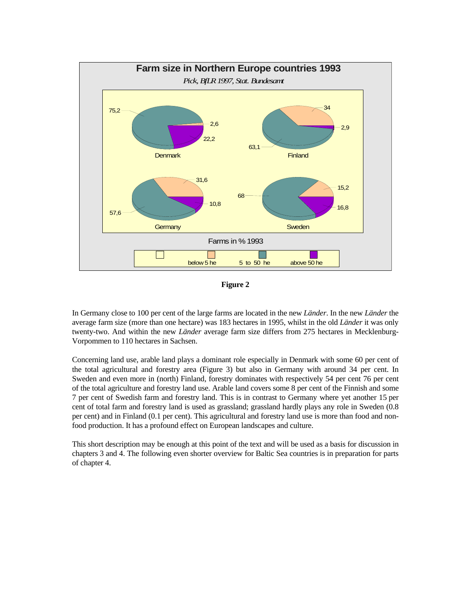

**Figure 2** 

In Germany close to 100 per cent of the large farms are located in the new *Länder*. In the new *Länder* the average farm size (more than one hectare) was 183 hectares in 1995, whilst in the old *Länder* it was only twenty-two. And within the new *Länder* average farm size differs from 275 hectares in Mecklenburg-Vorpommen to 110 hectares in Sachsen.

Concerning land use, arable land plays a dominant role especially in Denmark with some 60 per cent of the total agricultural and forestry area (Figure 3) but also in Germany with around 34 per cent. In Sweden and even more in (north) Finland, forestry dominates with respectively 54 per cent 76 per cent of the total agriculture and forestry land use. Arable land covers some 8 per cent of the Finnish and some 7 per cent of Swedish farm and forestry land. This is in contrast to Germany where yet another 15 per cent of total farm and forestry land is used as grassland; grassland hardly plays any role in Sweden (0.8 per cent) and in Finland (0.1 per cent). This agricultural and forestry land use is more than food and nonfood production. It has a profound effect on European landscapes and culture.

This short description may be enough at this point of the text and will be used as a basis for discussion in chapters 3 and 4. The following even shorter overview for Baltic Sea countries is in preparation for parts of chapter 4.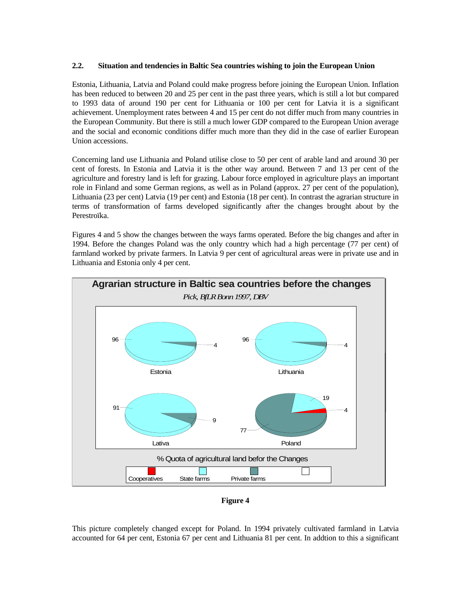# **2.2. Situation and tendencies in Baltic Sea countries wishing to join the European Union**

Estonia, Lithuania, Latvia and Poland could make progress before joining the European Union. Inflation has been reduced to between 20 and 25 per cent in the past three years, which is still a lot but compared to 1993 data of around 190 per cent for Lithuania or 100 per cent for Latvia it is a significant achievement. Unemployment rates between 4 and 15 per cent do not differ much from many countries in the European Community. But there is still a much lower GDP compared to the European Union average and the social and economic conditions differ much more than they did in the case of earlier European Union accessions.

Concerning land use Lithuania and Poland utilise close to 50 per cent of arable land and around 30 per cent of forests. In Estonia and Latvia it is the other way around. Between 7 and 13 per cent of the agriculture and forestry land is left for grazing. Labour force employed in agriculture plays an important role in Finland and some German regions, as well as in Poland (approx. 27 per cent of the population), Lithuania (23 per cent) Latvia (19 per cent) and Estonia (18 per cent). In contrast the agrarian structure in terms of transformation of farms developed significantly after the changes brought about by the Perestroïka.

Figures 4 and 5 show the changes between the ways farms operated. Before the big changes and after in 1994. Before the changes Poland was the only country which had a high percentage (77 per cent) of farmland worked by private farmers. In Latvia 9 per cent of agricultural areas were in private use and in Lithuania and Estonia only 4 per cent.



**Figure 4** 

This picture completely changed except for Poland. In 1994 privately cultivated farmland in Latvia accounted for 64 per cent, Estonia 67 per cent and Lithuania 81 per cent. In addtion to this a significant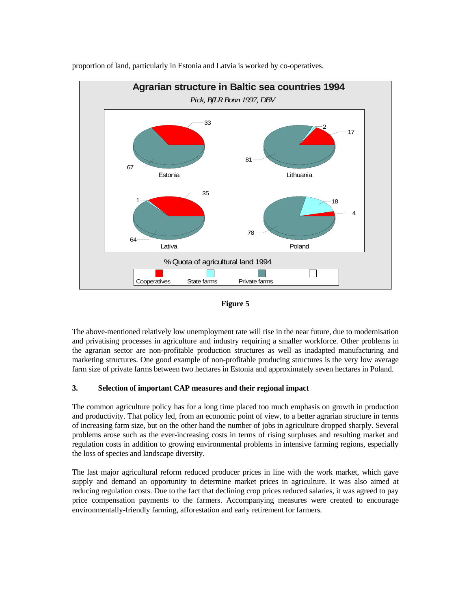

proportion of land, particularly in Estonia and Latvia is worked by co-operatives.



The above-mentioned relatively low unemployment rate will rise in the near future, due to modernisation and privatising processes in agriculture and industry requiring a smaller workforce. Other problems in the agrarian sector are non-profitable production structures as well as inadapted manufacturing and marketing structures. One good example of non-profitable producing structures is the very low average farm size of private farms between two hectares in Estonia and approximately seven hectares in Poland.

## **3. Selection of important CAP measures and their regional impact**

The common agriculture policy has for a long time placed too much emphasis on growth in production and productivity. That policy led, from an economic point of view, to a better agrarian structure in terms of increasing farm size, but on the other hand the number of jobs in agriculture dropped sharply. Several problems arose such as the ever-increasing costs in terms of rising surpluses and resulting market and regulation costs in addition to growing environmental problems in intensive farming regions, especially the loss of species and landscape diversity.

The last major agricultural reform reduced producer prices in line with the work market, which gave supply and demand an opportunity to determine market prices in agriculture. It was also aimed at reducing regulation costs. Due to the fact that declining crop prices reduced salaries, it was agreed to pay price compensation payments to the farmers. Accompanying measures were created to encourage environmentally-friendly farming, afforestation and early retirement for farmers.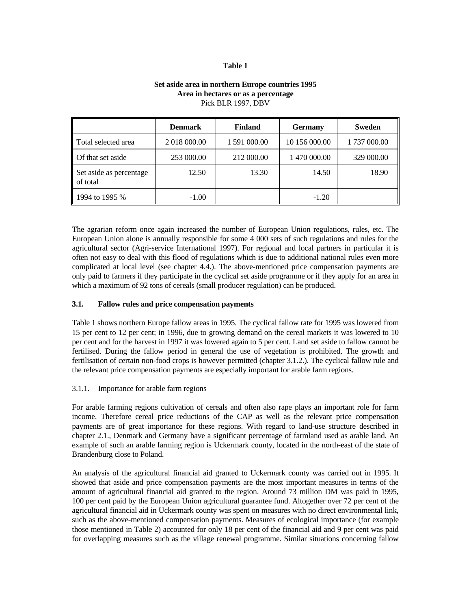## **Table 1**

|                                     | <b>Denmark</b> | <b>Finland</b> | <b>Germany</b> | <b>Sweden</b> |
|-------------------------------------|----------------|----------------|----------------|---------------|
| Total selected area                 | 2 018 000.00   | 1 591 000.00   | 10 156 000.00  | 1737 000.00   |
| Of that set aside                   | 253 000.00     | 212 000.00     | 1 470 000.00   | 329 000.00    |
| Set aside as percentage<br>of total | 12.50          | 13.30          | 14.50          | 18.90         |
| 1994 to 1995 %                      | $-1.00$        |                | $-1.20$        |               |

# **Set aside area in northern Europe countries 1995 Area in hectares or as a percentage** Pick BLR 1997, DBV

The agrarian reform once again increased the number of European Union regulations, rules, etc. The European Union alone is annually responsible for some 4 000 sets of such regulations and rules for the agricultural sector (Agri-service International 1997). For regional and local partners in particular it is often not easy to deal with this flood of regulations which is due to additional national rules even more complicated at local level (see chapter 4.4.). The above-mentioned price compensation payments are only paid to farmers if they participate in the cyclical set aside programme or if they apply for an area in which a maximum of 92 tons of cereals (small producer regulation) can be produced.

## **3.1. Fallow rules and price compensation payments**

Table 1 shows northern Europe fallow areas in 1995. The cyclical fallow rate for 1995 was lowered from 15 per cent to 12 per cent; in 1996, due to growing demand on the cereal markets it was lowered to 10 per cent and for the harvest in 1997 it was lowered again to 5 per cent. Land set aside to fallow cannot be fertilised. During the fallow period in general the use of vegetation is prohibited. The growth and fertilisation of certain non-food crops is however permitted (chapter 3.1.2.). The cyclical fallow rule and the relevant price compensation payments are especially important for arable farm regions.

## 3.1.1. Importance for arable farm regions

For arable farming regions cultivation of cereals and often also rape plays an important role for farm income. Therefore cereal price reductions of the CAP as well as the relevant price compensation payments are of great importance for these regions. With regard to land-use structure described in chapter 2.1., Denmark and Germany have a significant percentage of farmland used as arable land. An example of such an arable farming region is Uckermark county, located in the north-east of the state of Brandenburg close to Poland.

An analysis of the agricultural financial aid granted to Uckermark county was carried out in 1995. It showed that aside and price compensation payments are the most important measures in terms of the amount of agricultural financial aid granted to the region. Around 73 million DM was paid in 1995, 100 per cent paid by the European Union agricultural guarantee fund. Altogether over 72 per cent of the agricultural financial aid in Uckermark county was spent on measures with no direct environmental link, such as the above-mentioned compensation payments. Measures of ecological importance (for example those mentioned in Table 2) accounted for only 18 per cent of the financial aid and 9 per cent was paid for overlapping measures such as the village renewal programme. Similar situations concerning fallow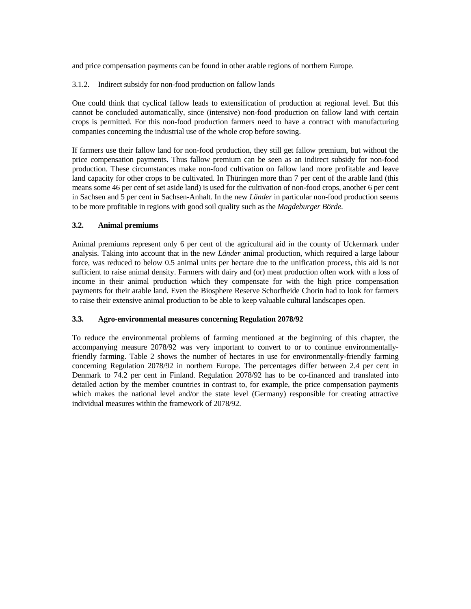and price compensation payments can be found in other arable regions of northern Europe.

# 3.1.2. Indirect subsidy for non-food production on fallow lands

One could think that cyclical fallow leads to extensification of production at regional level. But this cannot be concluded automatically, since (intensive) non-food production on fallow land with certain crops is permitted. For this non-food production farmers need to have a contract with manufacturing companies concerning the industrial use of the whole crop before sowing.

If farmers use their fallow land for non-food production, they still get fallow premium, but without the price compensation payments. Thus fallow premium can be seen as an indirect subsidy for non-food production. These circumstances make non-food cultivation on fallow land more profitable and leave land capacity for other crops to be cultivated. In Thüringen more than 7 per cent of the arable land (this means some 46 per cent of set aside land) is used for the cultivation of non-food crops, another 6 per cent in Sachsen and 5 per cent in Sachsen-Anhalt. In the new *Länder* in particular non-food production seems to be more profitable in regions with good soil quality such as the *Magdeburger Börde*.

# **3.2. Animal premiums**

Animal premiums represent only 6 per cent of the agricultural aid in the county of Uckermark under analysis. Taking into account that in the new *Länder* animal production, which required a large labour force, was reduced to below 0.5 animal units per hectare due to the unification process, this aid is not sufficient to raise animal density. Farmers with dairy and (or) meat production often work with a loss of income in their animal production which they compensate for with the high price compensation payments for their arable land. Even the Biosphere Reserve Schorfheide Chorin had to look for farmers to raise their extensive animal production to be able to keep valuable cultural landscapes open.

# **3.3. Agro-environmental measures concerning Regulation 2078/92**

To reduce the environmental problems of farming mentioned at the beginning of this chapter, the accompanying measure 2078/92 was very important to convert to or to continue environmentallyfriendly farming. Table 2 shows the number of hectares in use for environmentally-friendly farming concerning Regulation 2078/92 in northern Europe. The percentages differ between 2.4 per cent in Denmark to 74.2 per cent in Finland. Regulation 2078/92 has to be co-financed and translated into detailed action by the member countries in contrast to, for example, the price compensation payments which makes the national level and/or the state level (Germany) responsible for creating attractive individual measures within the framework of 2078/92.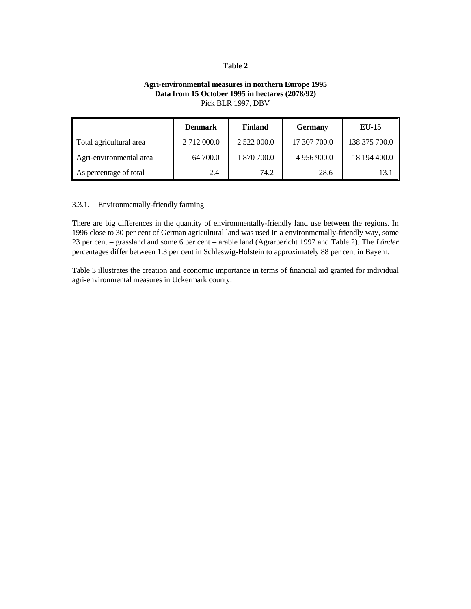#### **Table 2**

# **Agri-environmental measures in northern Europe 1995 Data from 15 October 1995 in hectares (2078/92)**  Pick BLR 1997, DBV

|                         | <b>Denmark</b> | <b>Finland</b> | <b>Germany</b> | <b>EU-15</b>  |
|-------------------------|----------------|----------------|----------------|---------------|
| Total agricultural area | 2 712 000.0    | 2 522 000.0    | 17 307 700.0   | 138 375 700.0 |
| Agri-environmental area | 64 700.0       | 1 870 700.0    | 4 956 900.0    | 18 194 400.0  |
| As percentage of total  | 2.4            | 74.2           | 28.6           | 13.1          |

#### 3.3.1. Environmentally-friendly farming

There are big differences in the quantity of environmentally-friendly land use between the regions. In 1996 close to 30 per cent of German agricultural land was used in a environmentally-friendly way, some 23 per cent – grassland and some 6 per cent – arable land (Agrarbericht 1997 and Table 2). The *Länder* percentages differ between 1.3 per cent in Schleswig-Holstein to approximately 88 per cent in Bayern.

Table 3 illustrates the creation and economic importance in terms of financial aid granted for individual agri-environmental measures in Uckermark county.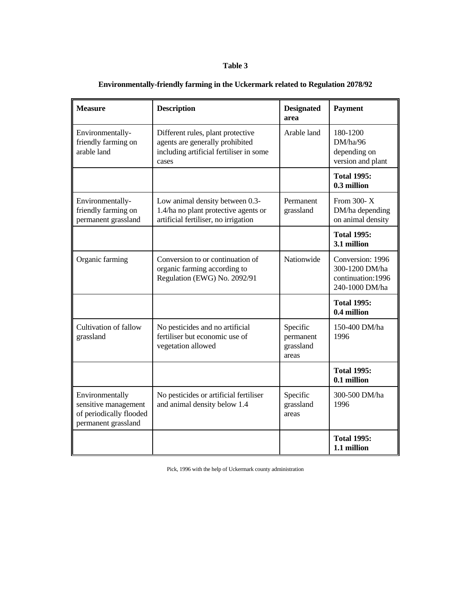# **Table 3**

| <b>Measure</b>                                                                            | <b>Description</b>                                                                                                       | <b>Designated</b><br>area                   | <b>Payment</b>                                                             |
|-------------------------------------------------------------------------------------------|--------------------------------------------------------------------------------------------------------------------------|---------------------------------------------|----------------------------------------------------------------------------|
| Environmentally-<br>friendly farming on<br>arable land                                    | Different rules, plant protective<br>agents are generally prohibited<br>including artificial fertiliser in some<br>cases | Arable land                                 | 180-1200<br>DM/ha/96<br>depending on<br>version and plant                  |
|                                                                                           |                                                                                                                          |                                             | <b>Total 1995:</b><br>0.3 million                                          |
| Environmentally-<br>friendly farming on<br>permanent grassland                            | Low animal density between 0.3-<br>1.4/ha no plant protective agents or<br>artificial fertiliser, no irrigation          | Permanent<br>grassland                      | From 300-X<br>DM/ha depending<br>on animal density                         |
|                                                                                           |                                                                                                                          |                                             | <b>Total 1995:</b><br>3.1 million                                          |
| Organic farming                                                                           | Conversion to or continuation of<br>organic farming according to<br>Regulation (EWG) No. 2092/91                         | <b>Nationwide</b>                           | Conversion: 1996<br>300-1200 DM/ha<br>continuation: 1996<br>240-1000 DM/ha |
|                                                                                           |                                                                                                                          |                                             | <b>Total 1995:</b><br>0.4 million                                          |
| Cultivation of fallow<br>grassland                                                        | No pesticides and no artificial<br>fertiliser but economic use of<br>vegetation allowed                                  | Specific<br>permanent<br>grassland<br>areas | 150-400 DM/ha<br>1996                                                      |
|                                                                                           |                                                                                                                          |                                             | <b>Total 1995:</b><br>0.1 million                                          |
| Environmentally<br>sensitive management<br>of periodically flooded<br>permanent grassland | No pesticides or artificial fertiliser<br>and animal density below 1.4                                                   | Specific<br>grassland<br>areas              | 300-500 DM/ha<br>1996                                                      |
|                                                                                           |                                                                                                                          |                                             | <b>Total 1995:</b><br>1.1 million                                          |

# **Environmentally-friendly farming in the Uckermark related to Regulation 2078/92**

Pick, 1996 with the help of Uckermark county administration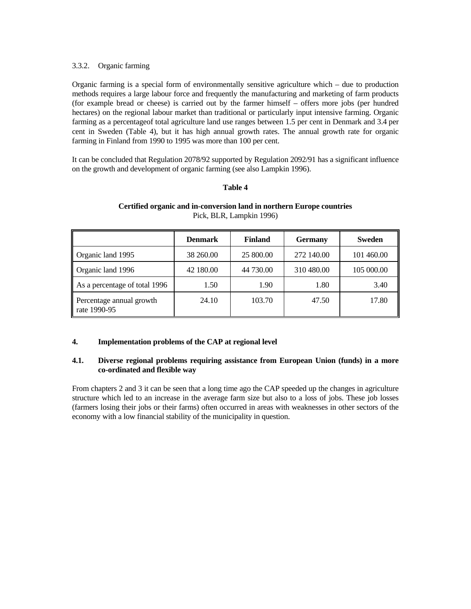# 3.3.2. Organic farming

Organic farming is a special form of environmentally sensitive agriculture which – due to production methods requires a large labour force and frequently the manufacturing and marketing of farm products (for example bread or cheese) is carried out by the farmer himself – offers more jobs (per hundred hectares) on the regional labour market than traditional or particularly input intensive farming. Organic farming as a percentageof total agriculture land use ranges between 1.5 per cent in Denmark and 3.4 per cent in Sweden (Table 4), but it has high annual growth rates. The annual growth rate for organic farming in Finland from 1990 to 1995 was more than 100 per cent.

It can be concluded that Regulation 2078/92 supported by Regulation 2092/91 has a significant influence on the growth and development of organic farming (see also Lampkin 1996).

## **Table 4**

|                                          | Denmark   | <b>Finland</b> | <b>Germany</b> | <b>Sweden</b> |
|------------------------------------------|-----------|----------------|----------------|---------------|
| Organic land 1995                        | 38 260.00 | 25 800.00      | 272 140.00     | 101 460.00    |
| Organic land 1996                        | 42 180.00 | 44 730.00      | 310 480.00     | 105 000.00    |
| As a percentage of total 1996            | 1.50      | 1.90           | 1.80           | 3.40          |
| Percentage annual growth<br>rate 1990-95 | 24.10     | 103.70         | 47.50          | 17.80         |

# **Certified organic and in-conversion land in northern Europe countries** Pick, BLR, Lampkin 1996)

## **4. Implementation problems of the CAP at regional level**

## **4.1. Diverse regional problems requiring assistance from European Union (funds) in a more co-ordinated and flexible way**

From chapters 2 and 3 it can be seen that a long time ago the CAP speeded up the changes in agriculture structure which led to an increase in the average farm size but also to a loss of jobs. These job losses (farmers losing their jobs or their farms) often occurred in areas with weaknesses in other sectors of the economy with a low financial stability of the municipality in question.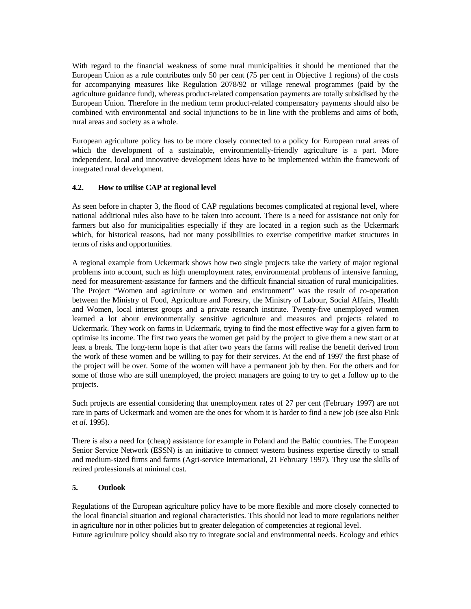With regard to the financial weakness of some rural municipalities it should be mentioned that the European Union as a rule contributes only 50 per cent (75 per cent in Objective 1 regions) of the costs for accompanying measures like Regulation 2078/92 or village renewal programmes (paid by the agriculture guidance fund), whereas product-related compensation payments are totally subsidised by the European Union. Therefore in the medium term product-related compensatory payments should also be combined with environmental and social injunctions to be in line with the problems and aims of both, rural areas and society as a whole.

European agriculture policy has to be more closely connected to a policy for European rural areas of which the development of a sustainable, environmentally-friendly agriculture is a part. More independent, local and innovative development ideas have to be implemented within the framework of integrated rural development.

# **4.2. How to utilise CAP at regional level**

As seen before in chapter 3, the flood of CAP regulations becomes complicated at regional level, where national additional rules also have to be taken into account. There is a need for assistance not only for farmers but also for municipalities especially if they are located in a region such as the Uckermark which, for historical reasons, had not many possibilities to exercise competitive market structures in terms of risks and opportunities.

A regional example from Uckermark shows how two single projects take the variety of major regional problems into account, such as high unemployment rates, environmental problems of intensive farming, need for measurement-assistance for farmers and the difficult financial situation of rural municipalities. The Project "Women and agriculture or women and environment" was the result of co-operation between the Ministry of Food, Agriculture and Forestry, the Ministry of Labour, Social Affairs, Health and Women, local interest groups and a private research institute. Twenty-five unemployed women learned a lot about environmentally sensitive agriculture and measures and projects related to Uckermark. They work on farms in Uckermark, trying to find the most effective way for a given farm to optimise its income. The first two years the women get paid by the project to give them a new start or at least a break. The long-term hope is that after two years the farms will realise the benefit derived from the work of these women and be willing to pay for their services. At the end of 1997 the first phase of the project will be over. Some of the women will have a permanent job by then. For the others and for some of those who are still unemployed, the project managers are going to try to get a follow up to the projects.

Such projects are essential considering that unemployment rates of 27 per cent (February 1997) are not rare in parts of Uckermark and women are the ones for whom it is harder to find a new job (see also Fink *et al*. 1995).

There is also a need for (cheap) assistance for example in Poland and the Baltic countries. The European Senior Service Network (ESSN) is an initiative to connect western business expertise directly to small and medium-sized firms and farms (Agri-service International, 21 February 1997). They use the skills of retired professionals at minimal cost.

## **5. Outlook**

Regulations of the European agriculture policy have to be more flexible and more closely connected to the local financial situation and regional characteristics. This should not lead to more regulations neither in agriculture nor in other policies but to greater delegation of competencies at regional level. Future agriculture policy should also try to integrate social and environmental needs. Ecology and ethics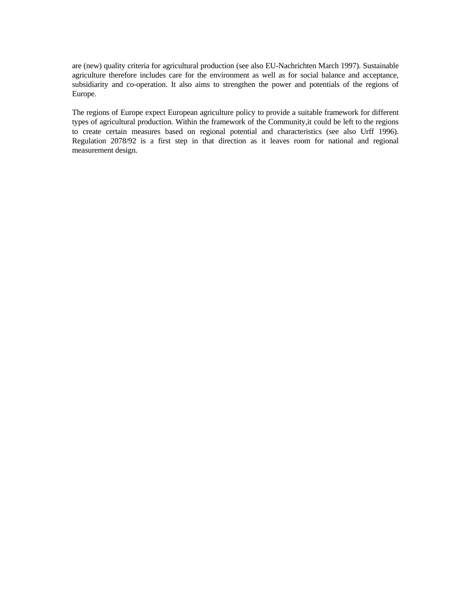are (new) quality criteria for agricultural production (see also EU-Nachrichten March 1997). Sustainable agriculture therefore includes care for the environment as well as for social balance and acceptance, subsidiarity and co-operation. It also aims to strengthen the power and potentials of the regions of Europe.

The regions of Europe expect European agriculture policy to provide a suitable framework for different types of agricultural production. Within the framework of the Community,it could be left to the regions to create certain measures based on regional potential and characteristics (see also Urff 1996). Regulation 2078/92 is a first step in that direction as it leaves room for national and regional measurement design.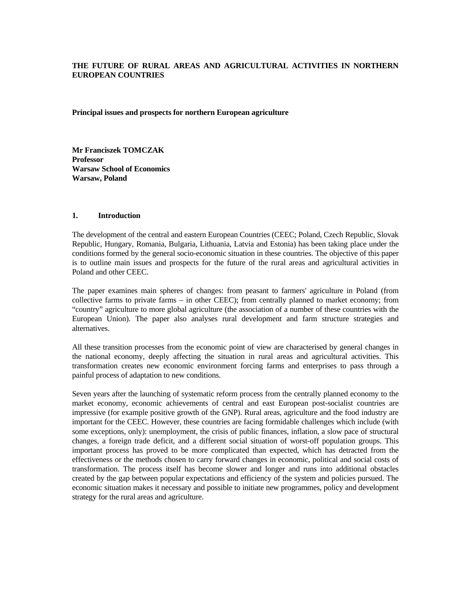# **THE FUTURE OF RURAL AREAS AND AGRICULTURAL ACTIVITIES IN NORTHERN EUROPEAN COUNTRIES**

**Principal issues and prospects for northern European agriculture** 

**Mr Franciszek TOMCZAK Professor Warsaw School of Economics Warsaw, Poland** 

# **1. Introduction**

The development of the central and eastern European Countries (CEEC; Poland, Czech Republic, Slovak Republic, Hungary, Romania, Bulgaria, Lithuania, Latvia and Estonia) has been taking place under the conditions formed by the general socio-economic situation in these countries. The objective of this paper is to outline main issues and prospects for the future of the rural areas and agricultural activities in Poland and other CEEC.

The paper examines main spheres of changes: from peasant to farmers' agriculture in Poland (from collective farms to private farms – in other CEEC); from centrally planned to market economy; from "country" agriculture to more global agriculture (the association of a number of these countries with the European Union). The paper also analyses rural development and farm structure strategies and alternatives.

All these transition processes from the economic point of view are characterised by general changes in the national economy, deeply affecting the situation in rural areas and agricultural activities. This transformation creates new economic environment forcing farms and enterprises to pass through a painful process of adaptation to new conditions.

Seven years after the launching of systematic reform process from the centrally planned economy to the market economy, economic achievements of central and east European post-socialist countries are impressive (for example positive growth of the GNP). Rural areas, agriculture and the food industry are important for the CEEC. However, these countries are facing formidable challenges which include (with some exceptions, only): unemployment, the crisis of public finances, inflation, a slow pace of structural changes, a foreign trade deficit, and a different social situation of worst-off population groups. This important process has proved to be more complicated than expected, which has detracted from the effectiveness or the methods chosen to carry forward changes in economic, political and social costs of transformation. The process itself has become slower and longer and runs into additional obstacles created by the gap between popular expectations and efficiency of the system and policies pursued. The economic situation makes it necessary and possible to initiate new programmes, policy and development strategy for the rural areas and agriculture.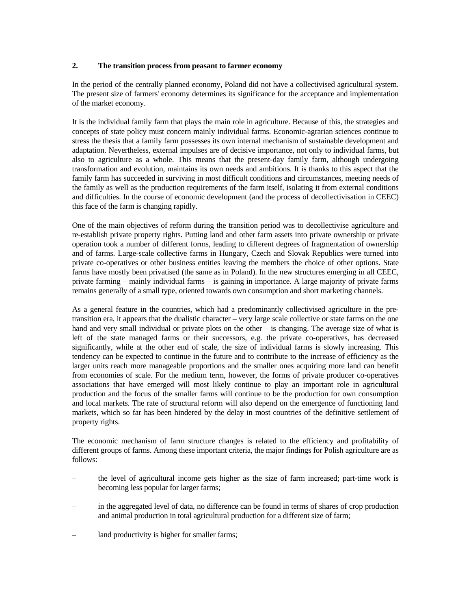# **2. The transition process from peasant to farmer economy**

In the period of the centrally planned economy, Poland did not have a collectivised agricultural system. The present size of farmers' economy determines its significance for the acceptance and implementation of the market economy.

It is the individual family farm that plays the main role in agriculture. Because of this, the strategies and concepts of state policy must concern mainly individual farms. Economic-agrarian sciences continue to stress the thesis that a family farm possesses its own internal mechanism of sustainable development and adaptation. Nevertheless, external impulses are of decisive importance, not only to individual farms, but also to agriculture as a whole. This means that the present-day family farm, although undergoing transformation and evolution, maintains its own needs and ambitions. It is thanks to this aspect that the family farm has succeeded in surviving in most difficult conditions and circumstances, meeting needs of the family as well as the production requirements of the farm itself, isolating it from external conditions and difficulties. In the course of economic development (and the process of decollectivisation in CEEC) this face of the farm is changing rapidly.

One of the main objectives of reform during the transition period was to decollectivise agriculture and re-establish private property rights. Putting land and other farm assets into private ownership or private operation took a number of different forms, leading to different degrees of fragmentation of ownership and of farms. Large-scale collective farms in Hungary, Czech and Slovak Republics were turned into private co-operatives or other business entities leaving the members the choice of other options. State farms have mostly been privatised (the same as in Poland). In the new structures emerging in all CEEC, private farming – mainly individual farms – is gaining in importance. A large majority of private farms remains generally of a small type, oriented towards own consumption and short marketing channels.

As a general feature in the countries, which had a predominantly collectivised agriculture in the pretransition era, it appears that the dualistic character – very large scale collective or state farms on the one hand and very small individual or private plots on the other – is changing. The average size of what is left of the state managed farms or their successors, e.g. the private co-operatives, has decreased significantly, while at the other end of scale, the size of individual farms is slowly increasing. This tendency can be expected to continue in the future and to contribute to the increase of efficiency as the larger units reach more manageable proportions and the smaller ones acquiring more land can benefit from economies of scale. For the medium term, however, the forms of private producer co-operatives associations that have emerged will most likely continue to play an important role in agricultural production and the focus of the smaller farms will continue to be the production for own consumption and local markets. The rate of structural reform will also depend on the emergence of functioning land markets, which so far has been hindered by the delay in most countries of the definitive settlement of property rights.

The economic mechanism of farm structure changes is related to the efficiency and profitability of different groups of farms. Among these important criteria, the major findings for Polish agriculture are as follows:

- the level of agricultural income gets higher as the size of farm increased; part-time work is becoming less popular for larger farms;
- in the aggregated level of data, no difference can be found in terms of shares of crop production and animal production in total agricultural production for a different size of farm;
- land productivity is higher for smaller farms;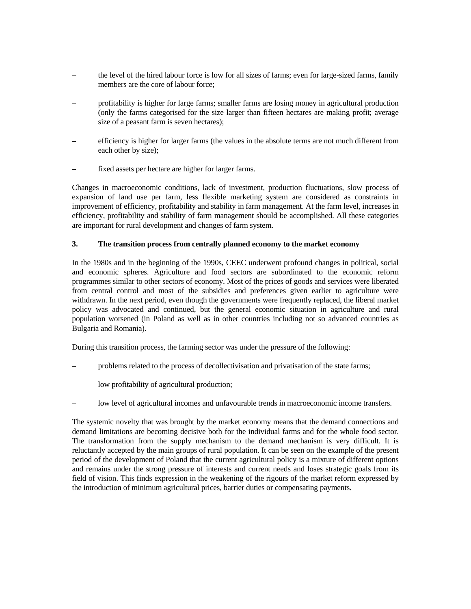- the level of the hired labour force is low for all sizes of farms; even for large-sized farms, family members are the core of labour force;
- profitability is higher for large farms; smaller farms are losing money in agricultural production (only the farms categorised for the size larger than fifteen hectares are making profit; average size of a peasant farm is seven hectares);
- efficiency is higher for larger farms (the values in the absolute terms are not much different from each other by size);
- fixed assets per hectare are higher for larger farms.

Changes in macroeconomic conditions, lack of investment, production fluctuations, slow process of expansion of land use per farm, less flexible marketing system are considered as constraints in improvement of efficiency, profitability and stability in farm management. At the farm level, increases in efficiency, profitability and stability of farm management should be accomplished. All these categories are important for rural development and changes of farm system.

## **3. The transition process from centrally planned economy to the market economy**

In the 1980s and in the beginning of the 1990s, CEEC underwent profound changes in political, social and economic spheres. Agriculture and food sectors are subordinated to the economic reform programmes similar to other sectors of economy. Most of the prices of goods and services were liberated from central control and most of the subsidies and preferences given earlier to agriculture were withdrawn. In the next period, even though the governments were frequently replaced, the liberal market policy was advocated and continued, but the general economic situation in agriculture and rural population worsened (in Poland as well as in other countries including not so advanced countries as Bulgaria and Romania).

During this transition process, the farming sector was under the pressure of the following:

- problems related to the process of decollectivisation and privatisation of the state farms;
- low profitability of agricultural production;
- low level of agricultural incomes and unfavourable trends in macroeconomic income transfers.

The systemic novelty that was brought by the market economy means that the demand connections and demand limitations are becoming decisive both for the individual farms and for the whole food sector. The transformation from the supply mechanism to the demand mechanism is very difficult. It is reluctantly accepted by the main groups of rural population. It can be seen on the example of the present period of the development of Poland that the current agricultural policy is a mixture of different options and remains under the strong pressure of interests and current needs and loses strategic goals from its field of vision. This finds expression in the weakening of the rigours of the market reform expressed by the introduction of minimum agricultural prices, barrier duties or compensating payments.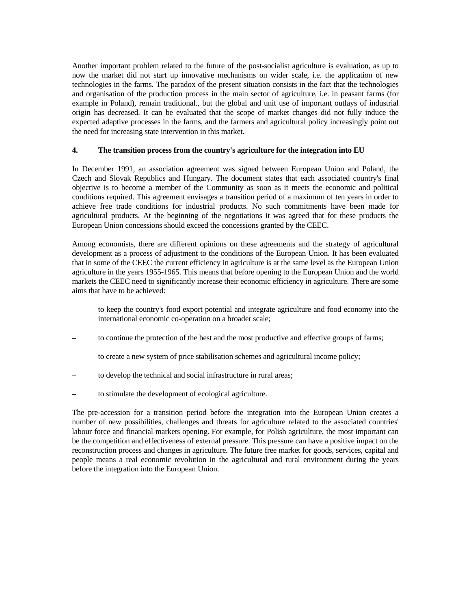Another important problem related to the future of the post-socialist agriculture is evaluation, as up to now the market did not start up innovative mechanisms on wider scale, i.e. the application of new technologies in the farms. The paradox of the present situation consists in the fact that the technologies and organisation of the production process in the main sector of agriculture, i.e. in peasant farms (for example in Poland), remain traditional., but the global and unit use of important outlays of industrial origin has decreased. It can be evaluated that the scope of market changes did not fully induce the expected adaptive processes in the farms, and the farmers and agricultural policy increasingly point out the need for increasing state intervention in this market.

# **4. The transition process from the country's agriculture for the integration into EU**

In December 1991, an association agreement was signed between European Union and Poland, the Czech and Slovak Republics and Hungary. The document states that each associated country's final objective is to become a member of the Community as soon as it meets the economic and political conditions required. This agreement envisages a transition period of a maximum of ten years in order to achieve free trade conditions for industrial products. No such commitments have been made for agricultural products. At the beginning of the negotiations it was agreed that for these products the European Union concessions should exceed the concessions granted by the CEEC.

Among economists, there are different opinions on these agreements and the strategy of agricultural development as a process of adjustment to the conditions of the European Union. It has been evaluated that in some of the CEEC the current efficiency in agriculture is at the same level as the European Union agriculture in the years 1955-1965. This means that before opening to the European Union and the world markets the CEEC need to significantly increase their economic efficiency in agriculture. There are some aims that have to be achieved:

- to keep the country's food export potential and integrate agriculture and food economy into the international economic co-operation on a broader scale;
- to continue the protection of the best and the most productive and effective groups of farms;
- to create a new system of price stabilisation schemes and agricultural income policy;
- to develop the technical and social infrastructure in rural areas;
- to stimulate the development of ecological agriculture.

The pre-accession for a transition period before the integration into the European Union creates a number of new possibilities, challenges and threats for agriculture related to the associated countries' labour force and financial markets opening. For example, for Polish agriculture, the most important can be the competition and effectiveness of external pressure. This pressure can have a positive impact on the reconstruction process and changes in agriculture. The future free market for goods, services, capital and people means a real economic revolution in the agricultural and rural environment during the years before the integration into the European Union.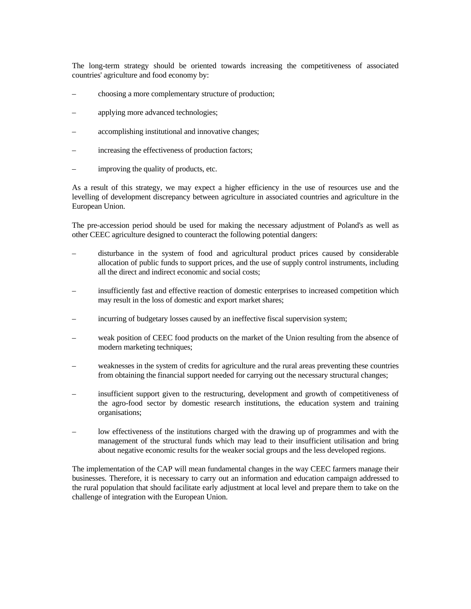The long-term strategy should be oriented towards increasing the competitiveness of associated countries' agriculture and food economy by:

- choosing a more complementary structure of production;
- applying more advanced technologies;
- accomplishing institutional and innovative changes;
- increasing the effectiveness of production factors;
- improving the quality of products, etc.

As a result of this strategy, we may expect a higher efficiency in the use of resources use and the levelling of development discrepancy between agriculture in associated countries and agriculture in the European Union.

The pre-accession period should be used for making the necessary adjustment of Poland's as well as other CEEC agriculture designed to counteract the following potential dangers:

- disturbance in the system of food and agricultural product prices caused by considerable allocation of public funds to support prices, and the use of supply control instruments, including all the direct and indirect economic and social costs;
- insufficiently fast and effective reaction of domestic enterprises to increased competition which may result in the loss of domestic and export market shares;
- incurring of budgetary losses caused by an ineffective fiscal supervision system;
- weak position of CEEC food products on the market of the Union resulting from the absence of modern marketing techniques;
- weaknesses in the system of credits for agriculture and the rural areas preventing these countries from obtaining the financial support needed for carrying out the necessary structural changes;
- insufficient support given to the restructuring, development and growth of competitiveness of the agro-food sector by domestic research institutions, the education system and training organisations;
- low effectiveness of the institutions charged with the drawing up of programmes and with the management of the structural funds which may lead to their insufficient utilisation and bring about negative economic results for the weaker social groups and the less developed regions.

The implementation of the CAP will mean fundamental changes in the way CEEC farmers manage their businesses. Therefore, it is necessary to carry out an information and education campaign addressed to the rural population that should facilitate early adjustment at local level and prepare them to take on the challenge of integration with the European Union.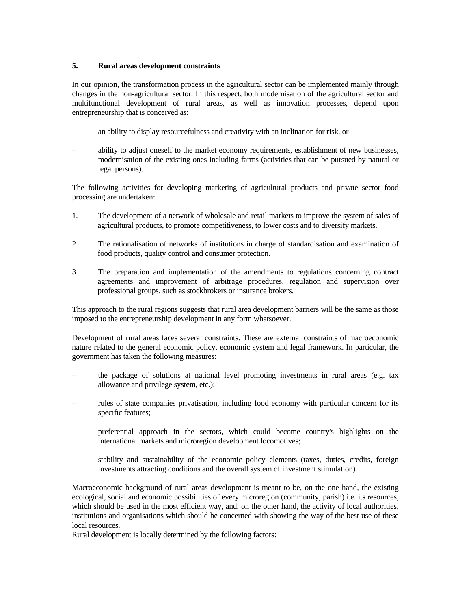# **5. Rural areas development constraints**

In our opinion, the transformation process in the agricultural sector can be implemented mainly through changes in the non-agricultural sector. In this respect, both modernisation of the agricultural sector and multifunctional development of rural areas, as well as innovation processes, depend upon entrepreneurship that is conceived as:

- an ability to display resourcefulness and creativity with an inclination for risk, or
- ability to adjust oneself to the market economy requirements, establishment of new businesses, modernisation of the existing ones including farms (activities that can be pursued by natural or legal persons).

The following activities for developing marketing of agricultural products and private sector food processing are undertaken:

- 1. The development of a network of wholesale and retail markets to improve the system of sales of agricultural products, to promote competitiveness, to lower costs and to diversify markets.
- 2. The rationalisation of networks of institutions in charge of standardisation and examination of food products, quality control and consumer protection.
- 3. The preparation and implementation of the amendments to regulations concerning contract agreements and improvement of arbitrage procedures, regulation and supervision over professional groups, such as stockbrokers or insurance brokers.

This approach to the rural regions suggests that rural area development barriers will be the same as those imposed to the entrepreneurship development in any form whatsoever.

Development of rural areas faces several constraints. These are external constraints of macroeconomic nature related to the general economic policy, economic system and legal framework. In particular, the government has taken the following measures:

- the package of solutions at national level promoting investments in rural areas (e.g. tax allowance and privilege system, etc.);
- rules of state companies privatisation, including food economy with particular concern for its specific features;
- preferential approach in the sectors, which could become country's highlights on the international markets and microregion development locomotives;
- stability and sustainability of the economic policy elements (taxes, duties, credits, foreign investments attracting conditions and the overall system of investment stimulation).

Macroeconomic background of rural areas development is meant to be, on the one hand, the existing ecological, social and economic possibilities of every microregion (community, parish) i.e. its resources, which should be used in the most efficient way, and, on the other hand, the activity of local authorities, institutions and organisations which should be concerned with showing the way of the best use of these local resources.

Rural development is locally determined by the following factors: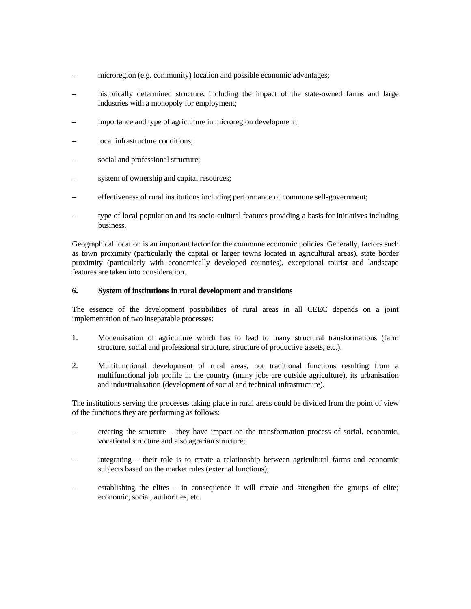- microregion (e.g. community) location and possible economic advantages;
- historically determined structure, including the impact of the state-owned farms and large industries with a monopoly for employment;
- importance and type of agriculture in microregion development;
- local infrastructure conditions;
- social and professional structure;
- system of ownership and capital resources;
- effectiveness of rural institutions including performance of commune self-government;
- type of local population and its socio-cultural features providing a basis for initiatives including business.

Geographical location is an important factor for the commune economic policies. Generally, factors such as town proximity (particularly the capital or larger towns located in agricultural areas), state border proximity (particularly with economically developed countries), exceptional tourist and landscape features are taken into consideration.

## **6. System of institutions in rural development and transitions**

The essence of the development possibilities of rural areas in all CEEC depends on a joint implementation of two inseparable processes:

- 1. Modernisation of agriculture which has to lead to many structural transformations (farm structure, social and professional structure, structure of productive assets, etc.).
- 2. Multifunctional development of rural areas, not traditional functions resulting from a multifunctional job profile in the country (many jobs are outside agriculture), its urbanisation and industrialisation (development of social and technical infrastructure).

The institutions serving the processes taking place in rural areas could be divided from the point of view of the functions they are performing as follows:

- creating the structure they have impact on the transformation process of social, economic, vocational structure and also agrarian structure;
- integrating their role is to create a relationship between agricultural farms and economic subjects based on the market rules (external functions);
- establishing the elites  $-$  in consequence it will create and strengthen the groups of elite; economic, social, authorities, etc.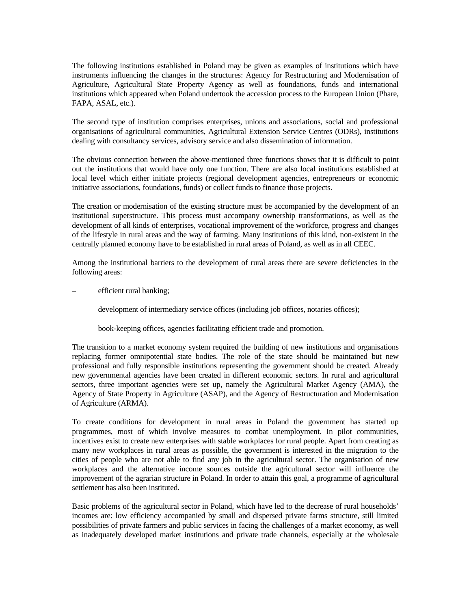The following institutions established in Poland may be given as examples of institutions which have instruments influencing the changes in the structures: Agency for Restructuring and Modernisation of Agriculture, Agricultural State Property Agency as well as foundations, funds and international institutions which appeared when Poland undertook the accession process to the European Union (Phare, FAPA, ASAL, etc.).

The second type of institution comprises enterprises, unions and associations, social and professional organisations of agricultural communities, Agricultural Extension Service Centres (ODRs), institutions dealing with consultancy services, advisory service and also dissemination of information.

The obvious connection between the above-mentioned three functions shows that it is difficult to point out the institutions that would have only one function. There are also local institutions established at local level which either initiate projects (regional development agencies, entrepreneurs or economic initiative associations, foundations, funds) or collect funds to finance those projects.

The creation or modernisation of the existing structure must be accompanied by the development of an institutional superstructure. This process must accompany ownership transformations, as well as the development of all kinds of enterprises, vocational improvement of the workforce, progress and changes of the lifestyle in rural areas and the way of farming. Many institutions of this kind, non-existent in the centrally planned economy have to be established in rural areas of Poland, as well as in all CEEC.

Among the institutional barriers to the development of rural areas there are severe deficiencies in the following areas:

- efficient rural banking;
- development of intermediary service offices (including job offices, notaries offices);
- book-keeping offices, agencies facilitating efficient trade and promotion.

The transition to a market economy system required the building of new institutions and organisations replacing former omnipotential state bodies. The role of the state should be maintained but new professional and fully responsible institutions representing the government should be created. Already new governmental agencies have been created in different economic sectors. In rural and agricultural sectors, three important agencies were set up, namely the Agricultural Market Agency (AMA), the Agency of State Property in Agriculture (ASAP), and the Agency of Restructuration and Modernisation of Agriculture (ARMA).

To create conditions for development in rural areas in Poland the government has started up programmes, most of which involve measures to combat unemployment. In pilot communities, incentives exist to create new enterprises with stable workplaces for rural people. Apart from creating as many new workplaces in rural areas as possible, the government is interested in the migration to the cities of people who are not able to find any job in the agricultural sector. The organisation of new workplaces and the alternative income sources outside the agricultural sector will influence the improvement of the agrarian structure in Poland. In order to attain this goal, a programme of agricultural settlement has also been instituted.

Basic problems of the agricultural sector in Poland, which have led to the decrease of rural households' incomes are: low efficiency accompanied by small and dispersed private farms structure, still limited possibilities of private farmers and public services in facing the challenges of a market economy, as well as inadequately developed market institutions and private trade channels, especially at the wholesale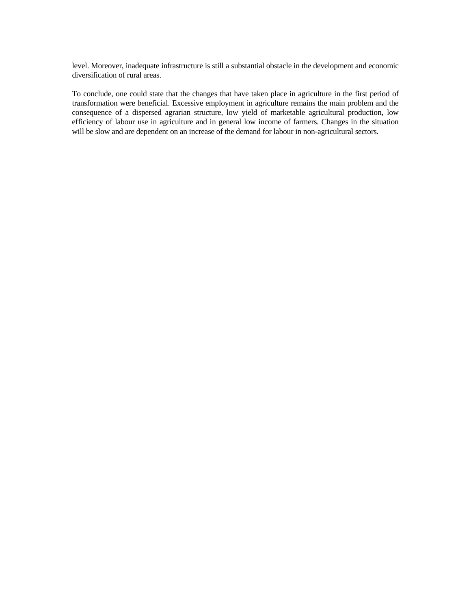level. Moreover, inadequate infrastructure is still a substantial obstacle in the development and economic diversification of rural areas.

To conclude, one could state that the changes that have taken place in agriculture in the first period of transformation were beneficial. Excessive employment in agriculture remains the main problem and the consequence of a dispersed agrarian structure, low yield of marketable agricultural production, low efficiency of labour use in agriculture and in general low income of farmers. Changes in the situation will be slow and are dependent on an increase of the demand for labour in non-agricultural sectors.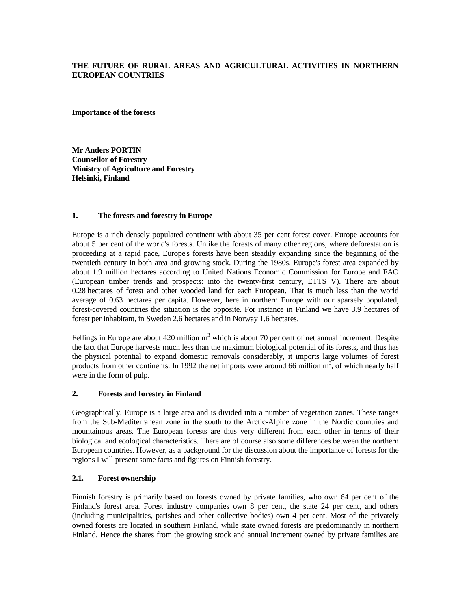# **THE FUTURE OF RURAL AREAS AND AGRICULTURAL ACTIVITIES IN NORTHERN EUROPEAN COUNTRIES**

**Importance of the forests** 

**Mr Anders PORTIN Counsellor of Forestry Ministry of Agriculture and Forestry Helsinki, Finland** 

# **1. The forests and forestry in Europe**

Europe is a rich densely populated continent with about 35 per cent forest cover. Europe accounts for about 5 per cent of the world's forests. Unlike the forests of many other regions, where deforestation is proceeding at a rapid pace, Europe's forests have been steadily expanding since the beginning of the twentieth century in both area and growing stock. During the 1980s, Europe's forest area expanded by about 1.9 million hectares according to United Nations Economic Commission for Europe and FAO (European timber trends and prospects: into the twenty-first century, ETTS V). There are about 0.28 hectares of forest and other wooded land for each European. That is much less than the world average of 0.63 hectares per capita. However, here in northern Europe with our sparsely populated, forest-covered countries the situation is the opposite. For instance in Finland we have 3.9 hectares of forest per inhabitant, in Sweden 2.6 hectares and in Norway 1.6 hectares.

Fellings in Europe are about 420 million  $m<sup>3</sup>$  which is about 70 per cent of net annual increment. Despite the fact that Europe harvests much less than the maximum biological potential of its forests, and thus has the physical potential to expand domestic removals considerably, it imports large volumes of forest products from other continents. In 1992 the net imports were around 66 million  $m^3$ , of which nearly half were in the form of pulp.

# **2. Forests and forestry in Finland**

Geographically, Europe is a large area and is divided into a number of vegetation zones. These ranges from the Sub-Mediterranean zone in the south to the Arctic-Alpine zone in the Nordic countries and mountainous areas. The European forests are thus very different from each other in terms of their biological and ecological characteristics. There are of course also some differences between the northern European countries. However, as a background for the discussion about the importance of forests for the regions I will present some facts and figures on Finnish forestry.

# **2.1. Forest ownership**

Finnish forestry is primarily based on forests owned by private families, who own 64 per cent of the Finland's forest area. Forest industry companies own 8 per cent, the state 24 per cent, and others (including municipalities, parishes and other collective bodies) own 4 per cent. Most of the privately owned forests are located in southern Finland, while state owned forests are predominantly in northern Finland. Hence the shares from the growing stock and annual increment owned by private families are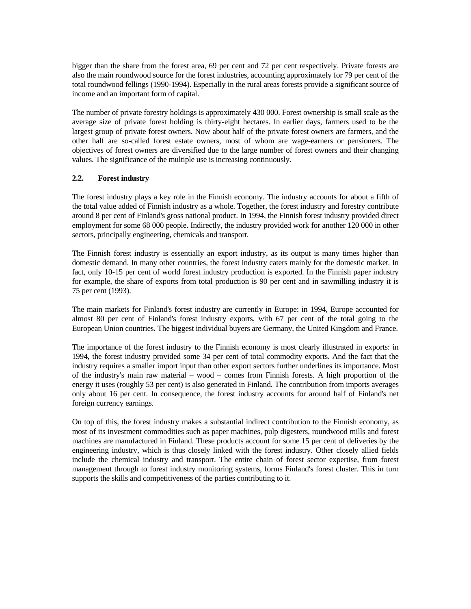bigger than the share from the forest area, 69 per cent and 72 per cent respectively. Private forests are also the main roundwood source for the forest industries, accounting approximately for 79 per cent of the total roundwood fellings (1990-1994). Especially in the rural areas forests provide a significant source of income and an important form of capital.

The number of private forestry holdings is approximately 430 000. Forest ownership is small scale as the average size of private forest holding is thirty-eight hectares. In earlier days, farmers used to be the largest group of private forest owners. Now about half of the private forest owners are farmers, and the other half are so-called forest estate owners, most of whom are wage-earners or pensioners. The objectives of forest owners are diversified due to the large number of forest owners and their changing values. The significance of the multiple use is increasing continuously.

# **2.2. Forest industry**

The forest industry plays a key role in the Finnish economy. The industry accounts for about a fifth of the total value added of Finnish industry as a whole. Together, the forest industry and forestry contribute around 8 per cent of Finland's gross national product. In 1994, the Finnish forest industry provided direct employment for some 68 000 people. Indirectly, the industry provided work for another 120 000 in other sectors, principally engineering, chemicals and transport.

The Finnish forest industry is essentially an export industry, as its output is many times higher than domestic demand. In many other countries, the forest industry caters mainly for the domestic market. In fact, only 10-15 per cent of world forest industry production is exported. In the Finnish paper industry for example, the share of exports from total production is 90 per cent and in sawmilling industry it is 75 per cent (1993).

The main markets for Finland's forest industry are currently in Europe: in 1994, Europe accounted for almost 80 per cent of Finland's forest industry exports, with 67 per cent of the total going to the European Union countries. The biggest individual buyers are Germany, the United Kingdom and France.

The importance of the forest industry to the Finnish economy is most clearly illustrated in exports: in 1994, the forest industry provided some 34 per cent of total commodity exports. And the fact that the industry requires a smaller import input than other export sectors further underlines its importance. Most of the industry's main raw material – wood – comes from Finnish forests. A high proportion of the energy it uses (roughly 53 per cent) is also generated in Finland. The contribution from imports averages only about 16 per cent. In consequence, the forest industry accounts for around half of Finland's net foreign currency earnings.

On top of this, the forest industry makes a substantial indirect contribution to the Finnish economy, as most of its investment commodities such as paper machines, pulp digesters, roundwood mills and forest machines are manufactured in Finland. These products account for some 15 per cent of deliveries by the engineering industry, which is thus closely linked with the forest industry. Other closely allied fields include the chemical industry and transport. The entire chain of forest sector expertise, from forest management through to forest industry monitoring systems, forms Finland's forest cluster. This in turn supports the skills and competitiveness of the parties contributing to it.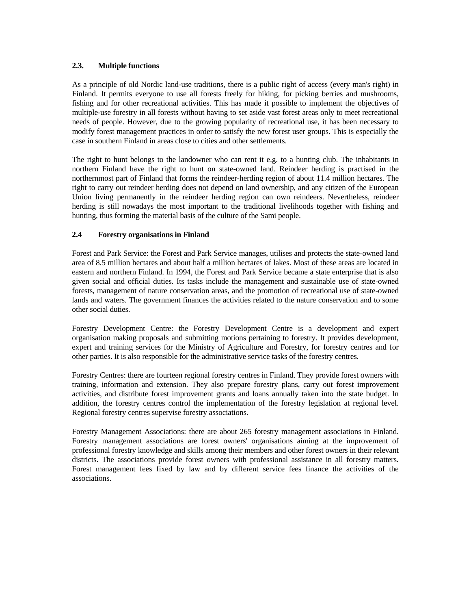# **2.3. Multiple functions**

As a principle of old Nordic land-use traditions, there is a public right of access (every man's right) in Finland. It permits everyone to use all forests freely for hiking, for picking berries and mushrooms, fishing and for other recreational activities. This has made it possible to implement the objectives of multiple-use forestry in all forests without having to set aside vast forest areas only to meet recreational needs of people. However, due to the growing popularity of recreational use, it has been necessary to modify forest management practices in order to satisfy the new forest user groups. This is especially the case in southern Finland in areas close to cities and other settlements.

The right to hunt belongs to the landowner who can rent it e.g. to a hunting club. The inhabitants in northern Finland have the right to hunt on state-owned land. Reindeer herding is practised in the northernmost part of Finland that forms the reindeer-herding region of about 11.4 million hectares. The right to carry out reindeer herding does not depend on land ownership, and any citizen of the European Union living permanently in the reindeer herding region can own reindeers. Nevertheless, reindeer herding is still nowadays the most important to the traditional livelihoods together with fishing and hunting, thus forming the material basis of the culture of the Sami people.

# **2.4 Forestry organisations in Finland**

Forest and Park Service: the Forest and Park Service manages, utilises and protects the state-owned land area of 8.5 million hectares and about half a million hectares of lakes. Most of these areas are located in eastern and northern Finland. In 1994, the Forest and Park Service became a state enterprise that is also given social and official duties. Its tasks include the management and sustainable use of state-owned forests, management of nature conservation areas, and the promotion of recreational use of state-owned lands and waters. The government finances the activities related to the nature conservation and to some other social duties.

Forestry Development Centre: the Forestry Development Centre is a development and expert organisation making proposals and submitting motions pertaining to forestry. It provides development, expert and training services for the Ministry of Agriculture and Forestry, for forestry centres and for other parties. It is also responsible for the administrative service tasks of the forestry centres.

Forestry Centres: there are fourteen regional forestry centres in Finland. They provide forest owners with training, information and extension. They also prepare forestry plans, carry out forest improvement activities, and distribute forest improvement grants and loans annually taken into the state budget. In addition, the forestry centres control the implementation of the forestry legislation at regional level. Regional forestry centres supervise forestry associations.

Forestry Management Associations: there are about 265 forestry management associations in Finland. Forestry management associations are forest owners' organisations aiming at the improvement of professional forestry knowledge and skills among their members and other forest owners in their relevant districts. The associations provide forest owners with professional assistance in all forestry matters. Forest management fees fixed by law and by different service fees finance the activities of the associations.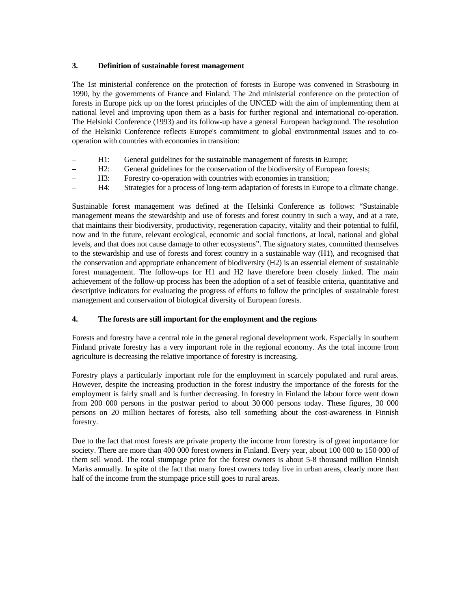# **3. Definition of sustainable forest management**

The 1st ministerial conference on the protection of forests in Europe was convened in Strasbourg in 1990, by the governments of France and Finland. The 2nd ministerial conference on the protection of forests in Europe pick up on the forest principles of the UNCED with the aim of implementing them at national level and improving upon them as a basis for further regional and international co-operation. The Helsinki Conference (1993) and its follow-up have a general European background. The resolution of the Helsinki Conference reflects Europe's commitment to global environmental issues and to cooperation with countries with economies in transition:

- H1: General guidelines for the sustainable management of forests in Europe;
- H2: General guidelines for the conservation of the biodiversity of European forests;
- H3: Forestry co-operation with countries with economies in transition;
- H4: Strategies for a process of long-term adaptation of forests in Europe to a climate change.

Sustainable forest management was defined at the Helsinki Conference as follows: "Sustainable management means the stewardship and use of forests and forest country in such a way, and at a rate, that maintains their biodiversity, productivity, regeneration capacity, vitality and their potential to fulfil, now and in the future, relevant ecological, economic and social functions, at local, national and global levels, and that does not cause damage to other ecosystems". The signatory states, committed themselves to the stewardship and use of forests and forest country in a sustainable way (H1), and recognised that the conservation and appropriate enhancement of biodiversity (H2) is an essential element of sustainable forest management. The follow-ups for H1 and H2 have therefore been closely linked. The main achievement of the follow-up process has been the adoption of a set of feasible criteria, quantitative and descriptive indicators for evaluating the progress of efforts to follow the principles of sustainable forest management and conservation of biological diversity of European forests.

# **4. The forests are still important for the employment and the regions**

Forests and forestry have a central role in the general regional development work. Especially in southern Finland private forestry has a very important role in the regional economy. As the total income from agriculture is decreasing the relative importance of forestry is increasing.

Forestry plays a particularly important role for the employment in scarcely populated and rural areas. However, despite the increasing production in the forest industry the importance of the forests for the employment is fairly small and is further decreasing. In forestry in Finland the labour force went down from 200 000 persons in the postwar period to about 30 000 persons today. These figures, 30 000 persons on 20 million hectares of forests, also tell something about the cost-awareness in Finnish forestry.

Due to the fact that most forests are private property the income from forestry is of great importance for society. There are more than 400 000 forest owners in Finland. Every year, about 100 000 to 150 000 of them sell wood. The total stumpage price for the forest owners is about 5-8 thousand million Finnish Marks annually. In spite of the fact that many forest owners today live in urban areas, clearly more than half of the income from the stumpage price still goes to rural areas.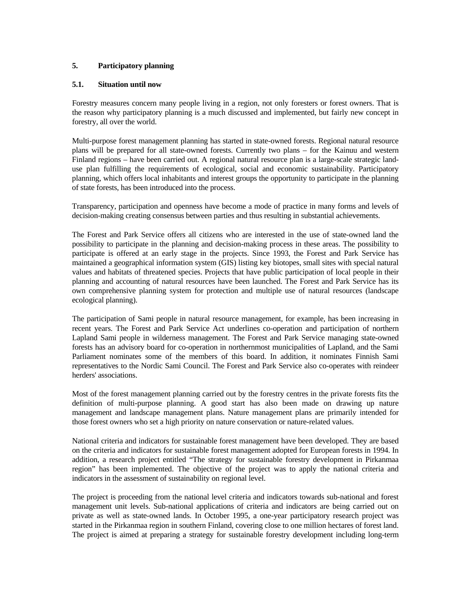# **5. Participatory planning**

# **5.1. Situation until now**

Forestry measures concern many people living in a region, not only foresters or forest owners. That is the reason why participatory planning is a much discussed and implemented, but fairly new concept in forestry, all over the world.

Multi-purpose forest management planning has started in state-owned forests. Regional natural resource plans will be prepared for all state-owned forests. Currently two plans – for the Kainuu and western Finland regions – have been carried out. A regional natural resource plan is a large-scale strategic landuse plan fulfilling the requirements of ecological, social and economic sustainability. Participatory planning, which offers local inhabitants and interest groups the opportunity to participate in the planning of state forests, has been introduced into the process.

Transparency, participation and openness have become a mode of practice in many forms and levels of decision-making creating consensus between parties and thus resulting in substantial achievements.

The Forest and Park Service offers all citizens who are interested in the use of state-owned land the possibility to participate in the planning and decision-making process in these areas. The possibility to participate is offered at an early stage in the projects. Since 1993, the Forest and Park Service has maintained a geographical information system (GIS) listing key biotopes, small sites with special natural values and habitats of threatened species. Projects that have public participation of local people in their planning and accounting of natural resources have been launched. The Forest and Park Service has its own comprehensive planning system for protection and multiple use of natural resources (landscape ecological planning).

The participation of Sami people in natural resource management, for example, has been increasing in recent years. The Forest and Park Service Act underlines co-operation and participation of northern Lapland Sami people in wilderness management. The Forest and Park Service managing state-owned forests has an advisory board for co-operation in northernmost municipalities of Lapland, and the Sami Parliament nominates some of the members of this board. In addition, it nominates Finnish Sami representatives to the Nordic Sami Council. The Forest and Park Service also co-operates with reindeer herders' associations.

Most of the forest management planning carried out by the forestry centres in the private forests fits the definition of multi-purpose planning. A good start has also been made on drawing up nature management and landscape management plans. Nature management plans are primarily intended for those forest owners who set a high priority on nature conservation or nature-related values.

National criteria and indicators for sustainable forest management have been developed. They are based on the criteria and indicators for sustainable forest management adopted for European forests in 1994. In addition, a research project entitled "The strategy for sustainable forestry development in Pirkanmaa region" has been implemented. The objective of the project was to apply the national criteria and indicators in the assessment of sustainability on regional level.

The project is proceeding from the national level criteria and indicators towards sub-national and forest management unit levels. Sub-national applications of criteria and indicators are being carried out on private as well as state-owned lands. In October 1995, a one-year participatory research project was started in the Pirkanmaa region in southern Finland, covering close to one million hectares of forest land. The project is aimed at preparing a strategy for sustainable forestry development including long-term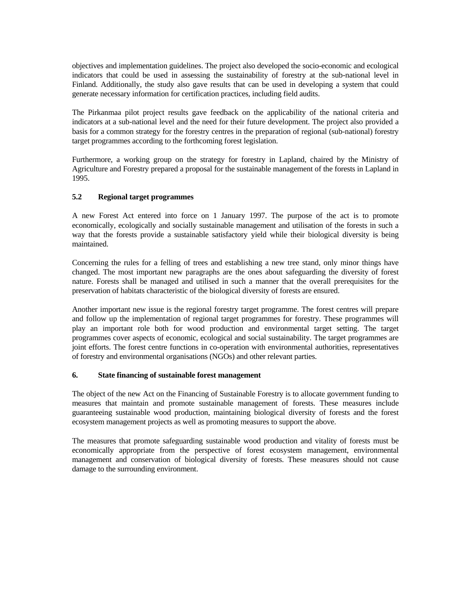objectives and implementation guidelines. The project also developed the socio-economic and ecological indicators that could be used in assessing the sustainability of forestry at the sub-national level in Finland. Additionally, the study also gave results that can be used in developing a system that could generate necessary information for certification practices, including field audits.

The Pirkanmaa pilot project results gave feedback on the applicability of the national criteria and indicators at a sub-national level and the need for their future development. The project also provided a basis for a common strategy for the forestry centres in the preparation of regional (sub-national) forestry target programmes according to the forthcoming forest legislation.

Furthermore, a working group on the strategy for forestry in Lapland, chaired by the Ministry of Agriculture and Forestry prepared a proposal for the sustainable management of the forests in Lapland in 1995.

# **5.2 Regional target programmes**

A new Forest Act entered into force on 1 January 1997. The purpose of the act is to promote economically, ecologically and socially sustainable management and utilisation of the forests in such a way that the forests provide a sustainable satisfactory yield while their biological diversity is being maintained.

Concerning the rules for a felling of trees and establishing a new tree stand, only minor things have changed. The most important new paragraphs are the ones about safeguarding the diversity of forest nature. Forests shall be managed and utilised in such a manner that the overall prerequisites for the preservation of habitats characteristic of the biological diversity of forests are ensured.

Another important new issue is the regional forestry target programme. The forest centres will prepare and follow up the implementation of regional target programmes for forestry. These programmes will play an important role both for wood production and environmental target setting. The target programmes cover aspects of economic, ecological and social sustainability. The target programmes are joint efforts. The forest centre functions in co-operation with environmental authorities, representatives of forestry and environmental organisations (NGOs) and other relevant parties.

# **6. State financing of sustainable forest management**

The object of the new Act on the Financing of Sustainable Forestry is to allocate government funding to measures that maintain and promote sustainable management of forests. These measures include guaranteeing sustainable wood production, maintaining biological diversity of forests and the forest ecosystem management projects as well as promoting measures to support the above.

The measures that promote safeguarding sustainable wood production and vitality of forests must be economically appropriate from the perspective of forest ecosystem management, environmental management and conservation of biological diversity of forests. These measures should not cause damage to the surrounding environment.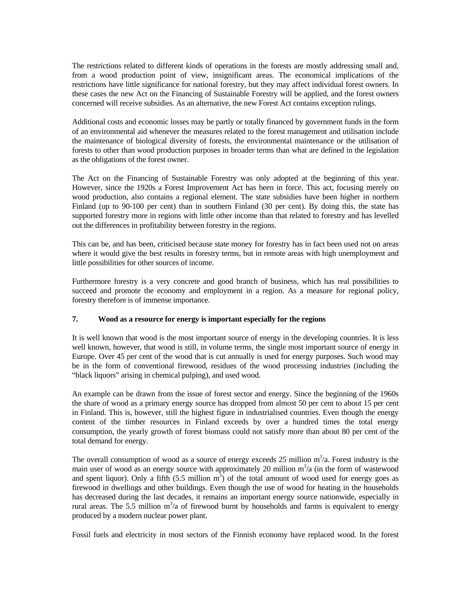The restrictions related to different kinds of operations in the forests are mostly addressing small and, from a wood production point of view, insignificant areas. The economical implications of the restrictions have little significance for national forestry, but they may affect individual forest owners. In these cases the new Act on the Financing of Sustainable Forestry will be applied, and the forest owners concerned will receive subsidies. As an alternative, the new Forest Act contains exception rulings.

Additional costs and economic losses may be partly or totally financed by government funds in the form of an environmental aid whenever the measures related to the forest management and utilisation include the maintenance of biological diversity of forests, the environmental maintenance or the utilisation of forests to other than wood production purposes in broader terms than what are defined in the legislation as the obligations of the forest owner.

The Act on the Financing of Sustainable Forestry was only adopted at the beginning of this year. However, since the 1920s a Forest Improvement Act has been in force. This act, focusing merely on wood production, also contains a regional element. The state subsidies have been higher in northern Finland (up to 90-100 per cent) than in southern Finland (30 per cent). By doing this, the state has supported forestry more in regions with little other income than that related to forestry and has levelled out the differences in profitability between forestry in the regions.

This can be, and has been, criticised because state money for forestry has in fact been used not on areas where it would give the best results in forestry terms, but in remote areas with high unemployment and little possibilities for other sources of income.

Furthermore forestry is a very concrete and good branch of business, which has real possibilities to succeed and promote the economy and employment in a region. As a measure for regional policy, forestry therefore is of immense importance.

# **7. Wood as a resource for energy is important especially for the regions**

It is well known that wood is the most important source of energy in the developing countries. It is less well known, however, that wood is still, in volume terms, the single most important source of energy in Europe. Over 45 per cent of the wood that is cut annually is used for energy purposes. Such wood may be in the form of conventional firewood, residues of the wood processing industries (including the "black liquors" arising in chemical pulping), and used wood.

An example can be drawn from the issue of forest sector and energy. Since the beginning of the 1960s the share of wood as a primary energy source has dropped from almost 50 per cent to about 15 per cent in Finland. This is, however, still the highest figure in industrialised countries. Even though the energy content of the timber resources in Finland exceeds by over a hundred times the total energy consumption, the yearly growth of forest biomass could not satisfy more than about 80 per cent of the total demand for energy.

The overall consumption of wood as a source of energy exceeds  $25$  million  $m<sup>3</sup>/a$ . Forest industry is the main user of wood as an energy source with approximately 20 million  $m<sup>3</sup>/a$  (in the form of wastewood and spent liquor). Only a fifth  $(5.5 \text{ million m}^3)$  of the total amount of wood used for energy goes as firewood in dwellings and other buildings. Even though the use of wood for heating in the households has decreased during the last decades, it remains an important energy source nationwide, especially in rural areas. The 5.5 million  $m<sup>3</sup>/a$  of firewood burnt by households and farms is equivalent to energy produced by a modern nuclear power plant.

Fossil fuels and electricity in most sectors of the Finnish economy have replaced wood. In the forest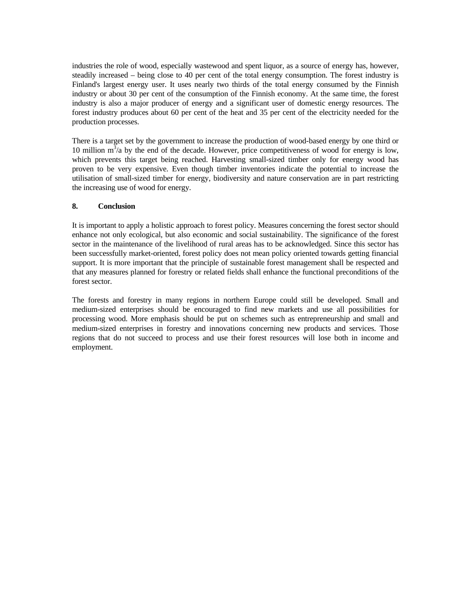industries the role of wood, especially wastewood and spent liquor, as a source of energy has, however, steadily increased – being close to 40 per cent of the total energy consumption. The forest industry is Finland's largest energy user. It uses nearly two thirds of the total energy consumed by the Finnish industry or about 30 per cent of the consumption of the Finnish economy. At the same time, the forest industry is also a major producer of energy and a significant user of domestic energy resources. The forest industry produces about 60 per cent of the heat and 35 per cent of the electricity needed for the production processes.

There is a target set by the government to increase the production of wood-based energy by one third or 10 million  $m<sup>3</sup>/a$  by the end of the decade. However, price competitiveness of wood for energy is low, which prevents this target being reached. Harvesting small-sized timber only for energy wood has proven to be very expensive. Even though timber inventories indicate the potential to increase the utilisation of small-sized timber for energy, biodiversity and nature conservation are in part restricting the increasing use of wood for energy.

# **8. Conclusion**

It is important to apply a holistic approach to forest policy. Measures concerning the forest sector should enhance not only ecological, but also economic and social sustainability. The significance of the forest sector in the maintenance of the livelihood of rural areas has to be acknowledged. Since this sector has been successfully market-oriented, forest policy does not mean policy oriented towards getting financial support. It is more important that the principle of sustainable forest management shall be respected and that any measures planned for forestry or related fields shall enhance the functional preconditions of the forest sector.

The forests and forestry in many regions in northern Europe could still be developed. Small and medium-sized enterprises should be encouraged to find new markets and use all possibilities for processing wood. More emphasis should be put on schemes such as entrepreneurship and small and medium-sized enterprises in forestry and innovations concerning new products and services. Those regions that do not succeed to process and use their forest resources will lose both in income and employment.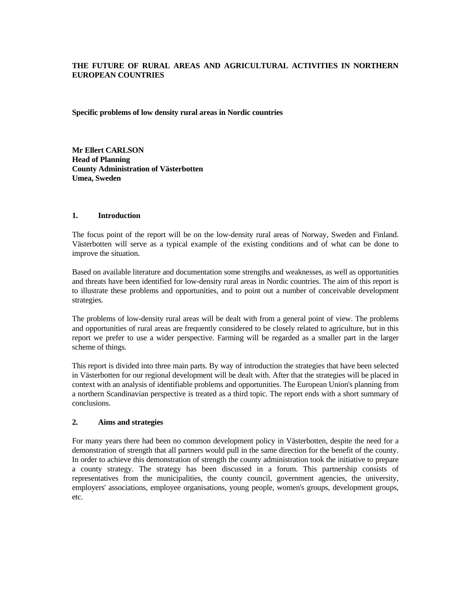# **THE FUTURE OF RURAL AREAS AND AGRICULTURAL ACTIVITIES IN NORTHERN EUROPEAN COUNTRIES**

**Specific problems of low density rural areas in Nordic countries** 

**Mr Ellert CARLSON Head of Planning County Administration of Västerbotten Umea, Sweden** 

# **1. Introduction**

The focus point of the report will be on the low-density rural areas of Norway, Sweden and Finland. Västerbotten will serve as a typical example of the existing conditions and of what can be done to improve the situation.

Based on available literature and documentation some strengths and weaknesses, as well as opportunities and threats have been identified for low-density rural areas in Nordic countries. The aim of this report is to illustrate these problems and opportunities, and to point out a number of conceivable development strategies.

The problems of low-density rural areas will be dealt with from a general point of view. The problems and opportunities of rural areas are frequently considered to be closely related to agriculture, but in this report we prefer to use a wider perspective. Farming will be regarded as a smaller part in the larger scheme of things.

This report is divided into three main parts. By way of introduction the strategies that have been selected in Västerbotten for our regional development will be dealt with. After that the strategies will be placed in context with an analysis of identifiable problems and opportunities. The European Union's planning from a northern Scandinavian perspective is treated as a third topic. The report ends with a short summary of conclusions.

# **2. Aims and strategies**

For many years there had been no common development policy in Västerbotten, despite the need for a demonstration of strength that all partners would pull in the same direction for the benefit of the county. In order to achieve this demonstration of strength the county administration took the initiative to prepare a county strategy. The strategy has been discussed in a forum. This partnership consists of representatives from the municipalities, the county council, government agencies, the university, employers' associations, employee organisations, young people, women's groups, development groups, etc.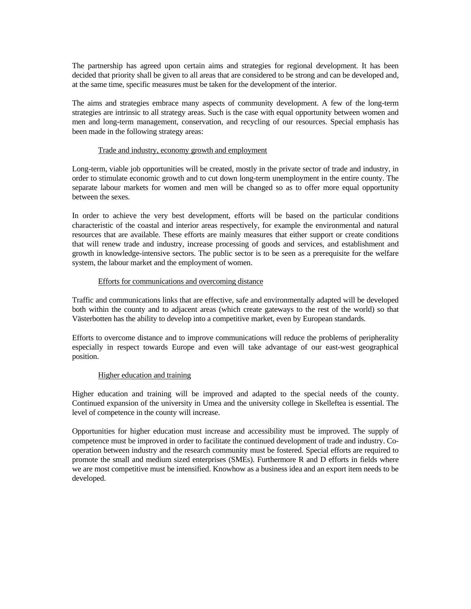The partnership has agreed upon certain aims and strategies for regional development. It has been decided that priority shall be given to all areas that are considered to be strong and can be developed and, at the same time, specific measures must be taken for the development of the interior.

The aims and strategies embrace many aspects of community development. A few of the long-term strategies are intrinsic to all strategy areas. Such is the case with equal opportunity between women and men and long-term management, conservation, and recycling of our resources. Special emphasis has been made in the following strategy areas:

### Trade and industry, economy growth and employment

Long-term, viable job opportunities will be created, mostly in the private sector of trade and industry, in order to stimulate economic growth and to cut down long-term unemployment in the entire county. The separate labour markets for women and men will be changed so as to offer more equal opportunity between the sexes.

In order to achieve the very best development, efforts will be based on the particular conditions characteristic of the coastal and interior areas respectively, for example the environmental and natural resources that are available. These efforts are mainly measures that either support or create conditions that will renew trade and industry, increase processing of goods and services, and establishment and growth in knowledge-intensive sectors. The public sector is to be seen as a prerequisite for the welfare system, the labour market and the employment of women.

### Efforts for communications and overcoming distance

Traffic and communications links that are effective, safe and environmentally adapted will be developed both within the county and to adjacent areas (which create gateways to the rest of the world) so that Västerbotten has the ability to develop into a competitive market, even by European standards.

Efforts to overcome distance and to improve communications will reduce the problems of peripherality especially in respect towards Europe and even will take advantage of our east-west geographical position.

# Higher education and training

Higher education and training will be improved and adapted to the special needs of the county. Continued expansion of the university in Umea and the university college in Skelleftea is essential. The level of competence in the county will increase.

Opportunities for higher education must increase and accessibility must be improved. The supply of competence must be improved in order to facilitate the continued development of trade and industry. Cooperation between industry and the research community must be fostered. Special efforts are required to promote the small and medium sized enterprises (SMEs). Furthermore R and D efforts in fields where we are most competitive must be intensified. Knowhow as a business idea and an export item needs to be developed.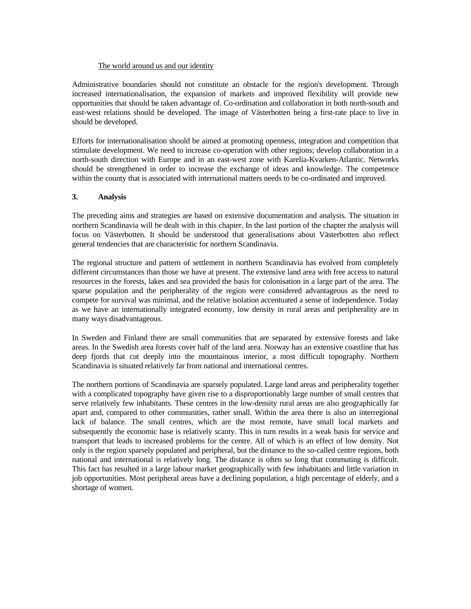### The world around us and our identity

Administrative boundaries should not constitute an obstacle for the region's development. Through increased internationalisation, the expansion of markets and improved flexibility will provide new opportunities that should be taken advantage of. Co-ordination and collaboration in both north-south and east-west relations should be developed. The image of Västerbotten being a first-rate place to live in should be developed.

Efforts for internationalisation should be aimed at promoting openness, integration and competition that stimulate development. We need to increase co-operation with other regions; develop collaboration in a north-south direction with Europe and in an east-west zone with Karelia-Kvarken-Atlantic. Networks should be strengthened in order to increase the exchange of ideas and knowledge. The competence within the county that is associated with international matters needs to be co-ordinated and improved.

# **3. Analysis**

The preceding aims and strategies are based on extensive documentation and analysis. The situation in northern Scandinavia will be dealt with in this chapter. In the last portion of the chapter the analysis will focus on Västerbotten. It should be understood that generalisations about Västerbotten also reflect general tendencies that are characteristic for northern Scandinavia.

The regional structure and pattern of settlement in northern Scandinavia has evolved from completely different circumstances than those we have at present. The extensive land area with free access to natural resources in the forests, lakes and sea provided the basis for colonisation in a large part of the area. The sparse population and the peripherality of the region were considered advantageous as the need to compete for survival was minimal, and the relative isolation accentuated a sense of independence. Today as we have an internationally integrated economy, low density in rural areas and peripherality are in many ways disadvantageous.

In Sweden and Finland there are small communities that are separated by extensive forests and lake areas. In the Swedish area forests cover half of the land area. Norway has an extensive coastline that has deep fjords that cut deeply into the mountainous interior, a most difficult topography. Northern Scandinavia is situated relatively far from national and international centres.

The northern portions of Scandinavia are sparsely populated. Large land areas and peripherality together with a complicated topography have given rise to a disproportionably large number of small centres that serve relatively few inhabitants. These centres in the low-density rural areas are also geographically far apart and, compared to other communities, rather small. Within the area there is also an interregional lack of balance. The small centres, which are the most remote, have small local markets and subsequently the economic base is relatively scanty. This in turn results in a weak basis for service and transport that leads to increased problems for the centre. All of which is an effect of low density. Not only is the region sparsely populated and peripheral, but the distance to the so-called centre regions, both national and international is relatively long. The distance is often so long that commuting is difficult. This fact has resulted in a large labour market geographically with few inhabitants and little variation in job opportunities. Most peripheral areas have a declining population, a high percentage of elderly, and a shortage of women.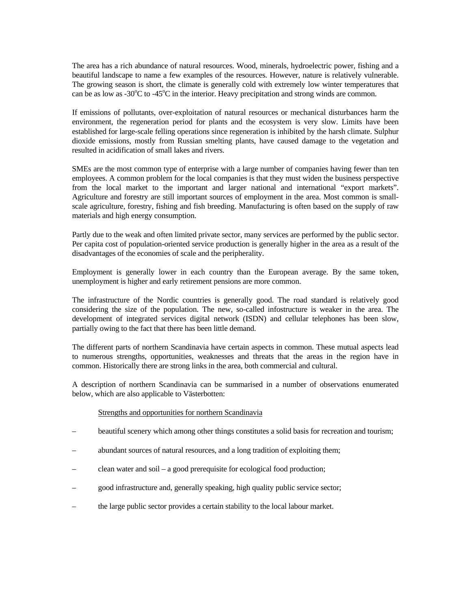The area has a rich abundance of natural resources. Wood, minerals, hydroelectric power, fishing and a beautiful landscape to name a few examples of the resources. However, nature is relatively vulnerable. The growing season is short, the climate is generally cold with extremely low winter temperatures that can be as low as -30 $\degree$ C to -45 $\degree$ C in the interior. Heavy precipitation and strong winds are common.

If emissions of pollutants, over-exploitation of natural resources or mechanical disturbances harm the environment, the regeneration period for plants and the ecosystem is very slow. Limits have been established for large-scale felling operations since regeneration is inhibited by the harsh climate. Sulphur dioxide emissions, mostly from Russian smelting plants, have caused damage to the vegetation and resulted in acidification of small lakes and rivers.

SMEs are the most common type of enterprise with a large number of companies having fewer than ten employees. A common problem for the local companies is that they must widen the business perspective from the local market to the important and larger national and international "export markets". Agriculture and forestry are still important sources of employment in the area. Most common is smallscale agriculture, forestry, fishing and fish breeding. Manufacturing is often based on the supply of raw materials and high energy consumption.

Partly due to the weak and often limited private sector, many services are performed by the public sector. Per capita cost of population-oriented service production is generally higher in the area as a result of the disadvantages of the economies of scale and the peripherality.

Employment is generally lower in each country than the European average. By the same token, unemployment is higher and early retirement pensions are more common.

The infrastructure of the Nordic countries is generally good. The road standard is relatively good considering the size of the population. The new, so-called infostructure is weaker in the area. The development of integrated services digital network (ISDN) and cellular telephones has been slow, partially owing to the fact that there has been little demand.

The different parts of northern Scandinavia have certain aspects in common. These mutual aspects lead to numerous strengths, opportunities, weaknesses and threats that the areas in the region have in common. Historically there are strong links in the area, both commercial and cultural.

A description of northern Scandinavia can be summarised in a number of observations enumerated below, which are also applicable to Västerbotten:

# Strengths and opportunities for northern Scandinavia

- beautiful scenery which among other things constitutes a solid basis for recreation and tourism;
- abundant sources of natural resources, and a long tradition of exploiting them;
- clean water and soil a good prerequisite for ecological food production;
- good infrastructure and, generally speaking, high quality public service sector;
- the large public sector provides a certain stability to the local labour market.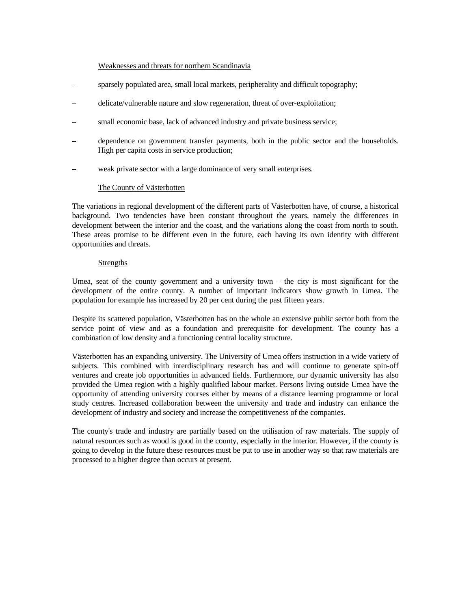#### Weaknesses and threats for northern Scandinavia

- sparsely populated area, small local markets, peripherality and difficult topography;
- delicate/vulnerable nature and slow regeneration, threat of over-exploitation;
- small economic base, lack of advanced industry and private business service;
- dependence on government transfer payments, both in the public sector and the households. High per capita costs in service production;
- weak private sector with a large dominance of very small enterprises.

### The County of Västerbotten

The variations in regional development of the different parts of Västerbotten have, of course, a historical background. Two tendencies have been constant throughout the years, namely the differences in development between the interior and the coast, and the variations along the coast from north to south. These areas promise to be different even in the future, each having its own identity with different opportunities and threats.

#### **Strengths**

Umea, seat of the county government and a university town  $-$  the city is most significant for the development of the entire county. A number of important indicators show growth in Umea. The population for example has increased by 20 per cent during the past fifteen years.

Despite its scattered population, Västerbotten has on the whole an extensive public sector both from the service point of view and as a foundation and prerequisite for development. The county has a combination of low density and a functioning central locality structure.

Västerbotten has an expanding university. The University of Umea offers instruction in a wide variety of subjects. This combined with interdisciplinary research has and will continue to generate spin-off ventures and create job opportunities in advanced fields. Furthermore, our dynamic university has also provided the Umea region with a highly qualified labour market. Persons living outside Umea have the opportunity of attending university courses either by means of a distance learning programme or local study centres. Increased collaboration between the university and trade and industry can enhance the development of industry and society and increase the competitiveness of the companies.

The county's trade and industry are partially based on the utilisation of raw materials. The supply of natural resources such as wood is good in the county, especially in the interior. However, if the county is going to develop in the future these resources must be put to use in another way so that raw materials are processed to a higher degree than occurs at present.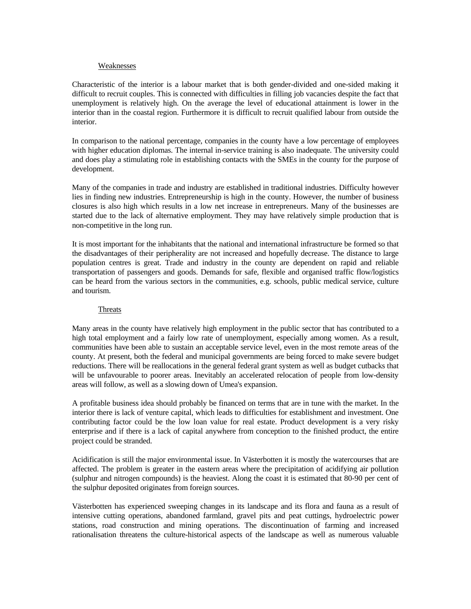#### Weaknesses

Characteristic of the interior is a labour market that is both gender-divided and one-sided making it difficult to recruit couples. This is connected with difficulties in filling job vacancies despite the fact that unemployment is relatively high. On the average the level of educational attainment is lower in the interior than in the coastal region. Furthermore it is difficult to recruit qualified labour from outside the interior.

In comparison to the national percentage, companies in the county have a low percentage of employees with higher education diplomas. The internal in-service training is also inadequate. The university could and does play a stimulating role in establishing contacts with the SMEs in the county for the purpose of development.

Many of the companies in trade and industry are established in traditional industries. Difficulty however lies in finding new industries. Entrepreneurship is high in the county. However, the number of business closures is also high which results in a low net increase in entrepreneurs. Many of the businesses are started due to the lack of alternative employment. They may have relatively simple production that is non-competitive in the long run.

It is most important for the inhabitants that the national and international infrastructure be formed so that the disadvantages of their peripherality are not increased and hopefully decrease. The distance to large population centres is great. Trade and industry in the county are dependent on rapid and reliable transportation of passengers and goods. Demands for safe, flexible and organised traffic flow/logistics can be heard from the various sectors in the communities, e.g. schools, public medical service, culture and tourism.

#### Threats

Many areas in the county have relatively high employment in the public sector that has contributed to a high total employment and a fairly low rate of unemployment, especially among women. As a result, communities have been able to sustain an acceptable service level, even in the most remote areas of the county. At present, both the federal and municipal governments are being forced to make severe budget reductions. There will be reallocations in the general federal grant system as well as budget cutbacks that will be unfavourable to poorer areas. Inevitably an accelerated relocation of people from low-density areas will follow, as well as a slowing down of Umea's expansion.

A profitable business idea should probably be financed on terms that are in tune with the market. In the interior there is lack of venture capital, which leads to difficulties for establishment and investment. One contributing factor could be the low loan value for real estate. Product development is a very risky enterprise and if there is a lack of capital anywhere from conception to the finished product, the entire project could be stranded.

Acidification is still the major environmental issue. In Västerbotten it is mostly the watercourses that are affected. The problem is greater in the eastern areas where the precipitation of acidifying air pollution (sulphur and nitrogen compounds) is the heaviest. Along the coast it is estimated that 80-90 per cent of the sulphur deposited originates from foreign sources.

Västerbotten has experienced sweeping changes in its landscape and its flora and fauna as a result of intensive cutting operations, abandoned farmland, gravel pits and peat cuttings, hydroelectric power stations, road construction and mining operations. The discontinuation of farming and increased rationalisation threatens the culture-historical aspects of the landscape as well as numerous valuable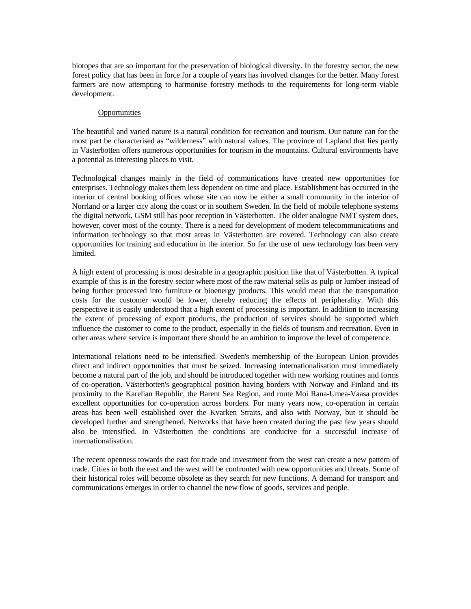biotopes that are so important for the preservation of biological diversity. In the forestry sector, the new forest policy that has been in force for a couple of years has involved changes for the better. Many forest farmers are now attempting to harmonise forestry methods to the requirements for long-term viable development.

### **Opportunities**

The beautiful and varied nature is a natural condition for recreation and tourism. Our nature can for the most part be characterised as "wilderness" with natural values. The province of Lapland that lies partly in Västerbotten offers numerous opportunities for tourism in the mountains. Cultural environments have a potential as interesting places to visit.

Technological changes mainly in the field of communications have created new opportunities for enterprises. Technology makes them less dependent on time and place. Establishment has occurred in the interior of central booking offices whose site can now be either a small community in the interior of Norrland or a larger city along the coast or in southern Sweden. In the field of mobile telephone systems the digital network, GSM still has poor reception in Västerbotten. The older analogue NMT system does, however, cover most of the county. There is a need for development of modern telecommunications and information technology so that most areas in Västerbotten are covered. Technology can also create opportunities for training and education in the interior. So far the use of new technology has been very limited.

A high extent of processing is most desirable in a geographic position like that of Västerbotten. A typical example of this is in the forestry sector where most of the raw material sells as pulp or lumber instead of being further processed into furniture or bioenergy products. This would mean that the transportation costs for the customer would be lower, thereby reducing the effects of peripherality. With this perspective it is easily understood that a high extent of processing is important. In addition to increasing the extent of processing of export products, the production of services should be supported which influence the customer to come to the product, especially in the fields of tourism and recreation. Even in other areas where service is important there should be an ambition to improve the level of competence.

International relations need to be intensified. Sweden's membership of the European Union provides direct and indirect opportunities that must be seized. Increasing internationalisation must immediately become a natural part of the job, and should be introduced together with new working routines and forms of co-operation. Västerbotten's geographical position having borders with Norway and Finland and its proximity to the Karelian Republic, the Barent Sea Region, and route Moi Rana-Umea-Vaasa provides excellent opportunities for co-operation across borders. For many years now, co-operation in certain areas has been well established over the Kvarken Straits, and also with Norway, but it should be developed further and strengthened. Networks that have been created during the past few years should also be intensified. In Västerbotten the conditions are conducive for a successful increase of internationalisation.

The recent openness towards the east for trade and investment from the west can create a new pattern of trade. Cities in both the east and the west will be confronted with new opportunities and threats. Some of their historical roles will become obsolete as they search for new functions. A demand for transport and communications emerges in order to channel the new flow of goods, services and people.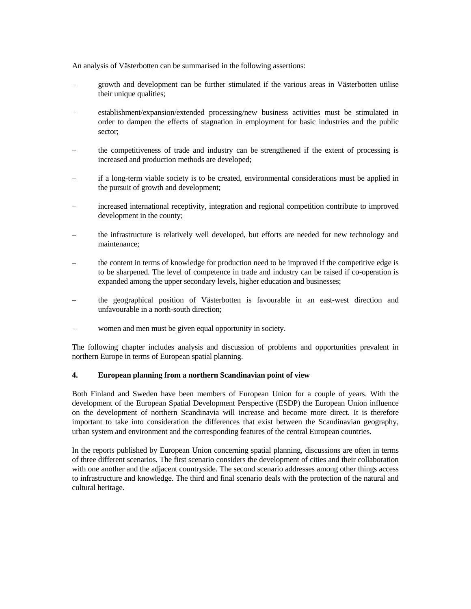An analysis of Västerbotten can be summarised in the following assertions:

- growth and development can be further stimulated if the various areas in Västerbotten utilise their unique qualities;
- establishment/expansion/extended processing/new business activities must be stimulated in order to dampen the effects of stagnation in employment for basic industries and the public sector;
- the competitiveness of trade and industry can be strengthened if the extent of processing is increased and production methods are developed;
- if a long-term viable society is to be created, environmental considerations must be applied in the pursuit of growth and development;
- increased international receptivity, integration and regional competition contribute to improved development in the county;
- the infrastructure is relatively well developed, but efforts are needed for new technology and maintenance;
- the content in terms of knowledge for production need to be improved if the competitive edge is to be sharpened. The level of competence in trade and industry can be raised if co-operation is expanded among the upper secondary levels, higher education and businesses;
- the geographical position of Västerbotten is favourable in an east-west direction and unfavourable in a north-south direction;
- women and men must be given equal opportunity in society.

The following chapter includes analysis and discussion of problems and opportunities prevalent in northern Europe in terms of European spatial planning.

# **4. European planning from a northern Scandinavian point of view**

Both Finland and Sweden have been members of European Union for a couple of years. With the development of the European Spatial Development Perspective (ESDP) the European Union influence on the development of northern Scandinavia will increase and become more direct. It is therefore important to take into consideration the differences that exist between the Scandinavian geography, urban system and environment and the corresponding features of the central European countries.

In the reports published by European Union concerning spatial planning, discussions are often in terms of three different scenarios. The first scenario considers the development of cities and their collaboration with one another and the adjacent countryside. The second scenario addresses among other things access to infrastructure and knowledge. The third and final scenario deals with the protection of the natural and cultural heritage.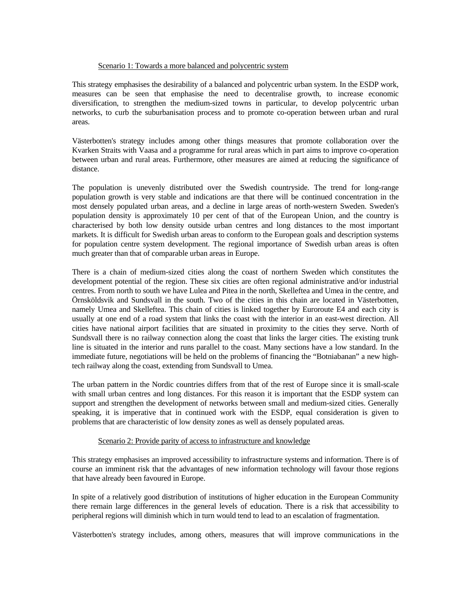#### Scenario 1: Towards a more balanced and polycentric system

This strategy emphasises the desirability of a balanced and polycentric urban system. In the ESDP work, measures can be seen that emphasise the need to decentralise growth, to increase economic diversification, to strengthen the medium-sized towns in particular, to develop polycentric urban networks, to curb the suburbanisation process and to promote co-operation between urban and rural areas.

Västerbotten's strategy includes among other things measures that promote collaboration over the Kvarken Straits with Vaasa and a programme for rural areas which in part aims to improve co-operation between urban and rural areas. Furthermore, other measures are aimed at reducing the significance of distance.

The population is unevenly distributed over the Swedish countryside. The trend for long-range population growth is very stable and indications are that there will be continued concentration in the most densely populated urban areas, and a decline in large areas of north-western Sweden. Sweden's population density is approximately 10 per cent of that of the European Union, and the country is characterised by both low density outside urban centres and long distances to the most important markets. It is difficult for Swedish urban areas to conform to the European goals and description systems for population centre system development. The regional importance of Swedish urban areas is often much greater than that of comparable urban areas in Europe.

There is a chain of medium-sized cities along the coast of northern Sweden which constitutes the development potential of the region. These six cities are often regional administrative and/or industrial centres. From north to south we have Lulea and Pitea in the north, Skelleftea and Umea in the centre, and Örnsköldsvik and Sundsvall in the south. Two of the cities in this chain are located in Västerbotten, namely Umea and Skelleftea. This chain of cities is linked together by Euroroute E4 and each city is usually at one end of a road system that links the coast with the interior in an east-west direction. All cities have national airport facilities that are situated in proximity to the cities they serve. North of Sundsvall there is no railway connection along the coast that links the larger cities. The existing trunk line is situated in the interior and runs parallel to the coast. Many sections have a low standard. In the immediate future, negotiations will be held on the problems of financing the "Botniabanan" a new hightech railway along the coast, extending from Sundsvall to Umea.

The urban pattern in the Nordic countries differs from that of the rest of Europe since it is small-scale with small urban centres and long distances. For this reason it is important that the ESDP system can support and strengthen the development of networks between small and medium-sized cities. Generally speaking, it is imperative that in continued work with the ESDP, equal consideration is given to problems that are characteristic of low density zones as well as densely populated areas.

# Scenario 2: Provide parity of access to infrastructure and knowledge

This strategy emphasises an improved accessibility to infrastructure systems and information. There is of course an imminent risk that the advantages of new information technology will favour those regions that have already been favoured in Europe.

In spite of a relatively good distribution of institutions of higher education in the European Community there remain large differences in the general levels of education. There is a risk that accessibility to peripheral regions will diminish which in turn would tend to lead to an escalation of fragmentation.

Västerbotten's strategy includes, among others, measures that will improve communications in the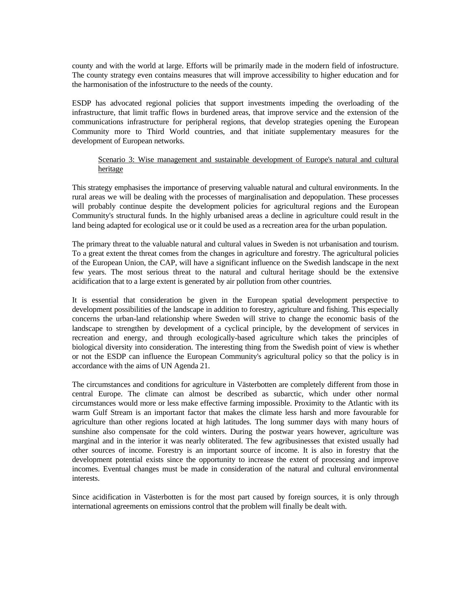county and with the world at large. Efforts will be primarily made in the modern field of infostructure. The county strategy even contains measures that will improve accessibility to higher education and for the harmonisation of the infostructure to the needs of the county.

ESDP has advocated regional policies that support investments impeding the overloading of the infrastructure, that limit traffic flows in burdened areas, that improve service and the extension of the communications infrastructure for peripheral regions, that develop strategies opening the European Community more to Third World countries, and that initiate supplementary measures for the development of European networks.

# Scenario 3: Wise management and sustainable development of Europe's natural and cultural heritage

This strategy emphasises the importance of preserving valuable natural and cultural environments. In the rural areas we will be dealing with the processes of marginalisation and depopulation. These processes will probably continue despite the development policies for agricultural regions and the European Community's structural funds. In the highly urbanised areas a decline in agriculture could result in the land being adapted for ecological use or it could be used as a recreation area for the urban population.

The primary threat to the valuable natural and cultural values in Sweden is not urbanisation and tourism. To a great extent the threat comes from the changes in agriculture and forestry. The agricultural policies of the European Union, the CAP, will have a significant influence on the Swedish landscape in the next few years. The most serious threat to the natural and cultural heritage should be the extensive acidification that to a large extent is generated by air pollution from other countries.

It is essential that consideration be given in the European spatial development perspective to development possibilities of the landscape in addition to forestry, agriculture and fishing. This especially concerns the urban-land relationship where Sweden will strive to change the economic basis of the landscape to strengthen by development of a cyclical principle, by the development of services in recreation and energy, and through ecologically-based agriculture which takes the principles of biological diversity into consideration. The interesting thing from the Swedish point of view is whether or not the ESDP can influence the European Community's agricultural policy so that the policy is in accordance with the aims of UN Agenda 21.

The circumstances and conditions for agriculture in Västerbotten are completely different from those in central Europe. The climate can almost be described as subarctic, which under other normal circumstances would more or less make effective farming impossible. Proximity to the Atlantic with its warm Gulf Stream is an important factor that makes the climate less harsh and more favourable for agriculture than other regions located at high latitudes. The long summer days with many hours of sunshine also compensate for the cold winters. During the postwar years however, agriculture was marginal and in the interior it was nearly obliterated. The few agribusinesses that existed usually had other sources of income. Forestry is an important source of income. It is also in forestry that the development potential exists since the opportunity to increase the extent of processing and improve incomes. Eventual changes must be made in consideration of the natural and cultural environmental interests.

Since acidification in Västerbotten is for the most part caused by foreign sources, it is only through international agreements on emissions control that the problem will finally be dealt with.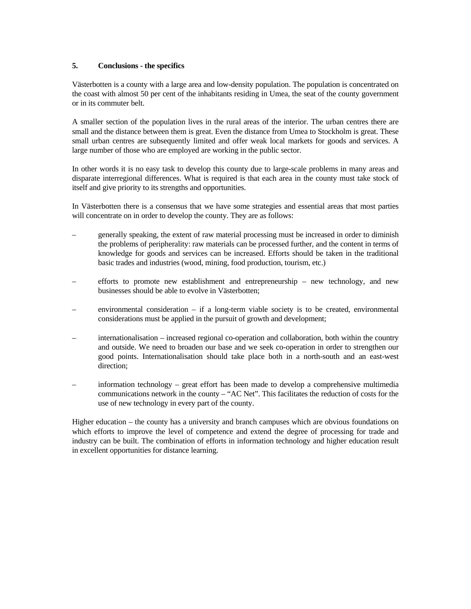# **5. Conclusions - the specifics**

Västerbotten is a county with a large area and low-density population. The population is concentrated on the coast with almost 50 per cent of the inhabitants residing in Umea, the seat of the county government or in its commuter belt.

A smaller section of the population lives in the rural areas of the interior. The urban centres there are small and the distance between them is great. Even the distance from Umea to Stockholm is great. These small urban centres are subsequently limited and offer weak local markets for goods and services. A large number of those who are employed are working in the public sector.

In other words it is no easy task to develop this county due to large-scale problems in many areas and disparate interregional differences. What is required is that each area in the county must take stock of itself and give priority to its strengths and opportunities.

In Västerbotten there is a consensus that we have some strategies and essential areas that most parties will concentrate on in order to develop the county. They are as follows:

- generally speaking, the extent of raw material processing must be increased in order to diminish the problems of peripherality: raw materials can be processed further, and the content in terms of knowledge for goods and services can be increased. Efforts should be taken in the traditional basic trades and industries (wood, mining, food production, tourism, etc.)
- efforts to promote new establishment and entrepreneurship new technology, and new businesses should be able to evolve in Västerbotten;
- environmental consideration  $-$  if a long-term viable society is to be created, environmental considerations must be applied in the pursuit of growth and development;
- internationalisation increased regional co-operation and collaboration, both within the country and outside. We need to broaden our base and we seek co-operation in order to strengthen our good points. Internationalisation should take place both in a north-south and an east-west direction;
- information technology great effort has been made to develop a comprehensive multimedia communications network in the county – "AC Net". This facilitates the reduction of costs for the use of new technology in every part of the county.

Higher education – the county has a university and branch campuses which are obvious foundations on which efforts to improve the level of competence and extend the degree of processing for trade and industry can be built. The combination of efforts in information technology and higher education result in excellent opportunities for distance learning.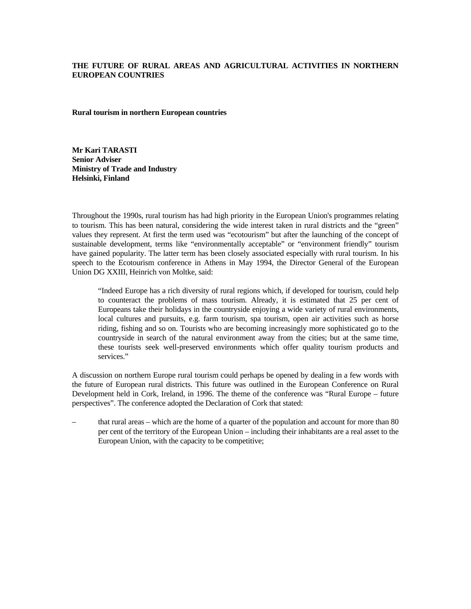# **THE FUTURE OF RURAL AREAS AND AGRICULTURAL ACTIVITIES IN NORTHERN EUROPEAN COUNTRIES**

**Rural tourism in northern European countries** 

**Mr Kari TARASTI Senior Adviser Ministry of Trade and Industry Helsinki, Finland** 

Throughout the 1990s, rural tourism has had high priority in the European Union's programmes relating to tourism. This has been natural, considering the wide interest taken in rural districts and the "green" values they represent. At first the term used was "ecotourism" but after the launching of the concept of sustainable development, terms like "environmentally acceptable" or "environment friendly" tourism have gained popularity. The latter term has been closely associated especially with rural tourism. In his speech to the Ecotourism conference in Athens in May 1994, the Director General of the European Union DG XXIII, Heinrich von Moltke, said:

"Indeed Europe has a rich diversity of rural regions which, if developed for tourism, could help to counteract the problems of mass tourism. Already, it is estimated that 25 per cent of Europeans take their holidays in the countryside enjoying a wide variety of rural environments, local cultures and pursuits, e.g. farm tourism, spa tourism, open air activities such as horse riding, fishing and so on. Tourists who are becoming increasingly more sophisticated go to the countryside in search of the natural environment away from the cities; but at the same time, these tourists seek well-preserved environments which offer quality tourism products and services."

A discussion on northern Europe rural tourism could perhaps be opened by dealing in a few words with the future of European rural districts. This future was outlined in the European Conference on Rural Development held in Cork, Ireland, in 1996. The theme of the conference was "Rural Europe – future perspectives". The conference adopted the Declaration of Cork that stated:

– that rural areas – which are the home of a quarter of the population and account for more than 80 per cent of the territory of the European Union – including their inhabitants are a real asset to the European Union, with the capacity to be competitive;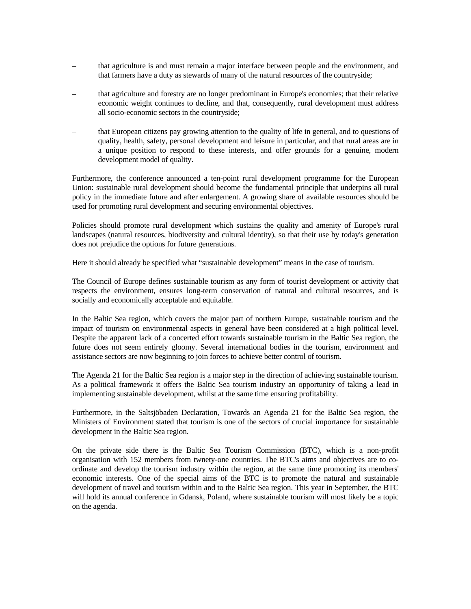- that agriculture is and must remain a major interface between people and the environment, and that farmers have a duty as stewards of many of the natural resources of the countryside;
- that agriculture and forestry are no longer predominant in Europe's economies; that their relative economic weight continues to decline, and that, consequently, rural development must address all socio-economic sectors in the countryside;
- that European citizens pay growing attention to the quality of life in general, and to questions of quality, health, safety, personal development and leisure in particular, and that rural areas are in a unique position to respond to these interests, and offer grounds for a genuine, modern development model of quality.

Furthermore, the conference announced a ten-point rural development programme for the European Union: sustainable rural development should become the fundamental principle that underpins all rural policy in the immediate future and after enlargement. A growing share of available resources should be used for promoting rural development and securing environmental objectives.

Policies should promote rural development which sustains the quality and amenity of Europe's rural landscapes (natural resources, biodiversity and cultural identity), so that their use by today's generation does not prejudice the options for future generations.

Here it should already be specified what "sustainable development" means in the case of tourism.

The Council of Europe defines sustainable tourism as any form of tourist development or activity that respects the environment, ensures long-term conservation of natural and cultural resources, and is socially and economically acceptable and equitable.

In the Baltic Sea region, which covers the major part of northern Europe, sustainable tourism and the impact of tourism on environmental aspects in general have been considered at a high political level. Despite the apparent lack of a concerted effort towards sustainable tourism in the Baltic Sea region, the future does not seem entirely gloomy. Several international bodies in the tourism, environment and assistance sectors are now beginning to join forces to achieve better control of tourism.

The Agenda 21 for the Baltic Sea region is a major step in the direction of achieving sustainable tourism. As a political framework it offers the Baltic Sea tourism industry an opportunity of taking a lead in implementing sustainable development, whilst at the same time ensuring profitability.

Furthermore, in the Saltsjöbaden Declaration, Towards an Agenda 21 for the Baltic Sea region, the Ministers of Environment stated that tourism is one of the sectors of crucial importance for sustainable development in the Baltic Sea region.

On the private side there is the Baltic Sea Tourism Commission (BTC), which is a non-profit organisation with 152 members from twnety-one countries. The BTC's aims and objectives are to coordinate and develop the tourism industry within the region, at the same time promoting its members' economic interests. One of the special aims of the BTC is to promote the natural and sustainable development of travel and tourism within and to the Baltic Sea region. This year in September, the BTC will hold its annual conference in Gdansk, Poland, where sustainable tourism will most likely be a topic on the agenda.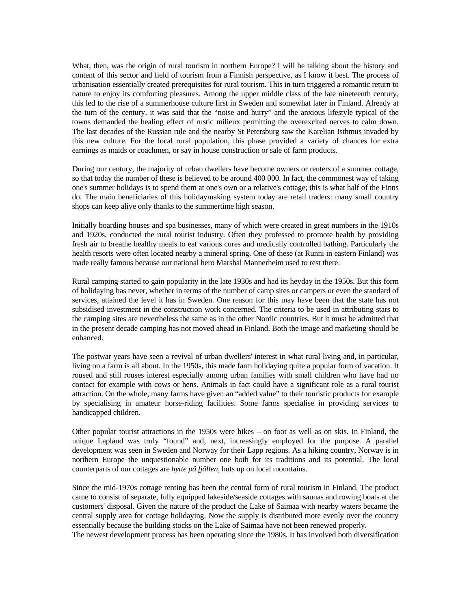What, then, was the origin of rural tourism in northern Europe? I will be talking about the history and content of this sector and field of tourism from a Finnish perspective, as I know it best. The process of urbanisation essentially created prerequisites for rural tourism. This in turn triggered a romantic return to nature to enjoy its comforting pleasures. Among the upper middle class of the late nineteenth century, this led to the rise of a summerhouse culture first in Sweden and somewhat later in Finland. Already at the turn of the century, it was said that the "noise and hurry" and the anxious lifestyle typical of the towns demanded the healing effect of rustic milieux permitting the overexcited nerves to calm down. The last decades of the Russian rule and the nearby St Petersburg saw the Karelian Isthmus invaded by this new culture. For the local rural population, this phase provided a variety of chances for extra earnings as maids or coachmen, or say in house construction or sale of farm products.

During our century, the majority of urban dwellers have become owners or renters of a summer cottage, so that today the number of these is believed to be around 400 000. In fact, the commonest way of taking one's summer holidays is to spend them at one's own or a relative's cottage; this is what half of the Finns do. The main beneficiaries of this holidaymaking system today are retail traders: many small country shops can keep alive only thanks to the summertime high season.

Initially boarding houses and spa businesses, many of which were created in great numbers in the 1910s and 1920s, conducted the rural tourist industry. Often they professed to promote health by providing fresh air to breathe healthy meals to eat various cures and medically controlled bathing. Particularly the health resorts were often located nearby a mineral spring. One of these (at Runni in eastern Finland) was made really famous because our national hero Marshal Mannerheim used to rest there.

Rural camping started to gain popularity in the late 1930s and had its heyday in the 1950s. But this form of holidaying has never, whether in terms of the number of camp sites or campers or even the standard of services, attained the level it has in Sweden. One reason for this may have been that the state has not subsidised investment in the construction work concerned. The criteria to be used in attributing stars to the camping sites are nevertheless the same as in the other Nordic countries. But it must be admitted that in the present decade camping has not moved ahead in Finland. Both the image and marketing should be enhanced.

The postwar years have seen a revival of urban dwellers' interest in what rural living and, in particular, living on a farm is all about. In the 1950s, this made farm holidaying quite a popular form of vacation. It roused and still rouses interest especially among urban families with small children who have had no contact for example with cows or hens. Animals in fact could have a significant role as a rural tourist attraction. On the whole, many farms have given an "added value" to their touristic products for example by specialising in amateur horse-riding facilities. Some farms specialise in providing services to handicapped children.

Other popular tourist attractions in the 1950s were hikes – on foot as well as on skis. In Finland, the unique Lapland was truly "found" and, next, increasingly employed for the purpose. A parallel development was seen in Sweden and Norway for their Lapp regions. As a hiking country, Norway is in northern Europe the unquestionable number one both for its traditions and its potential. The local counterparts of our cottages are *hytte pä fjällen*, huts up on local mountains.

Since the mid-1970s cottage renting has been the central form of rural tourism in Finland. The product came to consist of separate, fully equipped lakeside/seaside cottages with saunas and rowing boats at the customers' disposal. Given the nature of the product the Lake of Saimaa with nearby waters became the central supply area for cottage holidaying. Now the supply is distributed more evenly over the country essentially because the building stocks on the Lake of Saimaa have not been renewed properly.

The newest development process has been operating since the 1980s. It has involved both diversification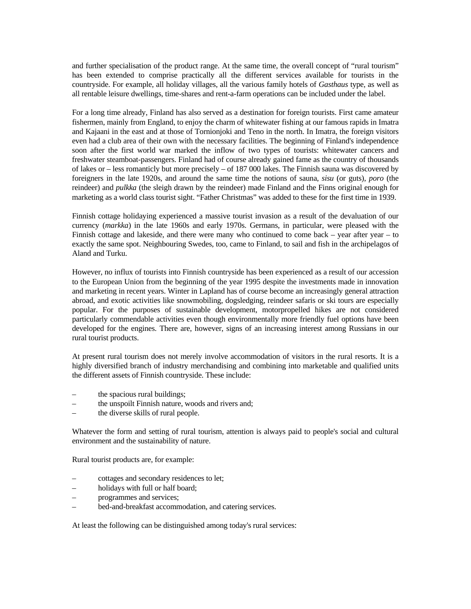and further specialisation of the product range. At the same time, the overall concept of "rural tourism" has been extended to comprise practically all the different services available for tourists in the countryside. For example, all holiday villages, all the various family hotels of *Gasthaus* type, as well as all rentable leisure dwellings, time-shares and rent-a-farm operations can be included under the label.

For a long time already, Finland has also served as a destination for foreign tourists. First came amateur fishermen, mainly from England, to enjoy the charm of whitewater fishing at our famous rapids in Imatra and Kajaani in the east and at those of Tornionjoki and Teno in the north. In Imatra, the foreign visitors even had a club area of their own with the necessary facilities. The beginning of Finland's independence soon after the first world war marked the inflow of two types of tourists: whitewater cancers and freshwater steamboat-passengers. Finland had of course already gained fame as the country of thousands of lakes or – less romanticly but more precisely – of 187 000 lakes. The Finnish sauna was discovered by foreigners in the late 1920s, and around the same time the notions of sauna, *sisu* (or guts), *poro* (the reindeer) and *pulkka* (the sleigh drawn by the reindeer) made Finland and the Finns original enough for marketing as a world class tourist sight. "Father Christmas" was added to these for the first time in 1939.

Finnish cottage holidaying experienced a massive tourist invasion as a result of the devaluation of our currency (*markka*) in the late 1960s and early 1970s. Germans, in particular, were pleased with the Finnish cottage and lakeside, and there were many who continued to come back  $-$  year after year  $-$  to exactly the same spot. Neighbouring Swedes, too, came to Finland, to sail and fish in the archipelagos of Aland and Turku.

However, no influx of tourists into Finnish countryside has been experienced as a result of our accession to the European Union from the beginning of the year 1995 despite the investments made in innovation and marketing in recent years. Winter in Lapland has of course become an increasingly general attraction abroad, and exotic activities like snowmobiling, dogsledging, reindeer safaris or ski tours are especially popular. For the purposes of sustainable development, motorpropelled hikes are not considered particularly commendable activities even though environmentally more friendly fuel options have been developed for the engines. There are, however, signs of an increasing interest among Russians in our rural tourist products.

At present rural tourism does not merely involve accommodation of visitors in the rural resorts. It is a highly diversified branch of industry merchandising and combining into marketable and qualified units the different assets of Finnish countryside. These include:

- the spacious rural buildings;
- the unspoilt Finnish nature, woods and rivers and;
- the diverse skills of rural people.

Whatever the form and setting of rural tourism, attention is always paid to people's social and cultural environment and the sustainability of nature.

Rural tourist products are, for example:

- cottages and secondary residences to let;
- holidays with full or half board;
- programmes and services;
- bed-and-breakfast accommodation, and catering services.

At least the following can be distinguished among today's rural services: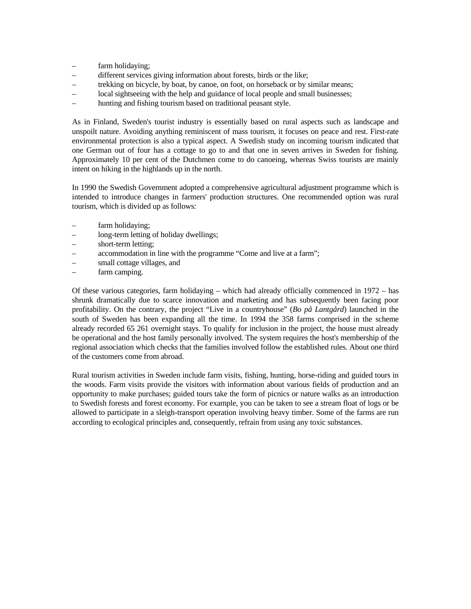- farm holidaying;
- different services giving information about forests, birds or the like;
- trekking on bicycle, by boat, by canoe, on foot, on horseback or by similar means;
- local sightseeing with the help and guidance of local people and small businesses;
- hunting and fishing tourism based on traditional peasant style.

As in Finland, Sweden's tourist industry is essentially based on rural aspects such as landscape and unspoilt nature. Avoiding anything reminiscent of mass tourism, it focuses on peace and rest. First-rate environmental protection is also a typical aspect. A Swedish study on incoming tourism indicated that one German out of four has a cottage to go to and that one in seven arrives in Sweden for fishing. Approximately 10 per cent of the Dutchmen come to do canoeing, whereas Swiss tourists are mainly intent on hiking in the highlands up in the north.

In 1990 the Swedish Government adopted a comprehensive agricultural adjustment programme which is intended to introduce changes in farmers' production structures. One recommended option was rural tourism, which is divided up as follows:

- farm holidaying;
- long-term letting of holiday dwellings;
- short-term letting;
- accommodation in line with the programme "Come and live at a farm";
- small cottage villages, and
- farm camping.

Of these various categories, farm holidaying – which had already officially commenced in 1972 – has shrunk dramatically due to scarce innovation and marketing and has subsequently been facing poor profitability. On the contrary, the project "Live in a countryhouse" (*Bo på Lantgård*) launched in the south of Sweden has been expanding all the time. In 1994 the 358 farms comprised in the scheme already recorded 65 261 overnight stays. To qualify for inclusion in the project, the house must already be operational and the host family personally involved. The system requires the host's membership of the regional association which checks that the families involved follow the established rules. About one third of the customers come from abroad.

Rural tourism activities in Sweden include farm visits, fishing, hunting, horse-riding and guided tours in the woods. Farm visits provide the visitors with information about various fields of production and an opportunity to make purchases; guided tours take the form of picnics or nature walks as an introduction to Swedish forests and forest economy. For example, you can be taken to see a stream float of logs or be allowed to participate in a sleigh-transport operation involving heavy timber. Some of the farms are run according to ecological principles and, consequently, refrain from using any toxic substances.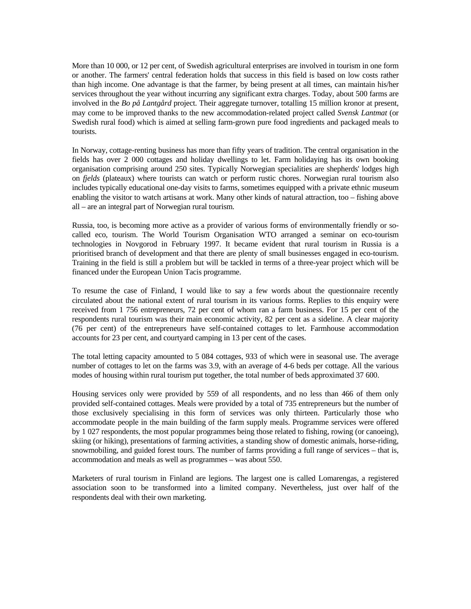More than 10 000, or 12 per cent, of Swedish agricultural enterprises are involved in tourism in one form or another. The farmers' central federation holds that success in this field is based on low costs rather than high income. One advantage is that the farmer, by being present at all times, can maintain his/her services throughout the year without incurring any significant extra charges. Today, about 500 farms are involved in the *Bo på Lantgård* project. Their aggregate turnover, totalling 15 million kronor at present, may come to be improved thanks to the new accommodation-related project called *Svensk Lantmat* (or Swedish rural food) which is aimed at selling farm-grown pure food ingredients and packaged meals to tourists.

In Norway, cottage-renting business has more than fifty years of tradition. The central organisation in the fields has over 2 000 cottages and holiday dwellings to let. Farm holidaying has its own booking organisation comprising around 250 sites. Typically Norwegian specialities are shepherds' lodges high on *fjelds* (plateaux) where tourists can watch or perform rustic chores. Norwegian rural tourism also includes typically educational one-day visits to farms, sometimes equipped with a private ethnic museum enabling the visitor to watch artisans at work. Many other kinds of natural attraction, too – fishing above all – are an integral part of Norwegian rural tourism.

Russia, too, is becoming more active as a provider of various forms of environmentally friendly or socalled eco, tourism. The World Tourism Organisation WTO arranged a seminar on eco-tourism technologies in Novgorod in February 1997. It became evident that rural tourism in Russia is a prioritised branch of development and that there are plenty of small businesses engaged in eco-tourism. Training in the field is still a problem but will be tackled in terms of a three-year project which will be financed under the European Union Tacis programme.

To resume the case of Finland, I would like to say a few words about the questionnaire recently circulated about the national extent of rural tourism in its various forms. Replies to this enquiry were received from 1 756 entrepreneurs, 72 per cent of whom ran a farm business. For 15 per cent of the respondents rural tourism was their main economic activity, 82 per cent as a sideline. A clear majority (76 per cent) of the entrepreneurs have self-contained cottages to let. Farmhouse accommodation accounts for 23 per cent, and courtyard camping in 13 per cent of the cases.

The total letting capacity amounted to 5 084 cottages, 933 of which were in seasonal use. The average number of cottages to let on the farms was 3.9, with an average of 4-6 beds per cottage. All the various modes of housing within rural tourism put together, the total number of beds approximated 37 600.

Housing services only were provided by 559 of all respondents, and no less than 466 of them only provided self-contained cottages. Meals were provided by a total of 735 entrepreneurs but the number of those exclusively specialising in this form of services was only thirteen. Particularly those who accommodate people in the main building of the farm supply meals. Programme services were offered by 1 027 respondents, the most popular programmes being those related to fishing, rowing (or canoeing), skiing (or hiking), presentations of farming activities, a standing show of domestic animals, horse-riding, snowmobiling, and guided forest tours. The number of farms providing a full range of services – that is, accommodation and meals as well as programmes – was about 550.

Marketers of rural tourism in Finland are legions. The largest one is called Lomarengas, a registered association soon to be transformed into a limited company. Nevertheless, just over half of the respondents deal with their own marketing.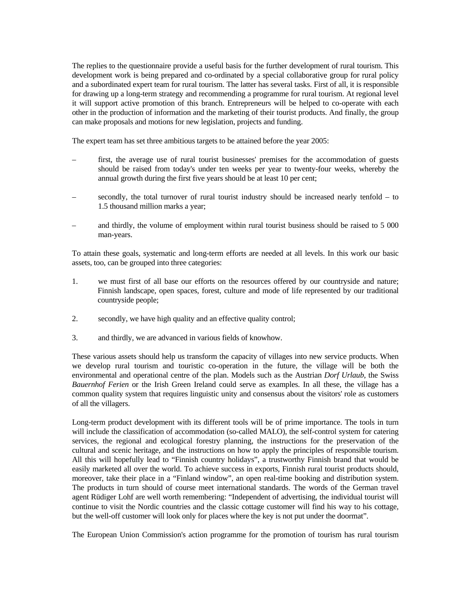The replies to the questionnaire provide a useful basis for the further development of rural tourism. This development work is being prepared and co-ordinated by a special collaborative group for rural policy and a subordinated expert team for rural tourism. The latter has several tasks. First of all, it is responsible for drawing up a long-term strategy and recommending a programme for rural tourism. At regional level it will support active promotion of this branch. Entrepreneurs will be helped to co-operate with each other in the production of information and the marketing of their tourist products. And finally, the group can make proposals and motions for new legislation, projects and funding.

The expert team has set three ambitious targets to be attained before the year 2005:

- first, the average use of rural tourist businesses' premises for the accommodation of guests should be raised from today's under ten weeks per year to twenty-four weeks, whereby the annual growth during the first five years should be at least 10 per cent;
- secondly, the total turnover of rural tourist industry should be increased nearly tenfold  $-$  to 1.5 thousand million marks a year;
- and thirdly, the volume of employment within rural tourist business should be raised to 5 000 man-years.

To attain these goals, systematic and long-term efforts are needed at all levels. In this work our basic assets, too, can be grouped into three categories:

- 1. we must first of all base our efforts on the resources offered by our countryside and nature; Finnish landscape, open spaces, forest, culture and mode of life represented by our traditional countryside people;
- 2. secondly, we have high quality and an effective quality control;
- 3. and thirdly, we are advanced in various fields of knowhow.

These various assets should help us transform the capacity of villages into new service products. When we develop rural tourism and touristic co-operation in the future, the village will be both the environmental and operational centre of the plan. Models such as the Austrian *Dorf Urlaub*, the Swiss *Bauernhof Ferien* or the Irish Green Ireland could serve as examples. In all these, the village has a common quality system that requires linguistic unity and consensus about the visitors' role as customers of all the villagers.

Long-term product development with its different tools will be of prime importance. The tools in turn will include the classification of accommodation (so-called MALO), the self-control system for catering services, the regional and ecological forestry planning, the instructions for the preservation of the cultural and scenic heritage, and the instructions on how to apply the principles of responsible tourism. All this will hopefully lead to "Finnish country holidays", a trustworthy Finnish brand that would be easily marketed all over the world. To achieve success in exports, Finnish rural tourist products should, moreover, take their place in a "Finland window", an open real-time booking and distribution system. The products in turn should of course meet international standards. The words of the German travel agent Rüdiger Lohf are well worth remembering: "Independent of advertising, the individual tourist will continue to visit the Nordic countries and the classic cottage customer will find his way to his cottage, but the well-off customer will look only for places where the key is not put under the doormat".

The European Union Commission's action programme for the promotion of tourism has rural tourism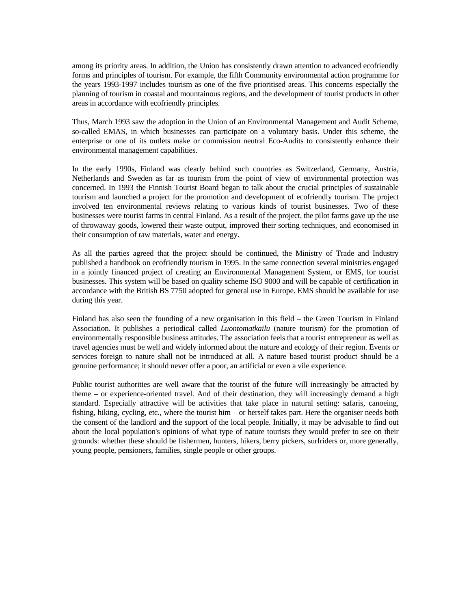among its priority areas. In addition, the Union has consistently drawn attention to advanced ecofriendly forms and principles of tourism. For example, the fifth Community environmental action programme for the years 1993-1997 includes tourism as one of the five prioritised areas. This concerns especially the planning of tourism in coastal and mountainous regions, and the development of tourist products in other areas in accordance with ecofriendly principles.

Thus, March 1993 saw the adoption in the Union of an Environmental Management and Audit Scheme, so-called EMAS, in which businesses can participate on a voluntary basis. Under this scheme, the enterprise or one of its outlets make or commission neutral Eco-Audits to consistently enhance their environmental management capabilities.

In the early 1990s, Finland was clearly behind such countries as Switzerland, Germany, Austria, Netherlands and Sweden as far as tourism from the point of view of environmental protection was concerned. In 1993 the Finnish Tourist Board began to talk about the crucial principles of sustainable tourism and launched a project for the promotion and development of ecofriendly tourism. The project involved ten environmental reviews relating to various kinds of tourist businesses. Two of these businesses were tourist farms in central Finland. As a result of the project, the pilot farms gave up the use of throwaway goods, lowered their waste output, improved their sorting techniques, and economised in their consumption of raw materials, water and energy.

As all the parties agreed that the project should be continued, the Ministry of Trade and Industry published a handbook on ecofriendly tourism in 1995. In the same connection several ministries engaged in a jointly financed project of creating an Environmental Management System, or EMS, for tourist businesses. This system will be based on quality scheme ISO 9000 and will be capable of certification in accordance with the British BS 7750 adopted for general use in Europe. EMS should be available for use during this year.

Finland has also seen the founding of a new organisation in this field – the Green Tourism in Finland Association. It publishes a periodical called *Luontomatkailu* (nature tourism) for the promotion of environmentally responsible business attitudes. The association feels that a tourist entrepreneur as well as travel agencies must be well and widely informed about the nature and ecology of their region. Events or services foreign to nature shall not be introduced at all. A nature based tourist product should be a genuine performance; it should never offer a poor, an artificial or even a vile experience.

Public tourist authorities are well aware that the tourist of the future will increasingly be attracted by theme – or experience-oriented travel. And of their destination, they will increasingly demand a high standard. Especially attractive will be activities that take place in natural setting: safaris, canoeing, fishing, hiking, cycling, etc., where the tourist him – or herself takes part. Here the organiser needs both the consent of the landlord and the support of the local people. Initially, it may be advisable to find out about the local population's opinions of what type of nature tourists they would prefer to see on their grounds: whether these should be fishermen, hunters, hikers, berry pickers, surfriders or, more generally, young people, pensioners, families, single people or other groups.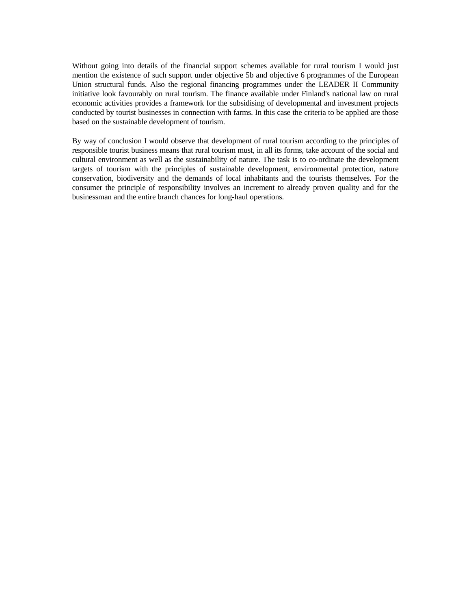Without going into details of the financial support schemes available for rural tourism I would just mention the existence of such support under objective 5b and objective 6 programmes of the European Union structural funds. Also the regional financing programmes under the LEADER II Community initiative look favourably on rural tourism. The finance available under Finland's national law on rural economic activities provides a framework for the subsidising of developmental and investment projects conducted by tourist businesses in connection with farms. In this case the criteria to be applied are those based on the sustainable development of tourism.

By way of conclusion I would observe that development of rural tourism according to the principles of responsible tourist business means that rural tourism must, in all its forms, take account of the social and cultural environment as well as the sustainability of nature. The task is to co-ordinate the development targets of tourism with the principles of sustainable development, environmental protection, nature conservation, biodiversity and the demands of local inhabitants and the tourists themselves. For the consumer the principle of responsibility involves an increment to already proven quality and for the businessman and the entire branch chances for long-haul operations.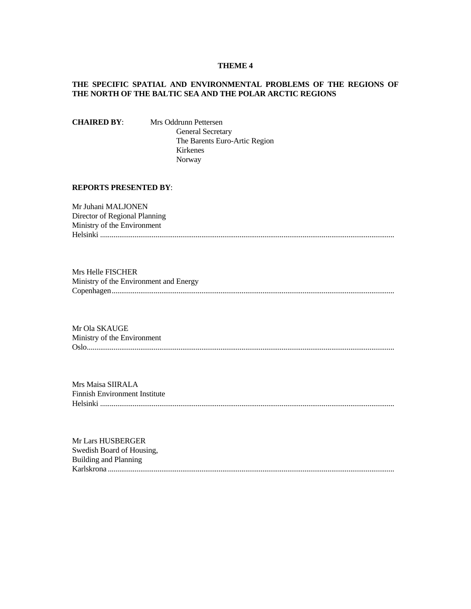# **THEME 4**

# **THE SPECIFIC SPATIAL AND ENVIRONMENTAL PROBLEMS OF THE REGIONS OF THE NORTH OF THE BALTIC SEA AND THE POLAR ARCTIC REGIONS**

**CHAIRED BY**: Mrs Oddrunn Pettersen General Secretary The Barents Euro-Artic Region Kirkenes Norway

# **REPORTS PRESENTED BY**:

Mr Juhani MALJONEN Director of Regional Planning Ministry of the Environment Helsinki ..........................................................................................................................................................

Mrs Helle FISCHER Ministry of the Environment and Energy Copenhagen....................................................................................................................................................

Mr Ola SKAUGE Ministry of the Environment Oslo.................................................................................................................................................................

Mrs Maisa SIIRALA Finnish Environment Institute Helsinki ..........................................................................................................................................................

Mr Lars HUSBERGER Swedish Board of Housing, Building and Planning Karlskrona ......................................................................................................................................................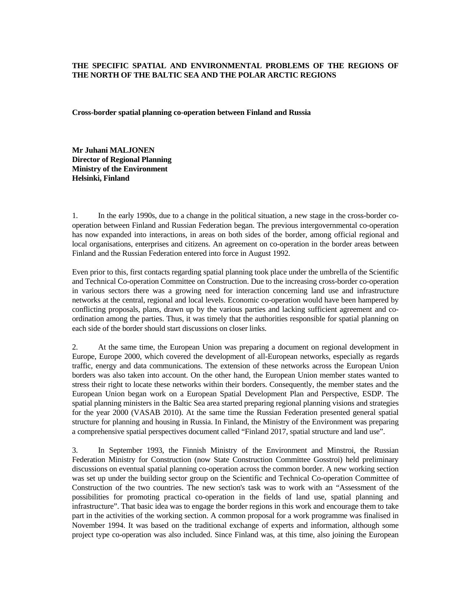# **THE SPECIFIC SPATIAL AND ENVIRONMENTAL PROBLEMS OF THE REGIONS OF THE NORTH OF THE BALTIC SEA AND THE POLAR ARCTIC REGIONS**

**Cross-border spatial planning co-operation between Finland and Russia** 

**Mr Juhani MALJONEN Director of Regional Planning Ministry of the Environment Helsinki, Finland** 

1. In the early 1990s, due to a change in the political situation, a new stage in the cross-border cooperation between Finland and Russian Federation began. The previous intergovernmental co-operation has now expanded into interactions, in areas on both sides of the border, among official regional and local organisations, enterprises and citizens. An agreement on co-operation in the border areas between Finland and the Russian Federation entered into force in August 1992.

Even prior to this, first contacts regarding spatial planning took place under the umbrella of the Scientific and Technical Co-operation Committee on Construction. Due to the increasing cross-border co-operation in various sectors there was a growing need for interaction concerning land use and infrastructure networks at the central, regional and local levels. Economic co-operation would have been hampered by conflicting proposals, plans, drawn up by the various parties and lacking sufficient agreement and coordination among the parties. Thus, it was timely that the authorities responsible for spatial planning on each side of the border should start discussions on closer links.

2. At the same time, the European Union was preparing a document on regional development in Europe, Europe 2000, which covered the development of all-European networks, especially as regards traffic, energy and data communications. The extension of these networks across the European Union borders was also taken into account. On the other hand, the European Union member states wanted to stress their right to locate these networks within their borders. Consequently, the member states and the European Union began work on a European Spatial Development Plan and Perspective, ESDP. The spatial planning ministers in the Baltic Sea area started preparing regional planning visions and strategies for the year 2000 (VASAB 2010). At the same time the Russian Federation presented general spatial structure for planning and housing in Russia. In Finland, the Ministry of the Environment was preparing a comprehensive spatial perspectives document called "Finland 2017, spatial structure and land use".

3. In September 1993, the Finnish Ministry of the Environment and Minstroi, the Russian Federation Ministry for Construction (now State Construction Committee Gosstroi) held preliminary discussions on eventual spatial planning co-operation across the common border. A new working section was set up under the building sector group on the Scientific and Technical Co-operation Committee of Construction of the two countries. The new section's task was to work with an "Assessment of the possibilities for promoting practical co-operation in the fields of land use, spatial planning and infrastructure". That basic idea was to engage the border regions in this work and encourage them to take part in the activities of the working section. A common proposal for a work programme was finalised in November 1994. It was based on the traditional exchange of experts and information, although some project type co-operation was also included. Since Finland was, at this time, also joining the European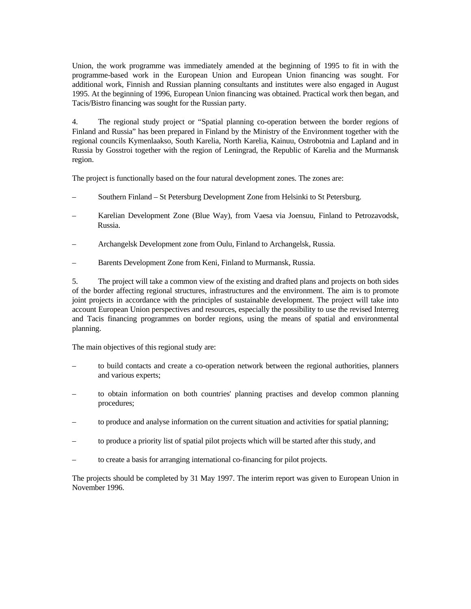Union, the work programme was immediately amended at the beginning of 1995 to fit in with the programme-based work in the European Union and European Union financing was sought. For additional work, Finnish and Russian planning consultants and institutes were also engaged in August 1995. At the beginning of 1996, European Union financing was obtained. Practical work then began, and Tacis/Bistro financing was sought for the Russian party.

4. The regional study project or "Spatial planning co-operation between the border regions of Finland and Russia" has been prepared in Finland by the Ministry of the Environment together with the regional councils Kymenlaakso, South Karelia, North Karelia, Kainuu, Ostrobotnia and Lapland and in Russia by Gosstroi together with the region of Leningrad, the Republic of Karelia and the Murmansk region.

The project is functionally based on the four natural development zones. The zones are:

- Southern Finland St Petersburg Development Zone from Helsinki to St Petersburg.
- Karelian Development Zone (Blue Way), from Vaesa via Joensuu, Finland to Petrozavodsk, Russia.
- Archangelsk Development zone from Oulu, Finland to Archangelsk, Russia.
- Barents Development Zone from Keni, Finland to Murmansk, Russia.

5. The project will take a common view of the existing and drafted plans and projects on both sides of the border affecting regional structures, infrastructures and the environment. The aim is to promote joint projects in accordance with the principles of sustainable development. The project will take into account European Union perspectives and resources, especially the possibility to use the revised Interreg and Tacis financing programmes on border regions, using the means of spatial and environmental planning.

The main objectives of this regional study are:

- to build contacts and create a co-operation network between the regional authorities, planners and various experts;
- to obtain information on both countries' planning practises and develop common planning procedures;
- to produce and analyse information on the current situation and activities for spatial planning;
- to produce a priority list of spatial pilot projects which will be started after this study, and
- to create a basis for arranging international co-financing for pilot projects.

The projects should be completed by 31 May 1997. The interim report was given to European Union in November 1996.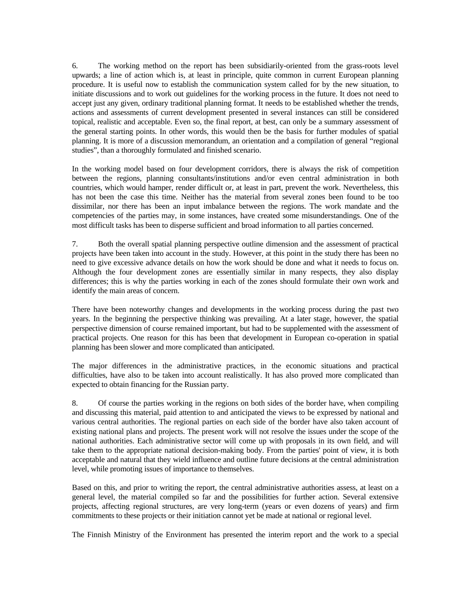6. The working method on the report has been subsidiarily-oriented from the grass-roots level upwards; a line of action which is, at least in principle, quite common in current European planning procedure. It is useful now to establish the communication system called for by the new situation, to initiate discussions and to work out guidelines for the working process in the future. It does not need to accept just any given, ordinary traditional planning format. It needs to be established whether the trends, actions and assessments of current development presented in several instances can still be considered topical, realistic and acceptable. Even so, the final report, at best, can only be a summary assessment of the general starting points. In other words, this would then be the basis for further modules of spatial planning. It is more of a discussion memorandum, an orientation and a compilation of general "regional studies", than a thoroughly formulated and finished scenario.

In the working model based on four development corridors, there is always the risk of competition between the regions, planning consultants/institutions and/or even central administration in both countries, which would hamper, render difficult or, at least in part, prevent the work. Nevertheless, this has not been the case this time. Neither has the material from several zones been found to be too dissimilar, nor there has been an input imbalance between the regions. The work mandate and the competencies of the parties may, in some instances, have created some misunderstandings. One of the most difficult tasks has been to disperse sufficient and broad information to all parties concerned.

7. Both the overall spatial planning perspective outline dimension and the assessment of practical projects have been taken into account in the study. However, at this point in the study there has been no need to give excessive advance details on how the work should be done and what it needs to focus on. Although the four development zones are essentially similar in many respects, they also display differences; this is why the parties working in each of the zones should formulate their own work and identify the main areas of concern.

There have been noteworthy changes and developments in the working process during the past two years. In the beginning the perspective thinking was prevailing. At a later stage, however, the spatial perspective dimension of course remained important, but had to be supplemented with the assessment of practical projects. One reason for this has been that development in European co-operation in spatial planning has been slower and more complicated than anticipated.

The major differences in the administrative practices, in the economic situations and practical difficulties, have also to be taken into account realistically. It has also proved more complicated than expected to obtain financing for the Russian party.

8. Of course the parties working in the regions on both sides of the border have, when compiling and discussing this material, paid attention to and anticipated the views to be expressed by national and various central authorities. The regional parties on each side of the border have also taken account of existing national plans and projects. The present work will not resolve the issues under the scope of the national authorities. Each administrative sector will come up with proposals in its own field, and will take them to the appropriate national decision-making body. From the parties' point of view, it is both acceptable and natural that they wield influence and outline future decisions at the central administration level, while promoting issues of importance to themselves.

Based on this, and prior to writing the report, the central administrative authorities assess, at least on a general level, the material compiled so far and the possibilities for further action. Several extensive projects, affecting regional structures, are very long-term (years or even dozens of years) and firm commitments to these projects or their initiation cannot yet be made at national or regional level.

The Finnish Ministry of the Environment has presented the interim report and the work to a special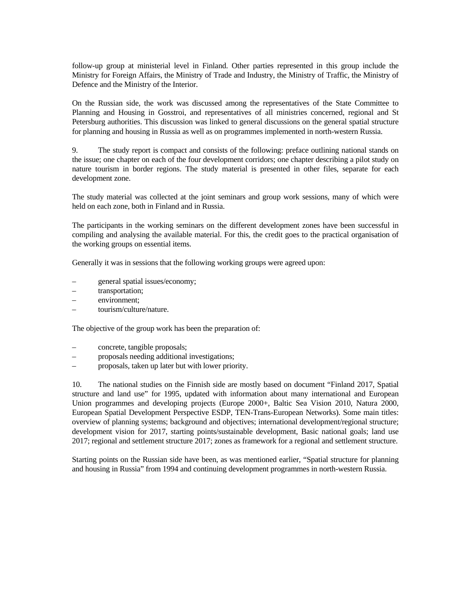follow-up group at ministerial level in Finland. Other parties represented in this group include the Ministry for Foreign Affairs, the Ministry of Trade and Industry, the Ministry of Traffic, the Ministry of Defence and the Ministry of the Interior.

On the Russian side, the work was discussed among the representatives of the State Committee to Planning and Housing in Gosstroi, and representatives of all ministries concerned, regional and St Petersburg authorities. This discussion was linked to general discussions on the general spatial structure for planning and housing in Russia as well as on programmes implemented in north-western Russia.

9. The study report is compact and consists of the following: preface outlining national stands on the issue; one chapter on each of the four development corridors; one chapter describing a pilot study on nature tourism in border regions. The study material is presented in other files, separate for each development zone.

The study material was collected at the joint seminars and group work sessions, many of which were held on each zone, both in Finland and in Russia.

The participants in the working seminars on the different development zones have been successful in compiling and analysing the available material. For this, the credit goes to the practical organisation of the working groups on essential items.

Generally it was in sessions that the following working groups were agreed upon:

- general spatial issues/economy;
- transportation;
- environment;
- tourism/culture/nature.

The objective of the group work has been the preparation of:

- concrete, tangible proposals;
- proposals needing additional investigations;
- proposals, taken up later but with lower priority.

10. The national studies on the Finnish side are mostly based on document "Finland 2017, Spatial structure and land use" for 1995, updated with information about many international and European Union programmes and developing projects (Europe 2000+, Baltic Sea Vision 2010, Natura 2000, European Spatial Development Perspective ESDP, TEN-Trans-European Networks). Some main titles: overview of planning systems; background and objectives; international development/regional structure; development vision for 2017, starting points/sustainable development, Basic national goals; land use 2017; regional and settlement structure 2017; zones as framework for a regional and settlement structure.

Starting points on the Russian side have been, as was mentioned earlier, "Spatial structure for planning and housing in Russia" from 1994 and continuing development programmes in north-western Russia.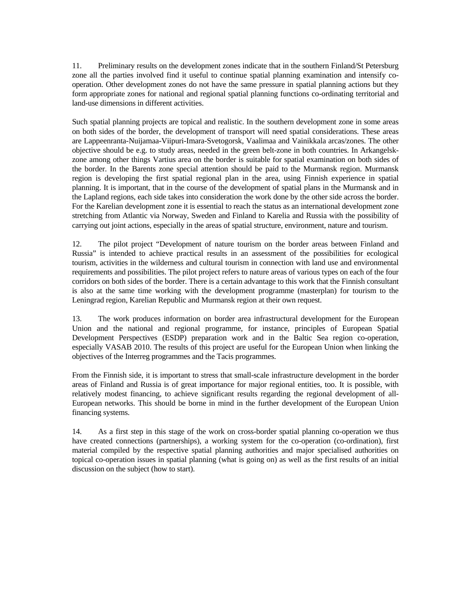11. Preliminary results on the development zones indicate that in the southern Finland/St Petersburg zone all the parties involved find it useful to continue spatial planning examination and intensify cooperation. Other development zones do not have the same pressure in spatial planning actions but they form appropriate zones for national and regional spatial planning functions co-ordinating territorial and land-use dimensions in different activities.

Such spatial planning projects are topical and realistic. In the southern development zone in some areas on both sides of the border, the development of transport will need spatial considerations. These areas are Lappeenranta-Nuijamaa-Viipuri-Imara-Svetogorsk, Vaalimaa and Vainikkala arcas/zones. The other objective should be e.g. to study areas, needed in the green belt-zone in both countries. In Arkangelskzone among other things Vartius area on the border is suitable for spatial examination on both sides of the border. In the Barents zone special attention should be paid to the Murmansk region. Murmansk region is developing the first spatial regional plan in the area, using Finnish experience in spatial planning. It is important, that in the course of the development of spatial plans in the Murmansk and in the Lapland regions, each side takes into consideration the work done by the other side across the border. For the Karelian development zone it is essential to reach the status as an international development zone stretching from Atlantic via Norway, Sweden and Finland to Karelia and Russia with the possibility of carrying out joint actions, especially in the areas of spatial structure, environment, nature and tourism.

12. The pilot project "Development of nature tourism on the border areas between Finland and Russia" is intended to achieve practical results in an assessment of the possibilities for ecological tourism, activities in the wilderness and cultural tourism in connection with land use and environmental requirements and possibilities. The pilot project refers to nature areas of various types on each of the four corridors on both sides of the border. There is a certain advantage to this work that the Finnish consultant is also at the same time working with the development programme (masterplan) for tourism to the Leningrad region, Karelian Republic and Murmansk region at their own request.

13. The work produces information on border area infrastructural development for the European Union and the national and regional programme, for instance, principles of European Spatial Development Perspectives (ESDP) preparation work and in the Baltic Sea region co-operation, especially VASAB 2010. The results of this project are useful for the European Union when linking the objectives of the Interreg programmes and the Tacis programmes.

From the Finnish side, it is important to stress that small-scale infrastructure development in the border areas of Finland and Russia is of great importance for major regional entities, too. It is possible, with relatively modest financing, to achieve significant results regarding the regional development of all-European networks. This should be borne in mind in the further development of the European Union financing systems.

14. As a first step in this stage of the work on cross-border spatial planning co-operation we thus have created connections (partnerships), a working system for the co-operation (co-ordination), first material compiled by the respective spatial planning authorities and major specialised authorities on topical co-operation issues in spatial planning (what is going on) as well as the first results of an initial discussion on the subject (how to start).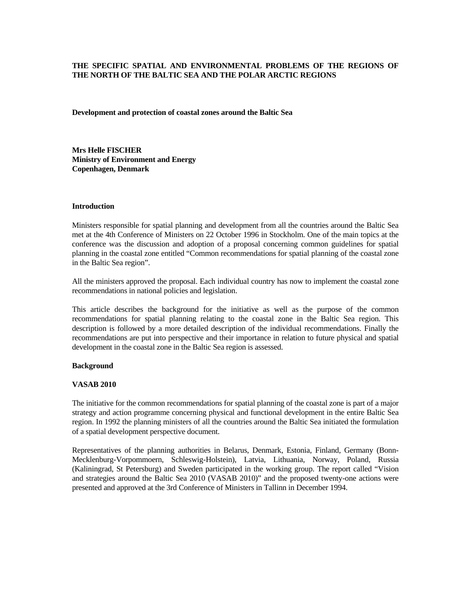# **THE SPECIFIC SPATIAL AND ENVIRONMENTAL PROBLEMS OF THE REGIONS OF THE NORTH OF THE BALTIC SEA AND THE POLAR ARCTIC REGIONS**

**Development and protection of coastal zones around the Baltic Sea** 

**Mrs Helle FISCHER Ministry of Environment and Energy Copenhagen, Denmark** 

### **Introduction**

Ministers responsible for spatial planning and development from all the countries around the Baltic Sea met at the 4th Conference of Ministers on 22 October 1996 in Stockholm. One of the main topics at the conference was the discussion and adoption of a proposal concerning common guidelines for spatial planning in the coastal zone entitled "Common recommendations for spatial planning of the coastal zone in the Baltic Sea region".

All the ministers approved the proposal. Each individual country has now to implement the coastal zone recommendations in national policies and legislation.

This article describes the background for the initiative as well as the purpose of the common recommendations for spatial planning relating to the coastal zone in the Baltic Sea region. This description is followed by a more detailed description of the individual recommendations. Finally the recommendations are put into perspective and their importance in relation to future physical and spatial development in the coastal zone in the Baltic Sea region is assessed.

# **Background**

# **VASAB 2010**

The initiative for the common recommendations for spatial planning of the coastal zone is part of a major strategy and action programme concerning physical and functional development in the entire Baltic Sea region. In 1992 the planning ministers of all the countries around the Baltic Sea initiated the formulation of a spatial development perspective document.

Representatives of the planning authorities in Belarus, Denmark, Estonia, Finland, Germany (Bonn-Mecklenburg-Vorpommoern, Schleswig-Holstein), Latvia, Lithuania, Norway, Poland, Russia (Kaliningrad, St Petersburg) and Sweden participated in the working group. The report called "Vision and strategies around the Baltic Sea 2010 (VASAB 2010)" and the proposed twenty-one actions were presented and approved at the 3rd Conference of Ministers in Tallinn in December 1994.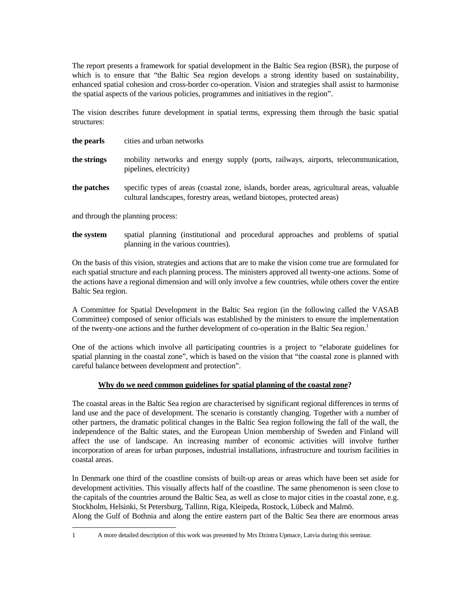The report presents a framework for spatial development in the Baltic Sea region (BSR), the purpose of which is to ensure that "the Baltic Sea region develops a strong identity based on sustainability, enhanced spatial cohesion and cross-border co-operation. Vision and strategies shall assist to harmonise the spatial aspects of the various policies, programmes and initiatives in the region".

The vision describes future development in spatial terms, expressing them through the basic spatial structures:

| the pearls  | cities and urban networks                                                                                                                                             |
|-------------|-----------------------------------------------------------------------------------------------------------------------------------------------------------------------|
| the strings | mobility networks and energy supply (ports, railways, airports, telecommunication,<br>pipelines, electricity)                                                         |
| the patches | specific types of areas (coastal zone, islands, border areas, agricultural areas, valuable<br>cultural landscapes, forestry areas, wetland biotopes, protected areas) |

and through the planning process:

**the system** spatial planning (institutional and procedural approaches and problems of spatial planning in the various countries).

On the basis of this vision, strategies and actions that are to make the vision come true are formulated for each spatial structure and each planning process. The ministers approved all twenty-one actions. Some of the actions have a regional dimension and will only involve a few countries, while others cover the entire Baltic Sea region.

A Committee for Spatial Development in the Baltic Sea region (in the following called the VASAB Committee) composed of senior officials was established by the ministers to ensure the implementation of the twenty-one actions and the further development of co-operation in the Baltic Sea region.<sup>1</sup>

One of the actions which involve all participating countries is a project to "elaborate guidelines for spatial planning in the coastal zone", which is based on the vision that "the coastal zone is planned with careful balance between development and protection".

# **Why do we need common guidelines for spatial planning of the coastal zone?**

The coastal areas in the Baltic Sea region are characterised by significant regional differences in terms of land use and the pace of development. The scenario is constantly changing. Together with a number of other partners, the dramatic political changes in the Baltic Sea region following the fall of the wall, the independence of the Baltic states, and the European Union membership of Sweden and Finland will affect the use of landscape. An increasing number of economic activities will involve further incorporation of areas for urban purposes, industrial installations, infrastructure and tourism facilities in coastal areas.

In Denmark one third of the coastline consists of built-up areas or areas which have been set aside for development activities. This visually affects half of the coastline. The same phenomenon is seen close to the capitals of the countries around the Baltic Sea, as well as close to major cities in the coastal zone, e.g. Stockholm, Helsinki, St Petersburg, Tallinn, Riga, Kleipeda, Rostock, Lübeck and Malmö. Along the Gulf of Bothnia and along the entire eastern part of the Baltic Sea there are enormous areas

<sup>1</sup> A more detailed description of this work was presented by Mrs Dzintra Upmace, Latvia during this seminar.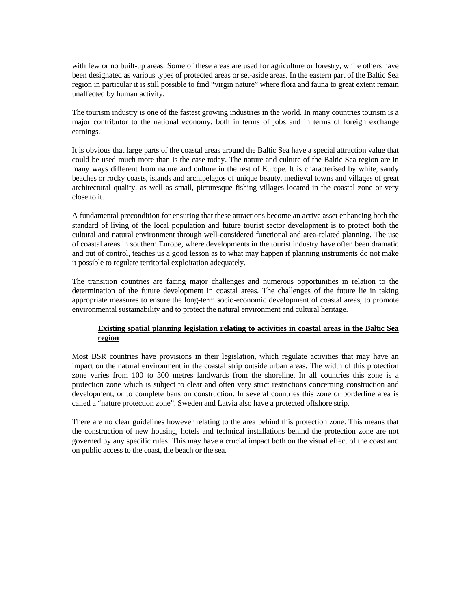with few or no built-up areas. Some of these areas are used for agriculture or forestry, while others have been designated as various types of protected areas or set-aside areas. In the eastern part of the Baltic Sea region in particular it is still possible to find "virgin nature" where flora and fauna to great extent remain unaffected by human activity.

The tourism industry is one of the fastest growing industries in the world. In many countries tourism is a major contributor to the national economy, both in terms of jobs and in terms of foreign exchange earnings.

It is obvious that large parts of the coastal areas around the Baltic Sea have a special attraction value that could be used much more than is the case today. The nature and culture of the Baltic Sea region are in many ways different from nature and culture in the rest of Europe. It is characterised by white, sandy beaches or rocky coasts, islands and archipelagos of unique beauty, medieval towns and villages of great architectural quality, as well as small, picturesque fishing villages located in the coastal zone or very close to it.

A fundamental precondition for ensuring that these attractions become an active asset enhancing both the standard of living of the local population and future tourist sector development is to protect both the cultural and natural environment through well-considered functional and area-related planning. The use of coastal areas in southern Europe, where developments in the tourist industry have often been dramatic and out of control, teaches us a good lesson as to what may happen if planning instruments do not make it possible to regulate territorial exploitation adequately.

The transition countries are facing major challenges and numerous opportunities in relation to the determination of the future development in coastal areas. The challenges of the future lie in taking appropriate measures to ensure the long-term socio-economic development of coastal areas, to promote environmental sustainability and to protect the natural environment and cultural heritage.

# **Existing spatial planning legislation relating to activities in coastal areas in the Baltic Sea region**

Most BSR countries have provisions in their legislation, which regulate activities that may have an impact on the natural environment in the coastal strip outside urban areas. The width of this protection zone varies from 100 to 300 metres landwards from the shoreline. In all countries this zone is a protection zone which is subject to clear and often very strict restrictions concerning construction and development, or to complete bans on construction. In several countries this zone or borderline area is called a "nature protection zone". Sweden and Latvia also have a protected offshore strip.

There are no clear guidelines however relating to the area behind this protection zone. This means that the construction of new housing, hotels and technical installations behind the protection zone are not governed by any specific rules. This may have a crucial impact both on the visual effect of the coast and on public access to the coast, the beach or the sea.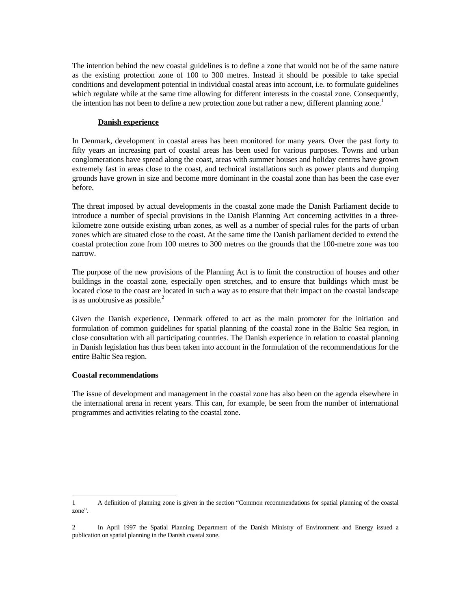The intention behind the new coastal guidelines is to define a zone that would not be of the same nature as the existing protection zone of 100 to 300 metres. Instead it should be possible to take special conditions and development potential in individual coastal areas into account, i.e. to formulate guidelines which regulate while at the same time allowing for different interests in the coastal zone. Consequently, the intention has not been to define a new protection zone but rather a new, different planning zone.<sup>1</sup>

### **Danish experience**

In Denmark, development in coastal areas has been monitored for many years. Over the past forty to fifty years an increasing part of coastal areas has been used for various purposes. Towns and urban conglomerations have spread along the coast, areas with summer houses and holiday centres have grown extremely fast in areas close to the coast, and technical installations such as power plants and dumping grounds have grown in size and become more dominant in the coastal zone than has been the case ever before.

The threat imposed by actual developments in the coastal zone made the Danish Parliament decide to introduce a number of special provisions in the Danish Planning Act concerning activities in a threekilometre zone outside existing urban zones, as well as a number of special rules for the parts of urban zones which are situated close to the coast. At the same time the Danish parliament decided to extend the coastal protection zone from 100 metres to 300 metres on the grounds that the 100-metre zone was too narrow.

The purpose of the new provisions of the Planning Act is to limit the construction of houses and other buildings in the coastal zone, especially open stretches, and to ensure that buildings which must be located close to the coast are located in such a way as to ensure that their impact on the coastal landscape is as unobtrusive as possible. $<sup>2</sup>$ </sup>

Given the Danish experience, Denmark offered to act as the main promoter for the initiation and formulation of common guidelines for spatial planning of the coastal zone in the Baltic Sea region, in close consultation with all participating countries. The Danish experience in relation to coastal planning in Danish legislation has thus been taken into account in the formulation of the recommendations for the entire Baltic Sea region.

#### **Coastal recommendations**

The issue of development and management in the coastal zone has also been on the agenda elsewhere in the international arena in recent years. This can, for example, be seen from the number of international programmes and activities relating to the coastal zone.

<sup>1</sup> A definition of planning zone is given in the section "Common recommendations for spatial planning of the coastal zone".

<sup>2</sup> In April 1997 the Spatial Planning Department of the Danish Ministry of Environment and Energy issued a publication on spatial planning in the Danish coastal zone.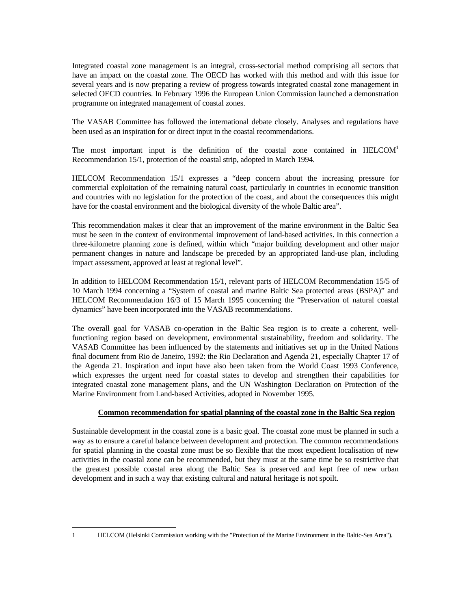Integrated coastal zone management is an integral, cross-sectorial method comprising all sectors that have an impact on the coastal zone. The OECD has worked with this method and with this issue for several years and is now preparing a review of progress towards integrated coastal zone management in selected OECD countries. In February 1996 the European Union Commission launched a demonstration programme on integrated management of coastal zones.

The VASAB Committee has followed the international debate closely. Analyses and regulations have been used as an inspiration for or direct input in the coastal recommendations.

The most important input is the definition of the coastal zone contained in  $HELCOM<sup>1</sup>$ Recommendation 15/1, protection of the coastal strip, adopted in March 1994.

HELCOM Recommendation 15/1 expresses a "deep concern about the increasing pressure for commercial exploitation of the remaining natural coast, particularly in countries in economic transition and countries with no legislation for the protection of the coast, and about the consequences this might have for the coastal environment and the biological diversity of the whole Baltic area".

This recommendation makes it clear that an improvement of the marine environment in the Baltic Sea must be seen in the context of environmental improvement of land-based activities. In this connection a three-kilometre planning zone is defined, within which "major building development and other major permanent changes in nature and landscape be preceded by an appropriated land-use plan, including impact assessment, approved at least at regional level".

In addition to HELCOM Recommendation 15/1, relevant parts of HELCOM Recommendation 15/5 of 10 March 1994 concerning a "System of coastal and marine Baltic Sea protected areas (BSPA)" and HELCOM Recommendation 16/3 of 15 March 1995 concerning the "Preservation of natural coastal dynamics" have been incorporated into the VASAB recommendations.

The overall goal for VASAB co-operation in the Baltic Sea region is to create a coherent, wellfunctioning region based on development, environmental sustainability, freedom and solidarity. The VASAB Committee has been influenced by the statements and initiatives set up in the United Nations final document from Rio de Janeiro, 1992: the Rio Declaration and Agenda 21, especially Chapter 17 of the Agenda 21. Inspiration and input have also been taken from the World Coast 1993 Conference, which expresses the urgent need for coastal states to develop and strengthen their capabilities for integrated coastal zone management plans, and the UN Washington Declaration on Protection of the Marine Environment from Land-based Activities, adopted in November 1995.

### **Common recommendation for spatial planning of the coastal zone in the Baltic Sea region**

Sustainable development in the coastal zone is a basic goal. The coastal zone must be planned in such a way as to ensure a careful balance between development and protection. The common recommendations for spatial planning in the coastal zone must be so flexible that the most expedient localisation of new activities in the coastal zone can be recommended, but they must at the same time be so restrictive that the greatest possible coastal area along the Baltic Sea is preserved and kept free of new urban development and in such a way that existing cultural and natural heritage is not spoilt.

<sup>1</sup> HELCOM (Helsinki Commission working with the "Protection of the Marine Environment in the Baltic-Sea Area").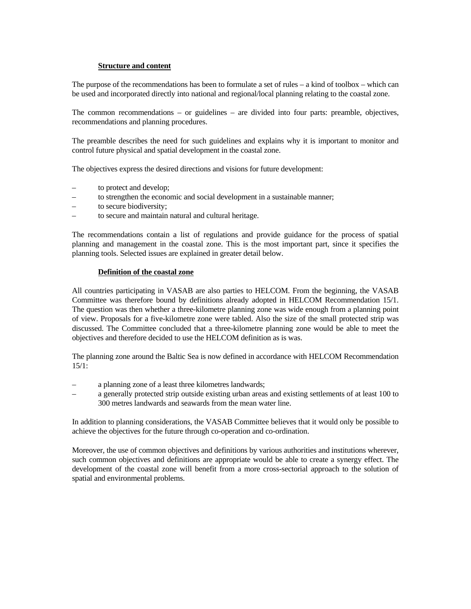### **Structure and content**

The purpose of the recommendations has been to formulate a set of rules – a kind of toolbox – which can be used and incorporated directly into national and regional/local planning relating to the coastal zone.

The common recommendations – or guidelines – are divided into four parts: preamble, objectives, recommendations and planning procedures.

The preamble describes the need for such guidelines and explains why it is important to monitor and control future physical and spatial development in the coastal zone.

The objectives express the desired directions and visions for future development:

- to protect and develop;
- to strengthen the economic and social development in a sustainable manner;
- to secure biodiversity;
- to secure and maintain natural and cultural heritage.

The recommendations contain a list of regulations and provide guidance for the process of spatial planning and management in the coastal zone. This is the most important part, since it specifies the planning tools. Selected issues are explained in greater detail below.

### **Definition of the coastal zone**

All countries participating in VASAB are also parties to HELCOM. From the beginning, the VASAB Committee was therefore bound by definitions already adopted in HELCOM Recommendation 15/1. The question was then whether a three-kilometre planning zone was wide enough from a planning point of view. Proposals for a five-kilometre zone were tabled. Also the size of the small protected strip was discussed. The Committee concluded that a three-kilometre planning zone would be able to meet the objectives and therefore decided to use the HELCOM definition as is was.

The planning zone around the Baltic Sea is now defined in accordance with HELCOM Recommendation  $15/1:$ 

- a planning zone of a least three kilometres landwards;
- a generally protected strip outside existing urban areas and existing settlements of at least 100 to 300 metres landwards and seawards from the mean water line.

In addition to planning considerations, the VASAB Committee believes that it would only be possible to achieve the objectives for the future through co-operation and co-ordination.

Moreover, the use of common objectives and definitions by various authorities and institutions wherever, such common objectives and definitions are appropriate would be able to create a synergy effect. The development of the coastal zone will benefit from a more cross-sectorial approach to the solution of spatial and environmental problems.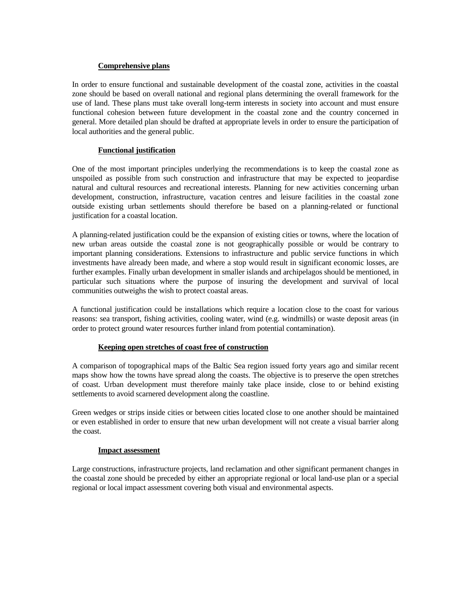### **Comprehensive plans**

In order to ensure functional and sustainable development of the coastal zone, activities in the coastal zone should be based on overall national and regional plans determining the overall framework for the use of land. These plans must take overall long-term interests in society into account and must ensure functional cohesion between future development in the coastal zone and the country concerned in general. More detailed plan should be drafted at appropriate levels in order to ensure the participation of local authorities and the general public.

# **Functional justification**

One of the most important principles underlying the recommendations is to keep the coastal zone as unspoiled as possible from such construction and infrastructure that may be expected to jeopardise natural and cultural resources and recreational interests. Planning for new activities concerning urban development, construction, infrastructure, vacation centres and leisure facilities in the coastal zone outside existing urban settlements should therefore be based on a planning-related or functional justification for a coastal location.

A planning-related justification could be the expansion of existing cities or towns, where the location of new urban areas outside the coastal zone is not geographically possible or would be contrary to important planning considerations. Extensions to infrastructure and public service functions in which investments have already been made, and where a stop would result in significant economic losses, are further examples. Finally urban development in smaller islands and archipelagos should be mentioned, in particular such situations where the purpose of insuring the development and survival of local communities outweighs the wish to protect coastal areas.

A functional justification could be installations which require a location close to the coast for various reasons: sea transport, fishing activities, cooling water, wind (e.g. windmills) or waste deposit areas (in order to protect ground water resources further inland from potential contamination).

### **Keeping open stretches of coast free of construction**

A comparison of topographical maps of the Baltic Sea region issued forty years ago and similar recent maps show how the towns have spread along the coasts. The objective is to preserve the open stretches of coast. Urban development must therefore mainly take place inside, close to or behind existing settlements to avoid scarnered development along the coastline.

Green wedges or strips inside cities or between cities located close to one another should be maintained or even established in order to ensure that new urban development will not create a visual barrier along the coast.

### **Impact assessment**

Large constructions, infrastructure projects, land reclamation and other significant permanent changes in the coastal zone should be preceded by either an appropriate regional or local land-use plan or a special regional or local impact assessment covering both visual and environmental aspects.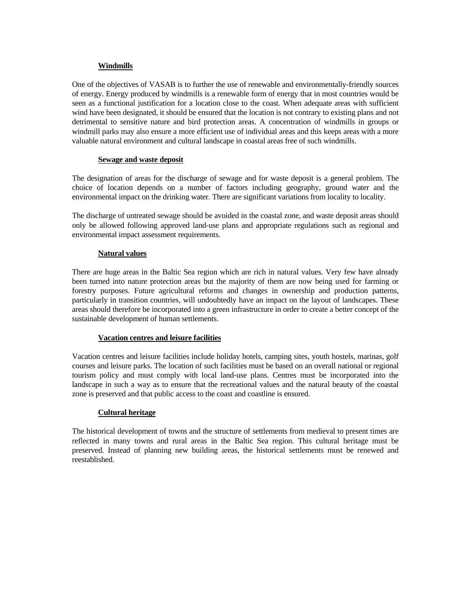# **Windmills**

One of the objectives of VASAB is to further the use of renewable and environmentally-friendly sources of energy. Energy produced by windmills is a renewable form of energy that in most countries would be seen as a functional justification for a location close to the coast. When adequate areas with sufficient wind have been designated, it should be ensured that the location is not contrary to existing plans and not detrimental to sensitive nature and bird protection areas. A concentration of windmills in groups or windmill parks may also ensure a more efficient use of individual areas and this keeps areas with a more valuable natural environment and cultural landscape in coastal areas free of such windmills.

# **Sewage and waste deposit**

The designation of areas for the discharge of sewage and for waste deposit is a general problem. The choice of location depends on a number of factors including geography, ground water and the environmental impact on the drinking water. There are significant variations from locality to locality.

The discharge of untreated sewage should be avoided in the coastal zone, and waste deposit areas should only be allowed following approved land-use plans and appropriate regulations such as regional and environmental impact assessment requirements.

# **Natural values**

There are huge areas in the Baltic Sea region which are rich in natural values. Very few have already been turned into nature protection areas but the majority of them are now being used for farming or forestry purposes. Future agricultural reforms and changes in ownership and production patterns, particularly in transition countries, will undoubtedly have an impact on the layout of landscapes. These areas should therefore be incorporated into a green infrastructure in order to create a better concept of the sustainable development of human settlements.

# **Vacation centres and leisure facilities**

Vacation centres and leisure facilities include holiday hotels, camping sites, youth hostels, marinas, golf courses and leisure parks. The location of such facilities must be based on an overall national or regional tourism policy and must comply with local land-use plans. Centres must be incorporated into the landscape in such a way as to ensure that the recreational values and the natural beauty of the coastal zone is preserved and that public access to the coast and coastline is ensured.

# **Cultural heritage**

The historical development of towns and the structure of settlements from medieval to present times are reflected in many towns and rural areas in the Baltic Sea region. This cultural heritage must be preserved. Instead of planning new building areas, the historical settlements must be renewed and reestablished.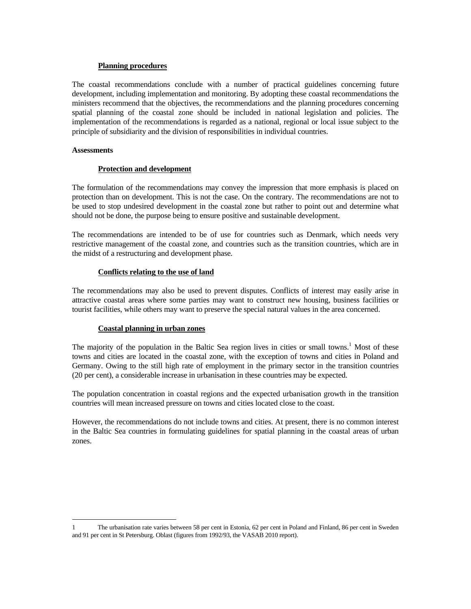### **Planning procedures**

The coastal recommendations conclude with a number of practical guidelines concerning future development, including implementation and monitoring. By adopting these coastal recommendations the ministers recommend that the objectives, the recommendations and the planning procedures concerning spatial planning of the coastal zone should be included in national legislation and policies. The implementation of the recommendations is regarded as a national, regional or local issue subject to the principle of subsidiarity and the division of responsibilities in individual countries.

#### **Assessments**

### **Protection and development**

The formulation of the recommendations may convey the impression that more emphasis is placed on protection than on development. This is not the case. On the contrary. The recommendations are not to be used to stop undesired development in the coastal zone but rather to point out and determine what should not be done, the purpose being to ensure positive and sustainable development.

The recommendations are intended to be of use for countries such as Denmark, which needs very restrictive management of the coastal zone, and countries such as the transition countries, which are in the midst of a restructuring and development phase.

#### **Conflicts relating to the use of land**

The recommendations may also be used to prevent disputes. Conflicts of interest may easily arise in attractive coastal areas where some parties may want to construct new housing, business facilities or tourist facilities, while others may want to preserve the special natural values in the area concerned.

### **Coastal planning in urban zones**

The majority of the population in the Baltic Sea region lives in cities or small towns.<sup>1</sup> Most of these towns and cities are located in the coastal zone, with the exception of towns and cities in Poland and Germany. Owing to the still high rate of employment in the primary sector in the transition countries (20 per cent), a considerable increase in urbanisation in these countries may be expected.

The population concentration in coastal regions and the expected urbanisation growth in the transition countries will mean increased pressure on towns and cities located close to the coast.

However, the recommendations do not include towns and cities. At present, there is no common interest in the Baltic Sea countries in formulating guidelines for spatial planning in the coastal areas of urban zones.

<sup>1</sup> The urbanisation rate varies between 58 per cent in Estonia, 62 per cent in Poland and Finland, 86 per cent in Sweden and 91 per cent in St Petersburg. Oblast (figures from 1992/93, the VASAB 2010 report).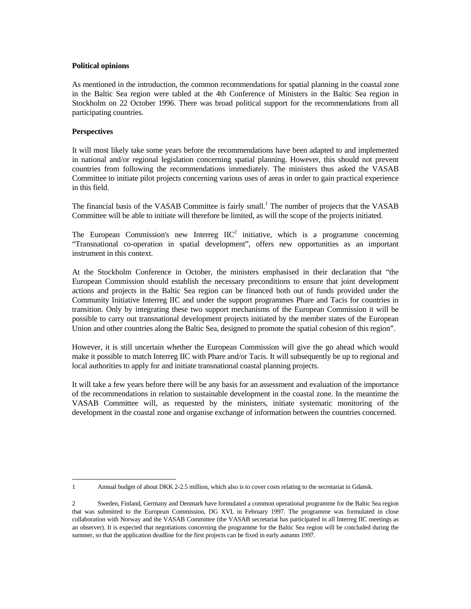### **Political opinions**

As mentioned in the introduction, the common recommendations for spatial planning in the coastal zone in the Baltic Sea region were tabled at the 4th Conference of Ministers in the Baltic Sea region in Stockholm on 22 October 1996. There was broad political support for the recommendations from all participating countries.

### **Perspectives**

It will most likely take some years before the recommendations have been adapted to and implemented in national and/or regional legislation concerning spatial planning. However, this should not prevent countries from following the recommendations immediately. The ministers thus asked the VASAB Committee to initiate pilot projects concerning various uses of areas in order to gain practical experience in this field.

The financial basis of the VASAB Committee is fairly small.<sup>1</sup> The number of projects that the VASAB Committee will be able to initiate will therefore be limited, as will the scope of the projects initiated.

The European Commission's new Interreg  $IIC<sup>2</sup>$  initiative, which is a programme concerning "Transnational co-operation in spatial development", offers new opportunities as an important instrument in this context.

At the Stockholm Conference in October, the ministers emphasised in their declaration that "the European Commission should establish the necessary preconditions to ensure that joint development actions and projects in the Baltic Sea region can be financed both out of funds provided under the Community Initiative Interreg IIC and under the support programmes Phare and Tacis for countries in transition. Only by integrating these two support mechanisms of the European Commission it will be possible to carry out transnational development projects initiated by the member states of the European Union and other countries along the Baltic Sea, designed to promote the spatial cohesion of this region".

However, it is still uncertain whether the European Commission will give the go ahead which would make it possible to match Interreg IIC with Phare and/or Tacis. It will subsequently be up to regional and local authorities to apply for and initiate transnational coastal planning projects.

It will take a few years before there will be any basis for an assessment and evaluation of the importance of the recommendations in relation to sustainable development in the coastal zone. In the meantime the VASAB Committee will, as requested by the ministers, initiate systematic monitoring of the development in the coastal zone and organise exchange of information between the countries concerned.

<sup>1</sup> Annual budget of about DKK 2-2.5 million, which also is to cover costs relating to the secretariat in Gdansk.

<sup>2</sup> Sweden, Finland, Germany and Denmark have formulated a common operational programme for the Baltic Sea region that was submitted to the European Commission, DG XVI, in February 1997. The programme was formulated in close collaboration with Norway and the VASAB Committee (the VASAB secretariat has participated in all Interreg IIC meetings as an observer). It is expected that negotiations concerning the programme for the Baltic Sea region will be concluded during the summer, so that the application deadline for the first projects can be fixed in early autumn 1997.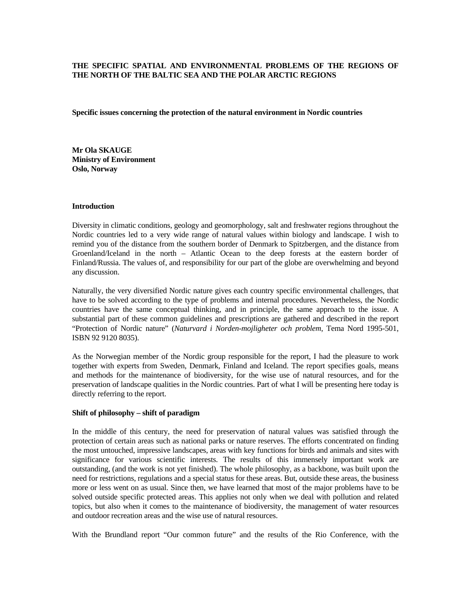## **THE SPECIFIC SPATIAL AND ENVIRONMENTAL PROBLEMS OF THE REGIONS OF THE NORTH OF THE BALTIC SEA AND THE POLAR ARCTIC REGIONS**

**Specific issues concerning the protection of the natural environment in Nordic countries** 

**Mr Ola SKAUGE Ministry of Environment Oslo, Norway** 

#### **Introduction**

Diversity in climatic conditions, geology and geomorphology, salt and freshwater regions throughout the Nordic countries led to a very wide range of natural values within biology and landscape. I wish to remind you of the distance from the southern border of Denmark to Spitzbergen, and the distance from Groenland/Iceland in the north – Atlantic Ocean to the deep forests at the eastern border of Finland/Russia. The values of, and responsibility for our part of the globe are overwhelming and beyond any discussion.

Naturally, the very diversified Nordic nature gives each country specific environmental challenges, that have to be solved according to the type of problems and internal procedures. Nevertheless, the Nordic countries have the same conceptual thinking, and in principle, the same approach to the issue. A substantial part of these common guidelines and prescriptions are gathered and described in the report "Protection of Nordic nature" (*Naturvard i Norden-mojligheter och problem*, Tema Nord 1995-501, ISBN 92 9120 8035).

As the Norwegian member of the Nordic group responsible for the report, I had the pleasure to work together with experts from Sweden, Denmark, Finland and Iceland. The report specifies goals, means and methods for the maintenance of biodiversity, for the wise use of natural resources, and for the preservation of landscape qualities in the Nordic countries. Part of what I will be presenting here today is directly referring to the report.

#### **Shift of philosophy – shift of paradigm**

In the middle of this century, the need for preservation of natural values was satisfied through the protection of certain areas such as national parks or nature reserves. The efforts concentrated on finding the most untouched, impressive landscapes, areas with key functions for birds and animals and sites with significance for various scientific interests. The results of this immensely important work are outstanding, (and the work is not yet finished). The whole philosophy, as a backbone, was built upon the need for restrictions, regulations and a special status for these areas. But, outside these areas, the business more or less went on as usual. Since then, we have learned that most of the major problems have to be solved outside specific protected areas. This applies not only when we deal with pollution and related topics, but also when it comes to the maintenance of biodiversity, the management of water resources and outdoor recreation areas and the wise use of natural resources.

With the Brundland report "Our common future" and the results of the Rio Conference, with the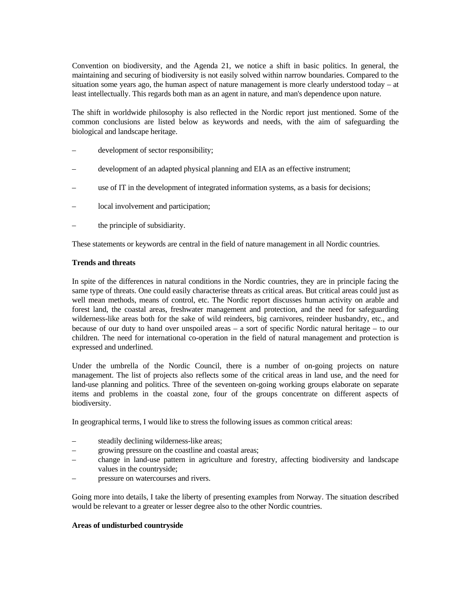Convention on biodiversity, and the Agenda 21, we notice a shift in basic politics. In general, the maintaining and securing of biodiversity is not easily solved within narrow boundaries. Compared to the situation some years ago, the human aspect of nature management is more clearly understood today – at least intellectually. This regards both man as an agent in nature, and man's dependence upon nature.

The shift in worldwide philosophy is also reflected in the Nordic report just mentioned. Some of the common conclusions are listed below as keywords and needs, with the aim of safeguarding the biological and landscape heritage.

- development of sector responsibility;
- development of an adapted physical planning and EIA as an effective instrument;
- use of IT in the development of integrated information systems, as a basis for decisions;
- local involvement and participation;
- the principle of subsidiarity.

These statements or keywords are central in the field of nature management in all Nordic countries.

#### **Trends and threats**

In spite of the differences in natural conditions in the Nordic countries, they are in principle facing the same type of threats. One could easily characterise threats as critical areas. But critical areas could just as well mean methods, means of control, etc. The Nordic report discusses human activity on arable and forest land, the coastal areas, freshwater management and protection, and the need for safeguarding wilderness-like areas both for the sake of wild reindeers, big carnivores, reindeer husbandry, etc., and because of our duty to hand over unspoiled areas – a sort of specific Nordic natural heritage – to our children. The need for international co-operation in the field of natural management and protection is expressed and underlined.

Under the umbrella of the Nordic Council, there is a number of on-going projects on nature management. The list of projects also reflects some of the critical areas in land use, and the need for land-use planning and politics. Three of the seventeen on-going working groups elaborate on separate items and problems in the coastal zone, four of the groups concentrate on different aspects of biodiversity.

In geographical terms, I would like to stress the following issues as common critical areas:

- steadily declining wilderness-like areas;
- growing pressure on the coastline and coastal areas;
- change in land-use pattern in agriculture and forestry, affecting biodiversity and landscape values in the countryside;
- pressure on watercourses and rivers.

Going more into details, I take the liberty of presenting examples from Norway. The situation described would be relevant to a greater or lesser degree also to the other Nordic countries.

#### **Areas of undisturbed countryside**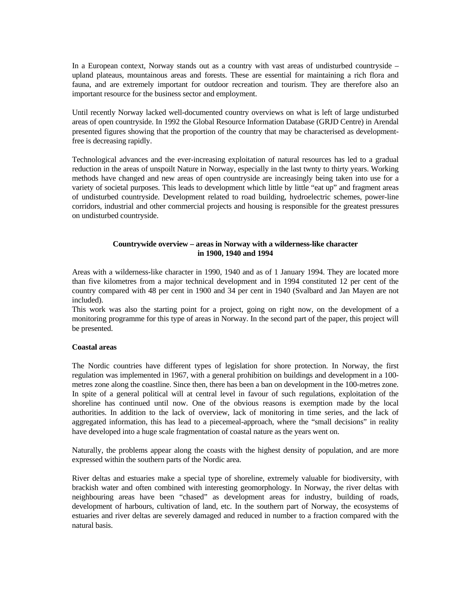In a European context, Norway stands out as a country with vast areas of undisturbed countryside – upland plateaus, mountainous areas and forests. These are essential for maintaining a rich flora and fauna, and are extremely important for outdoor recreation and tourism. They are therefore also an important resource for the business sector and employment.

Until recently Norway lacked well-documented country overviews on what is left of large undisturbed areas of open countryside. In 1992 the Global Resource Information Database (GRJD Centre) in Arendal presented figures showing that the proportion of the country that may be characterised as developmentfree is decreasing rapidly.

Technological advances and the ever-increasing exploitation of natural resources has led to a gradual reduction in the areas of unspoilt Nature in Norway, especially in the last twnty to thirty years. Working methods have changed and new areas of open countryside are increasingly being taken into use for a variety of societal purposes. This leads to development which little by little "eat up" and fragment areas of undisturbed countryside. Development related to road building, hydroelectric schemes, power-line corridors, industrial and other commercial projects and housing is responsible for the greatest pressures on undisturbed countryside.

### **Countrywide overview – areas in Norway with a wilderness-like character in 1900, 1940 and 1994**

Areas with a wilderness-like character in 1990, 1940 and as of 1 January 1994. They are located more than five kilometres from a major technical development and in 1994 constituted 12 per cent of the country compared with 48 per cent in 1900 and 34 per cent in 1940 (Svalbard and Jan Mayen are not included).

This work was also the starting point for a project, going on right now, on the development of a monitoring programme for this type of areas in Norway. In the second part of the paper, this project will be presented.

### **Coastal areas**

The Nordic countries have different types of legislation for shore protection. In Norway, the first regulation was implemented in 1967, with a general prohibition on buildings and development in a 100 metres zone along the coastline. Since then, there has been a ban on development in the 100-metres zone. In spite of a general political will at central level in favour of such regulations, exploitation of the shoreline has continued until now. One of the obvious reasons is exemption made by the local authorities. In addition to the lack of overview, lack of monitoring in time series, and the lack of aggregated information, this has lead to a piecemeal-approach, where the "small decisions" in reality have developed into a huge scale fragmentation of coastal nature as the years went on.

Naturally, the problems appear along the coasts with the highest density of population, and are more expressed within the southern parts of the Nordic area.

River deltas and estuaries make a special type of shoreline, extremely valuable for biodiversity, with brackish water and often combined with interesting geomorphology. In Norway, the river deltas with neighbouring areas have been "chased" as development areas for industry, building of roads, development of harbours, cultivation of land, etc. In the southern part of Norway, the ecosystems of estuaries and river deltas are severely damaged and reduced in number to a fraction compared with the natural basis.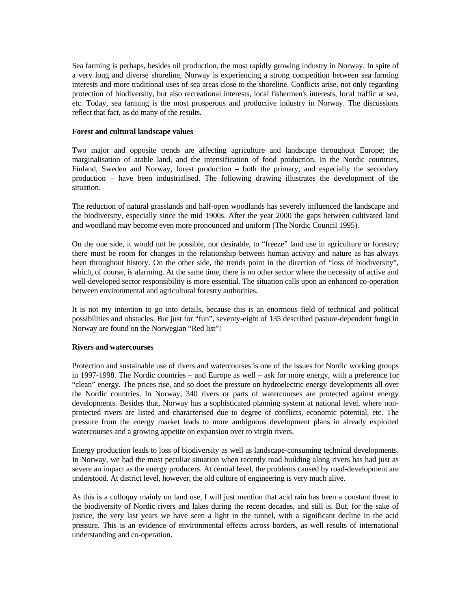Sea farming is perhaps, besides oil production, the most rapidly growing industry in Norway. In spite of a very long and diverse shoreline, Norway is experiencing a strong competition between sea farming interests and more traditional uses of sea areas close to the shoreline. Conflicts arise, not only regarding protection of biodiversity, but also recreational interests, local fishermen's interests, local traffic at sea, etc. Today, sea farming is the most prosperous and productive industry in Norway. The discussions reflect that fact, as do many of the results.

#### **Forest and cultural landscape values**

Two major and opposite trends are affecting agriculture and landscape throughout Europe; the marginalisation of arable land, and the intensification of food production. In the Nordic countries, Finland, Sweden and Norway, forest production – both the primary, and especially the secondary production – have been industrialised. The following drawing illustrates the development of the situation.

The reduction of natural grasslands and half-open woodlands has severely influenced the landscape and the biodiversity, especially since the mid 1900s. After the year 2000 the gaps between cultivated land and woodland may become even more pronounced and uniform (The Nordic Council 1995).

On the one side, it would not be possible, nor desirable, to "freeze" land use in agriculture or forestry; there must be room for changes in the relationship between human activity and nature as has always been throughout history. On the other side, the trends point in the direction of "loss of biodiversity", which, of course, is alarming. At the same time, there is no other sector where the necessity of active and well-developed sector responsibility is more essential. The situation calls upon an enhanced co-operation between environmental and agricultural forestry authorities.

It is not my intention to go into details, because this is an enormous field of technical and political possibilities and obstacles. But just for "fun", seventy-eight of 135 described pasture-dependent fungi in Norway are found on the Norwegian "Red list"!

#### **Rivers and watercourses**

Protection and sustainable use of rivers and watercourses is one of the issues for Nordic working groups in 1997-1998. The Nordic countries – and Europe as well – ask for more energy, with a preference for "clean" energy. The prices rise, and so does the pressure on hydroelectric energy developments all over the Nordic countries. In Norway, 340 rivers or parts of watercourses are protected against energy developments. Besides that, Norway has a sophisticated planning system at national level, where nonprotected rivers are listed and characterised due to degree of conflicts, economic potential, etc. The pressure from the energy market leads to more ambiguous development plans in already exploited watercourses and a growing appetite on expansion over to virgin rivers.

Energy production leads to loss of biodiversity as well as landscape-consuming technical developments. In Norway, we had the most peculiar situation when recently road building along rivers has had just as severe an impact as the energy producers. At central level, the problems caused by road-development are understood. At district level, however, the old culture of engineering is very much alive.

As this is a colloquy mainly on land use, I will just mention that acid rain has been a constant threat to the biodiversity of Nordic rivers and lakes during the recent decades, and still is. But, for the sake of justice, the very last years we have seen a light in the tunnel, with a significant decline in the acid pressure. This is an evidence of environmental effects across borders, as well results of international understanding and co-operation.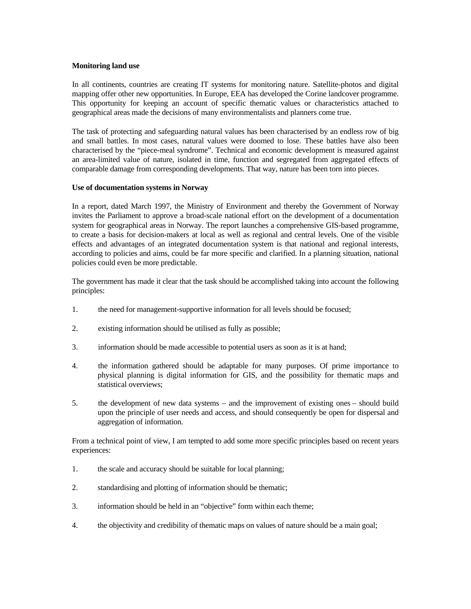#### **Monitoring land use**

In all continents, countries are creating IT systems for monitoring nature. Satellite-photos and digital mapping offer other new opportunities. In Europe, EEA has developed the Corine landcover programme. This opportunity for keeping an account of specific thematic values or characteristics attached to geographical areas made the decisions of many environmentalists and planners come true.

The task of protecting and safeguarding natural values has been characterised by an endless row of big and small battles. In most cases, natural values were doomed to lose. These battles have also been characterised by the "piece-meal syndrome". Technical and economic development is measured against an area-limited value of nature, isolated in time, function and segregated from aggregated effects of comparable damage from corresponding developments. That way, nature has been torn into pieces.

#### **Use of documentation systems in Norway**

In a report, dated March 1997, the Ministry of Environment and thereby the Government of Norway invites the Parliament to approve a broad-scale national effort on the development of a documentation system for geographical areas in Norway. The report launches a comprehensive GIS-based programme, to create a basis for decision-makers at local as well as regional and central levels. One of the visible effects and advantages of an integrated documentation system is that national and regional interests, according to policies and aims, could be far more specific and clarified. In a planning situation, national policies could even be more predictable.

The government has made it clear that the task should be accomplished taking into account the following principles:

- 1. the need for management-supportive information for all levels should be focused;
- 2. existing information should be utilised as fully as possible;
- 3. information should be made accessible to potential users as soon as it is at hand;
- 4. the information gathered should be adaptable for many purposes. Of prime importance to physical planning is digital information for GIS, and the possibility for thematic maps and statistical overviews;
- 5. the development of new data systems and the improvement of existing ones should build upon the principle of user needs and access, and should consequently be open for dispersal and aggregation of information.

From a technical point of view, I am tempted to add some more specific principles based on recent years experiences:

- 1. the scale and accuracy should be suitable for local planning;
- 2. standardising and plotting of information should be thematic;
- 3. information should be held in an "objective" form within each theme;
- 4. the objectivity and credibility of thematic maps on values of nature should be a main goal;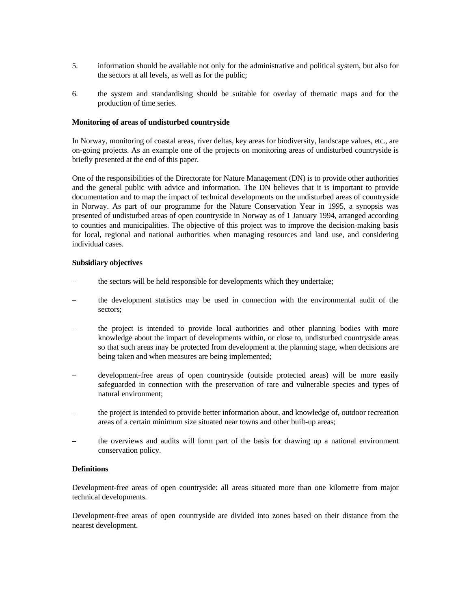- 5. information should be available not only for the administrative and political system, but also for the sectors at all levels, as well as for the public;
- 6. the system and standardising should be suitable for overlay of thematic maps and for the production of time series.

#### **Monitoring of areas of undisturbed countryside**

In Norway, monitoring of coastal areas, river deltas, key areas for biodiversity, landscape values, etc., are on-going projects. As an example one of the projects on monitoring areas of undisturbed countryside is briefly presented at the end of this paper.

One of the responsibilities of the Directorate for Nature Management (DN) is to provide other authorities and the general public with advice and information. The DN believes that it is important to provide documentation and to map the impact of technical developments on the undisturbed areas of countryside in Norway. As part of our programme for the Nature Conservation Year in 1995, a synopsis was presented of undisturbed areas of open countryside in Norway as of 1 January 1994, arranged according to counties and municipalities. The objective of this project was to improve the decision-making basis for local, regional and national authorities when managing resources and land use, and considering individual cases.

#### **Subsidiary objectives**

- the sectors will be held responsible for developments which they undertake;
- the development statistics may be used in connection with the environmental audit of the sectors;
- the project is intended to provide local authorities and other planning bodies with more knowledge about the impact of developments within, or close to, undisturbed countryside areas so that such areas may be protected from development at the planning stage, when decisions are being taken and when measures are being implemented;
- development-free areas of open countryside (outside protected areas) will be more easily safeguarded in connection with the preservation of rare and vulnerable species and types of natural environment;
- the project is intended to provide better information about, and knowledge of, outdoor recreation areas of a certain minimum size situated near towns and other built-up areas;
- the overviews and audits will form part of the basis for drawing up a national environment conservation policy.

#### **Definitions**

Development-free areas of open countryside: all areas situated more than one kilometre from major technical developments.

Development-free areas of open countryside are divided into zones based on their distance from the nearest development.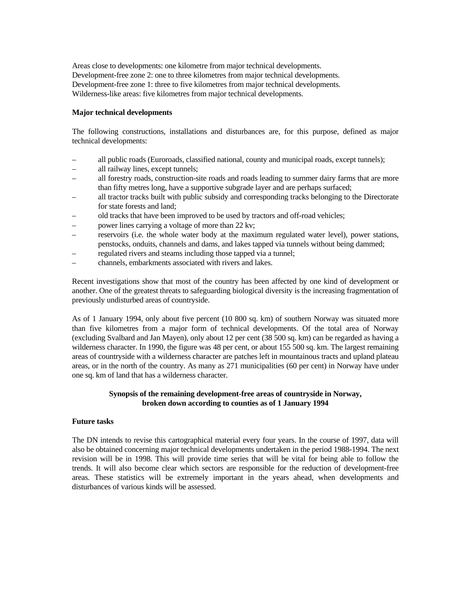Areas close to developments: one kilometre from major technical developments. Development-free zone 2: one to three kilometres from major technical developments. Development-free zone 1: three to five kilometres from major technical developments. Wilderness-like areas: five kilometres from major technical developments.

#### **Major technical developments**

The following constructions, installations and disturbances are, for this purpose, defined as major technical developments:

- all public roads (Euroroads, classified national, county and municipal roads, except tunnels);
- all railway lines, except tunnels;
- all forestry roads, construction-site roads and roads leading to summer dairy farms that are more than fifty metres long, have a supportive subgrade layer and are perhaps surfaced;
- all tractor tracks built with public subsidy and corresponding tracks belonging to the Directorate for state forests and land;
- old tracks that have been improved to be used by tractors and off-road vehicles;
- power lines carrying a voltage of more than 22 kv;
- reservoirs (i.e. the whole water body at the maximum regulated water level), power stations, penstocks, onduits, channels and dams, and lakes tapped via tunnels without being dammed;
- regulated rivers and steams including those tapped via a tunnel;
- channels, embarkments associated with rivers and lakes.

Recent investigations show that most of the country has been affected by one kind of development or another. One of the greatest threats to safeguarding biological diversity is the increasing fragmentation of previously undisturbed areas of countryside.

As of 1 January 1994, only about five percent (10 800 sq. km) of southern Norway was situated more than five kilometres from a major form of technical developments. Of the total area of Norway (excluding Svalbard and Jan Mayen), only about 12 per cent (38 500 sq. km) can be regarded as having a wilderness character. In 1990, the figure was 48 per cent, or about 155 500 sq. km. The largest remaining areas of countryside with a wilderness character are patches left in mountainous tracts and upland plateau areas, or in the north of the country. As many as 271 municipalities (60 per cent) in Norway have under one sq. km of land that has a wilderness character.

### **Synopsis of the remaining development-free areas of countryside in Norway, broken down according to counties as of 1 January 1994**

### **Future tasks**

The DN intends to revise this cartographical material every four years. In the course of 1997, data will also be obtained concerning major technical developments undertaken in the period 1988-1994. The next revision will be in 1998. This will provide time series that will be vital for being able to follow the trends. It will also become clear which sectors are responsible for the reduction of development-free areas. These statistics will be extremely important in the years ahead, when developments and disturbances of various kinds will be assessed.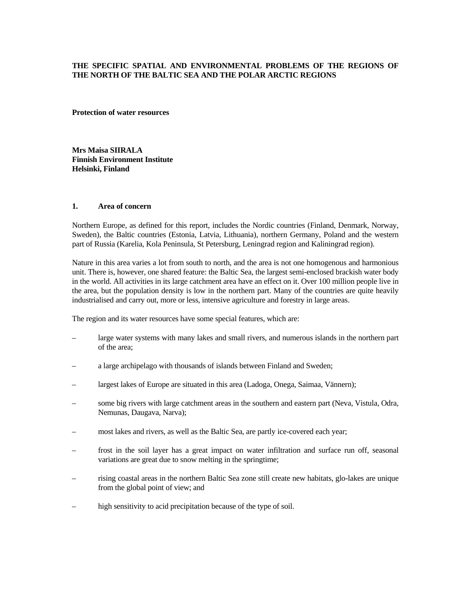# **THE SPECIFIC SPATIAL AND ENVIRONMENTAL PROBLEMS OF THE REGIONS OF THE NORTH OF THE BALTIC SEA AND THE POLAR ARCTIC REGIONS**

**Protection of water resources** 

**Mrs Maisa SIIRALA Finnish Environment Institute Helsinki, Finland** 

#### **1. Area of concern**

Northern Europe, as defined for this report, includes the Nordic countries (Finland, Denmark, Norway, Sweden), the Baltic countries (Estonia, Latvia, Lithuania), northern Germany, Poland and the western part of Russia (Karelia, Kola Peninsula, St Petersburg, Leningrad region and Kaliningrad region).

Nature in this area varies a lot from south to north, and the area is not one homogenous and harmonious unit. There is, however, one shared feature: the Baltic Sea, the largest semi-enclosed brackish water body in the world. All activities in its large catchment area have an effect on it. Over 100 million people live in the area, but the population density is low in the northern part. Many of the countries are quite heavily industrialised and carry out, more or less, intensive agriculture and forestry in large areas.

The region and its water resources have some special features, which are:

- large water systems with many lakes and small rivers, and numerous islands in the northern part of the area;
- a large archipelago with thousands of islands between Finland and Sweden;
- largest lakes of Europe are situated in this area (Ladoga, Onega, Saimaa, Vännern);
- some big rivers with large catchment areas in the southern and eastern part (Neva, Vistula, Odra, Nemunas, Daugava, Narva);
- most lakes and rivers, as well as the Baltic Sea, are partly ice-covered each year;
- frost in the soil layer has a great impact on water infiltration and surface run off, seasonal variations are great due to snow melting in the springtime;
- rising coastal areas in the northern Baltic Sea zone still create new habitats, glo-lakes are unique from the global point of view; and
- high sensitivity to acid precipitation because of the type of soil.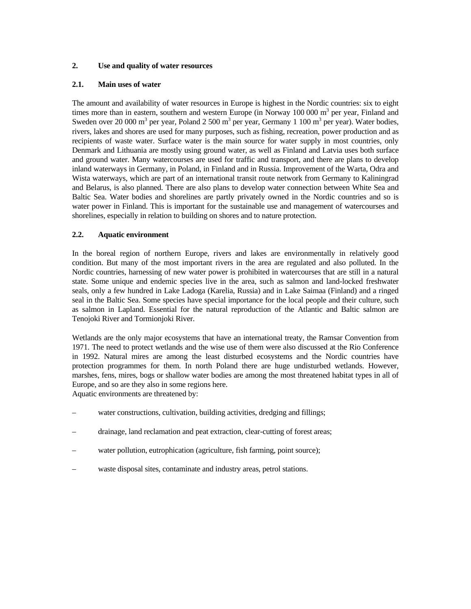# **2. Use and quality of water resources**

### **2.1. Main uses of water**

The amount and availability of water resources in Europe is highest in the Nordic countries: six to eight times more than in eastern, southern and western Europe (in Norway 100 000 m<sup>3</sup> per year, Finland and Sweden over 20 000 m<sup>3</sup> per year, Poland 2 500 m<sup>3</sup> per year, Germany 1 100 m<sup>3</sup> per year). Water bodies, rivers, lakes and shores are used for many purposes, such as fishing, recreation, power production and as recipients of waste water. Surface water is the main source for water supply in most countries, only Denmark and Lithuania are mostly using ground water, as well as Finland and Latvia uses both surface and ground water. Many watercourses are used for traffic and transport, and there are plans to develop inland waterways in Germany, in Poland, in Finland and in Russia. Improvement of the Warta, Odra and Wista waterways, which are part of an international transit route network from Germany to Kaliningrad and Belarus, is also planned. There are also plans to develop water connection between White Sea and Baltic Sea. Water bodies and shorelines are partly privately owned in the Nordic countries and so is water power in Finland. This is important for the sustainable use and management of watercourses and shorelines, especially in relation to building on shores and to nature protection.

# **2.2. Aquatic environment**

In the boreal region of northern Europe, rivers and lakes are environmentally in relatively good condition. But many of the most important rivers in the area are regulated and also polluted. In the Nordic countries, harnessing of new water power is prohibited in watercourses that are still in a natural state. Some unique and endemic species live in the area, such as salmon and land-locked freshwater seals, only a few hundred in Lake Ladoga (Karelia, Russia) and in Lake Saimaa (Finland) and a ringed seal in the Baltic Sea. Some species have special importance for the local people and their culture, such as salmon in Lapland. Essential for the natural reproduction of the Atlantic and Baltic salmon are Tenojoki River and Tormionjoki River.

Wetlands are the only major ecosystems that have an international treaty, the Ramsar Convention from 1971. The need to protect wetlands and the wise use of them were also discussed at the Rio Conference in 1992. Natural mires are among the least disturbed ecosystems and the Nordic countries have protection programmes for them. In north Poland there are huge undisturbed wetlands. However, marshes, fens, mires, bogs or shallow water bodies are among the most threatened habitat types in all of Europe, and so are they also in some regions here.

Aquatic environments are threatened by:

- water constructions, cultivation, building activities, dredging and fillings;
- drainage, land reclamation and peat extraction, clear-cutting of forest areas;
- water pollution, eutrophication (agriculture, fish farming, point source);
- waste disposal sites, contaminate and industry areas, petrol stations.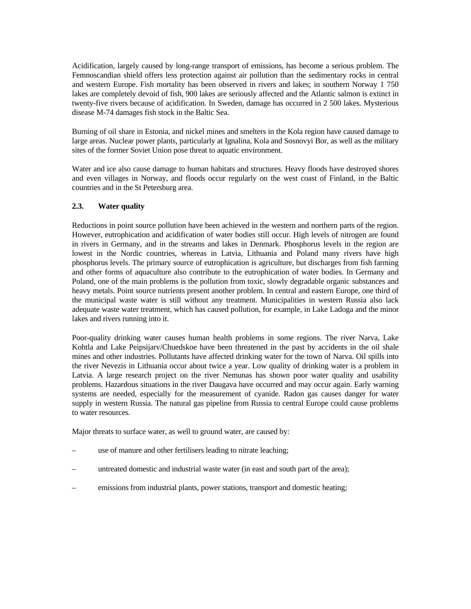Acidification, largely caused by long-range transport of emissions, has become a serious problem. The Femnoscandian shield offers less protection against air pollution than the sedimentary rocks in central and western Europe. Fish mortality has been observed in rivers and lakes; in southern Norway 1 750 lakes are completely devoid of fish, 900 lakes are seriously affected and the Atlantic salmon is extinct in twenty-five rivers because of acidification. In Sweden, damage has occurred in 2 500 lakes. Mysterious disease M-74 damages fish stock in the Baltic Sea.

Burning of oil share in Estonia, and nickel mines and smelters in the Kola region have caused damage to large areas. Nuclear power plants, particularly at Ignalina, Kola and Sosnovyi Bor, as well as the military sites of the former Soviet Union pose threat to aquatic environment.

Water and ice also cause damage to human habitats and structures. Heavy floods have destroyed shores and even villages in Norway, and floods occur regularly on the west coast of Finland, in the Baltic countries and in the St Petersburg area.

### **2.3. Water quality**

Reductions in point source pollution have been achieved in the western and northern parts of the region. However, eutrophication and acidification of water bodies still occur. High levels of nitrogen are found in rivers in Germany, and in the streams and lakes in Denmark. Phosphorus levels in the region are lowest in the Nordic countries, whereas in Latvia, Lithuania and Poland many rivers have high phosphorus levels. The primary source of eutrophication is agriculture, but discharges from fish farming and other forms of aquaculture also contribute to the eutrophication of water bodies. In Germany and Poland, one of the main problems is the pollution from toxic, slowly degradable organic substances and heavy metals. Point source nutrients present another problem. In central and eastern Europe, one third of the municipal waste water is still without any treatment. Municipalities in western Russia also lack adequate waste water treatment, which has caused pollution, for example, in Lake Ladoga and the minor lakes and rivers running into it.

Poor-quality drinking water causes human health problems in some regions. The river Narva, Lake Kohtla and Lake Peipsijarv/Chuedskoe have been threatened in the past by accidents in the oil shale mines and other industries. Pollutants have affected drinking water for the town of Narva. Oil spills into the river Nevezis in Lithuania occur about twice a year. Low quality of drinking water is a problem in Latvia. A large research project on the river Nemunas has shown poor water quality and usability problems. Hazardous situations in the river Daugava have occurred and may occur again. Early warning systems are needed, especially for the measurement of cyanide. Radon gas causes danger for water supply in western Russia. The natural gas pipeline from Russia to central Europe could cause problems to water resources.

Major threats to surface water, as well to ground water, are caused by:

- use of manure and other fertilisers leading to nitrate leaching;
- untreated domestic and industrial waste water (in east and south part of the area);
- emissions from industrial plants, power stations, transport and domestic heating;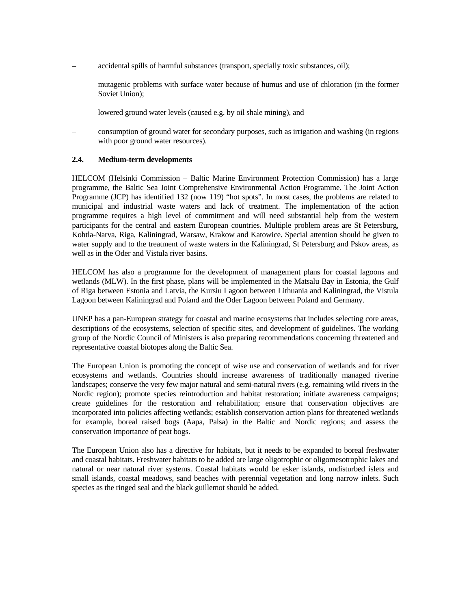- accidental spills of harmful substances (transport, specially toxic substances, oil);
- mutagenic problems with surface water because of humus and use of chloration (in the former Soviet Union);
- lowered ground water levels (caused e.g. by oil shale mining), and
- consumption of ground water for secondary purposes, such as irrigation and washing (in regions with poor ground water resources).

# **2.4. Medium-term developments**

HELCOM (Helsinki Commission – Baltic Marine Environment Protection Commission) has a large programme, the Baltic Sea Joint Comprehensive Environmental Action Programme. The Joint Action Programme (JCP) has identified 132 (now 119) "hot spots". In most cases, the problems are related to municipal and industrial waste waters and lack of treatment. The implementation of the action programme requires a high level of commitment and will need substantial help from the western participants for the central and eastern European countries. Multiple problem areas are St Petersburg, Kohtla-Narva, Riga, Kaliningrad, Warsaw, Krakow and Katowice. Special attention should be given to water supply and to the treatment of waste waters in the Kaliningrad, St Petersburg and Pskov areas, as well as in the Oder and Vistula river basins.

HELCOM has also a programme for the development of management plans for coastal lagoons and wetlands (MLW). In the first phase, plans will be implemented in the Matsalu Bay in Estonia, the Gulf of Riga between Estonia and Latvia, the Kursiu Lagoon between Lithuania and Kaliningrad, the Vistula Lagoon between Kaliningrad and Poland and the Oder Lagoon between Poland and Germany.

UNEP has a pan-European strategy for coastal and marine ecosystems that includes selecting core areas, descriptions of the ecosystems, selection of specific sites, and development of guidelines. The working group of the Nordic Council of Ministers is also preparing recommendations concerning threatened and representative coastal biotopes along the Baltic Sea.

The European Union is promoting the concept of wise use and conservation of wetlands and for river ecosystems and wetlands. Countries should increase awareness of traditionally managed riverine landscapes; conserve the very few major natural and semi-natural rivers (e.g. remaining wild rivers in the Nordic region); promote species reintroduction and habitat restoration; initiate awareness campaigns; create guidelines for the restoration and rehabilitation; ensure that conservation objectives are incorporated into policies affecting wetlands; establish conservation action plans for threatened wetlands for example, boreal raised bogs (Aapa, Palsa) in the Baltic and Nordic regions; and assess the conservation importance of peat bogs.

The European Union also has a directive for habitats, but it needs to be expanded to boreal freshwater and coastal habitats. Freshwater habitats to be added are large oligotrophic or oligomesotrophic lakes and natural or near natural river systems. Coastal habitats would be esker islands, undisturbed islets and small islands, coastal meadows, sand beaches with perennial vegetation and long narrow inlets. Such species as the ringed seal and the black guillemot should be added.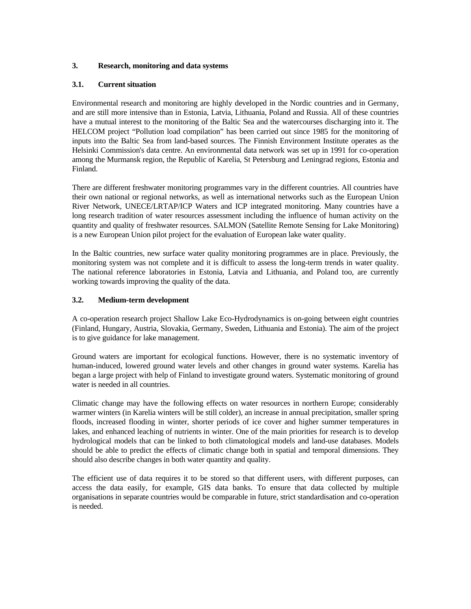# **3. Research, monitoring and data systems**

### **3.1. Current situation**

Environmental research and monitoring are highly developed in the Nordic countries and in Germany, and are still more intensive than in Estonia, Latvia, Lithuania, Poland and Russia. All of these countries have a mutual interest to the monitoring of the Baltic Sea and the watercourses discharging into it. The HELCOM project "Pollution load compilation" has been carried out since 1985 for the monitoring of inputs into the Baltic Sea from land-based sources. The Finnish Environment Institute operates as the Helsinki Commission's data centre. An environmental data network was set up in 1991 for co-operation among the Murmansk region, the Republic of Karelia, St Petersburg and Leningrad regions, Estonia and Finland.

There are different freshwater monitoring programmes vary in the different countries. All countries have their own national or regional networks, as well as international networks such as the European Union River Network, UNECE/LRTAP/ICP Waters and ICP integrated monitoring. Many countries have a long research tradition of water resources assessment including the influence of human activity on the quantity and quality of freshwater resources. SALMON (Satellite Remote Sensing for Lake Monitoring) is a new European Union pilot project for the evaluation of European lake water quality.

In the Baltic countries, new surface water quality monitoring programmes are in place. Previously, the monitoring system was not complete and it is difficult to assess the long-term trends in water quality. The national reference laboratories in Estonia, Latvia and Lithuania, and Poland too, are currently working towards improving the quality of the data.

# **3.2. Medium-term development**

A co-operation research project Shallow Lake Eco-Hydrodynamics is on-going between eight countries (Finland, Hungary, Austria, Slovakia, Germany, Sweden, Lithuania and Estonia). The aim of the project is to give guidance for lake management.

Ground waters are important for ecological functions. However, there is no systematic inventory of human-induced, lowered ground water levels and other changes in ground water systems. Karelia has began a large project with help of Finland to investigate ground waters. Systematic monitoring of ground water is needed in all countries.

Climatic change may have the following effects on water resources in northern Europe; considerably warmer winters (in Karelia winters will be still colder), an increase in annual precipitation, smaller spring floods, increased flooding in winter, shorter periods of ice cover and higher summer temperatures in lakes, and enhanced leaching of nutrients in winter. One of the main priorities for research is to develop hydrological models that can be linked to both climatological models and land-use databases. Models should be able to predict the effects of climatic change both in spatial and temporal dimensions. They should also describe changes in both water quantity and quality.

The efficient use of data requires it to be stored so that different users, with different purposes, can access the data easily, for example, GIS data banks. To ensure that data collected by multiple organisations in separate countries would be comparable in future, strict standardisation and co-operation is needed.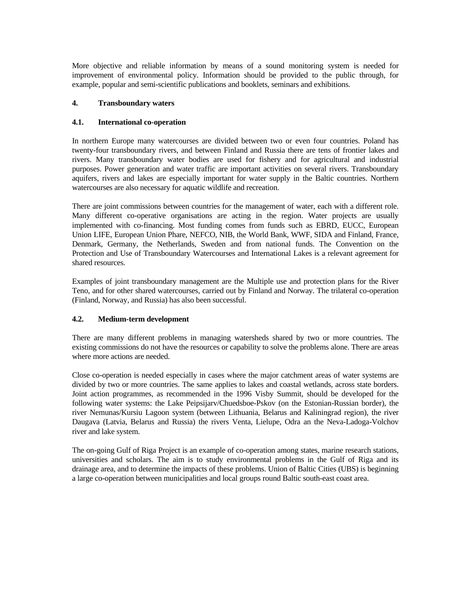More objective and reliable information by means of a sound monitoring system is needed for improvement of environmental policy. Information should be provided to the public through, for example, popular and semi-scientific publications and booklets, seminars and exhibitions.

### **4. Transboundary waters**

# **4.1. International co-operation**

In northern Europe many watercourses are divided between two or even four countries. Poland has twenty-four transboundary rivers, and between Finland and Russia there are tens of frontier lakes and rivers. Many transboundary water bodies are used for fishery and for agricultural and industrial purposes. Power generation and water traffic are important activities on several rivers. Transboundary aquifers, rivers and lakes are especially important for water supply in the Baltic countries. Northern watercourses are also necessary for aquatic wildlife and recreation.

There are joint commissions between countries for the management of water, each with a different role. Many different co-operative organisations are acting in the region. Water projects are usually implemented with co-financing. Most funding comes from funds such as EBRD, EUCC, European Union LIFE, European Union Phare, NEFCO, NIB, the World Bank, WWF, SIDA and Finland, France, Denmark, Germany, the Netherlands, Sweden and from national funds. The Convention on the Protection and Use of Transboundary Watercourses and International Lakes is a relevant agreement for shared resources.

Examples of joint transboundary management are the Multiple use and protection plans for the River Teno, and for other shared watercourses, carried out by Finland and Norway. The trilateral co-operation (Finland, Norway, and Russia) has also been successful.

# **4.2. Medium-term development**

There are many different problems in managing watersheds shared by two or more countries. The existing commissions do not have the resources or capability to solve the problems alone. There are areas where more actions are needed.

Close co-operation is needed especially in cases where the major catchment areas of water systems are divided by two or more countries. The same applies to lakes and coastal wetlands, across state borders. Joint action programmes, as recommended in the 1996 Visby Summit, should be developed for the following water systems: the Lake Peipsijarv/Chuedsboe-Pskov (on the Estonian-Russian border), the river Nemunas/Kursiu Lagoon system (between Lithuania, Belarus and Kaliningrad region), the river Daugava (Latvia, Belarus and Russia) the rivers Venta, Lielupe, Odra an the Neva-Ladoga-Volchov river and lake system.

The on-going Gulf of Riga Project is an example of co-operation among states, marine research stations, universities and scholars. The aim is to study environmental problems in the Gulf of Riga and its drainage area, and to determine the impacts of these problems. Union of Baltic Cities (UBS) is beginning a large co-operation between municipalities and local groups round Baltic south-east coast area.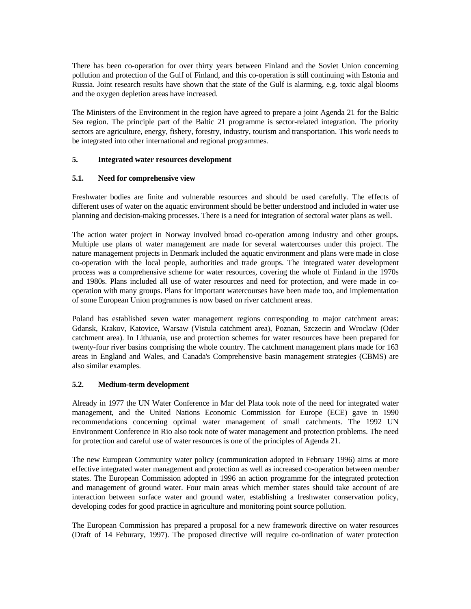There has been co-operation for over thirty years between Finland and the Soviet Union concerning pollution and protection of the Gulf of Finland, and this co-operation is still continuing with Estonia and Russia. Joint research results have shown that the state of the Gulf is alarming, e.g. toxic algal blooms and the oxygen depletion areas have increased.

The Ministers of the Environment in the region have agreed to prepare a joint Agenda 21 for the Baltic Sea region. The principle part of the Baltic 21 programme is sector-related integration. The priority sectors are agriculture, energy, fishery, forestry, industry, tourism and transportation. This work needs to be integrated into other international and regional programmes.

# **5. Integrated water resources development**

# **5.1. Need for comprehensive view**

Freshwater bodies are finite and vulnerable resources and should be used carefully. The effects of different uses of water on the aquatic environment should be better understood and included in water use planning and decision-making processes. There is a need for integration of sectoral water plans as well.

The action water project in Norway involved broad co-operation among industry and other groups. Multiple use plans of water management are made for several watercourses under this project. The nature management projects in Denmark included the aquatic environment and plans were made in close co-operation with the local people, authorities and trade groups. The integrated water development process was a comprehensive scheme for water resources, covering the whole of Finland in the 1970s and 1980s. Plans included all use of water resources and need for protection, and were made in cooperation with many groups. Plans for important watercourses have been made too, and implementation of some European Union programmes is now based on river catchment areas.

Poland has established seven water management regions corresponding to major catchment areas: Gdansk, Krakov, Katovice, Warsaw (Vistula catchment area), Poznan, Szczecin and Wroclaw (Oder catchment area). In Lithuania, use and protection schemes for water resources have been prepared for twenty-four river basins comprising the whole country. The catchment management plans made for 163 areas in England and Wales, and Canada's Comprehensive basin management strategies (CBMS) are also similar examples.

# **5.2. Medium-term development**

Already in 1977 the UN Water Conference in Mar del Plata took note of the need for integrated water management, and the United Nations Economic Commission for Europe (ECE) gave in 1990 recommendations concerning optimal water management of small catchments. The 1992 UN Environment Conference in Rio also took note of water management and protection problems. The need for protection and careful use of water resources is one of the principles of Agenda 21.

The new European Community water policy (communication adopted in February 1996) aims at more effective integrated water management and protection as well as increased co-operation between member states. The European Commission adopted in 1996 an action programme for the integrated protection and management of ground water. Four main areas which member states should take account of are interaction between surface water and ground water, establishing a freshwater conservation policy, developing codes for good practice in agriculture and monitoring point source pollution.

The European Commission has prepared a proposal for a new framework directive on water resources (Draft of 14 Feburary, 1997). The proposed directive will require co-ordination of water protection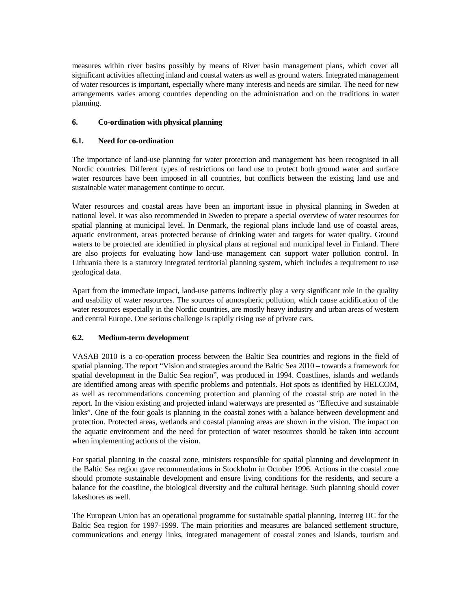measures within river basins possibly by means of River basin management plans, which cover all significant activities affecting inland and coastal waters as well as ground waters. Integrated management of water resources is important, especially where many interests and needs are similar. The need for new arrangements varies among countries depending on the administration and on the traditions in water planning.

# **6. Co-ordination with physical planning**

### **6.1. Need for co-ordination**

The importance of land-use planning for water protection and management has been recognised in all Nordic countries. Different types of restrictions on land use to protect both ground water and surface water resources have been imposed in all countries, but conflicts between the existing land use and sustainable water management continue to occur.

Water resources and coastal areas have been an important issue in physical planning in Sweden at national level. It was also recommended in Sweden to prepare a special overview of water resources for spatial planning at municipal level. In Denmark, the regional plans include land use of coastal areas, aquatic environment, areas protected because of drinking water and targets for water quality. Ground waters to be protected are identified in physical plans at regional and municipal level in Finland. There are also projects for evaluating how land-use management can support water pollution control. In Lithuania there is a statutory integrated territorial planning system, which includes a requirement to use geological data.

Apart from the immediate impact, land-use patterns indirectly play a very significant role in the quality and usability of water resources. The sources of atmospheric pollution, which cause acidification of the water resources especially in the Nordic countries, are mostly heavy industry and urban areas of western and central Europe. One serious challenge is rapidly rising use of private cars.

### **6.2. Medium-term development**

VASAB 2010 is a co-operation process between the Baltic Sea countries and regions in the field of spatial planning. The report "Vision and strategies around the Baltic Sea 2010 – towards a framework for spatial development in the Baltic Sea region", was produced in 1994. Coastlines, islands and wetlands are identified among areas with specific problems and potentials. Hot spots as identified by HELCOM, as well as recommendations concerning protection and planning of the coastal strip are noted in the report. In the vision existing and projected inland waterways are presented as "Effective and sustainable links". One of the four goals is planning in the coastal zones with a balance between development and protection. Protected areas, wetlands and coastal planning areas are shown in the vision. The impact on the aquatic environment and the need for protection of water resources should be taken into account when implementing actions of the vision.

For spatial planning in the coastal zone, ministers responsible for spatial planning and development in the Baltic Sea region gave recommendations in Stockholm in October 1996. Actions in the coastal zone should promote sustainable development and ensure living conditions for the residents, and secure a balance for the coastline, the biological diversity and the cultural heritage. Such planning should cover lakeshores as well.

The European Union has an operational programme for sustainable spatial planning, Interreg IIC for the Baltic Sea region for 1997-1999. The main priorities and measures are balanced settlement structure, communications and energy links, integrated management of coastal zones and islands, tourism and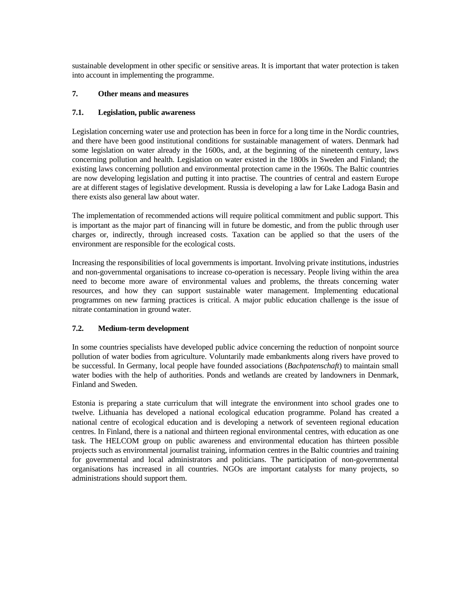sustainable development in other specific or sensitive areas. It is important that water protection is taken into account in implementing the programme.

# **7. Other means and measures**

# **7.1. Legislation, public awareness**

Legislation concerning water use and protection has been in force for a long time in the Nordic countries, and there have been good institutional conditions for sustainable management of waters. Denmark had some legislation on water already in the 1600s, and, at the beginning of the nineteenth century, laws concerning pollution and health. Legislation on water existed in the 1800s in Sweden and Finland; the existing laws concerning pollution and environmental protection came in the 1960s. The Baltic countries are now developing legislation and putting it into practise. The countries of central and eastern Europe are at different stages of legislative development. Russia is developing a law for Lake Ladoga Basin and there exists also general law about water.

The implementation of recommended actions will require political commitment and public support. This is important as the major part of financing will in future be domestic, and from the public through user charges or, indirectly, through increased costs. Taxation can be applied so that the users of the environment are responsible for the ecological costs.

Increasing the responsibilities of local governments is important. Involving private institutions, industries and non-governmental organisations to increase co-operation is necessary. People living within the area need to become more aware of environmental values and problems, the threats concerning water resources, and how they can support sustainable water management. Implementing educational programmes on new farming practices is critical. A major public education challenge is the issue of nitrate contamination in ground water.

# **7.2. Medium-term development**

In some countries specialists have developed public advice concerning the reduction of nonpoint source pollution of water bodies from agriculture. Voluntarily made embankments along rivers have proved to be successful. In Germany, local people have founded associations (*Bachpatenschaft*) to maintain small water bodies with the help of authorities. Ponds and wetlands are created by landowners in Denmark, Finland and Sweden.

Estonia is preparing a state curriculum that will integrate the environment into school grades one to twelve. Lithuania has developed a national ecological education programme. Poland has created a national centre of ecological education and is developing a network of seventeen regional education centres. In Finland, there is a national and thirteen regional environmental centres, with education as one task. The HELCOM group on public awareness and environmental education has thirteen possible projects such as environmental journalist training, information centres in the Baltic countries and training for governmental and local administrators and politicians. The participation of non-governmental organisations has increased in all countries. NGOs are important catalysts for many projects, so administrations should support them.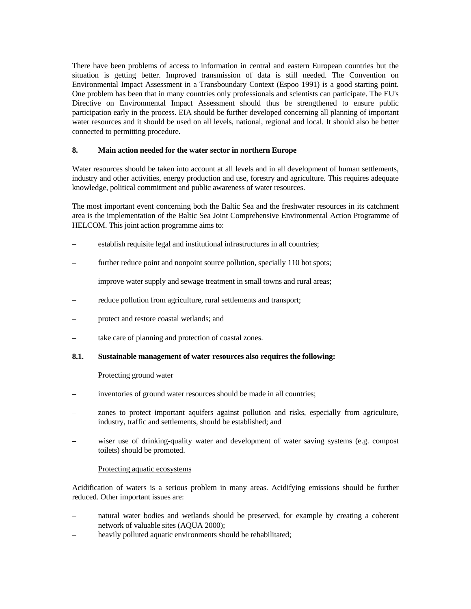There have been problems of access to information in central and eastern European countries but the situation is getting better. Improved transmission of data is still needed. The Convention on Environmental Impact Assessment in a Transboundary Context (Espoo 1991) is a good starting point. One problem has been that in many countries only professionals and scientists can participate. The EU's Directive on Environmental Impact Assessment should thus be strengthened to ensure public participation early in the process. EIA should be further developed concerning all planning of important water resources and it should be used on all levels, national, regional and local. It should also be better connected to permitting procedure.

# **8. Main action needed for the water sector in northern Europe**

Water resources should be taken into account at all levels and in all development of human settlements, industry and other activities, energy production and use, forestry and agriculture. This requires adequate knowledge, political commitment and public awareness of water resources.

The most important event concerning both the Baltic Sea and the freshwater resources in its catchment area is the implementation of the Baltic Sea Joint Comprehensive Environmental Action Programme of HELCOM. This joint action programme aims to:

- establish requisite legal and institutional infrastructures in all countries;
- further reduce point and nonpoint source pollution, specially 110 hot spots;
- improve water supply and sewage treatment in small towns and rural areas;
- reduce pollution from agriculture, rural settlements and transport;
- protect and restore coastal wetlands; and
- take care of planning and protection of coastal zones.

### **8.1. Sustainable management of water resources also requires the following:**

#### Protecting ground water

- inventories of ground water resources should be made in all countries;
- zones to protect important aquifers against pollution and risks, especially from agriculture, industry, traffic and settlements, should be established; and
- wiser use of drinking-quality water and development of water saving systems (e.g. compost toilets) should be promoted.

### Protecting aquatic ecosystems

Acidification of waters is a serious problem in many areas. Acidifying emissions should be further reduced. Other important issues are:

- natural water bodies and wetlands should be preserved, for example by creating a coherent network of valuable sites (AQUA 2000);
- heavily polluted aquatic environments should be rehabilitated;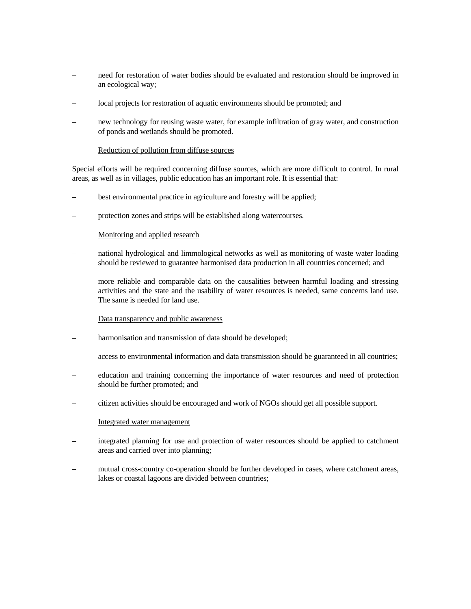- need for restoration of water bodies should be evaluated and restoration should be improved in an ecological way;
- local projects for restoration of aquatic environments should be promoted; and
- new technology for reusing waste water, for example infiltration of gray water, and construction of ponds and wetlands should be promoted.

#### Reduction of pollution from diffuse sources

Special efforts will be required concerning diffuse sources, which are more difficult to control. In rural areas, as well as in villages, public education has an important role. It is essential that:

- best environmental practice in agriculture and forestry will be applied;
- protection zones and strips will be established along watercourses.

#### Monitoring and applied research

- national hydrological and limmological networks as well as monitoring of waste water loading should be reviewed to guarantee harmonised data production in all countries concerned; and
- more reliable and comparable data on the causalities between harmful loading and stressing activities and the state and the usability of water resources is needed, same concerns land use. The same is needed for land use.

#### Data transparency and public awareness

- harmonisation and transmission of data should be developed;
- access to environmental information and data transmission should be guaranteed in all countries;
- education and training concerning the importance of water resources and need of protection should be further promoted; and
- citizen activities should be encouraged and work of NGOs should get all possible support.

#### Integrated water management

- integrated planning for use and protection of water resources should be applied to catchment areas and carried over into planning;
- mutual cross-country co-operation should be further developed in cases, where catchment areas, lakes or coastal lagoons are divided between countries;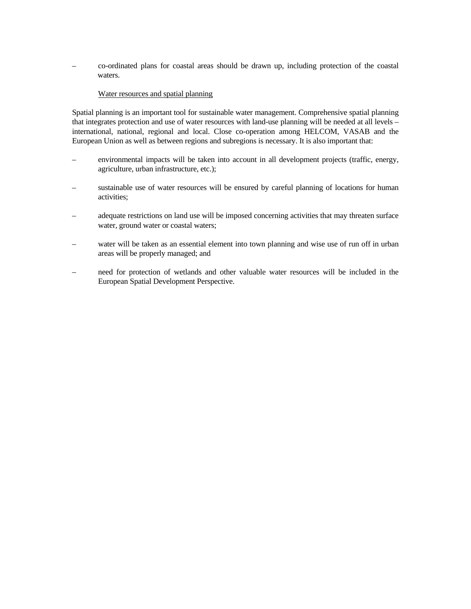– co-ordinated plans for coastal areas should be drawn up, including protection of the coastal waters.

### Water resources and spatial planning

Spatial planning is an important tool for sustainable water management. Comprehensive spatial planning that integrates protection and use of water resources with land-use planning will be needed at all levels – international, national, regional and local. Close co-operation among HELCOM, VASAB and the European Union as well as between regions and subregions is necessary. It is also important that:

- environmental impacts will be taken into account in all development projects (traffic, energy, agriculture, urban infrastructure, etc.);
- sustainable use of water resources will be ensured by careful planning of locations for human activities;
- adequate restrictions on land use will be imposed concerning activities that may threaten surface water, ground water or coastal waters;
- water will be taken as an essential element into town planning and wise use of run off in urban areas will be properly managed; and
- need for protection of wetlands and other valuable water resources will be included in the European Spatial Development Perspective.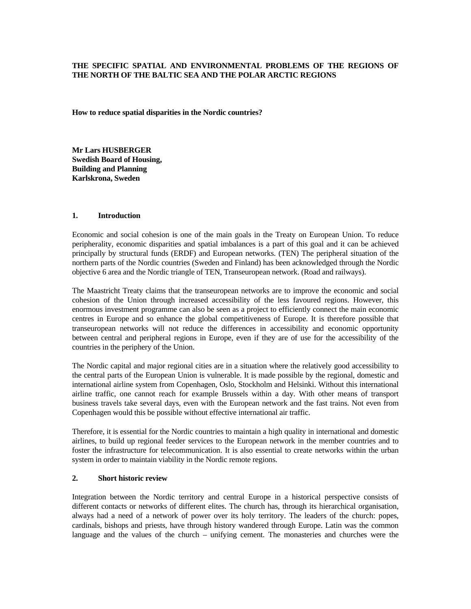# **THE SPECIFIC SPATIAL AND ENVIRONMENTAL PROBLEMS OF THE REGIONS OF THE NORTH OF THE BALTIC SEA AND THE POLAR ARCTIC REGIONS**

**How to reduce spatial disparities in the Nordic countries?** 

**Mr Lars HUSBERGER Swedish Board of Housing, Building and Planning Karlskrona, Sweden**

# **1. Introduction**

Economic and social cohesion is one of the main goals in the Treaty on European Union. To reduce peripherality, economic disparities and spatial imbalances is a part of this goal and it can be achieved principally by structural funds (ERDF) and European networks. (TEN) The peripheral situation of the northern parts of the Nordic countries (Sweden and Finland) has been acknowledged through the Nordic objective 6 area and the Nordic triangle of TEN, Transeuropean network. (Road and railways).

The Maastricht Treaty claims that the transeuropean networks are to improve the economic and social cohesion of the Union through increased accessibility of the less favoured regions. However, this enormous investment programme can also be seen as a project to efficiently connect the main economic centres in Europe and so enhance the global competitiveness of Europe. It is therefore possible that transeuropean networks will not reduce the differences in accessibility and economic opportunity between central and peripheral regions in Europe, even if they are of use for the accessibility of the countries in the periphery of the Union.

The Nordic capital and major regional cities are in a situation where the relatively good accessibility to the central parts of the European Union is vulnerable. It is made possible by the regional, domestic and international airline system from Copenhagen, Oslo, Stockholm and Helsinki. Without this international airline traffic, one cannot reach for example Brussels within a day. With other means of transport business travels take several days, even with the European network and the fast trains. Not even from Copenhagen would this be possible without effective international air traffic.

Therefore, it is essential for the Nordic countries to maintain a high quality in international and domestic airlines, to build up regional feeder services to the European network in the member countries and to foster the infrastructure for telecommunication. It is also essential to create networks within the urban system in order to maintain viability in the Nordic remote regions.

## **2. Short historic review**

Integration between the Nordic territory and central Europe in a historical perspective consists of different contacts or networks of different elites. The church has, through its hierarchical organisation, always had a need of a network of power over its holy territory. The leaders of the church: popes, cardinals, bishops and priests, have through history wandered through Europe. Latin was the common language and the values of the church – unifying cement. The monasteries and churches were the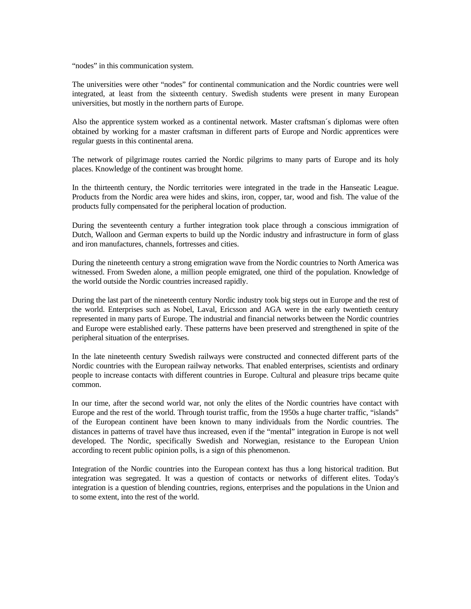"nodes" in this communication system.

The universities were other "nodes" for continental communication and the Nordic countries were well integrated, at least from the sixteenth century. Swedish students were present in many European universities, but mostly in the northern parts of Europe.

Also the apprentice system worked as a continental network. Master craftsman´s diplomas were often obtained by working for a master craftsman in different parts of Europe and Nordic apprentices were regular guests in this continental arena.

The network of pilgrimage routes carried the Nordic pilgrims to many parts of Europe and its holy places. Knowledge of the continent was brought home.

In the thirteenth century, the Nordic territories were integrated in the trade in the Hanseatic League. Products from the Nordic area were hides and skins, iron, copper, tar, wood and fish. The value of the products fully compensated for the peripheral location of production.

During the seventeenth century a further integration took place through a conscious immigration of Dutch, Walloon and German experts to build up the Nordic industry and infrastructure in form of glass and iron manufactures, channels, fortresses and cities.

During the nineteenth century a strong emigration wave from the Nordic countries to North America was witnessed. From Sweden alone, a million people emigrated, one third of the population. Knowledge of the world outside the Nordic countries increased rapidly.

During the last part of the nineteenth century Nordic industry took big steps out in Europe and the rest of the world. Enterprises such as Nobel, Laval, Ericsson and AGA were in the early twentieth century represented in many parts of Europe. The industrial and financial networks between the Nordic countries and Europe were established early. These patterns have been preserved and strengthened in spite of the peripheral situation of the enterprises.

In the late nineteenth century Swedish railways were constructed and connected different parts of the Nordic countries with the European railway networks. That enabled enterprises, scientists and ordinary people to increase contacts with different countries in Europe. Cultural and pleasure trips became quite common.

In our time, after the second world war, not only the elites of the Nordic countries have contact with Europe and the rest of the world. Through tourist traffic, from the 1950s a huge charter traffic, "islands" of the European continent have been known to many individuals from the Nordic countries. The distances in patterns of travel have thus increased, even if the "mental" integration in Europe is not well developed. The Nordic, specifically Swedish and Norwegian, resistance to the European Union according to recent public opinion polls, is a sign of this phenomenon.

Integration of the Nordic countries into the European context has thus a long historical tradition. But integration was segregated. It was a question of contacts or networks of different elites. Today's integration is a question of blending countries, regions, enterprises and the populations in the Union and to some extent, into the rest of the world.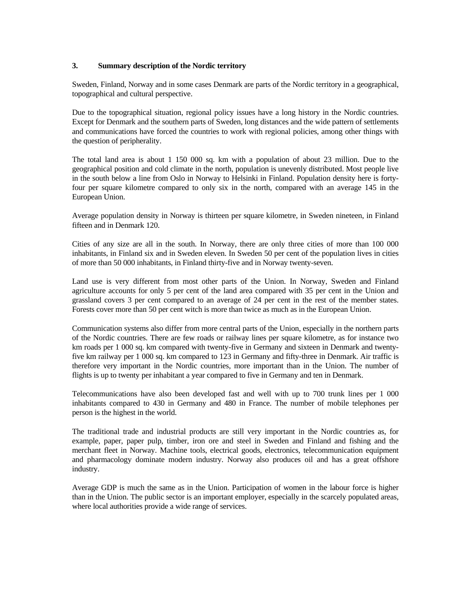# **3. Summary description of the Nordic territory**

Sweden, Finland, Norway and in some cases Denmark are parts of the Nordic territory in a geographical, topographical and cultural perspective.

Due to the topographical situation, regional policy issues have a long history in the Nordic countries. Except for Denmark and the southern parts of Sweden, long distances and the wide pattern of settlements and communications have forced the countries to work with regional policies, among other things with the question of peripherality.

The total land area is about 1 150 000 sq. km with a population of about 23 million. Due to the geographical position and cold climate in the north, population is unevenly distributed. Most people live in the south below a line from Oslo in Norway to Helsinki in Finland. Population density here is fortyfour per square kilometre compared to only six in the north, compared with an average 145 in the European Union.

Average population density in Norway is thirteen per square kilometre, in Sweden nineteen, in Finland fifteen and in Denmark 120.

Cities of any size are all in the south. In Norway, there are only three cities of more than 100 000 inhabitants, in Finland six and in Sweden eleven. In Sweden 50 per cent of the population lives in cities of more than 50 000 inhabitants, in Finland thirty-five and in Norway twenty-seven.

Land use is very different from most other parts of the Union. In Norway, Sweden and Finland agriculture accounts for only 5 per cent of the land area compared with 35 per cent in the Union and grassland covers 3 per cent compared to an average of 24 per cent in the rest of the member states. Forests cover more than 50 per cent witch is more than twice as much as in the European Union.

Communication systems also differ from more central parts of the Union, especially in the northern parts of the Nordic countries. There are few roads or railway lines per square kilometre, as for instance two km roads per 1 000 sq. km compared with twenty-five in Germany and sixteen in Denmark and twentyfive km railway per 1 000 sq. km compared to 123 in Germany and fifty-three in Denmark. Air traffic is therefore very important in the Nordic countries, more important than in the Union. The number of flights is up to twenty per inhabitant a year compared to five in Germany and ten in Denmark.

Telecommunications have also been developed fast and well with up to 700 trunk lines per 1 000 inhabitants compared to 430 in Germany and 480 in France. The number of mobile telephones per person is the highest in the world.

The traditional trade and industrial products are still very important in the Nordic countries as, for example, paper, paper pulp, timber, iron ore and steel in Sweden and Finland and fishing and the merchant fleet in Norway. Machine tools, electrical goods, electronics, telecommunication equipment and pharmacology dominate modern industry. Norway also produces oil and has a great offshore industry.

Average GDP is much the same as in the Union. Participation of women in the labour force is higher than in the Union. The public sector is an important employer, especially in the scarcely populated areas, where local authorities provide a wide range of services.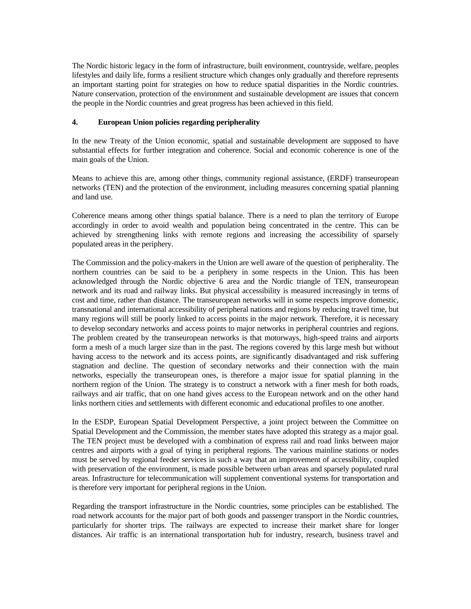The Nordic historic legacy in the form of infrastructure, built environment, countryside, welfare, peoples lifestyles and daily life, forms a resilient structure which changes only gradually and therefore represents an important starting point for strategies on how to reduce spatial disparities in the Nordic countries. Nature conservation, protection of the environment and sustainable development are issues that concern the people in the Nordic countries and great progress has been achieved in this field.

### **4. European Union policies regarding peripherality**

In the new Treaty of the Union economic, spatial and sustainable development are supposed to have substantial effects for further integration and coherence. Social and economic coherence is one of the main goals of the Union.

Means to achieve this are, among other things, community regional assistance, (ERDF) transeuropean networks (TEN) and the protection of the environment, including measures concerning spatial planning and land use.

Coherence means among other things spatial balance. There is a need to plan the territory of Europe accordingly in order to avoid wealth and population being concentrated in the centre. This can be achieved by strengthening links with remote regions and increasing the accessibility of sparsely populated areas in the periphery.

The Commission and the policy-makers in the Union are well aware of the question of peripherality. The northern countries can be said to be a periphery in some respects in the Union. This has been acknowledged through the Nordic objective 6 area and the Nordic triangle of TEN, transeuropean network and its road and railway links. But physical accessibility is measured increasingly in terms of cost and time, rather than distance. The transeuropean networks will in some respects improve domestic, transnational and international accessibility of peripheral nations and regions by reducing travel time, but many regions will still be poorly linked to access points in the major network. Therefore, it is necessary to develop secondary networks and access points to major networks in peripheral countries and regions. The problem created by the transeuropean networks is that motorways, high-speed trains and airports form a mesh of a much larger size than in the past. The regions covered by this large mesh but without having access to the network and its access points, are significantly disadvantaged and risk suffering stagnation and decline. The question of secondary networks and their connection with the main networks, especially the transeuropean ones, is therefore a major issue for spatial planning in the northern region of the Union. The strategy is to construct a network with a finer mesh for both roads, railways and air traffic, that on one hand gives access to the European network and on the other hand links northern cities and settlements with different economic and educational profiles to one another.

In the ESDP, European Spatial Development Perspective, a joint project between the Committee on Spatial Development and the Commission, the member states have adopted this strategy as a major goal. The TEN project must be developed with a combination of express rail and road links between major centres and airports with a goal of tying in peripheral regions. The various mainline stations or nodes must be served by regional feeder services in such a way that an improvement of accessibility, coupled with preservation of the environment, is made possible between urban areas and sparsely populated rural areas. Infrastructure for telecommunication will supplement conventional systems for transportation and is therefore very important for peripheral regions in the Union.

Regarding the transport infrastructure in the Nordic countries, some principles can be established. The road network accounts for the major part of both goods and passenger transport in the Nordic countries, particularly for shorter trips. The railways are expected to increase their market share for longer distances. Air traffic is an international transportation hub for industry, research, business travel and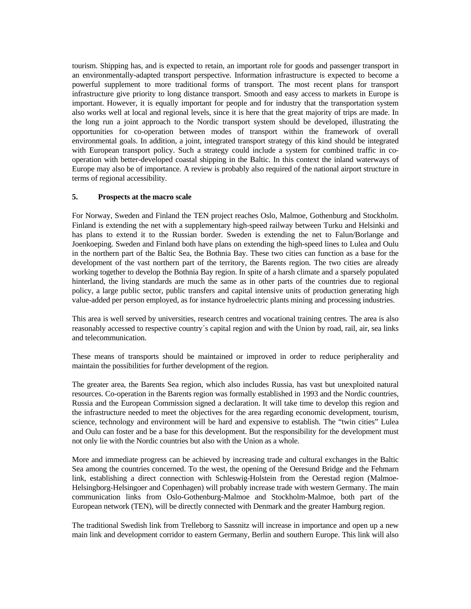tourism. Shipping has, and is expected to retain, an important role for goods and passenger transport in an environmentally-adapted transport perspective. Information infrastructure is expected to become a powerful supplement to more traditional forms of transport. The most recent plans for transport infrastructure give priority to long distance transport. Smooth and easy access to markets in Europe is important. However, it is equally important for people and for industry that the transportation system also works well at local and regional levels, since it is here that the great majority of trips are made. In the long run a joint approach to the Nordic transport system should be developed, illustrating the opportunities for co-operation between modes of transport within the framework of overall environmental goals. In addition, a joint, integrated transport strategy of this kind should be integrated with European transport policy. Such a strategy could include a system for combined traffic in cooperation with better-developed coastal shipping in the Baltic. In this context the inland waterways of Europe may also be of importance. A review is probably also required of the national airport structure in terms of regional accessibility.

### **5. Prospects at the macro scale**

For Norway, Sweden and Finland the TEN project reaches Oslo, Malmoe, Gothenburg and Stockholm. Finland is extending the net with a supplementary high-speed railway between Turku and Helsinki and has plans to extend it to the Russian border. Sweden is extending the net to Falun/Borlange and Joenkoeping. Sweden and Finland both have plans on extending the high-speed lines to Lulea and Oulu in the northern part of the Baltic Sea, the Bothnia Bay. These two cities can function as a base for the development of the vast northern part of the territory, the Barents region. The two cities are already working together to develop the Bothnia Bay region. In spite of a harsh climate and a sparsely populated hinterland, the living standards are much the same as in other parts of the countries due to regional policy, a large public sector, public transfers and capital intensive units of production generating high value-added per person employed, as for instance hydroelectric plants mining and processing industries.

This area is well served by universities, research centres and vocational training centres. The area is also reasonably accessed to respective country´s capital region and with the Union by road, rail, air, sea links and telecommunication.

These means of transports should be maintained or improved in order to reduce peripherality and maintain the possibilities for further development of the region.

The greater area, the Barents Sea region, which also includes Russia, has vast but unexploited natural resources. Co-operation in the Barents region was formally established in 1993 and the Nordic countries, Russia and the European Commission signed a declaration. It will take time to develop this region and the infrastructure needed to meet the objectives for the area regarding economic development, tourism, science, technology and environment will be hard and expensive to establish. The "twin cities" Lulea and Oulu can foster and be a base for this development. But the responsibility for the development must not only lie with the Nordic countries but also with the Union as a whole.

More and immediate progress can be achieved by increasing trade and cultural exchanges in the Baltic Sea among the countries concerned. To the west, the opening of the Oeresund Bridge and the Fehmarn link, establishing a direct connection with Schleswig-Holstein from the Oerestad region (Malmoe-Helsingborg-Helsingoer and Copenhagen) will probably increase trade with western Germany. The main communication links from Oslo-Gothenburg-Malmoe and Stockholm-Malmoe, both part of the European network (TEN), will be directly connected with Denmark and the greater Hamburg region.

The traditional Swedish link from Trelleborg to Sassnitz will increase in importance and open up a new main link and development corridor to eastern Germany, Berlin and southern Europe. This link will also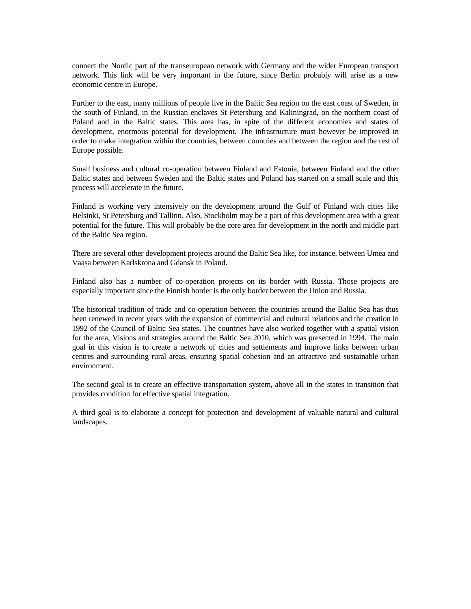connect the Nordic part of the transeuropean network with Germany and the wider European transport network. This link will be very important in the future, since Berlin probably will arise as a new economic centre in Europe.

Further to the east, many millions of people live in the Baltic Sea region on the east coast of Sweden, in the south of Finland, in the Russian enclaves St Petersburg and Kaliningrad, on the northern coast of Poland and in the Baltic states. This area has, in spite of the different economies and states of development, enormous potential for development. The infrastructure must however be improved in order to make integration within the countries, between countries and between the region and the rest of Europe possible.

Small business and cultural co-operation between Finland and Estonia, between Finland and the other Baltic states and between Sweden and the Baltic states and Poland has started on a small scale and this process will accelerate in the future.

Finland is working very intensively on the development around the Gulf of Finland with cities like Helsinki, St Petersburg and Tallinn. Also, Stockholm may be a part of this development area with a great potential for the future. This will probably be the core area for development in the north and middle part of the Baltic Sea region.

There are several other development projects around the Baltic Sea like, for instance, between Umea and Vaasa between Karlskrona and Gdansk in Poland.

Finland also has a number of co-operation projects on its border with Russia. Those projects are especially important since the Finnish border is the only border between the Union and Russia.

The historical tradition of trade and co-operation between the countries around the Baltic Sea has thus been renewed in recent years with the expansion of commercial and cultural relations and the creation in 1992 of the Council of Baltic Sea states. The countries have also worked together with a spatial vision for the area, Visions and strategies around the Baltic Sea 2010, which was presented in 1994. The main goal in this vision is to create a network of cities and settlements and improve links between urban centres and surrounding rural areas, ensuring spatial cohesion and an attractive and sustainable urban environment.

The second goal is to create an effective transportation system, above all in the states in transition that provides condition for effective spatial integration.

A third goal is to elaborate a concept for protection and development of valuable natural and cultural landscapes.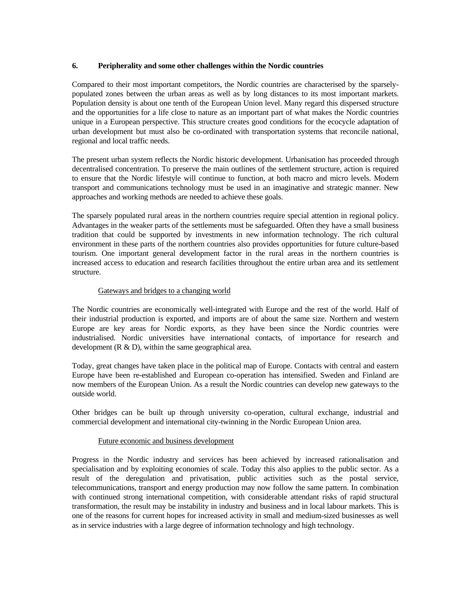## **6. Peripherality and some other challenges within the Nordic countries**

Compared to their most important competitors, the Nordic countries are characterised by the sparselypopulated zones between the urban areas as well as by long distances to its most important markets. Population density is about one tenth of the European Union level. Many regard this dispersed structure and the opportunities for a life close to nature as an important part of what makes the Nordic countries unique in a European perspective. This structure creates good conditions for the ecocycle adaptation of urban development but must also be co-ordinated with transportation systems that reconcile national, regional and local traffic needs.

The present urban system reflects the Nordic historic development. Urbanisation has proceeded through decentralised concentration. To preserve the main outlines of the settlement structure, action is required to ensure that the Nordic lifestyle will continue to function, at both macro and micro levels. Modern transport and communications technology must be used in an imaginative and strategic manner. New approaches and working methods are needed to achieve these goals.

The sparsely populated rural areas in the northern countries require special attention in regional policy. Advantages in the weaker parts of the settlements must be safeguarded. Often they have a small business tradition that could be supported by investments in new information technology. The rich cultural environment in these parts of the northern countries also provides opportunities for future culture-based tourism. One important general development factor in the rural areas in the northern countries is increased access to education and research facilities throughout the entire urban area and its settlement structure.

# Gateways and bridges to a changing world

The Nordic countries are economically well-integrated with Europe and the rest of the world. Half of their industrial production is exported, and imports are of about the same size. Northern and western Europe are key areas for Nordic exports, as they have been since the Nordic countries were industrialised. Nordic universities have international contacts, of importance for research and development  $(R & D)$ , within the same geographical area.

Today, great changes have taken place in the political map of Europe. Contacts with central and eastern Europe have been re-established and European co-operation has intensified. Sweden and Finland are now members of the European Union. As a result the Nordic countries can develop new gateways to the outside world.

Other bridges can be built up through university co-operation, cultural exchange, industrial and commercial development and international city-twinning in the Nordic European Union area.

### Future economic and business development

Progress in the Nordic industry and services has been achieved by increased rationalisation and specialisation and by exploiting economies of scale. Today this also applies to the public sector. As a result of the deregulation and privatisation, public activities such as the postal service, telecommunications, transport and energy production may now follow the same pattern. In combination with continued strong international competition, with considerable attendant risks of rapid structural transformation, the result may be instability in industry and business and in local labour markets. This is one of the reasons for current hopes for increased activity in small and medium-sized businesses as well as in service industries with a large degree of information technology and high technology.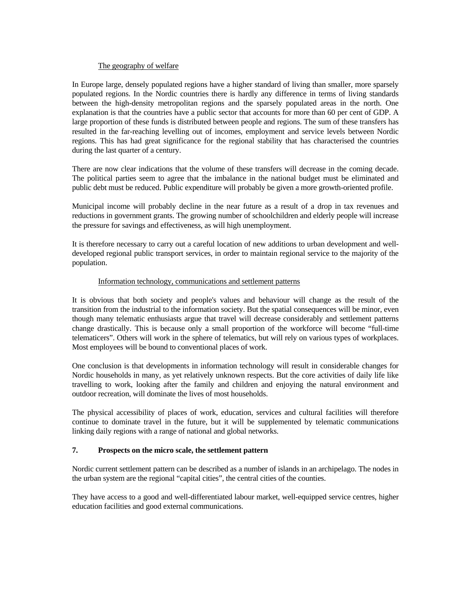#### The geography of welfare

In Europe large, densely populated regions have a higher standard of living than smaller, more sparsely populated regions. In the Nordic countries there is hardly any difference in terms of living standards between the high-density metropolitan regions and the sparsely populated areas in the north. One explanation is that the countries have a public sector that accounts for more than 60 per cent of GDP. A large proportion of these funds is distributed between people and regions. The sum of these transfers has resulted in the far-reaching levelling out of incomes, employment and service levels between Nordic regions. This has had great significance for the regional stability that has characterised the countries during the last quarter of a century.

There are now clear indications that the volume of these transfers will decrease in the coming decade. The political parties seem to agree that the imbalance in the national budget must be eliminated and public debt must be reduced. Public expenditure will probably be given a more growth-oriented profile.

Municipal income will probably decline in the near future as a result of a drop in tax revenues and reductions in government grants. The growing number of schoolchildren and elderly people will increase the pressure for savings and effectiveness, as will high unemployment.

It is therefore necessary to carry out a careful location of new additions to urban development and welldeveloped regional public transport services, in order to maintain regional service to the majority of the population.

#### Information technology, communications and settlement patterns

It is obvious that both society and people's values and behaviour will change as the result of the transition from the industrial to the information society. But the spatial consequences will be minor, even though many telematic enthusiasts argue that travel will decrease considerably and settlement patterns change drastically. This is because only a small proportion of the workforce will become "full-time telematicers". Others will work in the sphere of telematics, but will rely on various types of workplaces. Most employees will be bound to conventional places of work.

One conclusion is that developments in information technology will result in considerable changes for Nordic households in many, as yet relatively unknown respects. But the core activities of daily life like travelling to work, looking after the family and children and enjoying the natural environment and outdoor recreation, will dominate the lives of most households.

The physical accessibility of places of work, education, services and cultural facilities will therefore continue to dominate travel in the future, but it will be supplemented by telematic communications linking daily regions with a range of national and global networks.

### **7. Prospects on the micro scale, the settlement pattern**

Nordic current settlement pattern can be described as a number of islands in an archipelago. The nodes in the urban system are the regional "capital cities", the central cities of the counties.

They have access to a good and well-differentiated labour market, well-equipped service centres, higher education facilities and good external communications.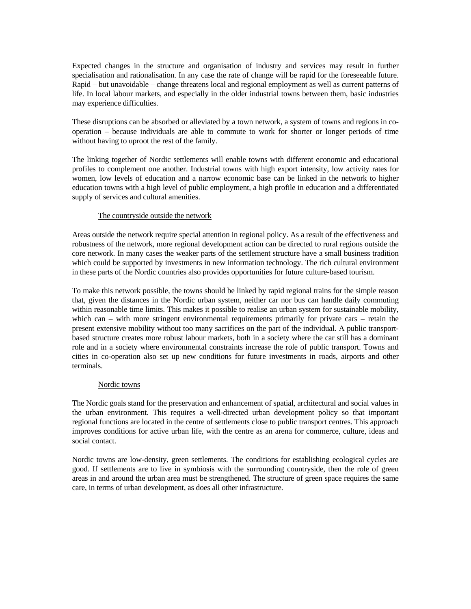Expected changes in the structure and organisation of industry and services may result in further specialisation and rationalisation. In any case the rate of change will be rapid for the foreseeable future. Rapid – but unavoidable – change threatens local and regional employment as well as current patterns of life. In local labour markets, and especially in the older industrial towns between them, basic industries may experience difficulties.

These disruptions can be absorbed or alleviated by a town network, a system of towns and regions in cooperation – because individuals are able to commute to work for shorter or longer periods of time without having to uproot the rest of the family.

The linking together of Nordic settlements will enable towns with different economic and educational profiles to complement one another. Industrial towns with high export intensity, low activity rates for women, low levels of education and a narrow economic base can be linked in the network to higher education towns with a high level of public employment, a high profile in education and a differentiated supply of services and cultural amenities.

## The countryside outside the network

Areas outside the network require special attention in regional policy. As a result of the effectiveness and robustness of the network, more regional development action can be directed to rural regions outside the core network. In many cases the weaker parts of the settlement structure have a small business tradition which could be supported by investments in new information technology. The rich cultural environment in these parts of the Nordic countries also provides opportunities for future culture-based tourism.

To make this network possible, the towns should be linked by rapid regional trains for the simple reason that, given the distances in the Nordic urban system, neither car nor bus can handle daily commuting within reasonable time limits. This makes it possible to realise an urban system for sustainable mobility, which can – with more stringent environmental requirements primarily for private cars – retain the present extensive mobility without too many sacrifices on the part of the individual. A public transportbased structure creates more robust labour markets, both in a society where the car still has a dominant role and in a society where environmental constraints increase the role of public transport. Towns and cities in co-operation also set up new conditions for future investments in roads, airports and other terminals.

# Nordic towns

The Nordic goals stand for the preservation and enhancement of spatial, architectural and social values in the urban environment. This requires a well-directed urban development policy so that important regional functions are located in the centre of settlements close to public transport centres. This approach improves conditions for active urban life, with the centre as an arena for commerce, culture, ideas and social contact.

Nordic towns are low-density, green settlements. The conditions for establishing ecological cycles are good. If settlements are to live in symbiosis with the surrounding countryside, then the role of green areas in and around the urban area must be strengthened. The structure of green space requires the same care, in terms of urban development, as does all other infrastructure.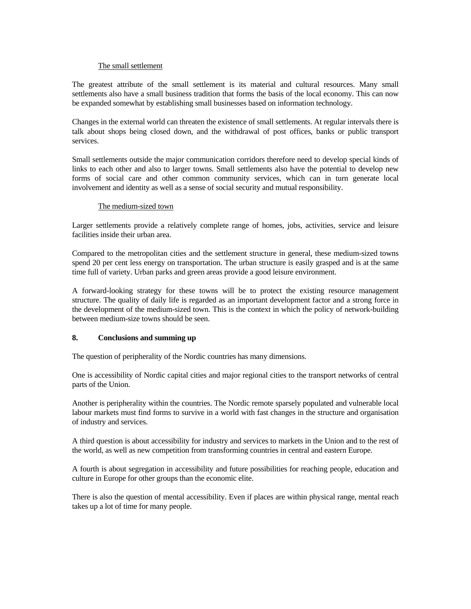#### The small settlement

The greatest attribute of the small settlement is its material and cultural resources. Many small settlements also have a small business tradition that forms the basis of the local economy. This can now be expanded somewhat by establishing small businesses based on information technology.

Changes in the external world can threaten the existence of small settlements. At regular intervals there is talk about shops being closed down, and the withdrawal of post offices, banks or public transport services.

Small settlements outside the major communication corridors therefore need to develop special kinds of links to each other and also to larger towns. Small settlements also have the potential to develop new forms of social care and other common community services, which can in turn generate local involvement and identity as well as a sense of social security and mutual responsibility.

### The medium-sized town

Larger settlements provide a relatively complete range of homes, jobs, activities, service and leisure facilities inside their urban area.

Compared to the metropolitan cities and the settlement structure in general, these medium-sized towns spend 20 per cent less energy on transportation. The urban structure is easily grasped and is at the same time full of variety. Urban parks and green areas provide a good leisure environment.

A forward-looking strategy for these towns will be to protect the existing resource management structure. The quality of daily life is regarded as an important development factor and a strong force in the development of the medium-sized town. This is the context in which the policy of network-building between medium-size towns should be seen.

## **8. Conclusions and summing up**

The question of peripherality of the Nordic countries has many dimensions.

One is accessibility of Nordic capital cities and major regional cities to the transport networks of central parts of the Union.

Another is peripherality within the countries. The Nordic remote sparsely populated and vulnerable local labour markets must find forms to survive in a world with fast changes in the structure and organisation of industry and services.

A third question is about accessibility for industry and services to markets in the Union and to the rest of the world, as well as new competition from transforming countries in central and eastern Europe.

A fourth is about segregation in accessibility and future possibilities for reaching people, education and culture in Europe for other groups than the economic elite.

There is also the question of mental accessibility. Even if places are within physical range, mental reach takes up a lot of time for many people.